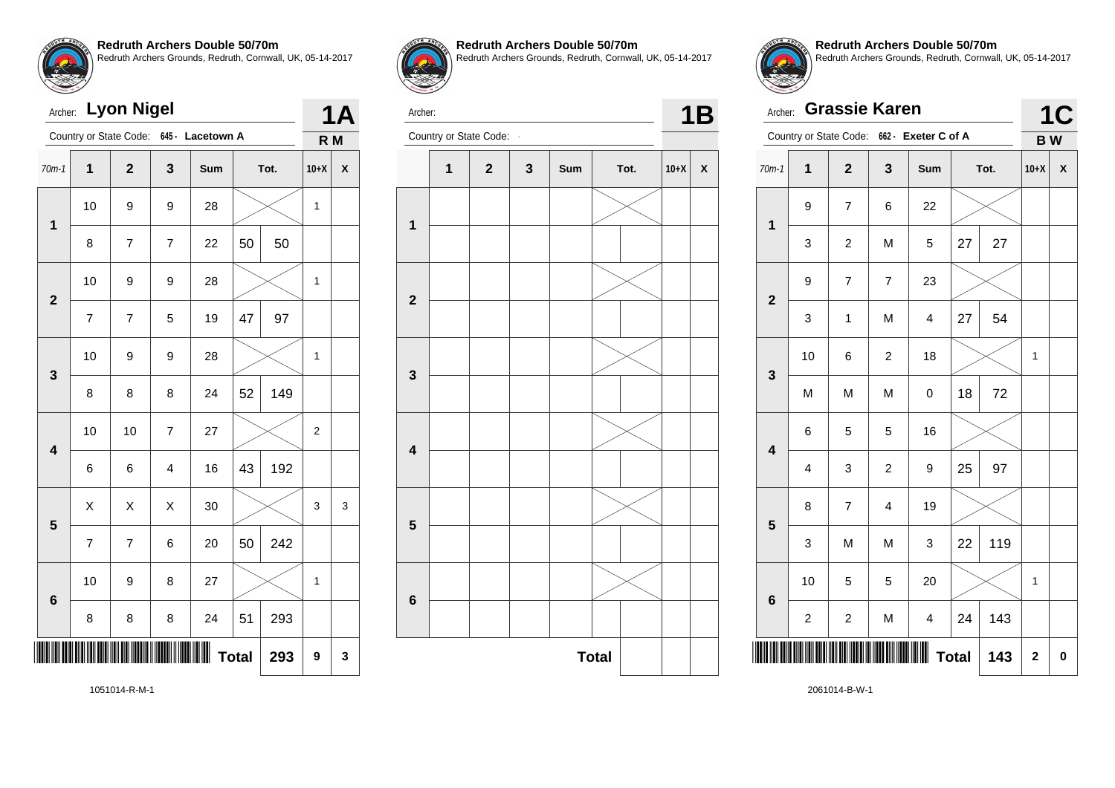

| Archer:                 |                          | <b>Lyon Nigel</b>      |                         |                  |              |      |              | <b>1A</b> |
|-------------------------|--------------------------|------------------------|-------------------------|------------------|--------------|------|--------------|-----------|
|                         |                          | Country or State Code: |                         | 645 - Lacetown A |              |      | R M          |           |
| $70m-1$                 | $\overline{\mathbf{1}}$  | $\overline{2}$         | 3                       | Sum              |              | Tot. | $10+X$       | X         |
| 1                       | 10                       | 9                      | 9                       | 28               |              |      | $\mathbf{1}$ |           |
|                         | 8                        | $\overline{7}$         | $\overline{\mathbf{7}}$ | 22               | 50           | 50   |              |           |
| $\overline{2}$          | 10                       | 9                      | 9                       | 28               |              |      | 1            |           |
|                         | $\overline{\mathcal{I}}$ | $\overline{7}$         | 5                       | 19               | 47           | 97   |              |           |
| 3                       | 10                       | 9                      | 9                       | 28               |              |      | 1            |           |
|                         | 8                        | 8                      | 8                       | 24               | 52           | 149  |              |           |
| $\overline{\mathbf{4}}$ | 10                       | 10                     | $\overline{7}$          | 27               |              |      | 2            |           |
|                         | 6                        | 6                      | $\overline{\mathbf{4}}$ | 16               | 43           | 192  |              |           |
| 5                       | X                        | X                      | X                       | 30               |              |      | 3            | 3         |
|                         | $\overline{7}$           | $\overline{7}$         | 6                       | 20               | 50           | 242  |              |           |
| $6\phantom{a}$          | 10                       | 9                      | 8                       | 27               |              |      | 1            |           |
|                         | 8                        | 8                      | 8                       | 24               | 51           | 293  |              |           |
|                         |                          |                        |                         |                  | <b>Total</b> | 293  | 9            | 3         |
|                         |                          |                        |                         |                  |              |      |              |           |



**Redruth Archers Double 50/70m** Redruth Archers Grounds, Redruth, Cornwall, UK, 05-14-2017



Archer: Country or State Code: **1B** 



Archer: **Grassie Karen** Country or State Code: **662 - Exeter C of A 1C B W** 70m-1 **1 2 3 Sum Tot. 10+X X 1** 9 7 6 22 3 | 2 | M | 5 | 27 | 27 **2** 9 7 7 23 3 | 1 | M | 4 | 27 | 54 **3** 10 | 6 | 2 | 18 |  $\times$  | 1 M | M | M | 0 |18 | 72 **4** 6 5 5 16 4 3 2 9 25 97 **5** 8 7 4 19  $3$  M M  $3$  22 119 **6** 10  $\begin{array}{|c|c|c|c|c|}\n\hline\n10 & 5 & 5 & 20 & \times & 1\n\end{array}$  $2 \mid 2 \mid M \mid 4 \mid 24 \mid 143$ \*2061014-B-W-1\*  $Total | 143 | 2 | 0$ 

**Redruth Archers Double 50/70m**

Redruth Archers Grounds, Redruth, Cornwall, UK, 05-14-2017

1051014-R-M-1

2061014-B-W-1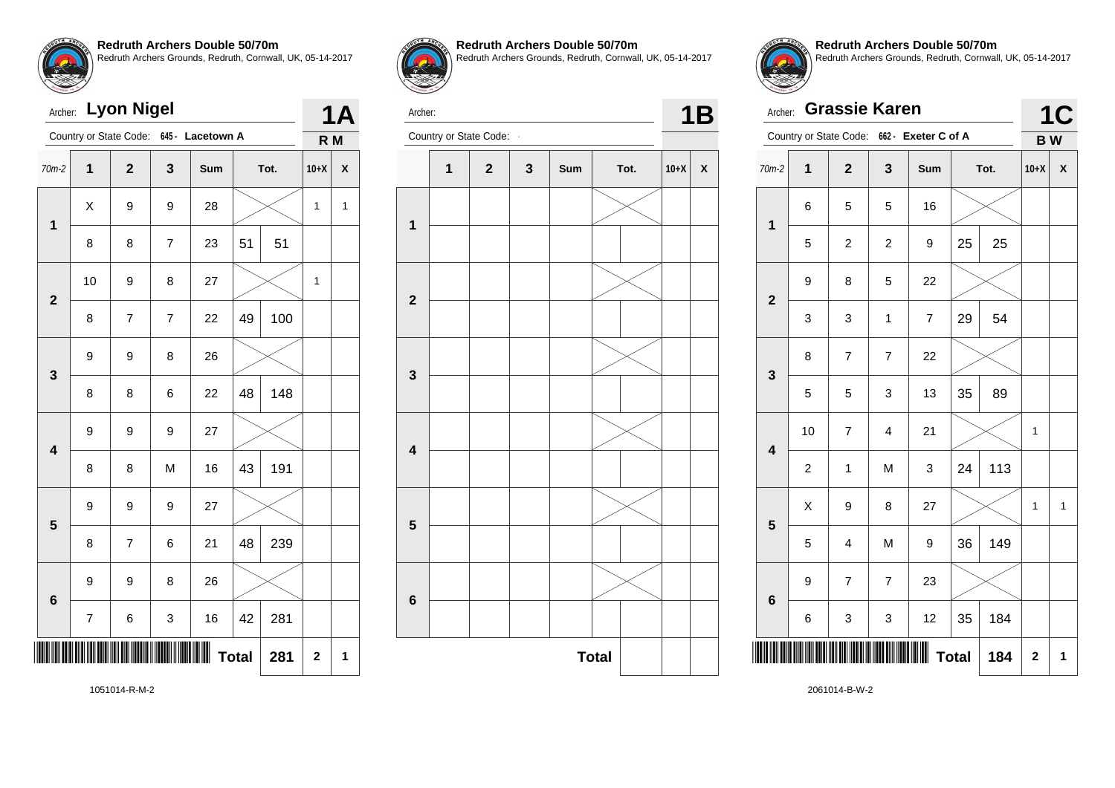

| Archer:                 |                         | <b>Lyon Nigel</b>        |                |                  |              |      |                         | 1Α           |
|-------------------------|-------------------------|--------------------------|----------------|------------------|--------------|------|-------------------------|--------------|
|                         |                         | Country or State Code:   |                | 645 - Lacetown A |              |      | R M                     |              |
| $70m-2$                 | $\overline{\mathbf{1}}$ | $\overline{2}$           | 3              | Sum              |              | Tot. | $10+X$                  | X            |
| $\mathbf 1$             | X                       | 9                        | 9              | 28               |              |      | 1                       | $\mathbf{1}$ |
|                         | 8                       | 8                        | $\overline{7}$ | 23               | 51           | 51   |                         |              |
| $\overline{\mathbf{2}}$ | 10                      | 9                        | 8              | 27               |              |      | 1                       |              |
|                         | 8                       | $\overline{\mathcal{I}}$ | $\overline{7}$ | 22               | 49           | 100  |                         |              |
| 3                       | 9                       | 9                        | 8              | 26               |              |      |                         |              |
|                         | 8                       | 8                        | 6              | 22               | 48           | 148  |                         |              |
| $\overline{\mathbf{4}}$ | 9                       | 9                        | 9              | 27               |              |      |                         |              |
|                         | 8                       | 8                        | M              | 16               | 43           | 191  |                         |              |
| 5                       | 9                       | 9                        | 9              | 27               |              |      |                         |              |
|                         | 8                       | $\overline{7}$           | 6              | 21               | 48           | 239  |                         |              |
| $6\phantom{1}$          | 9                       | 9                        | 8              | 26               |              |      |                         |              |
|                         | 7                       | 6                        | 3              | 16               | 42           | 281  |                         |              |
|                         |                         |                          |                |                  | <b>Total</b> | 281  | $\overline{\mathbf{c}}$ | 1            |



**Redruth Archers Double 50/70m** Redruth Archers Grounds, Redruth, Cornwall, UK, 05-14-2017

Archer:

Archer: **1B**<br>Country or State Code: **1B 2 3 Sum Tot. 10+X X** 

**Total** 



**Redruth Archers Double 50/70m** Redruth Archers Grounds, Redruth, Cornwall, UK, 05-14-2017

|                         | <b>Grassie Karen</b><br>Archer: |                         |                         |                                            |    |      |           |                    |  |
|-------------------------|---------------------------------|-------------------------|-------------------------|--------------------------------------------|----|------|-----------|--------------------|--|
|                         |                                 |                         |                         | Country or State Code: 662 - Exeter C of A |    |      | <b>BW</b> |                    |  |
| $70m-2$                 | 1                               | $\overline{\mathbf{2}}$ | 3                       | Sum                                        |    | Tot. | $10+X$    | $\pmb{\mathsf{X}}$ |  |
| $\overline{\mathbf{1}}$ | 6                               | 5                       | 5                       | 16                                         |    |      |           |                    |  |
|                         | 5                               | $\overline{\mathbf{c}}$ | $\overline{c}$          | 9                                          | 25 | 25   |           |                    |  |
| $\overline{\mathbf{2}}$ | 9                               | 8                       | 5                       | 22                                         |    |      |           |                    |  |
|                         | 3                               | 3                       | 1                       | $\overline{7}$                             | 29 | 54   |           |                    |  |
| 3                       | 8                               | $\overline{7}$          | $\overline{7}$          | 22                                         |    |      |           |                    |  |
|                         | 5                               | 5                       | 3                       | 13                                         | 35 | 89   |           |                    |  |
| $\overline{\mathbf{4}}$ | 10                              | 7                       | $\overline{\mathbf{4}}$ | 21                                         |    |      | 1         |                    |  |
|                         | $\overline{c}$                  | 1                       | M                       | 3                                          | 24 | 113  |           |                    |  |
| 5                       | X                               | 9                       | 8                       | 27                                         |    |      | 1         | $\mathbf{1}$       |  |
|                         | 5                               | 4                       | M                       | 9                                          | 36 | 149  |           |                    |  |
| $6\phantom{1}$          | 9                               | $\overline{7}$          | $\overline{7}$          | 23                                         |    |      |           |                    |  |
|                         | 6                               | 3                       | 3                       | 12                                         | 35 | 184  |           |                    |  |
|                         | <b>Total</b><br>184             |                         |                         |                                            |    |      |           |                    |  |

2061014-B-W-2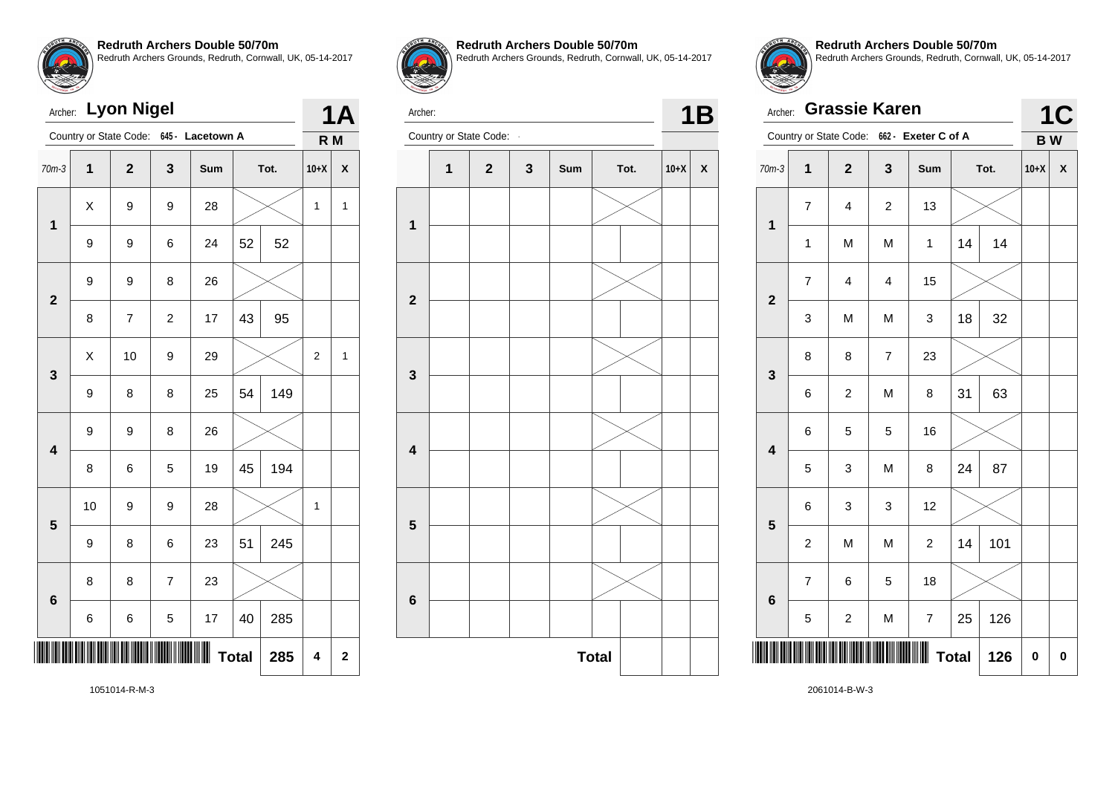

| Archer:                 |             | <b>Lyon Nigel</b>      |                |                  |    |      |                | 1Α             |
|-------------------------|-------------|------------------------|----------------|------------------|----|------|----------------|----------------|
|                         |             | Country or State Code: |                | 645 - Lacetown A |    |      | R <sub>M</sub> |                |
| $70m-3$                 | $\mathbf 1$ | $\overline{2}$         | 3              | Sum              |    | Tot. | $10+X$         | X              |
| $\mathbf 1$             | X           | 9                      | 9              | 28               |    |      | 1              | $\mathbf{1}$   |
|                         | 9           | 9                      | 6              | 24               | 52 | 52   |                |                |
| $\overline{\mathbf{2}}$ | 9           | 9                      | 8              | 26               |    |      |                |                |
|                         | 8           | $\overline{7}$         | $\overline{c}$ | 17               | 43 | 95   |                |                |
| 3                       | X           | 10                     | 9              | 29               |    |      | 2              | 1              |
|                         | 9           | 8                      | 8              | 25               | 54 | 149  |                |                |
| $\overline{\mathbf{4}}$ | 9           | 9                      | 8              | 26               |    |      |                |                |
|                         | 8           | 6                      | 5              | 19               | 45 | 194  |                |                |
| 5                       | 10          | 9                      | 9              | 28               |    |      | 1              |                |
|                         | 9           | 8                      | 6              | 23               | 51 | 245  |                |                |
| 6                       | 8           | 8                      | $\overline{7}$ | 23               |    |      |                |                |
|                         | 6           | 6                      | 5              | 17               | 40 | 285  |                |                |
| <b>Total</b><br>285     |             |                        |                |                  |    |      | 4              | $\overline{2}$ |



**Redruth Archers Double 50/70m** Redruth Archers Grounds, Redruth, Cornwall, UK, 05-14-2017



Archer:



| Archer:                 |                | <b>Grassie Karen</b> |                |                                            |              |      |           | <b>1C</b> |
|-------------------------|----------------|----------------------|----------------|--------------------------------------------|--------------|------|-----------|-----------|
|                         |                |                      |                | Country or State Code: 662 - Exeter C of A |              |      | <b>BW</b> |           |
| $70m-3$                 | 1              | $\overline{2}$       | 3              | Sum                                        |              | Tot. | $10+X$    | X         |
| 1                       | $\overline{7}$ | $\overline{4}$       | $\overline{c}$ | 13                                         |              |      |           |           |
|                         | 1              | M                    | M              | $\mathbf{1}$                               | 14           | 14   |           |           |
| $\overline{\mathbf{2}}$ | $\overline{7}$ | 4                    | $\overline{4}$ | 15                                         |              |      |           |           |
|                         | 3              | M                    | M              | 3                                          | 18           | 32   |           |           |
| 3                       | 8              | 8                    | $\overline{7}$ | 23                                         |              |      |           |           |
|                         | 6              | $\overline{c}$       | M              | 8                                          | 31           | 63   |           |           |
| $\overline{\mathbf{4}}$ | 6              | 5                    | 5              | 16                                         |              |      |           |           |
|                         | 5              | 3                    | M              | 8                                          | 24           | 87   |           |           |
| 5                       | 6              | 3                    | 3              | 12                                         |              |      |           |           |
|                         | $\overline{c}$ | M                    | M              | $\overline{c}$                             | 14           | 101  |           |           |
| 6                       | $\overline{7}$ | 6                    | 5              | 18                                         |              |      |           |           |
|                         | 5              | $\overline{c}$       | M              | $\overline{7}$                             | 25           | 126  |           |           |
|                         |                |                      |                |                                            | <b>Total</b> | 126  | 0         | 0         |

**Redruth Archers Double 50/70m**

Redruth Archers Grounds, Redruth, Cornwall, UK, 05-14-2017

1051014-R-M-3

2061014-B-W-3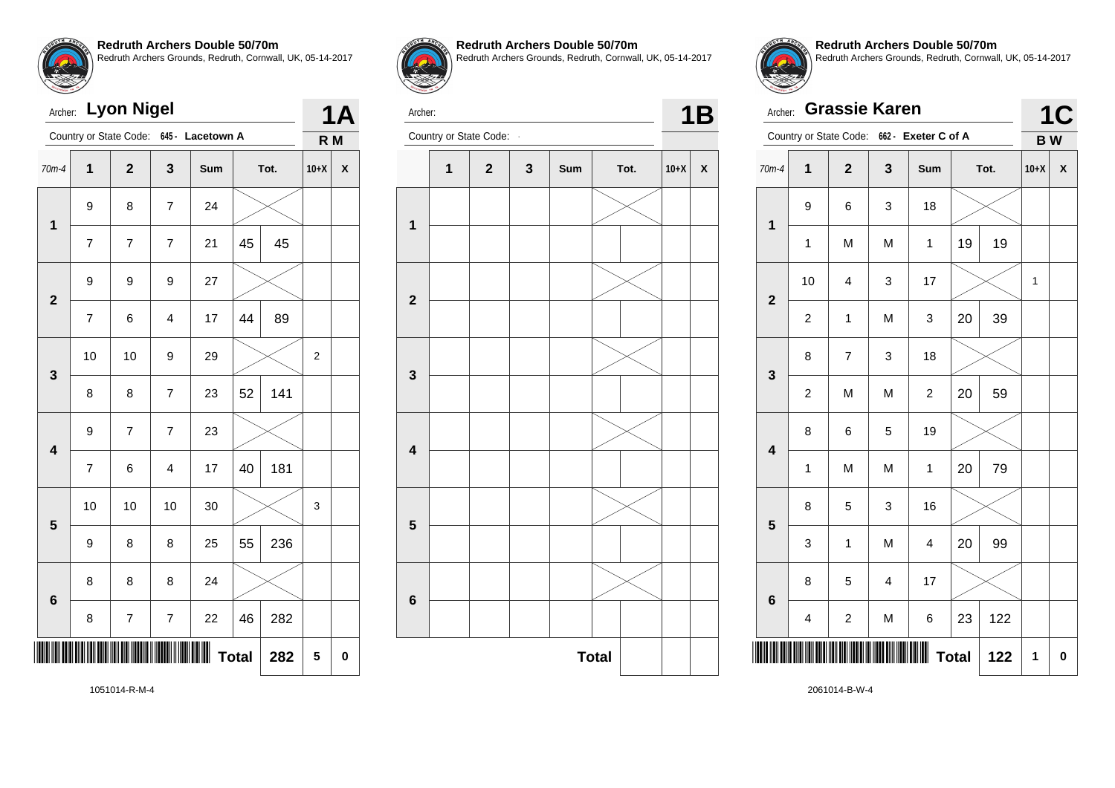

| Archer:                 |                     | <b>Lyon Nigel</b>      |                  |                  |    |      |                | <b>1A</b> |
|-------------------------|---------------------|------------------------|------------------|------------------|----|------|----------------|-----------|
|                         |                     | Country or State Code: |                  | 645 - Lacetown A |    |      | R M            |           |
| $70m-4$                 | $\overline{1}$      | $\overline{2}$         | 3                | Sum              |    | Tot. | $10+X$         | X         |
| $\mathbf 1$             | 9                   | 8                      | $\overline{7}$   | 24               |    |      |                |           |
|                         | $\overline{7}$      | $\overline{7}$         | $\overline{7}$   | 21               | 45 | 45   |                |           |
| $\overline{2}$          | 9                   | 9                      | 9                | 27               |    |      |                |           |
|                         | $\overline{7}$      | 6                      | $\overline{4}$   | 17               | 44 | 89   |                |           |
| 3                       | 10                  | 10                     | 9                | 29               |    |      | $\overline{2}$ |           |
|                         | 8                   | 8                      | $\overline{7}$   | 23               | 52 | 141  |                |           |
| $\overline{\mathbf{4}}$ | 9                   | 7                      | $\overline{7}$   | 23               |    |      |                |           |
|                         | $\overline{7}$      | 6                      | $\overline{4}$   | 17               | 40 | 181  |                |           |
| 5                       | 10                  | 10                     | 10               | 30               |    |      | 3              |           |
|                         | 9                   | 8                      | 8                | 25               | 55 | 236  |                |           |
| $6\phantom{a}$          | 8                   | 8                      | 8                | 24               |    |      |                |           |
|                         | 8                   | 7                      | $\boldsymbol{7}$ | 22               | 46 | 282  |                |           |
|                         | <b>Total</b><br>282 |                        |                  |                  |    |      |                |           |



**Redruth Archers Double 50/70m** Redruth Archers Grounds, Redruth, Cornwall, UK, 05-14-2017



Archer: **1B**<br>Country or State Code: **1B** 





**Redruth Archers Double 50/70m** Redruth Archers Grounds, Redruth, Cornwall, UK, 05-14-2017

|                         | <b>Grassie Karen</b><br>Archer: |                |                         |                                            |              |      |           |                    |  |
|-------------------------|---------------------------------|----------------|-------------------------|--------------------------------------------|--------------|------|-----------|--------------------|--|
|                         |                                 |                |                         | Country or State Code: 662 - Exeter C of A |              |      | <b>BW</b> |                    |  |
| $70m-4$                 | 1                               | $\mathbf{2}$   | 3                       | Sum                                        |              | Tot. | $10+X$    | $\pmb{\mathsf{X}}$ |  |
| $\mathbf{1}$            | 9                               | 6              | 3                       | 18                                         |              |      |           |                    |  |
|                         | 1                               | M              | M                       | 1                                          | 19           | 19   |           |                    |  |
| $\overline{2}$          | 10                              | 4              | 3                       | 17                                         |              |      | 1         |                    |  |
|                         | $\overline{c}$                  | $\mathbf{1}$   | M                       | 3                                          | 20           | 39   |           |                    |  |
| 3                       | 8                               | $\overline{7}$ | 3                       | 18                                         |              |      |           |                    |  |
|                         | $\overline{c}$                  | M              | M                       | $\overline{c}$                             | 20           | 59   |           |                    |  |
| $\overline{\mathbf{4}}$ | 8                               | 6              | 5                       | 19                                         |              |      |           |                    |  |
|                         | $\mathbf 1$                     | M              | M                       | $\mathbf{1}$                               | 20           | 79   |           |                    |  |
| 5                       | 8                               | 5              | 3                       | 16                                         |              |      |           |                    |  |
|                         | 3                               | 1              | M                       | $\overline{\mathbf{4}}$                    | 20           | 99   |           |                    |  |
| $6\phantom{1}6$         | 8                               | 5              | $\overline{\mathbf{4}}$ | 17                                         |              |      |           |                    |  |
|                         | $\overline{\mathbf{4}}$         | $\overline{c}$ | M                       | 6                                          | 23           | 122  |           |                    |  |
|                         |                                 |                |                         |                                            | <b>Total</b> | 122  | 1         | 0                  |  |

1051014-R-M-4

2061014-B-W-4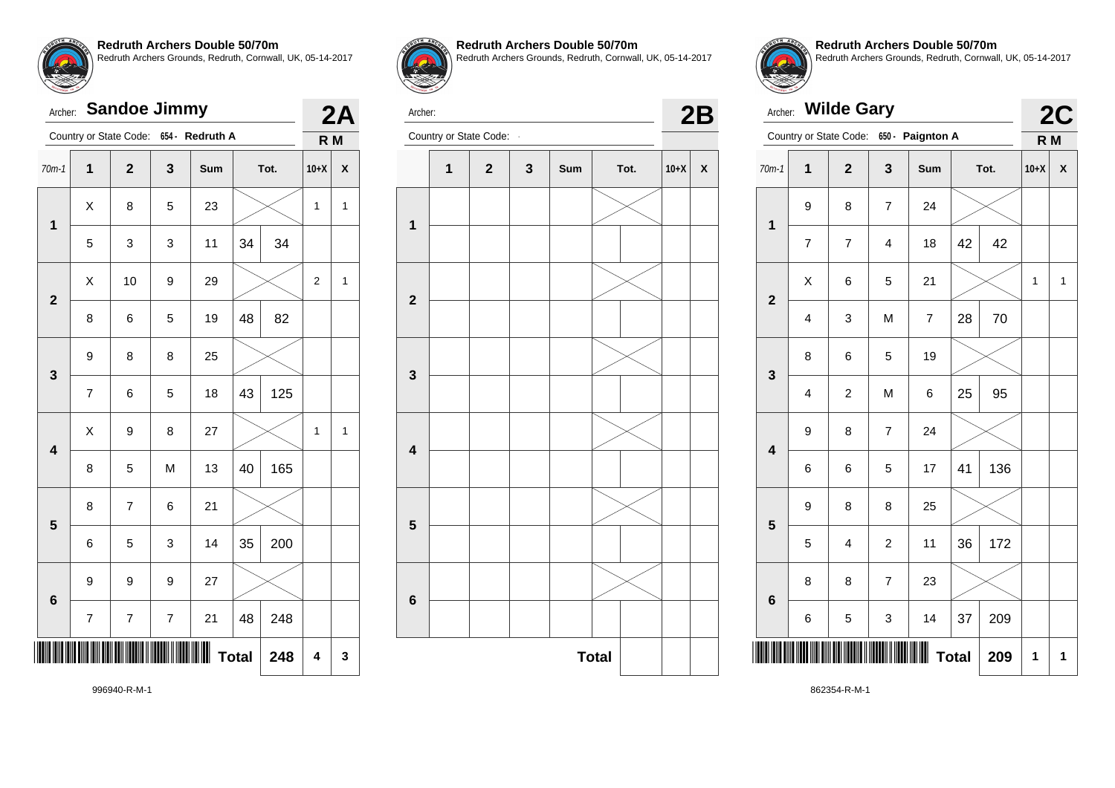

| Archer:                 |                         | <b>Sandoe Jimmy</b> |   |                                        |              |      |                | 2Α                        |
|-------------------------|-------------------------|---------------------|---|----------------------------------------|--------------|------|----------------|---------------------------|
|                         |                         |                     |   | Country or State Code: 654 - Redruth A |              |      | R <sub>M</sub> |                           |
| $70m-1$                 | $\overline{\mathbf{1}}$ | $\overline{2}$      | 3 | Sum                                    |              | Tot. | $10+X$         | $\boldsymbol{\mathsf{x}}$ |
| $\mathbf{1}$            | X                       | 8                   | 5 | 23                                     |              |      | 1              | $\mathbf{1}$              |
|                         | 5                       | 3                   | 3 | 11                                     | 34           | 34   |                |                           |
| $\overline{2}$          | X                       | 10                  | 9 | 29                                     |              |      | $\overline{2}$ | 1                         |
|                         | 8                       | 6                   | 5 | 19                                     | 48           | 82   |                |                           |
| 3                       | 9                       | 8                   | 8 | 25                                     |              |      |                |                           |
|                         | $\overline{\mathbf{7}}$ | 6                   | 5 | 18                                     | 43           | 125  |                |                           |
| $\overline{\mathbf{4}}$ | X                       | 9                   | 8 | 27                                     |              |      | 1              | 1                         |
|                         | 8                       | 5                   | M | 13                                     | 40           | 165  |                |                           |
| 5                       | 8                       | $\overline{7}$      | 6 | 21                                     |              |      |                |                           |
|                         | 6                       | 5                   | 3 | 14                                     | 35           | 200  |                |                           |
| 6                       | 9                       | 9                   | 9 | 27                                     |              |      |                |                           |
|                         | 7                       | 7                   | 7 | 21                                     | 48           | 248  |                |                           |
|                         |                         |                     |   |                                        | <b>Total</b> | 248  | 4              | 3                         |



**Redruth Archers Double 50/70m** Redruth Archers Grounds, Redruth, Cornwall, UK, 05-14-2017

Archer:

Archer: Country or State Code: **- 2B** 





**Redruth Archers Double 50/70m** Redruth Archers Grounds, Redruth, Cornwall, UK, 05-14-2017

|                         | <b>Wilde Gary</b><br>Archer: |                         |                          |                         |              |      |                |                           |  |
|-------------------------|------------------------------|-------------------------|--------------------------|-------------------------|--------------|------|----------------|---------------------------|--|
|                         |                              | Country or State Code:  |                          | 650 - Paignton A        |              |      | R <sub>M</sub> | 2C                        |  |
| $70m-1$                 | 1                            | $\overline{\mathbf{2}}$ | 3                        | Sum                     |              | Tot. | $10+X$         | $\boldsymbol{\mathsf{X}}$ |  |
| $\mathbf{1}$            | 9                            | 8                       | $\overline{\mathcal{I}}$ | 24                      |              |      |                |                           |  |
|                         | 7                            | 7                       | 4                        | 18                      | 42           | 42   |                |                           |  |
| $\overline{2}$          | X                            | 6                       | 5                        | 21                      |              |      | 1              | 1                         |  |
|                         | $\overline{\mathbf{4}}$      | 3                       | M                        | $\overline{\mathbf{7}}$ | 28           | 70   |                |                           |  |
| 3                       | 8                            | 6                       | 5                        | 19                      |              |      |                |                           |  |
|                         | $\overline{\mathbf{4}}$      | $\overline{c}$          | M                        | 6                       | 25           | 95   |                |                           |  |
| $\overline{\mathbf{4}}$ | 9                            | 8                       | $\overline{7}$           | 24                      |              |      |                |                           |  |
|                         | 6                            | 6                       | 5                        | 17                      | 41           | 136  |                |                           |  |
| 5                       | 9                            | 8                       | 8                        | 25                      |              |      |                |                           |  |
|                         | 5                            | 4                       | $\overline{c}$           | 11                      | 36           | 172  |                |                           |  |
| 6                       | 8                            | 8                       | $\overline{7}$           | 23                      |              |      |                |                           |  |
|                         | 6                            | 5                       | 3                        | 14                      | 37           | 209  |                |                           |  |
|                         |                              |                         |                          |                         | <b>Total</b> | 209  | 1              | 1                         |  |

996940-R-M-1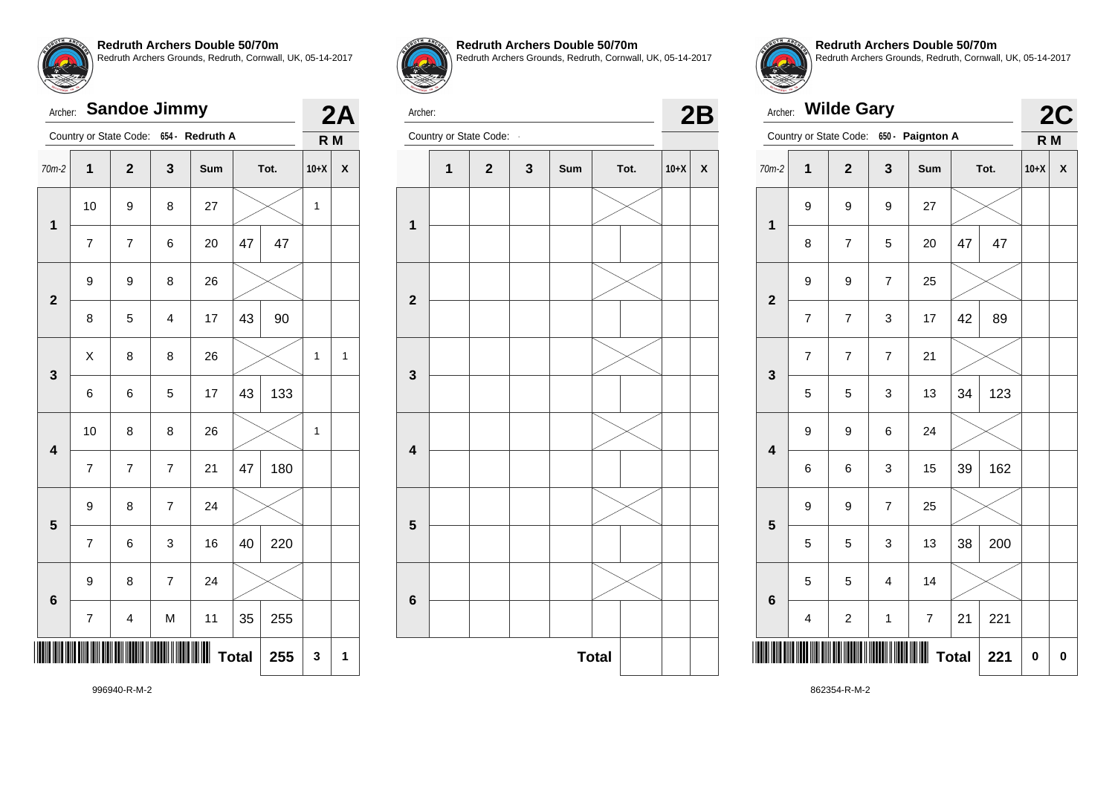

# Archer: **Sandoe Jimmy** Country or State Code: **654 - Redruth A 2A R M** 70m-2 **1 2 3 Sum Tot. 10+X X 1** 10  $\mid$  9  $\mid$  8  $\mid$  27  $\mid$   $\;\times$   $\mid$  1 7 | 7 | 6 | 20 | 47 | 47 **2** 9 8 26 8 | 5 | 4 | 17 |43 | 90 **3**  $\textsf{X} \hspace{.2cm} \vert \hspace{.2cm} 8 \hspace{.2cm} \vert \hspace{.2cm} 8 \hspace{.2cm} \vert \hspace{.2cm} 26 \hspace{.2cm} \vert \hspace{.2cm} \text{\textbf{\textbackslash}} \hspace{.2cm} \text{\textcolor{black}{\times}} \hspace{.2cm} \vert \hspace{.2cm} 1 \hspace{.2cm} \vert \hspace{.2cm} 1$  $6 \mid 6 \mid 5 \mid 17 \mid 43 \mid 133$ **4** 10 | 8 | 8 | 26 |  $\times$  | 1  $7 \mid 7 \mid 7 \mid 21 \mid 47 \mid 180$ **5**  $9 \mid 8 \mid 7 \mid 24$  $7 \mid 6 \mid 3 \mid 16 \mid 40 \mid 220$ **6** 9 8 7 24  $7$  | 4 | M | 11 | 35 | 255 \*996940-R-M-2\* **Total 255 3 1**



**Redruth Archers Double 50/70m**

Redruth Archers Grounds, Redruth, Cornwall, UK, 05-14-2017



Archer: Country or State Code: **- 2B** 





**Redruth Archers Double 50/70m** Redruth Archers Grounds, Redruth, Cornwall, UK, 05-14-2017

| Archer:                 |                         | <b>Wilde Gary</b>       |                |                         |              |      |                | 2C |
|-------------------------|-------------------------|-------------------------|----------------|-------------------------|--------------|------|----------------|----|
|                         |                         | Country or State Code:  |                | 650 - Paignton A        |              |      | R <sub>M</sub> |    |
| $70m-2$                 | $\mathbf 1$             | $\overline{\mathbf{2}}$ | 3              | Sum                     |              | Tot. | $10+X$         | X  |
| $\overline{\mathbf{1}}$ | 9                       | 9                       | 9              | 27                      |              |      |                |    |
|                         | 8                       | 7                       | 5              | 20                      | 47           | 47   |                |    |
| $\overline{\mathbf{2}}$ | 9                       | 9                       | $\overline{7}$ | 25                      |              |      |                |    |
|                         | $\overline{7}$          | 7                       | 3              | 17                      | 42           | 89   |                |    |
| 3                       | $\overline{7}$          | $\overline{7}$          | $\overline{7}$ | 21                      |              |      |                |    |
|                         | 5                       | 5                       | 3              | 13                      | 34           | 123  |                |    |
| $\overline{\mathbf{4}}$ | 9                       | 9                       | 6              | 24                      |              |      |                |    |
|                         | 6                       | 6                       | 3              | 15                      | 39           | 162  |                |    |
| 5                       | 9                       | 9                       | $\overline{7}$ | 25                      |              |      |                |    |
|                         | 5                       | 5                       | 3              | 13                      | 38           | 200  |                |    |
| $6\phantom{a}$          | 5                       | 5                       | $\overline{4}$ | 14                      |              |      |                |    |
|                         | $\overline{\mathbf{4}}$ | 2                       | $\mathbf 1$    | $\overline{\mathbf{7}}$ | 21           | 221  |                |    |
|                         |                         |                         |                |                         | <b>Total</b> | 221  | 0              | 0  |

996940-R-M-2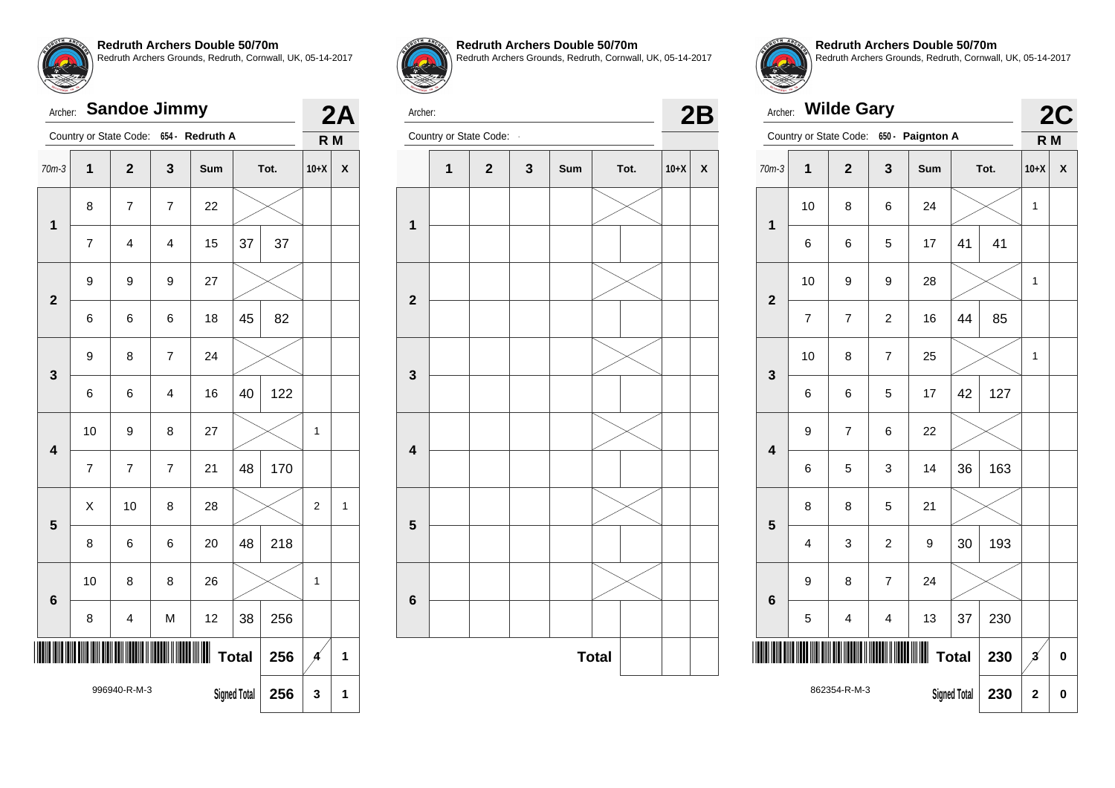

## Archer: **Sandoe Jimmy** Country or State Code: **654 - Redruth A 2A R M** 70m-3 **1 2 3 Sum Tot. 10+X X 1** 8 | 7 | 7 | 22 7 | 4 | 4 | 15 | 37 | 37 **2** 9 9 9 27 6 6 6 18 45 82 **3** 9 | 8 | 7 | 24  $6 \mid 6 \mid 4 \mid 16 \mid 40 \mid 122$ **4** 10 | 9 | 8 | 27 |  $\times$  | 1 7 7 7 21 48 170 **5**  $\textsf{X}$  | 10 | 8 | 28 |  $\textsf{X}$  | 2 | 1  $8 \mid 6 \mid 6 \mid 20 \mid 48 \mid 218$ **6** 10 | 8 | 8 | 26 |  $\times$  | 1 8 | 4 | M | 12 | 38 | 256 \*996940-R-M-3\*96940-R-M-3\*96940-R-M-3\*96940-R-M-3\*96940-R-M-3\*96940-R-M-3\*96940-R 996940-R-M-3 **Total**  $\begin{array}{|c|c|c|c|c|} \hline \end{array}$ **Total**  $\begin{array}{|c|c|c|c|c|} \hline \end{array}$ **Signed Total 256 3 1**



**Redruth Archers Double 50/70m**

Redruth Archers Grounds, Redruth, Cornwall, UK, 05-14-2017



Archer: Country or State Code: **- 2B** 



**Redruth Archers Double 50/70m** Redruth Archers Grounds, Redruth, Cornwall, UK, 05-14-2017

| Archer:                 |                | <b>Wilde Gary</b>      |                |                   |                     |      |                  | <b>2C</b> |
|-------------------------|----------------|------------------------|----------------|-------------------|---------------------|------|------------------|-----------|
|                         |                | Country or State Code: | $650 -$        | <b>Paignton A</b> |                     |      | $R$ <sub>M</sub> |           |
| $70m-3$                 | $\overline{1}$ | $\overline{2}$         | 3              | <b>Sum</b>        |                     | Tot. | $10+X$           | X         |
| 1                       | 10             | 8                      | 6              | 24                |                     |      | 1                |           |
|                         | 6              | 6                      | 5              | 17                | 41                  | 41   |                  |           |
| $\overline{2}$          | 10             | 9                      | 9              | 28                |                     |      | 1                |           |
|                         | 7              | $\overline{7}$         | $\overline{2}$ | 16                | 44                  | 85   |                  |           |
| 3                       | 10             | 8                      | 7              | 25                |                     |      | 1                |           |
|                         | 6              | 6                      | 5              | 17                | 42                  | 127  |                  |           |
| $\overline{\mathbf{4}}$ | 9              | $\overline{7}$         | 6              | 22                |                     |      |                  |           |
|                         | 6              | 5                      | 3              | 14                | 36                  | 163  |                  |           |
| 5                       | 8              | 8                      | 5              | 21                |                     |      |                  |           |
|                         | 4              | 3                      | $\overline{c}$ | 9                 | 30                  | 193  |                  |           |
| $6\phantom{1}6$         | 9              | 8                      | $\overline{7}$ | 24                |                     |      |                  |           |
|                         | 5              | 4                      | 4              | 13                | 37                  | 230  |                  |           |
|                         |                |                        |                | Ш                 | <b>Total</b>        | 230  | $\mathbf{z}$     | $\bf{0}$  |
|                         |                | 862354-R-M-3           |                |                   | <b>Signed Total</b> | 230  | $\overline{2}$   | 0         |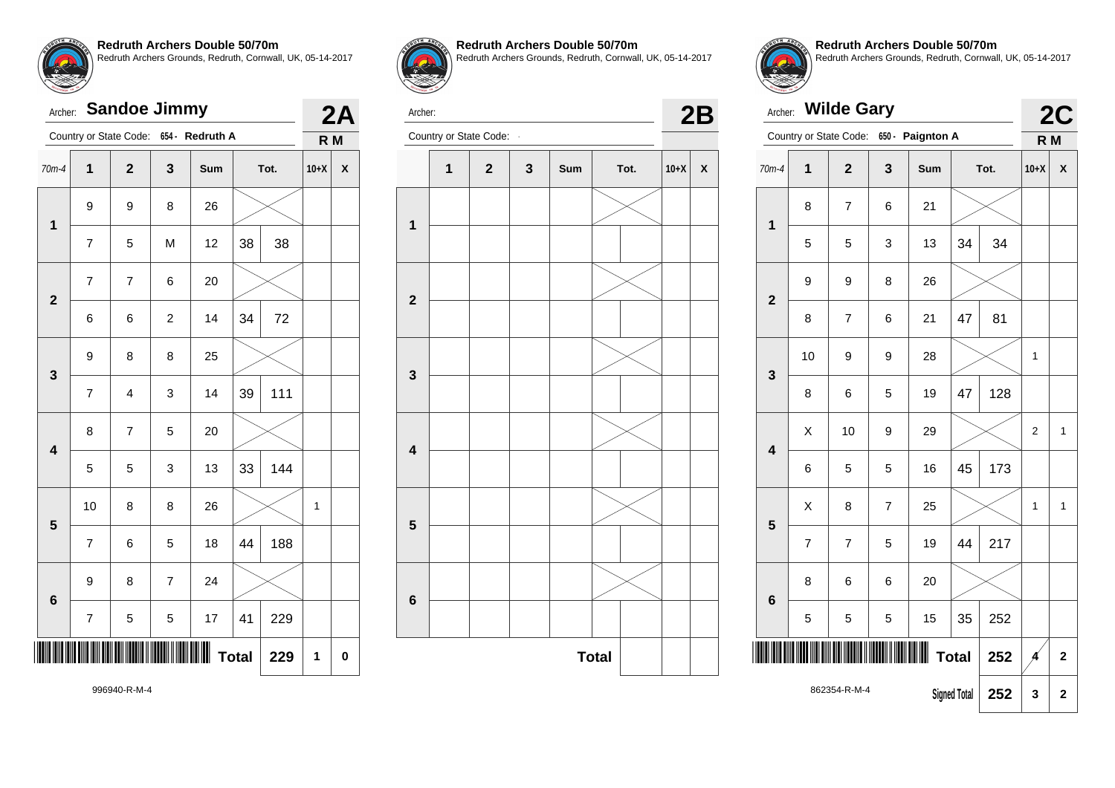

# Archer: **Sandoe Jimmy** Country or State Code: **654 - Redruth A 2A R M** 70m-4 **1 2 3 Sum Tot. 10+X X 1** 9 9 8 26 7 | 5 | M | 12 | 38 | 38 **2** 7 7 6 20 6 6 2 14 34 72 **3** 9 8 8 25  $7$  | 4 | 3 | 14 | 39 | 111 **4**  $8$  7 5 20  $5 \mid 5 \mid 3 \mid 13 \mid 33 \mid 144$ **5** 10 | 8 | 8 | 26 |  $\times$  | 1  $7 \mid 6 \mid 5 \mid 18 \mid 44 \mid 188$ **6** 9 8 7 24  $7 \mid 5 \mid 5 \mid 17 \mid 41 \mid 229$ \*996940-R-M-4\* **Total 229 1 0**



**Redruth Archers Double 50/70m**

Redruth Archers Grounds, Redruth, Cornwall, UK, 05-14-2017



Archer: Country or State Code: **- 2B** 



**Redruth Archers Double 50/70m** Redruth Archers Grounds, Redruth, Cornwall, UK, 05-14-2017

|                         | <b>Wilde Gary</b><br>Archer: |                |                |                  |                     |      |        |                         |  |  |
|-------------------------|------------------------------|----------------|----------------|------------------|---------------------|------|--------|-------------------------|--|--|
|                         | Country or State Code:       |                |                | 650 - Paignton A |                     |      | R M    | 2C                      |  |  |
| $70m-4$                 | 1                            | $\overline{2}$ | 3              | Sum              |                     | Tot. | $10+X$ | X                       |  |  |
|                         | 8                            | $\overline{7}$ | 6              | 21               |                     |      |        |                         |  |  |
| 1                       | 5                            | 5              | 3              | 13               | 34                  | 34   |        |                         |  |  |
| $\overline{2}$          | 9                            | 9              | 8              | 26               |                     |      |        |                         |  |  |
|                         | 8                            | $\overline{7}$ | 6              | 21               | 47                  | 81   |        |                         |  |  |
| 3                       | 10                           | 9              | 9              | 28               |                     |      | 1      |                         |  |  |
|                         | 8                            | 6              | 5              | 19               | 47                  | 128  |        |                         |  |  |
| $\overline{\mathbf{4}}$ | Χ                            | 10             | 9              | 29               |                     |      | 2      | 1                       |  |  |
|                         | 6                            | 5              | 5              | 16               | 45                  | 173  |        |                         |  |  |
| 5                       | X                            | 8              | $\overline{7}$ | 25               |                     |      | 1      | 1                       |  |  |
|                         | $\overline{7}$               | $\overline{7}$ | 5              | 19               | 44                  | 217  |        |                         |  |  |
| 6                       | 8                            | 6              | 6              | 20               |                     |      |        |                         |  |  |
|                         | 5                            | 5              | 5              | 15               | 35                  | 252  |        |                         |  |  |
|                         | Ш<br><b>Total</b><br>252     |                |                |                  |                     |      |        | $\overline{\mathbf{2}}$ |  |  |
|                         |                              | 862354-R-M-4   |                |                  | <b>Signed Total</b> | 252  | 3      | $\mathbf 2$             |  |  |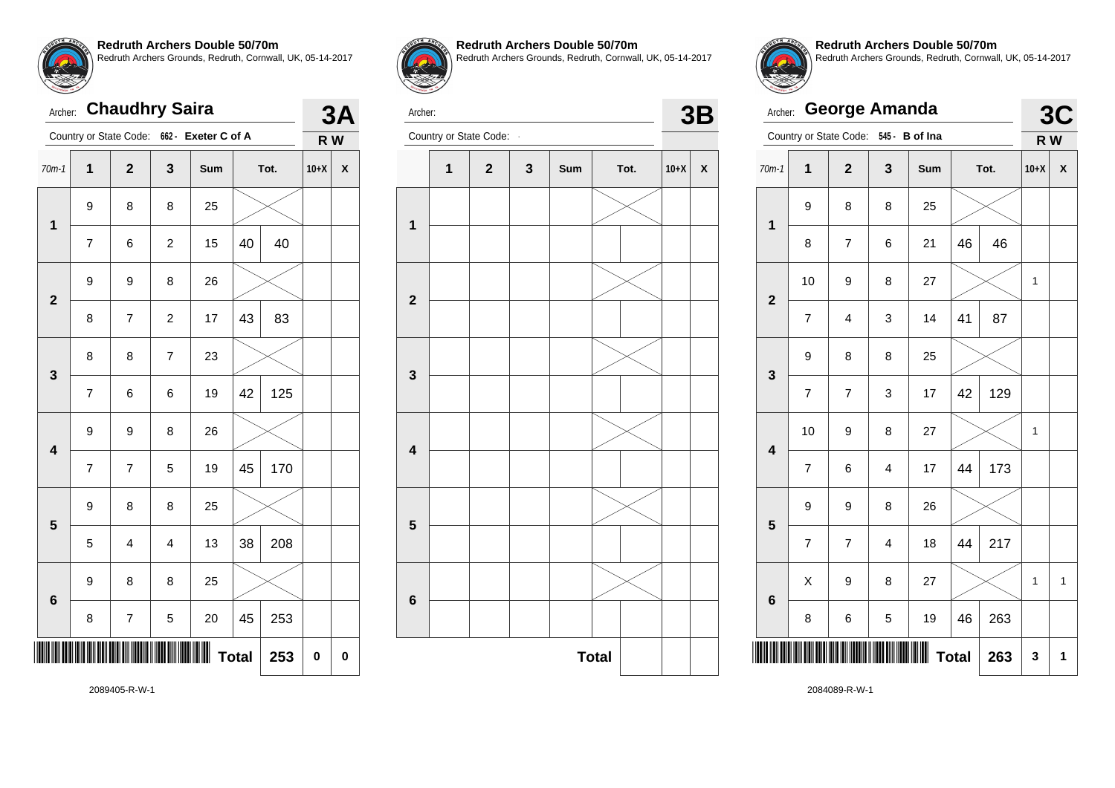

| Archer:                 |                         | <b>Chaudhry Saira</b> |                |                     |              |      | 37     |   |
|-------------------------|-------------------------|-----------------------|----------------|---------------------|--------------|------|--------|---|
|                         | Country or State Code:  |                       |                | 662 - Exeter C of A |              |      | R W    |   |
| $70m-1$                 | 1                       | $\mathbf 2$           | 3              | Sum                 |              | Tot. | $10+X$ | X |
| $\mathbf{1}$            | 9                       | 8                     | 8              | 25                  |              |      |        |   |
|                         | $\overline{7}$          | 6                     | $\overline{c}$ | 15                  | 40           | 40   |        |   |
| $\overline{2}$          | 9                       | 9                     | 8              | 26                  |              |      |        |   |
|                         | 8                       | 7                     | $\overline{c}$ | 17                  | 43           | 83   |        |   |
| 3                       | 8                       | 8                     | 7              | 23                  |              |      |        |   |
|                         | $\overline{\mathbf{7}}$ | 6                     | 6              | 19                  | 42           | 125  |        |   |
| $\overline{\mathbf{4}}$ | 9                       | 9                     | 8              | 26                  |              |      |        |   |
|                         | $\overline{7}$          | 7                     | 5              | 19                  | 45           | 170  |        |   |
| 5                       | 9                       | 8                     | 8              | 25                  |              |      |        |   |
|                         | 5                       | 4                     | 4              | 13                  | 38           | 208  |        |   |
| $6\phantom{a}$          | 9                       | 8                     | 8              | 25                  |              |      |        |   |
|                         | 8                       | 7                     | 5              | 20                  | 45           | 253  |        |   |
|                         |                         |                       |                |                     | <b>Total</b> | 253  | 0      | 0 |



**Redruth Archers Double 50/70m**

Redruth Archers Grounds, Redruth, Cornwall, UK, 05-14-2017



Archer: **Country or State Code: - 3B**<br>Country or State Code: **-**



**Redruth Archers Double 50/70m** Redruth Archers Grounds, Redruth, Cornwall, UK, 05-14-2017

|                         | <b>George Amanda</b><br>Archer: |                        |                         |                |    |      |        |                           |  |  |
|-------------------------|---------------------------------|------------------------|-------------------------|----------------|----|------|--------|---------------------------|--|--|
|                         |                                 | Country or State Code: |                         | 545 - B of Ina |    |      | R W    | <b>3C</b>                 |  |  |
| $70m-1$                 | 1                               | $\overline{2}$         | 3                       | Sum            |    | Tot. | $10+X$ | $\boldsymbol{\mathsf{x}}$ |  |  |
| $\mathbf 1$             | 9                               | 8                      | 8                       | 25             |    |      |        |                           |  |  |
|                         | 8                               | $\overline{7}$         | 6                       | 21             | 46 | 46   |        |                           |  |  |
| $\overline{\mathbf{2}}$ | 10                              | 9                      | 8                       | 27             |    |      | 1      |                           |  |  |
|                         | $\overline{7}$                  | 4                      | 3                       | 14             | 41 | 87   |        |                           |  |  |
| 3                       | 9                               | 8                      | 8                       | 25             |    |      |        |                           |  |  |
|                         | $\overline{7}$                  | $\overline{7}$         | 3                       | 17             | 42 | 129  |        |                           |  |  |
| $\overline{\mathbf{4}}$ | 10                              | 9                      | 8                       | 27             |    |      | 1      |                           |  |  |
|                         | $\overline{7}$                  | 6                      | $\overline{\mathbf{4}}$ | 17             | 44 | 173  |        |                           |  |  |
| 5                       | 9                               | 9                      | 8                       | 26             |    |      |        |                           |  |  |
|                         | $\overline{7}$                  | $\overline{7}$         | $\overline{4}$          | 18             | 44 | 217  |        |                           |  |  |
| 6                       | X                               | 9                      | 8                       | 27             |    |      | 1      | 1                         |  |  |
|                         | 8                               | 6                      | 5                       | 19             | 46 | 263  |        |                           |  |  |
|                         | <b>Total</b><br>263             |                        |                         |                |    |      |        |                           |  |  |

2089405-R-W-1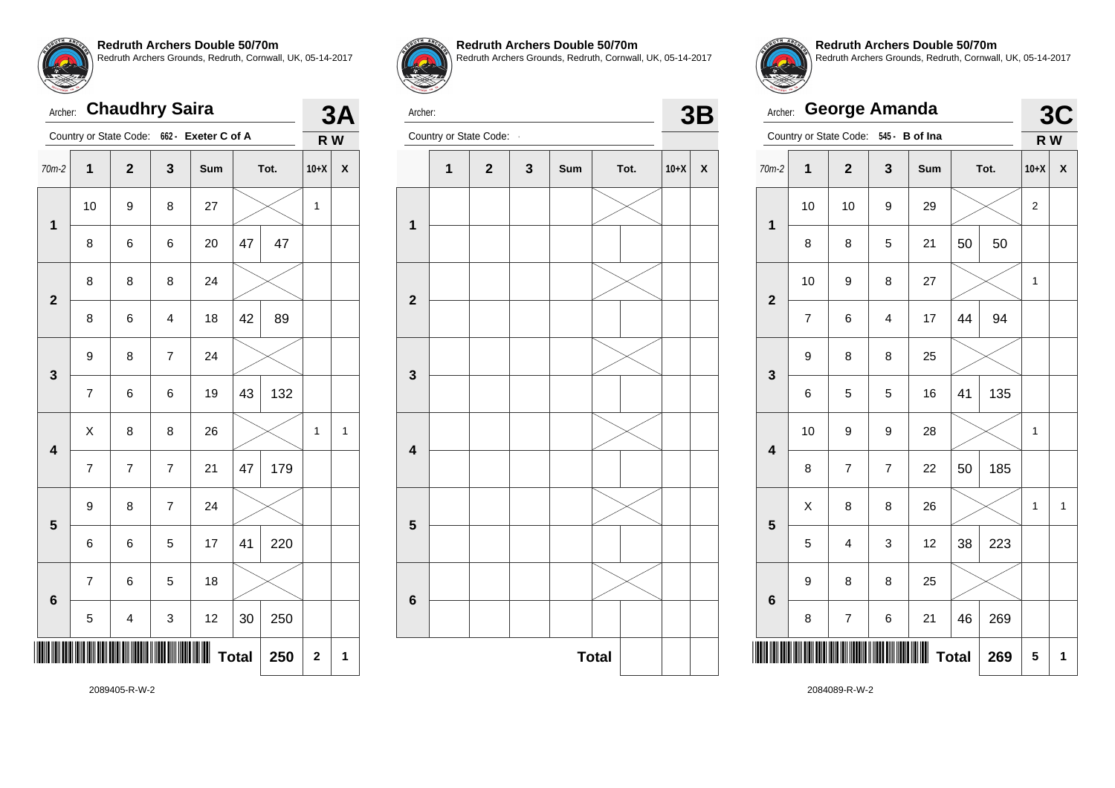

|                         | <b>Chaudhry Saira</b><br>Archer: |                         |                  |                                            |    |      |              |              |  |
|-------------------------|----------------------------------|-------------------------|------------------|--------------------------------------------|----|------|--------------|--------------|--|
|                         |                                  |                         |                  | Country or State Code: 662 - Exeter C of A |    |      | R W          |              |  |
| 70m-2                   | 1                                | $\overline{2}$          | 3                | Sum                                        |    | Tot. | $10+X$       | X            |  |
| $\mathbf{1}$            | 10                               | 9                       | 8                | 27                                         |    |      | $\mathbf{1}$ |              |  |
|                         | 8                                | 6                       | 6                | 20                                         | 47 | 47   |              |              |  |
| $\overline{2}$          | 8                                | 8                       | 8                | 24                                         |    |      |              |              |  |
|                         | 8                                | 6                       | $\overline{4}$   | 18                                         | 42 | 89   |              |              |  |
| 3                       | 9                                | 8                       | $\boldsymbol{7}$ | 24                                         |    |      |              |              |  |
|                         | $\overline{7}$                   | 6                       | 6                | 19                                         | 43 | 132  |              |              |  |
| $\overline{\mathbf{4}}$ | X                                | 8                       | 8                | 26                                         |    |      | 1            | $\mathbf{1}$ |  |
|                         | $\overline{7}$                   | $\overline{7}$          | $\overline{7}$   | 21                                         | 47 | 179  |              |              |  |
| 5                       | 9                                | 8                       | $\overline{7}$   | 24                                         |    |      |              |              |  |
|                         | 6                                | 6                       | 5                | 17                                         | 41 | 220  |              |              |  |
| $6\phantom{a}$          | $\overline{7}$                   | 6                       | 5                | 18                                         |    |      |              |              |  |
|                         | 5                                | $\overline{\mathbf{4}}$ | 3                | 12                                         | 30 | 250  |              |              |  |
| <b>Total</b><br>250     |                                  |                         |                  |                                            |    |      | $\mathbf 2$  | 1            |  |



**Redruth Archers Double 50/70m** Redruth Archers Grounds, Redruth, Cornwall, UK, 05-14-2017



Archer:



**Redruth Archers Double 50/70m** Redruth Archers Grounds, Redruth, Cornwall, UK, 05-14-2017

|                         | <b>George Amanda</b><br>Archer: |                          |                         |                |      |     |              |                    |  |
|-------------------------|---------------------------------|--------------------------|-------------------------|----------------|------|-----|--------------|--------------------|--|
|                         |                                 | Country or State Code:   |                         | 545 - B of Ina |      |     | R W          |                    |  |
| $70m-2$                 | $\mathbf{1}$                    | $\mathbf 2$              | 3                       | Sum            | Tot. |     | $10+X$       | $\pmb{\mathsf{X}}$ |  |
| 1                       | 10                              | 10                       | 9                       | 29             |      |     | 2            |                    |  |
|                         | 8                               | 8                        | 5                       | 21             | 50   | 50  |              |                    |  |
| $\overline{\mathbf{2}}$ | 10<br>27<br>9<br>8              |                          |                         |                | 1    |     |              |                    |  |
|                         | $\overline{7}$                  | 6                        | $\overline{\mathbf{4}}$ | 17             | 44   | 94  |              |                    |  |
| 3                       | 9                               | 8                        | 8                       | 25             |      |     |              |                    |  |
|                         | 6                               | 5                        | 5                       | 16             | 41   | 135 |              |                    |  |
| $\overline{\mathbf{4}}$ | 10                              | 9                        | 9                       | 28             |      |     | 1            |                    |  |
|                         | 8                               | $\overline{7}$           | $\overline{7}$          | 22             | 50   | 185 |              |                    |  |
| 5                       | X                               | 8                        | 8                       | 26             |      |     | $\mathbf{1}$ | $\mathbf{1}$       |  |
|                         | 5                               | 4                        | 3                       | 12             | 38   | 223 |              |                    |  |
| 6                       | 9                               | 8                        | 8                       | 25             |      |     |              |                    |  |
|                         | 8                               | $\overline{\mathcal{I}}$ | 6                       | 21             | 46   | 269 |              |                    |  |
|                         | <b>Total</b><br>269             |                          |                         |                |      |     |              |                    |  |

2084089-R-W-2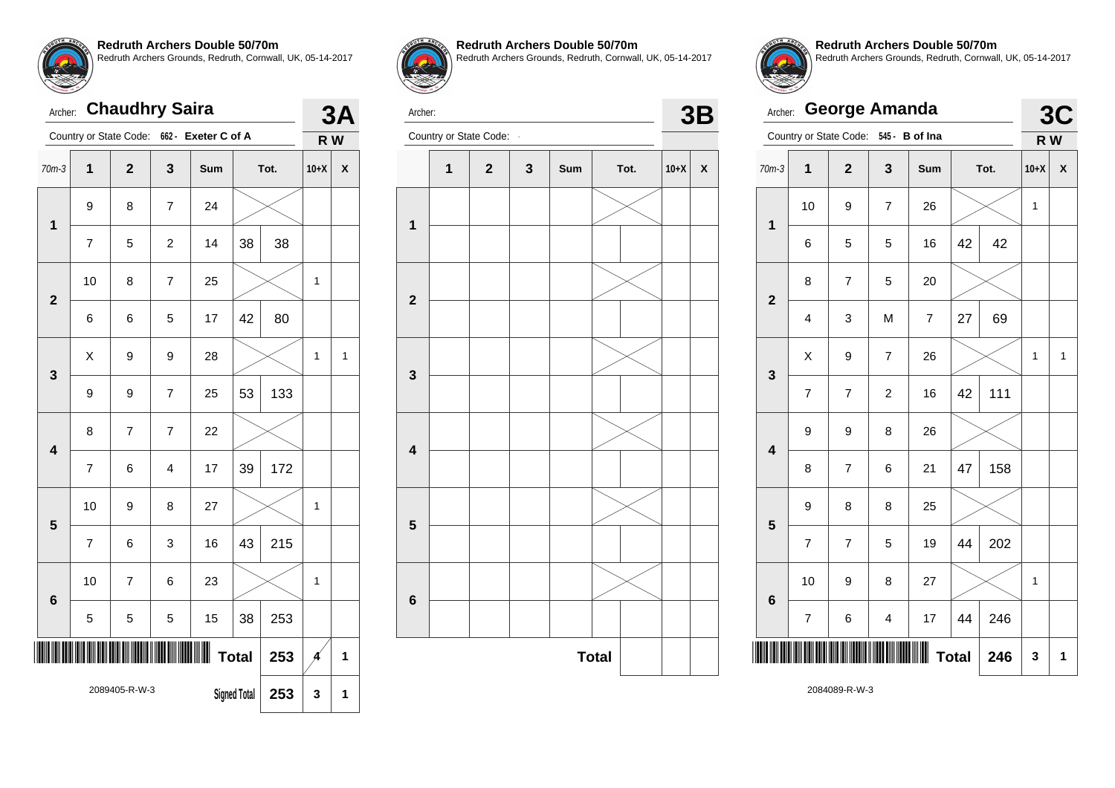

## Archer: **Chaudhry Saira** Country or State Code: **662 - Exeter C of A 3A R W** 70m-3 **1 2 3 Sum Tot. 10+X X 1** 9 8 7 24 7 | 5 | 2 | 14 | 38 | 38 **2** 10 | 8 | 7 | 25 |  $\times$  | 1 6 | 6 | 5 | 17 |42 | 80 **3**  $\textsf{X} \hspace{.2cm} \vert \hspace{.1cm} 9 \hspace{.2cm} \vert \hspace{.1cm} 9$   $\hspace{.2cm} \vert \hspace{.1cm} 28$   $\vert \hspace{.1cm} \hspace{.1cm} \times \hspace{.1cm} \vert \hspace{.1cm} 1 \hspace{.1cm} \vert \hspace{.1cm} 1$  $9 \mid 9 \mid 7 \mid 25 \mid 53 \mid 133$ **4** 8 7 7 22 7 6 4 17 39 172 **5** 10 | 9 | 8 | 27 |  $\times$  | 1  $7 \mid 6 \mid 3 \mid 16 \mid 43 \mid 215$ **6** 10 | 7 | 6 | 23 |  $\times$  | 1  $5 \mid 5 \mid 5 \mid 15 \mid 38 \mid 253$ \*2089405-R-W-3\* 2089405-R-W-3 **Total**  $\begin{array}{|c|c|c|c|c|} 253 & \text{A} & \text{1} \end{array}$ **Signed Total 253 3 1**



**Redruth Archers Double 50/70m** Redruth Archers Grounds, Redruth, Cornwall, UK, 05-14-2017





Archer: Country or State Code: **- 3B**<br>Country or State Code: **-**





**Redruth Archers Double 50/70m** Redruth Archers Grounds, Redruth, Cornwall, UK, 05-14-2017

|                         | <b>George Amanda</b><br>Archer: |                        |                         |                          |    |      |        |                           |  |  |
|-------------------------|---------------------------------|------------------------|-------------------------|--------------------------|----|------|--------|---------------------------|--|--|
|                         |                                 | Country or State Code: | $545 -$                 | <b>B</b> of Ina          |    |      | R W    | 3C                        |  |  |
| $70m-3$                 | 1                               | $\overline{2}$         | 3                       | Sum                      |    | Tot. | $10+X$ | $\boldsymbol{\mathsf{x}}$ |  |  |
| $\mathbf{1}$            | 10                              | 9                      | $\overline{7}$          | 26                       |    |      | 1      |                           |  |  |
|                         | 6                               | 5                      | 5                       | 16                       | 42 | 42   |        |                           |  |  |
| $\overline{\mathbf{2}}$ | 8                               | 7                      | 5                       | 20                       |    |      |        |                           |  |  |
|                         | $\overline{\mathbf{4}}$         | 3                      | M                       | $\overline{\mathcal{I}}$ | 27 | 69   |        |                           |  |  |
| 3                       | X                               | 9                      | $\overline{7}$          | 26                       |    |      | 1      | 1                         |  |  |
|                         | $\overline{7}$                  | $\overline{7}$         | $\overline{c}$          | 16                       | 42 | 111  |        |                           |  |  |
| $\overline{\mathbf{4}}$ | 9                               | 9                      | 8                       | 26                       |    |      |        |                           |  |  |
|                         | 8                               | 7                      | 6                       | 21                       | 47 | 158  |        |                           |  |  |
| 5                       | 9                               | 8                      | 8                       | 25                       |    |      |        |                           |  |  |
|                         | $\overline{\mathcal{I}}$        | $\overline{7}$         | 5                       | 19                       | 44 | 202  |        |                           |  |  |
| 6                       | 10                              | 9                      | 8                       | 27                       |    |      | 1      |                           |  |  |
|                         | $\overline{7}$                  | 6                      | $\overline{\mathbf{4}}$ | 17                       | 44 | 246  |        |                           |  |  |
| <b>Total</b><br>246     |                                 |                        |                         |                          |    |      | 3      | 1                         |  |  |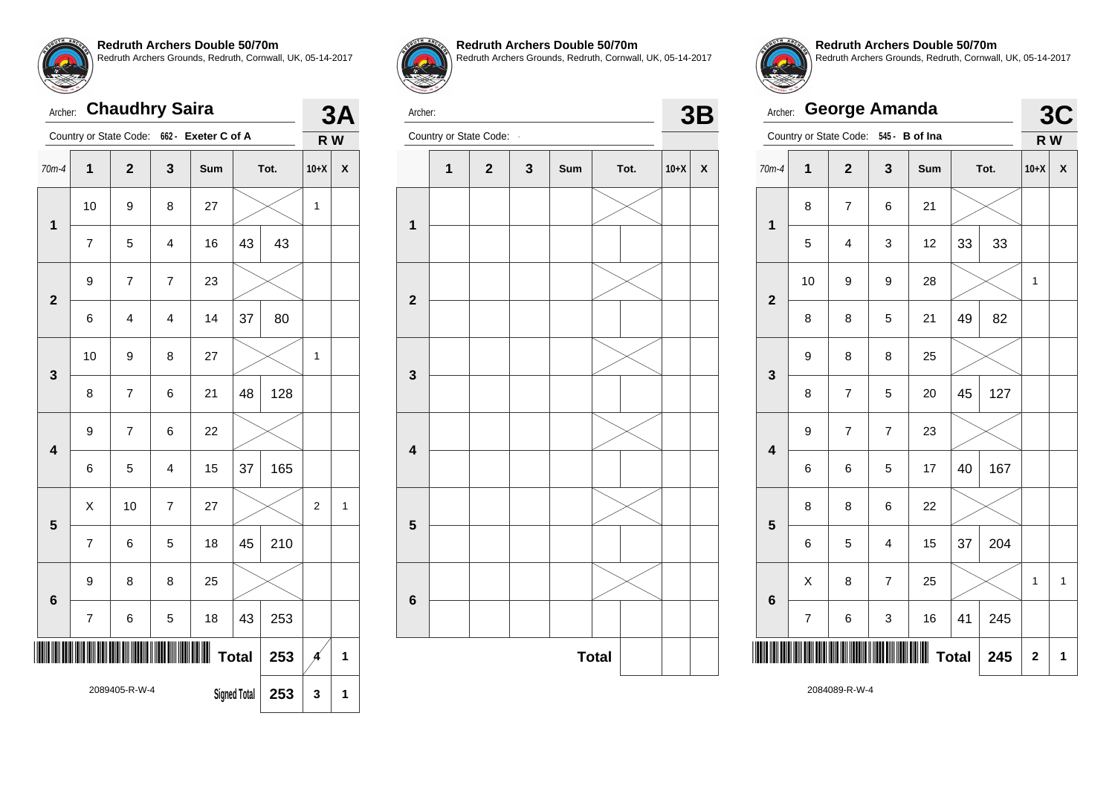

| Archer:                 |                                             | <b>Chaudhry Saira</b> |                |                                            |              |      | 3<br>Δ         |              |
|-------------------------|---------------------------------------------|-----------------------|----------------|--------------------------------------------|--------------|------|----------------|--------------|
|                         |                                             |                       |                | Country or State Code: 662 - Exeter C of A |              |      | R W            |              |
| $70m-4$                 | 1                                           | $\overline{2}$        | 3              | Sum                                        |              | Tot. | $10+X$         | X            |
| $\overline{1}$          | 10                                          | 9                     | 8              | 27                                         |              |      | 1              |              |
|                         | 7                                           | 5                     | 4              | 16                                         | 43           | 43   |                |              |
| $\overline{2}$          | 9                                           | $\overline{7}$        | $\overline{7}$ | 23                                         |              |      |                |              |
|                         | 6                                           | 4                     | 4              | 14                                         | 37           | 80   |                |              |
| 3                       | 10                                          | 9                     | 8              | 27                                         |              |      | 1              |              |
|                         | 8                                           | $\overline{7}$        | 6              | 21                                         | 48           | 128  |                |              |
| $\overline{\mathbf{4}}$ | 9                                           | $\overline{7}$        | 6              | 22                                         |              |      |                |              |
|                         | 6                                           | 5                     | 4              | 15                                         | 37           | 165  |                |              |
| 5                       | X                                           | 10                    | 7              | 27                                         |              |      | $\overline{c}$ | $\mathbf{1}$ |
|                         | $\overline{7}$                              | 6                     | 5              | 18                                         | 45           | 210  |                |              |
| 6                       | 9                                           | 8                     | 8              | 25                                         |              |      |                |              |
|                         | $\overline{\mathcal{I}}$                    | 6                     | 5              | 18                                         | 43           | 253  |                |              |
|                         |                                             |                       |                |                                            | <b>Total</b> | 253  | Á              | 1            |
|                         | 2089405-R-W-4<br><b>Signed Total</b><br>253 |                       |                |                                            |              |      | 3              | 1            |



**Redruth Archers Double 50/70m**

Redruth Archers Grounds, Redruth, Cornwall, UK, 05-14-2017



Archer: **Country or State Code: - 3B**<br>Country or State Code: **-**





**Redruth Archers Double 50/70m** Redruth Archers Grounds, Redruth, Cornwall, UK, 05-14-2017

| Archer:                 |                     | <b>George Amanda</b>    |                |     |    |      |        | 3C |
|-------------------------|---------------------|-------------------------|----------------|-----|----|------|--------|----|
|                         |                     | Country or State Code:  | 545 - B of Ina |     |    |      | R W    |    |
| $70m-4$                 | $\overline{1}$      | $\overline{2}$          | 3              | Sum |    | Tot. | $10+X$ | X  |
| $\mathbf{1}$            | 8                   | $\overline{7}$          | 6              | 21  |    |      |        |    |
|                         | 5                   | $\overline{\mathbf{4}}$ | 3              | 12  | 33 | 33   |        |    |
| $\overline{\mathbf{2}}$ | 10                  | 9                       | 9              | 28  |    |      | 1      |    |
|                         | 8                   | 8                       | 5              | 21  | 49 | 82   |        |    |
| 3                       | 9                   | 8                       | 8              | 25  |    |      |        |    |
|                         | 8                   | $\overline{7}$          | 5              | 20  | 45 | 127  |        |    |
| $\overline{\mathbf{4}}$ | 9                   | $\overline{7}$          | $\overline{7}$ | 23  |    |      |        |    |
|                         | 6                   | 6                       | 5              | 17  | 40 | 167  |        |    |
| 5                       | 8                   | 8                       | 6              | 22  |    |      |        |    |
|                         | 6                   | 5                       | 4              | 15  | 37 | 204  |        |    |
| $6\phantom{1}$          | X                   | 8                       | $\overline{7}$ | 25  |    |      | 1      | 1  |
|                         | $\overline{7}$      | 6                       | 3              | 16  | 41 | 245  |        |    |
|                         | <b>Total</b><br>245 |                         |                |     |    |      |        | 1  |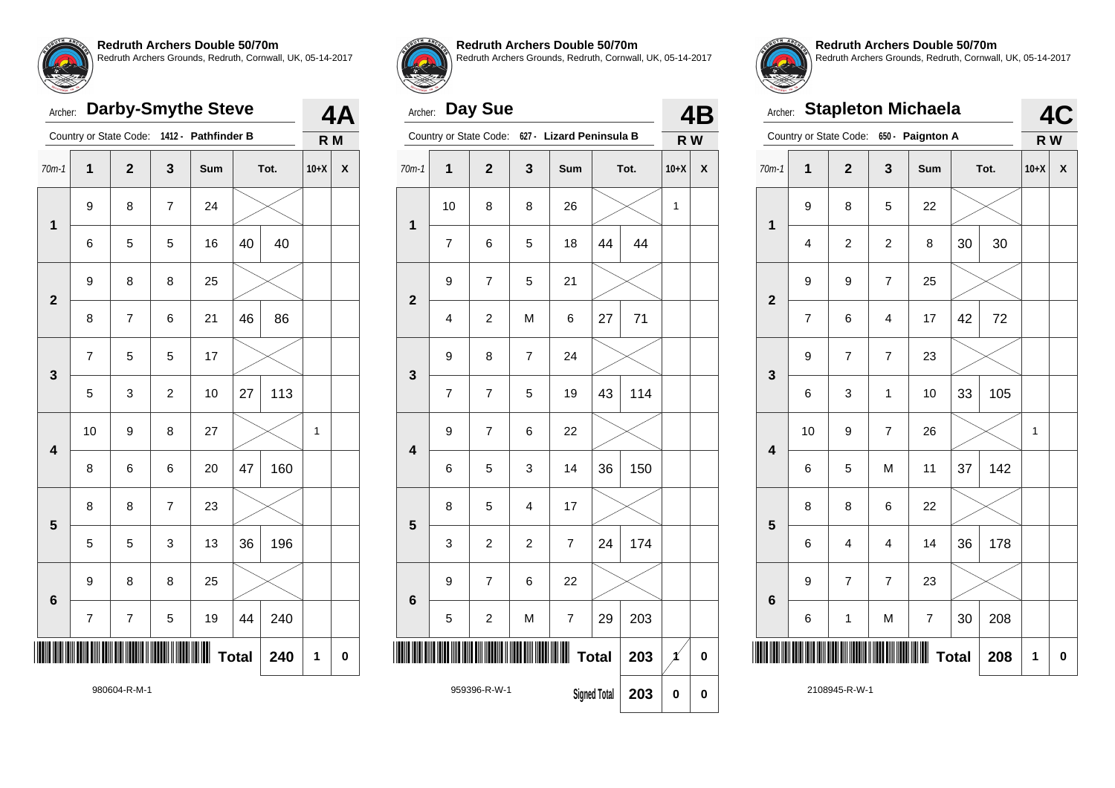

# Archer: **Darby-Smythe Steve**

|                         |                          | Country or State Code:  |                         | 1412 - Pathfinder B |              |      | R M    |                    |
|-------------------------|--------------------------|-------------------------|-------------------------|---------------------|--------------|------|--------|--------------------|
| $70m-1$                 | $\mathbf{1}$             | $\mathbf{2}$            | 3                       | Sum                 |              | Tot. | $10+X$ | $\pmb{\mathsf{X}}$ |
| $\mathbf 1$             | 9                        | 8                       | $\overline{7}$          | 24                  |              |      |        |                    |
|                         | 6                        | 5                       | 5                       | 16                  | 40           | 40   |        |                    |
| $\overline{\mathbf{2}}$ | 9                        | 8                       | 8                       | 25                  |              |      |        |                    |
|                         | 8                        | $\overline{\mathbf{7}}$ | 6                       | 21                  | 46           | 86   |        |                    |
| 3                       | $\overline{\mathcal{I}}$ | 5                       | 5                       | 17                  |              |      |        |                    |
|                         | 5                        | 3                       | $\overline{\mathbf{c}}$ | 10                  | 27           | 113  |        |                    |
| $\overline{\mathbf{4}}$ | 10                       | 9                       | 8                       | 27                  |              |      | 1      |                    |
|                         | 8                        | 6                       | 6                       | 20                  | 47           | 160  |        |                    |
| 5                       | 8                        | 8                       | $\overline{7}$          | 23                  |              |      |        |                    |
|                         | 5                        | 5                       | 3                       | 13                  | 36           | 196  |        |                    |
| $6\phantom{1}6$         | 9                        | 8                       | 8                       | 25                  |              |      |        |                    |
|                         | $\overline{7}$           | $\boldsymbol{7}$        | 5                       | 19                  | 44           | 240  |        |                    |
| ║                       |                          |                         |                         |                     | <b>Total</b> | 240  | 1      | $\mathbf 0$        |
|                         |                          |                         |                         |                     |              |      |        |                    |



**4A**

#### **Redruth Archers Double 50/70m**

Redruth Archers Grounds, Redruth, Cornwall, UK, 05-14-2017

# Archer: **Day Sue**

| Archer:                 |                         | Day Sue                |                     |                           |    |      |        | 4B                 |
|-------------------------|-------------------------|------------------------|---------------------|---------------------------|----|------|--------|--------------------|
|                         |                         | Country or State Code: | $627 -$             | <b>Lizard Peninsula B</b> |    |      | R W    |                    |
| $70m-1$                 | $\mathbf{1}$            | $\overline{2}$         | 3                   | Sum                       |    | Tot. | $10+X$ | $\pmb{\mathsf{X}}$ |
| $\overline{1}$          | 10                      | 8                      | 8                   | 26                        |    |      | 1      |                    |
|                         | $\overline{7}$          | 6                      | 5                   | 18                        | 44 | 44   |        |                    |
| $\overline{2}$          | 9                       | $\overline{7}$         | 5                   | 21                        |    |      |        |                    |
|                         | $\overline{\mathbf{4}}$ | $\boldsymbol{2}$       | M                   | 6                         | 27 | 71   |        |                    |
| 3                       | 9                       | 8                      | $\overline{7}$      | 24                        |    |      |        |                    |
|                         | $\overline{7}$          | $\overline{7}$         | 5                   | 19                        | 43 | 114  |        |                    |
| $\overline{\mathbf{4}}$ | 9                       | $\overline{7}$         | 6                   | 22                        |    |      |        |                    |
|                         | 6                       | 5                      | 3                   | 14                        | 36 | 150  |        |                    |
| 5                       | 8                       | 5                      | $\overline{4}$      | 17                        |    |      |        |                    |
|                         | 3                       | $\overline{c}$         | $\overline{c}$      | $\overline{7}$            | 24 | 174  |        |                    |
| 6                       | 9                       | $\overline{7}$         | 6                   | 22                        |    |      |        |                    |
|                         | 5                       | $\overline{c}$         | М                   | 7                         | 29 | 203  |        |                    |
|                         |                         |                        |                     | ∭ Total                   |    | 203  | $\chi$ | $\pmb{0}$          |
|                         | 959396-R-W-1            |                        | <b>Signed Total</b> | 203                       | 0  | 0    |        |                    |



**Redruth Archers Double 50/70m** Redruth Archers Grounds, Redruth, Cornwall, UK, 05-14-2017

| <b>STATEWORK 19. 19</b><br>Archer: |                |                         |                         | <b>Stapleton Michaela</b> |              |     |        | 4C |
|------------------------------------|----------------|-------------------------|-------------------------|---------------------------|--------------|-----|--------|----|
|                                    |                | Country or State Code:  |                         | 650 - Paignton A          |              |     | R W    |    |
| $70m-1$                            | 1              | $\mathbf 2$             | 3                       | Sum                       | Tot.         |     | $10+X$ | X  |
| $\mathbf 1$                        | 9              | 8                       | 5                       | 22                        |              |     |        |    |
|                                    | $\overline{4}$ | $\overline{\mathbf{c}}$ | $\overline{\mathbf{c}}$ | 8                         | 30           | 30  |        |    |
| $\overline{\mathbf{2}}$            | 9              | 9                       | $\overline{7}$          | 25                        |              |     |        |    |
|                                    | 7              | 6                       | 4                       | 17                        | 42           | 72  |        |    |
| 3                                  | 9              | $\overline{7}$          | $\overline{7}$          | 23                        |              |     |        |    |
|                                    | 6              | 3                       | 1                       | 10                        | 33           | 105 |        |    |
| $\overline{\mathbf{4}}$            | 10             | 9                       | 7                       | 26                        |              |     | 1      |    |
|                                    | 6              | 5                       | M                       | 11                        | 37           | 142 |        |    |
| 5                                  | 8              | 8                       | 6                       | 22                        |              |     |        |    |
|                                    | 6              | 4                       | 4                       | 14                        | 36           | 178 |        |    |
| $6\phantom{1}6$                    | 9              | $\overline{7}$          | $\overline{7}$          | 23                        |              |     |        |    |
|                                    | 6              | 1                       | M                       | 7                         | 30           | 208 |        |    |
|                                    |                |                         |                         |                           | <b>Total</b> | 208 | 1      | 0  |

2108945-R-W-1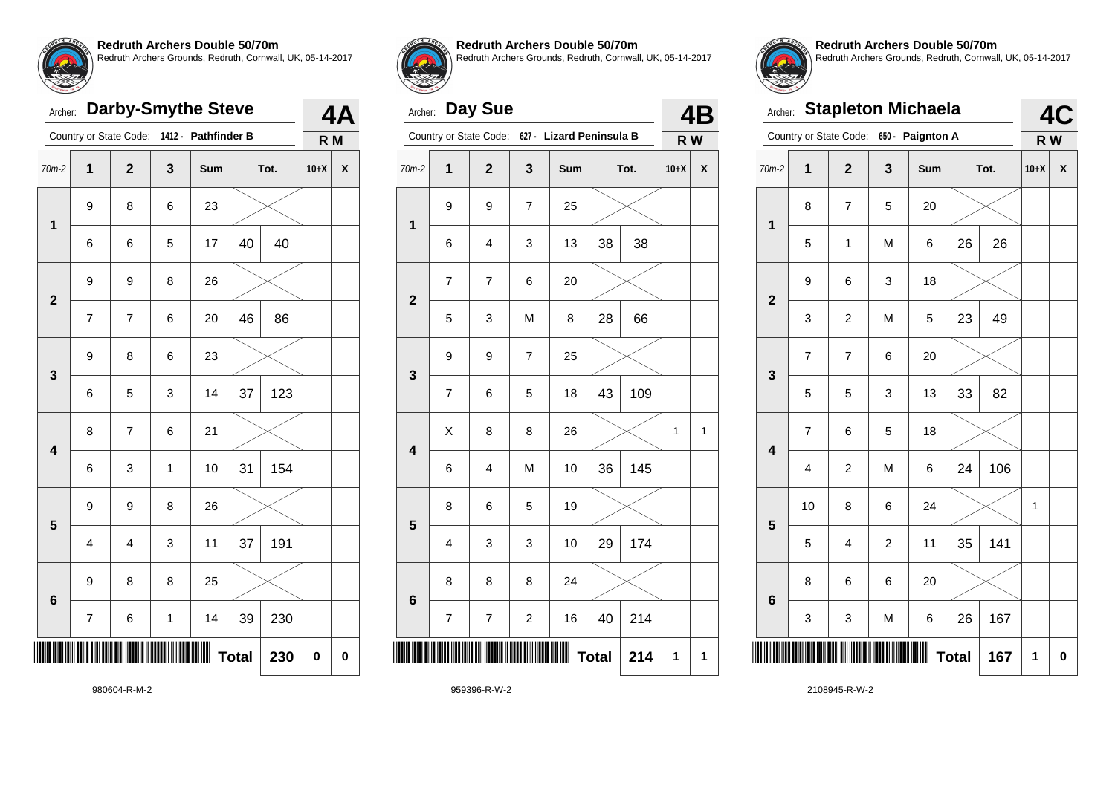

# Archer: **Darby-Smythe Steve**

|                         |                     | Country or State Code: |              | 1412 - Pathfinder B |    |      | R M    |             |
|-------------------------|---------------------|------------------------|--------------|---------------------|----|------|--------|-------------|
| $70m-2$                 | 1                   | $\mathbf 2$            | 3            | Sum                 |    | Tot. | $10+X$ | X           |
| $\overline{\mathbf{1}}$ | 9                   | 8                      | 6            | 23                  |    |      |        |             |
|                         | 6                   | 6                      | 5            | 17                  | 40 | 40   |        |             |
| $\mathbf{2}$            | 9                   | 9                      | 8            | 26                  |    |      |        |             |
|                         | 7                   | 7                      | 6            | 20                  | 46 | 86   |        |             |
| 3                       | 9                   | 8                      | 6            | 23                  |    |      |        |             |
|                         | 6                   | 5                      | 3            | 14                  | 37 | 123  |        |             |
| $\overline{\mathbf{4}}$ | 8                   | $\overline{7}$         | 6            | 21                  |    |      |        |             |
|                         | 6                   | 3                      | $\mathbf{1}$ | 10                  | 31 | 154  |        |             |
| 5                       | 9                   | 9                      | 8            | 26                  |    |      |        |             |
|                         | 4                   | 4                      | 3            | 11                  | 37 | 191  |        |             |
|                         | 9                   | 8                      | 8            | 25                  |    |      |        |             |
| $6\phantom{1}6$         | 7                   | 6                      | $\mathbf{1}$ | 14                  | 39 | 230  |        |             |
|                         | <b>Total</b><br>230 |                        |              |                     |    |      | 0      | $\mathbf 0$ |



**4A**

#### **Redruth Archers Double 50/70m**

Redruth Archers Grounds, Redruth, Cornwall, UK, 05-14-2017

# Archer: **Day Sue**

|   | Day Sue<br>Archer:<br>Country or State Code:<br>$627 -$<br><b>Lizard Peninsula B</b><br>$\overline{2}$<br>3<br>70m-2<br>1<br>Tot.<br>Sum<br>9<br>$\overline{7}$<br>25<br>9<br>$\overline{\mathbf{1}}$<br>38<br>13<br>38<br>6<br>4<br>3<br>$\overline{7}$<br>$\overline{7}$<br>6<br>20<br>$\overline{\mathbf{c}}$<br>28<br>66<br>M<br>5<br>3<br>8<br>$\overline{\mathcal{I}}$<br>25<br>9<br>9<br>3 |   |                |    |              |     |              |   |
|---|---------------------------------------------------------------------------------------------------------------------------------------------------------------------------------------------------------------------------------------------------------------------------------------------------------------------------------------------------------------------------------------------------|---|----------------|----|--------------|-----|--------------|---|
|   |                                                                                                                                                                                                                                                                                                                                                                                                   |   |                |    |              |     | R W          |   |
|   |                                                                                                                                                                                                                                                                                                                                                                                                   |   |                |    |              |     | $10+X$       | X |
|   |                                                                                                                                                                                                                                                                                                                                                                                                   |   |                |    |              |     |              |   |
|   |                                                                                                                                                                                                                                                                                                                                                                                                   |   |                |    |              |     |              |   |
|   |                                                                                                                                                                                                                                                                                                                                                                                                   |   |                |    |              |     |              |   |
|   |                                                                                                                                                                                                                                                                                                                                                                                                   |   |                |    |              |     |              |   |
|   |                                                                                                                                                                                                                                                                                                                                                                                                   |   |                |    |              |     |              |   |
|   | 7                                                                                                                                                                                                                                                                                                                                                                                                 | 6 | 5              | 18 | 43           | 109 |              |   |
| 4 | X                                                                                                                                                                                                                                                                                                                                                                                                 | 8 | 8              | 26 |              |     | $\mathbf{1}$ | 1 |
|   | 6                                                                                                                                                                                                                                                                                                                                                                                                 | 4 | M              | 10 | 36           | 145 |              |   |
| 5 | 8                                                                                                                                                                                                                                                                                                                                                                                                 | 6 | 5              | 19 |              |     |              |   |
|   | 4                                                                                                                                                                                                                                                                                                                                                                                                 | 3 | 3              | 10 | 29           | 174 |              |   |
| 6 | 8                                                                                                                                                                                                                                                                                                                                                                                                 | 8 | 8              | 24 |              |     |              |   |
|   | $\overline{7}$                                                                                                                                                                                                                                                                                                                                                                                    | 7 | $\overline{c}$ | 16 | 40           | 214 |              |   |
|   |                                                                                                                                                                                                                                                                                                                                                                                                   |   |                |    | <b>Total</b> | 214 | 1            | 1 |
|   |                                                                                                                                                                                                                                                                                                                                                                                                   |   |                |    |              |     |              |   |



**Redruth Archers Double 50/70m** Redruth Archers Grounds, Redruth, Cornwall, UK, 05-14-2017

| <b>STATEMOR TH. 17</b><br>Archer: |                |                          |                     | <b>Stapleton Michaela</b> |    |      |        | 4C |  |  |
|-----------------------------------|----------------|--------------------------|---------------------|---------------------------|----|------|--------|----|--|--|
|                                   |                | Country or State Code:   |                     | 650 - Paignton A          |    |      | R W    |    |  |  |
| $70m-2$                           | $\overline{1}$ | $\overline{2}$           | $\mathbf{3}$        | Sum                       |    | Tot. | $10+X$ | X  |  |  |
| $\overline{\mathbf{1}}$           | 8              | $\overline{\mathcal{I}}$ | 5                   | 20                        |    |      |        |    |  |  |
|                                   | 5              | 1                        | M                   | 6                         | 26 | 26   |        |    |  |  |
| $\overline{2}$                    | 9              | 6                        | 3                   | 18                        |    |      |        |    |  |  |
|                                   | 3              | $\overline{\mathbf{c}}$  | M                   | 5                         | 23 | 49   |        |    |  |  |
| 3                                 | $\overline{7}$ | $\overline{7}$           | 6                   | 20                        |    |      |        |    |  |  |
|                                   | 5              | 5                        | 3                   | 13                        | 33 | 82   |        |    |  |  |
| $\overline{\mathbf{4}}$           | $\overline{7}$ | 6                        | 5                   | 18                        |    |      |        |    |  |  |
|                                   | $\overline{4}$ | $\boldsymbol{2}$         | M                   | 6                         | 24 | 106  |        |    |  |  |
| 5                                 | 10             | 8                        | 6                   | 24                        |    |      | 1      |    |  |  |
|                                   | 5              | 4                        | $\overline{c}$      | 11                        | 35 | 141  |        |    |  |  |
| $6\phantom{1}6$                   | 8              | 6                        | 6                   | 20                        |    |      |        |    |  |  |
|                                   | 3              | 3                        | M                   | 6                         | 26 | 167  |        |    |  |  |
|                                   |                |                          | <b>Total</b><br>167 |                           |    |      |        |    |  |  |

980604-R-M-2

959396-R-W-2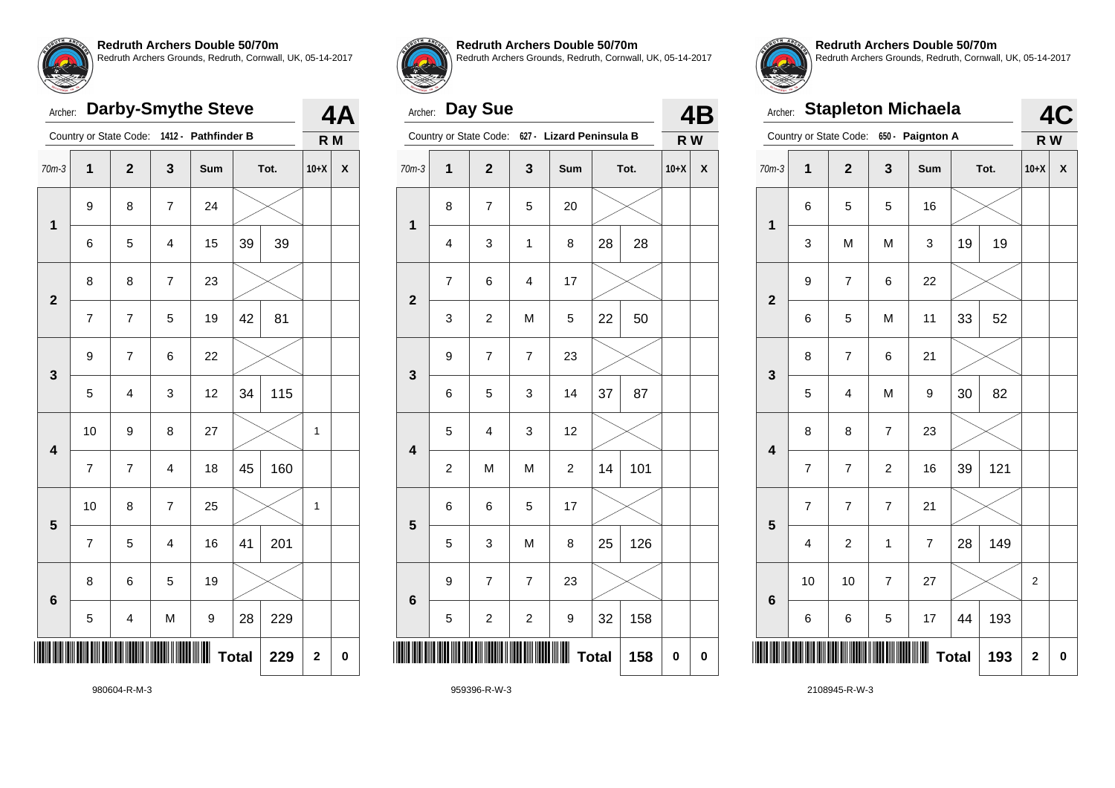

# Archer: **Darby-Smythe Steve**

|                         |                | Country or State Code:   |                         | 1412 - Pathfinder B |              |      | R M                     |                    |
|-------------------------|----------------|--------------------------|-------------------------|---------------------|--------------|------|-------------------------|--------------------|
| $70m-3$                 | 1              | $\mathbf 2$              | 3                       | Sum                 |              | Tot. | $10+X$                  | $\pmb{\mathsf{X}}$ |
| 1                       | 9              | 8                        | $\overline{7}$          | 24                  |              |      |                         |                    |
|                         | 6              | 5                        | 4                       | 15                  | 39           | 39   |                         |                    |
| $\overline{\mathbf{2}}$ | 8              | 8                        | $\overline{\mathbf{7}}$ | 23                  |              |      |                         |                    |
|                         | $\overline{7}$ | $\overline{\mathcal{I}}$ | 5                       | 19                  | 42           | 81   |                         |                    |
| 3                       | 9              | $\overline{7}$           | 6                       | 22                  |              |      |                         |                    |
|                         | 5              | $\overline{\mathbf{4}}$  | 3                       | 12                  | 34           | 115  |                         |                    |
| $\overline{\mathbf{4}}$ | 10             | 9                        | 8                       | 27                  |              |      | 1                       |                    |
|                         | $\overline{7}$ | $\overline{7}$           | $\overline{\mathbf{4}}$ | 18                  | 45           | 160  |                         |                    |
| 5                       | 10             | 8                        | $\overline{\mathbf{7}}$ | 25                  |              |      | 1                       |                    |
|                         | $\overline{7}$ | 5                        | 4                       | 16                  | 41           | 201  |                         |                    |
| 6                       | 8              | 6                        | 5                       | 19                  |              |      |                         |                    |
|                         | 5              | 4                        | M                       | 9                   | 28           | 229  |                         |                    |
|                         |                |                          |                         |                     | <b>Total</b> | 229  | $\overline{\mathbf{2}}$ | 0                  |



**4A**

#### **Redruth Archers Double 50/70m**

Redruth Archers Grounds, Redruth, Cornwall, UK, 05-14-2017

# Archer: **Day Sue**

|                         |                         | Country or State Code:  |                          | 627 - Lizard Peninsula B |              |      | R W       |          |
|-------------------------|-------------------------|-------------------------|--------------------------|--------------------------|--------------|------|-----------|----------|
| $70m-3$                 | 1                       | $\mathbf 2$             | 3                        | Sum                      |              | Tot. | $10+X$    | χ        |
| $\mathbf 1$             | 8                       | 7                       | 5                        | 20                       |              |      |           |          |
|                         | 4                       | 3                       | $\mathbf 1$              | 8                        | 28           | 28   |           |          |
| $\overline{\mathbf{2}}$ | $\overline{\mathbf{7}}$ | 6                       | $\overline{\mathbf{4}}$  | 17                       |              |      |           |          |
|                         | 3                       | $\overline{\mathbf{c}}$ | M                        | 5                        | 22           | 50   |           |          |
| 3                       | 9                       | $\overline{7}$          | $\overline{\mathcal{I}}$ | 23                       |              |      |           |          |
|                         | 6                       | 5                       | 3                        | 14                       | 37           | 87   |           |          |
| $\overline{\mathbf{4}}$ | 5                       | 4                       | 3                        | 12                       |              |      |           |          |
|                         | $\overline{\mathbf{c}}$ | M                       | M                        | $\boldsymbol{2}$         | 14           | 101  |           |          |
| 5                       | 6                       | 6                       | 5                        | 17                       |              |      |           |          |
|                         | 5                       | 3                       | M                        | 8                        | 25           | 126  |           |          |
| $6\phantom{1}$          | 9                       | 7                       | $\overline{\mathbf{7}}$  | 23                       |              |      |           |          |
|                         | 5                       | $\overline{\mathbf{c}}$ | $\overline{\mathbf{c}}$  | 9                        | 32           | 158  |           |          |
|                         |                         |                         |                          | Ⅲ                        | <b>Total</b> | 158  | $\pmb{0}$ | $\bf{0}$ |



**4B**

**Redruth Archers Double 50/70m** Redruth Archers Grounds, Redruth, Cornwall, UK, 05-14-2017

| TAYENGH 18 19<br>Archer: |                     |                        |                | <b>Stapleton Michaela</b> |    |      |        | 4C |
|--------------------------|---------------------|------------------------|----------------|---------------------------|----|------|--------|----|
|                          |                     | Country or State Code: |                | 650 - Paignton A          |    |      | R W    |    |
| $70m-3$                  | $\mathbf{1}$        | $\overline{2}$         | $\mathbf{3}$   | Sum                       |    | Tot. | $10+X$ | X  |
| $\mathbf 1$              | 6                   | 5                      | 5              | 16                        |    |      |        |    |
|                          | 3                   | M                      | M              | 3                         | 19 | 19   |        |    |
| $\overline{2}$           | 9                   | $\overline{7}$         | 6              | 22                        |    |      |        |    |
|                          | 6                   | 5                      | M              | 11                        | 33 | 52   |        |    |
| 3                        | 8                   | $\overline{7}$         | 6              | 21                        |    |      |        |    |
|                          | 5                   | $\overline{4}$         | M              | 9                         | 30 | 82   |        |    |
| $\overline{\mathbf{4}}$  | 8                   | 8                      | $\overline{7}$ | 23                        |    |      |        |    |
|                          | 7                   | $\overline{7}$         | $\overline{c}$ | 16                        | 39 | 121  |        |    |
| 5                        | 7                   | $\overline{7}$         | $\overline{7}$ | 21                        |    |      |        |    |
|                          | 4                   | $\overline{c}$         | $\mathbf{1}$   | $\overline{7}$            | 28 | 149  |        |    |
| $6\phantom{1}6$          | 10                  | 10                     | $\overline{7}$ | 27                        |    |      | 2      |    |
|                          | 6                   | 6                      | 5              | 17                        | 44 | 193  |        |    |
|                          | <b>Total</b><br>193 |                        |                |                           |    |      |        |    |

980604-R-M-3

959396-R-W-3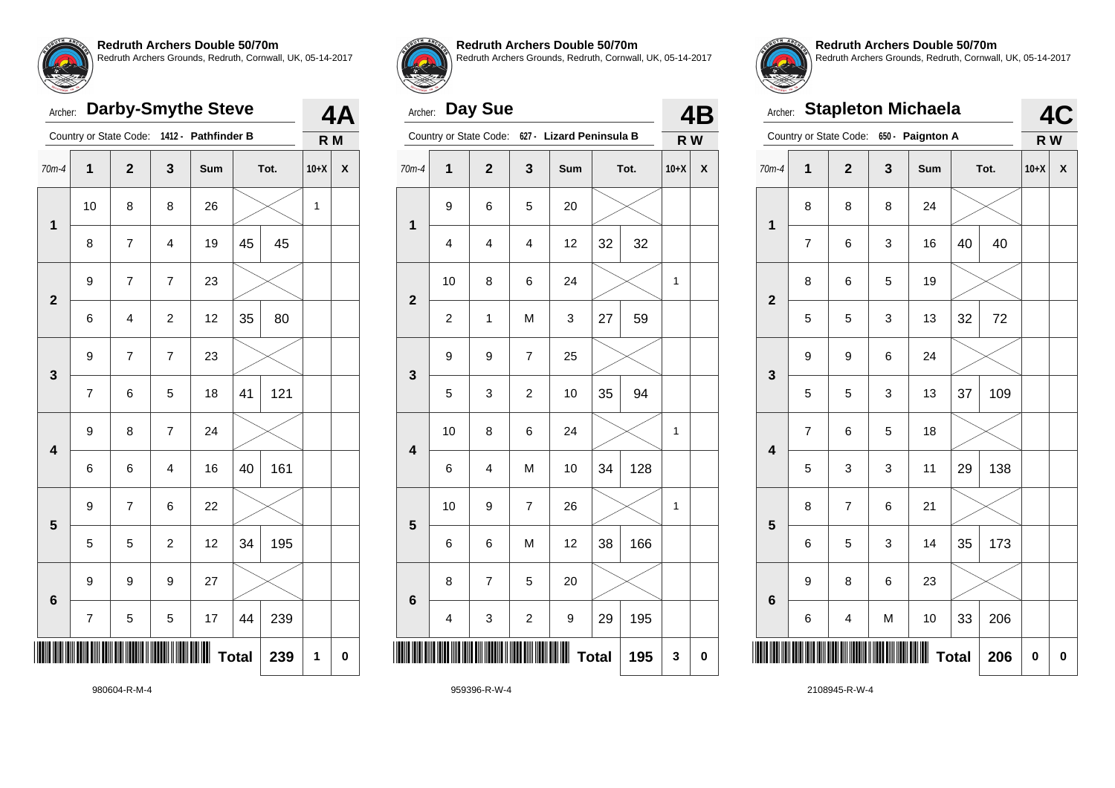

# Archer: **Darby-Smythe Steve**

|                         |                          | Country or State Code: |                         | 1412 - Pathfinder B |              |      | R M    |             |
|-------------------------|--------------------------|------------------------|-------------------------|---------------------|--------------|------|--------|-------------|
| 70m-4                   | $\mathbf 1$              | $\mathbf{2}$           | 3                       | Sum                 |              | Tot. | $10+X$ | χ           |
| $\mathbf 1$             | 10                       | 8                      | 8                       | 26                  |              |      | 1      |             |
|                         | 8                        | 7                      | 4                       | 19                  | 45           | 45   |        |             |
| $\overline{\mathbf{2}}$ | 9                        | $\boldsymbol{7}$       | $\overline{\mathbf{7}}$ | 23                  |              |      |        |             |
|                         | 6                        | 4                      | $\overline{c}$          | 12                  | 35           | 80   |        |             |
| 3                       | 9                        | $\overline{7}$         | $\overline{7}$          | 23                  |              |      |        |             |
|                         | $\overline{\mathcal{I}}$ | 6                      | 5                       | 18                  | 41           | 121  |        |             |
| $\overline{\mathbf{4}}$ | 9                        | 8                      | $\overline{7}$          | 24                  |              |      |        |             |
|                         | 6                        | 6                      | $\overline{\mathbf{4}}$ | 16                  | 40           | 161  |        |             |
| 5                       | 9                        | 7                      | 6                       | 22                  |              |      |        |             |
|                         | 5                        | 5                      | $\overline{c}$          | 12                  | 34           | 195  |        |             |
|                         | 9                        | 9                      | 9                       | 27                  |              |      |        |             |
| $6\phantom{1}$          | 7                        | 5                      | 5                       | 17                  | 44           | 239  |        |             |
|                         |                          |                        |                         |                     | <b>Total</b> | 239  | 1      | $\mathbf 0$ |



**4A**

#### **Redruth Archers Double 50/70m**

Redruth Archers Grounds, Redruth, Cornwall, UK, 05-14-2017

# Archer: **Day Sue**

|                         |                         | Country or State Code: | $627 -$                  | <b>Lizard Peninsula B</b> |              |      | R W    |                    |
|-------------------------|-------------------------|------------------------|--------------------------|---------------------------|--------------|------|--------|--------------------|
| 70m-4                   | 1                       | $\mathbf{2}$           | 3                        | Sum                       |              | Tot. | $10+X$ | $\pmb{\mathsf{X}}$ |
| $\mathbf{1}$            | 9                       | 6                      | 5                        | 20                        |              |      |        |                    |
|                         | 4                       | 4                      | $\overline{\mathbf{4}}$  | 12                        | 32           | 32   |        |                    |
| $\overline{2}$          | 10                      | 8                      | 6                        | 24                        |              |      | 1      |                    |
|                         | $\overline{\mathbf{c}}$ | 1                      | M                        | 3                         | 27           | 59   |        |                    |
| 3                       | 9                       | 9                      | $\overline{\mathcal{I}}$ | 25                        |              |      |        |                    |
|                         | 5                       | 3                      | $\boldsymbol{2}$         | 10                        | 35           | 94   |        |                    |
| $\overline{\mathbf{4}}$ | 10                      | 8                      | 6                        | 24                        |              |      | 1      |                    |
|                         | 6                       | 4                      | M                        | 10                        | 34           | 128  |        |                    |
| 5                       | 10                      | 9                      | $\overline{\mathcal{I}}$ | 26                        |              |      | 1      |                    |
|                         | 6                       | 6                      | M                        | 12                        | 38           | 166  |        |                    |
| 6                       | 8                       | $\overline{7}$         | 5                        | 20                        |              |      |        |                    |
|                         | 4                       | 3                      | $\boldsymbol{2}$         | 9                         | 29           | 195  |        |                    |
|                         |                         |                        |                          |                           | <b>Total</b> | 195  | 3      | $\bf{0}$           |
|                         |                         |                        |                          |                           |              |      |        |                    |



**4B**

**Redruth Archers Double 50/70m** Redruth Archers Grounds, Redruth, Cornwall, UK, 05-14-2017

|                         | <b>Stapleton Michaela</b><br>Archer: |                        |   |                  |    |      |        |             |  |  |
|-------------------------|--------------------------------------|------------------------|---|------------------|----|------|--------|-------------|--|--|
|                         |                                      | Country or State Code: |   | 650 - Paignton A |    |      | R W    | 4C          |  |  |
| $70m-4$                 | $\overline{\mathbf{1}}$              | $\overline{2}$         | 3 | Sum              |    | Tot. | $10+X$ | X           |  |  |
|                         | 8                                    | 8                      | 8 | 24               |    |      |        |             |  |  |
| 1                       | $\overline{7}$                       | 6                      | 3 | 16               | 40 | 40   |        |             |  |  |
| $\overline{2}$          | 8                                    | 6                      | 5 | 19               |    |      |        |             |  |  |
|                         | 5                                    | 5                      | 3 | 13               | 32 | 72   |        |             |  |  |
| 3                       | 9                                    | 9                      | 6 | 24               |    |      |        |             |  |  |
|                         | 5                                    | 5                      | 3 | 13               | 37 | 109  |        |             |  |  |
| $\overline{\mathbf{4}}$ | $\overline{7}$                       | 6                      | 5 | 18               |    |      |        |             |  |  |
|                         | 5                                    | 3                      | 3 | 11               | 29 | 138  |        |             |  |  |
| 5                       | 8                                    | 7                      | 6 | 21               |    |      |        |             |  |  |
|                         | 6                                    | 5                      | 3 | 14               | 35 | 173  |        |             |  |  |
| $6\phantom{a}$          | 9                                    | 8                      | 6 | 23               |    |      |        |             |  |  |
|                         | 6                                    | 4                      | M | 10               | 33 | 206  |        |             |  |  |
|                         | <b>Total</b><br>206                  |                        |   |                  |    |      |        | $\mathbf 0$ |  |  |

980604-R-M-4

959396-R-W-4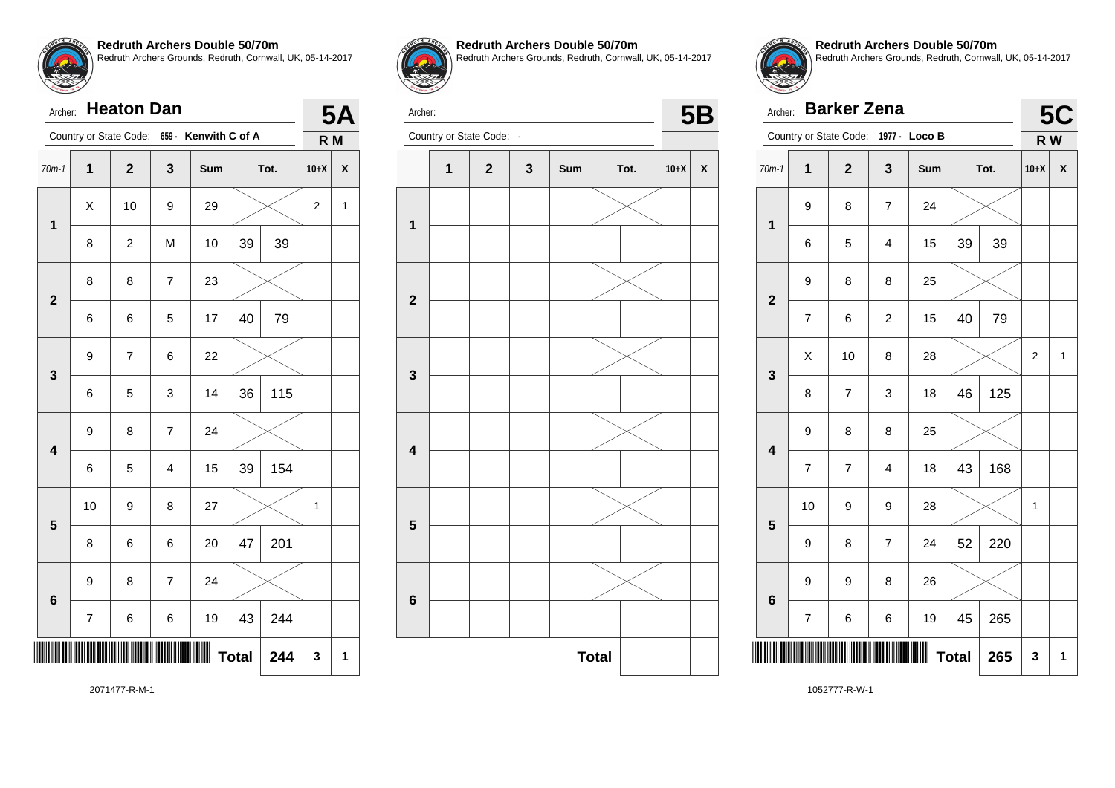

|                         | <b>Heaton Dan</b><br>Archer: |                        |                |                      |          |      |                  |                    |
|-------------------------|------------------------------|------------------------|----------------|----------------------|----------|------|------------------|--------------------|
|                         |                              | Country or State Code: |                | 659 - Kenwith C of A |          |      | R M              | <b>5A</b>          |
| $70m-1$                 | $\mathbf 1$                  | $\mathbf 2$            | $\mathbf{3}$   | Sum                  |          | Tot. | $10+X$           | $\pmb{\mathsf{X}}$ |
| $\mathbf 1$             | X                            | 10                     | 9              | 29                   |          |      | $\boldsymbol{2}$ | 1                  |
|                         | 8                            | $\overline{c}$         | M              | 10                   | 39<br>39 |      |                  |                    |
| $\overline{\mathbf{2}}$ | 8                            | 8                      | $\overline{7}$ | 23                   |          |      |                  |                    |
|                         | 6                            | 6                      | 5              | 17                   | 40       | 79   |                  |                    |
| 3                       | 9                            | $\overline{7}$         | 6              | 22                   |          |      |                  |                    |
|                         | 6                            | 5                      | 3              | 14                   | 36       | 115  |                  |                    |
| $\overline{\mathbf{4}}$ | 9                            | 8                      | $\overline{7}$ | 24                   |          |      |                  |                    |
|                         | 6                            | 5                      | $\overline{4}$ | 15                   | 39       | 154  |                  |                    |
| 5                       | 10                           | 9                      | 8              | 27                   |          |      | 1                |                    |
|                         | 8                            | 6                      | 6              | 20                   | 47       | 201  |                  |                    |
| $6\phantom{1}6$         | 9                            | 8                      | $\overline{7}$ | 24                   |          |      |                  |                    |
|                         | 7                            | 6                      | 6              | 19                   | 43       | 244  |                  |                    |
|                         | <b>Total</b><br>244          |                        |                |                      |          |      |                  |                    |



**Redruth Archers Double 50/70m** Redruth Archers Grounds, Redruth, Cornwall, UK, 05-14-2017



Archer: **- 5B**<br>
Country or State Code: **- 5B** 



**Redruth Archers Double 50/70m** Redruth Archers Grounds, Redruth, Cornwall, UK, 05-14-2017

|                         | <b>Barker Zena</b><br>Archer: |                                      |                         |     |    |      |                |                    |  |
|-------------------------|-------------------------------|--------------------------------------|-------------------------|-----|----|------|----------------|--------------------|--|
|                         |                               | Country or State Code: 1977 - Loco B |                         |     |    |      | R W            | <b>5C</b>          |  |
| $70m-1$                 | 1                             | $\mathbf 2$                          | 3                       | Sum |    | Tot. | $10+X$         | $\pmb{\mathsf{X}}$ |  |
| $\mathbf 1$             | 9                             | 8                                    | $\overline{7}$          | 24  |    |      |                |                    |  |
|                         | 6                             | 5                                    | 4                       | 15  | 39 | 39   |                |                    |  |
| $\overline{\mathbf{2}}$ | 9                             | 8                                    | 8                       | 25  |    |      |                |                    |  |
|                         | 7                             | 6                                    | $\overline{c}$          | 15  | 40 | 79   |                |                    |  |
| 3                       | X                             | 10                                   | 8                       | 28  |    |      | $\overline{c}$ | 1                  |  |
|                         | 8                             | $\overline{7}$                       | 3                       | 18  | 46 | 125  |                |                    |  |
| $\overline{\mathbf{4}}$ | 9                             | 8                                    | 8                       | 25  |    |      |                |                    |  |
|                         | $\overline{7}$                | $\overline{7}$                       | $\overline{\mathbf{4}}$ | 18  | 43 | 168  |                |                    |  |
| 5                       | 10                            | 9                                    | 9                       | 28  |    |      | 1              |                    |  |
|                         | 9                             | 8                                    | $\overline{7}$          | 24  | 52 | 220  |                |                    |  |
| $6\phantom{1}6$         | 9                             | 9                                    | 8                       | 26  |    |      |                |                    |  |
|                         | 7                             | 6                                    | 6                       | 19  | 45 | 265  |                |                    |  |
|                         | <b>Total</b><br>265           |                                      |                         |     |    |      |                |                    |  |

2071477-R-M-1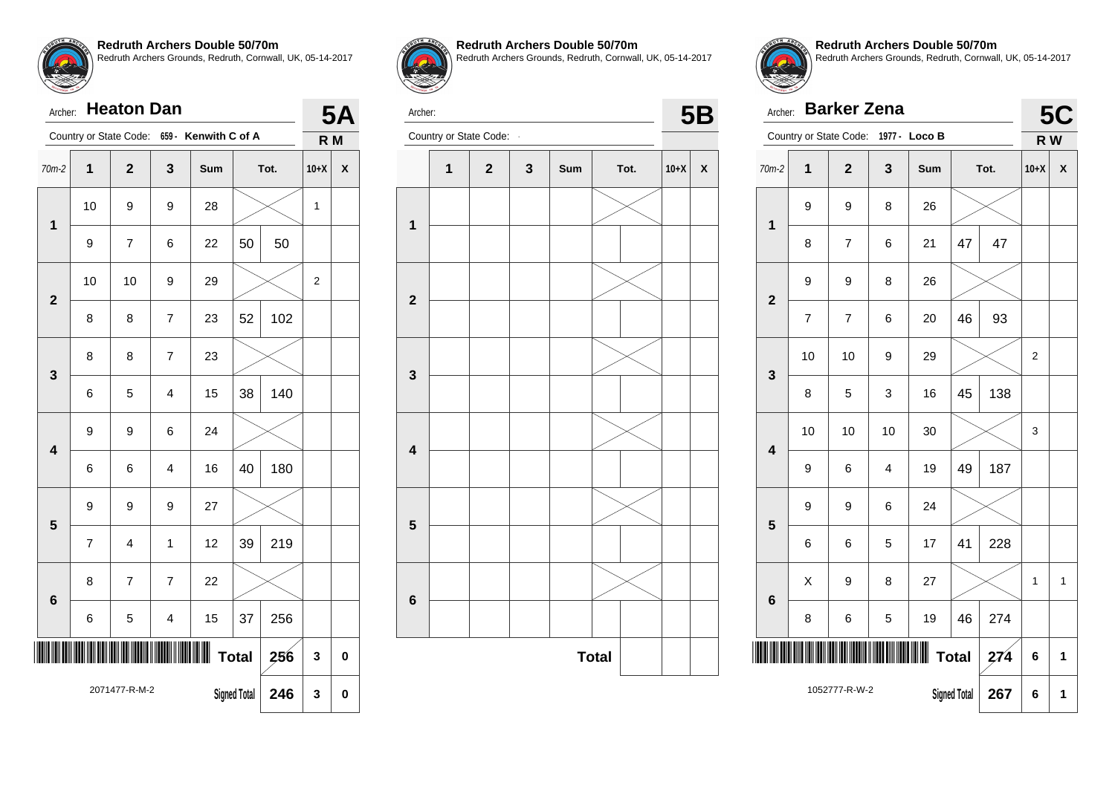

| Archer:                 |                     | <b>Heaton Dan</b>      |                |                      |                     |      |        | <b>5A</b> |
|-------------------------|---------------------|------------------------|----------------|----------------------|---------------------|------|--------|-----------|
|                         |                     | Country or State Code: |                | 659 - Kenwith C of A |                     |      | R M    |           |
| $70m-2$                 | $\mathbf 1$         | $\overline{2}$         | 3              | Sum                  |                     | Tot. | $10+X$ | X         |
| $\mathbf 1$             | 10                  | 9                      | 9              | 28                   |                     |      | 1      |           |
|                         | 9                   | $\overline{7}$         | 6              | 22                   | 50                  | 50   |        |           |
| $\overline{2}$          | 10                  | 10                     | 9              | 29                   |                     |      | 2      |           |
|                         | 8                   | 8                      | $\overline{7}$ | 23                   | 52                  | 102  |        |           |
| 3                       | 8                   | 8                      | $\overline{7}$ | 23                   |                     |      |        |           |
|                         | 6                   | 5                      | $\overline{4}$ | 15                   | 38                  | 140  |        |           |
| $\overline{\mathbf{4}}$ | 9                   | 9                      | 6              | 24                   |                     |      |        |           |
|                         | 6                   | 6                      | $\overline{4}$ | 16                   | 40                  | 180  |        |           |
| 5                       | 9                   | 9                      | 9              | 27                   |                     |      |        |           |
|                         | $\overline{7}$      | 4                      | 1              | 12                   | 39                  | 219  |        |           |
| $6\phantom{1}6$         | 8                   | 7                      | $\overline{7}$ | 22                   |                     |      |        |           |
|                         | 6                   | 5                      | 4              | 15                   | 37                  | 256  |        |           |
|                         | <b>Total</b><br>256 |                        |                |                      |                     |      |        | $\bf{0}$  |
|                         |                     | 2071477-R-M-2          |                |                      | <b>Signed Total</b> | 246  | 3      | 0         |



**Redruth Archers Double 50/70m**

Redruth Archers Grounds, Redruth, Cornwall, UK, 05-14-2017



Archer: **- 5B**<br>
Country or State Code: **- 5B** 





**Redruth Archers Double 50/70m** Redruth Archers Grounds, Redruth, Cornwall, UK, 05-14-2017

|                         | <b>Barker Zena</b><br>Archer: |                        |                         |        |    |      |        |           |
|-------------------------|-------------------------------|------------------------|-------------------------|--------|----|------|--------|-----------|
|                         |                               | Country or State Code: | $1977 -$                | Loco B |    |      | R W    | <b>5C</b> |
| $70m-2$                 | 1                             | $\overline{2}$         | 3                       | Sum    |    | Tot. | $10+X$ | X         |
| 1                       | 9                             | 9                      | 8                       | 26     |    |      |        |           |
|                         | 8                             | 7                      | 6                       | 21     | 47 | 47   |        |           |
| $\overline{2}$          | 9                             | 9                      | 8                       | 26     |    |      |        |           |
|                         | $\overline{7}$                | $\overline{7}$         | 6                       | 20     | 46 | 93   |        |           |
| 3                       | 10                            | 10                     | 9                       | 29     |    |      | 2      |           |
|                         | 8                             | 5                      | 3                       | 16     | 45 | 138  |        |           |
| $\overline{\mathbf{4}}$ | 10                            | 10                     | 10                      | 30     |    |      | 3      |           |
|                         | 9                             | 6                      | $\overline{\mathbf{4}}$ | 19     | 49 | 187  |        |           |
| 5                       | 9                             | 9                      | 6                       | 24     |    |      |        |           |
|                         | 6                             | 6                      | 5                       | 17     | 41 | 228  |        |           |
|                         | Χ                             | 9                      | 8                       | 27     |    |      | 1      | 1         |
|                         | 6<br>5<br>8<br>6              |                        |                         |        | 46 | 274  |        |           |
|                         | <b>Total</b><br>274           |                        |                         |        |    |      |        | 1         |
|                         | 1052777-R-W-2                 | <b>Signed Total</b>    | 267                     | 6      | 1  |      |        |           |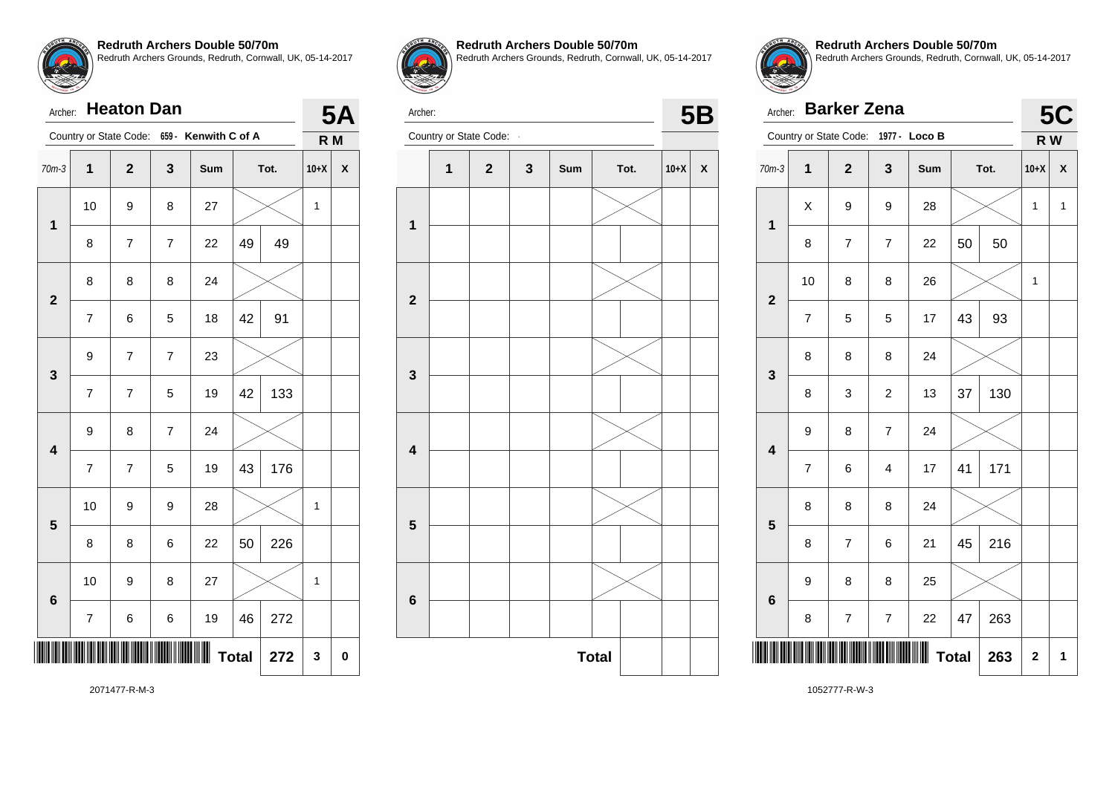| Archer:                 |                         | <b>Heaton Dan</b> |                |                                             |    |      |                | 5Α |
|-------------------------|-------------------------|-------------------|----------------|---------------------------------------------|----|------|----------------|----|
|                         |                         |                   |                | Country or State Code: 659 - Kenwith C of A |    |      | R <sub>M</sub> |    |
| $70m-3$                 | $\overline{\mathbf{1}}$ | $\mathbf{2}$      | 3              | Sum                                         |    | Tot. | $10+X$         | X  |
| 1                       | 10                      | 9                 | 8              | 27                                          |    |      | $\mathbf{1}$   |    |
|                         | 8                       | 7                 | 7              | 22                                          | 49 | 49   |                |    |
| $\overline{\mathbf{2}}$ | 8                       | 8                 | 8              | 24                                          |    |      |                |    |
|                         | $\overline{7}$          | 6                 | 5              | 18                                          | 42 | 91   |                |    |
| 3                       | 9                       | 7                 | $\overline{7}$ | 23                                          |    |      |                |    |
|                         | $\overline{7}$          | $\overline{7}$    | 5              | 19                                          | 42 | 133  |                |    |
| $\overline{\mathbf{4}}$ | 9                       | 8                 | $\overline{7}$ | 24                                          |    |      |                |    |
|                         | 7                       | $\overline{7}$    | 5              | 19                                          | 43 | 176  |                |    |
| 5                       | 10                      | 9                 | 9              | 28                                          |    |      | 1              |    |
|                         | 8                       | 8                 | 6              | 22                                          | 50 | 226  |                |    |
| 6                       | 10                      | 9                 | 8              | 27                                          |    |      | 1              |    |
|                         | $\overline{\mathbf{7}}$ | 6                 | 6              | 19                                          | 46 | 272  |                |    |
|                         | <b>Total</b><br>272     |                   |                |                                             |    |      |                |    |



**Redruth Archers Double 50/70m** Redruth Archers Grounds, Redruth, Cornwall, UK, 05-14-2017



Archer:



**Redruth Archers Double 50/70m** Redruth Archers Grounds, Redruth, Cornwall, UK, 05-14-2017

| Archer:                 |                         | <b>Barker Zena</b>       |                          |               |              |      |             | 5C<br>R W<br>X<br>$\mathbf{1}$ |  |
|-------------------------|-------------------------|--------------------------|--------------------------|---------------|--------------|------|-------------|--------------------------------|--|
|                         | Country or State Code:  |                          |                          | 1977 - Loco B |              |      |             |                                |  |
| $70m-3$                 | $\overline{\mathbf{1}}$ | $\mathbf{2}$             | 3                        | Sum           |              | Tot. | $10+X$      |                                |  |
| $\mathbf{1}$            | X                       | 9                        | 9                        | 28            |              |      | 1           |                                |  |
|                         | 8                       | $\overline{\mathcal{I}}$ | $\overline{7}$           | 22            | 50           | 50   |             |                                |  |
| $\mathbf{2}$            | 10                      | 8                        | 8                        | 26            |              |      | 1           |                                |  |
|                         | 7                       | 5                        | 5                        | 17            | 43           | 93   |             |                                |  |
| 3                       | 8                       | 8                        | 8                        | 24            |              |      |             |                                |  |
|                         | 8                       | 3                        | $\overline{c}$           | 13            | 37           | 130  |             |                                |  |
| $\overline{\mathbf{4}}$ | 9                       | 8                        | $\overline{\mathcal{I}}$ | 24            |              |      |             |                                |  |
|                         | $\overline{7}$          | 6                        | 4                        | 17            | 41           | 171  |             |                                |  |
| 5                       | 8                       | 8                        | 8                        | 24            |              |      |             |                                |  |
|                         | 8                       | $\overline{7}$           | 6                        | 21            | 45           | 216  |             |                                |  |
| $6\phantom{1}6$         | 9                       | 8                        | 8                        | 25            |              |      |             |                                |  |
|                         | 8                       | 7                        | 7                        | 22            | 47           | 263  |             |                                |  |
|                         |                         |                          |                          |               | <b>Total</b> | 263  | $\mathbf 2$ | 1                              |  |

2071477-R-M-3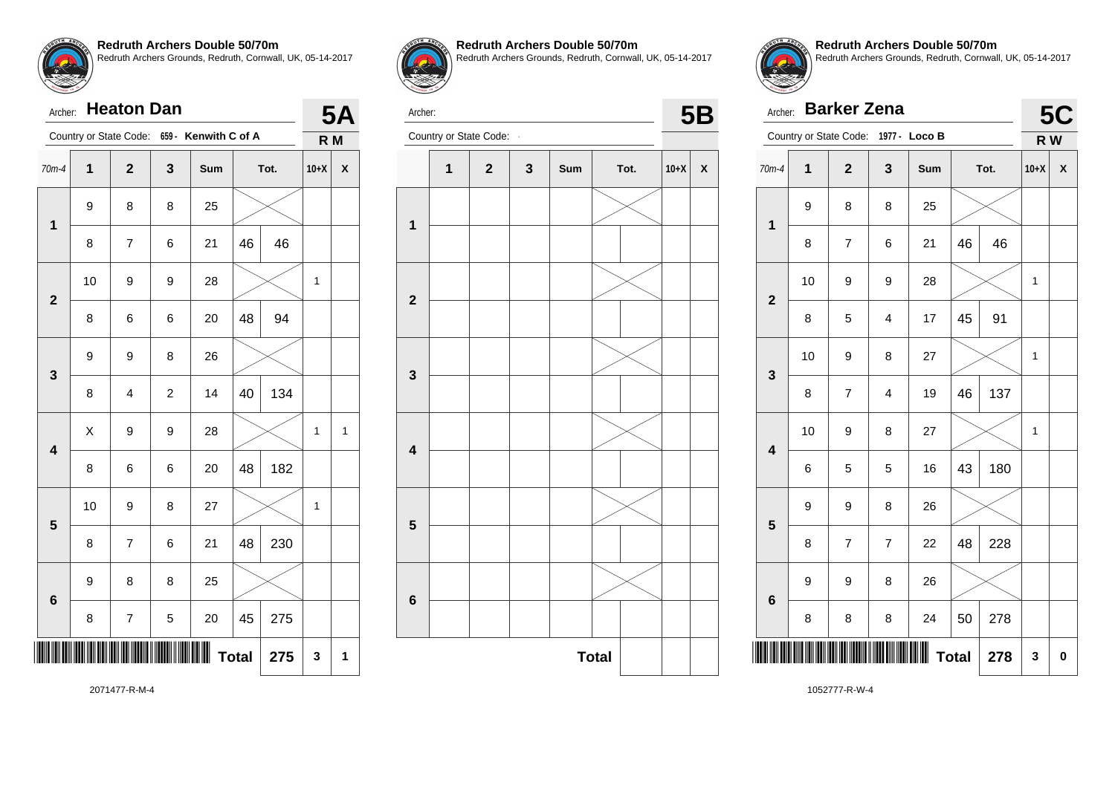| Archer:        |    | <b>Heaton Dan</b>       |                |                      |              |      |        | 5Δ           |
|----------------|----|-------------------------|----------------|----------------------|--------------|------|--------|--------------|
|                |    | Country or State Code:  |                | 659 - Kenwith C of A |              |      | R M    |              |
| 70m-4          | 1  | $\overline{\mathbf{2}}$ | 3              | Sum                  |              | Tot. | $10+X$ | χ            |
| $\mathbf 1$    | 9  | 8                       | 8              | 25                   |              |      |        |              |
|                | 8  | $\overline{7}$          | 6              | 21                   | 46           | 46   |        |              |
| $\overline{2}$ | 10 | 9                       | 9              | 28                   |              |      | 1      |              |
|                | 8  | 6                       | 6              | 20                   | 48           | 94   |        |              |
| 3              | 9  | 9                       | 8              | 26                   |              |      |        |              |
|                | 8  | 4                       | $\overline{c}$ | 14                   | 40           | 134  |        |              |
| 4              | X  | 9                       | 9              | 28                   |              |      | 1      | $\mathbf{1}$ |
|                | 8  | 6                       | 6              | 20                   | 48           | 182  |        |              |
| 5              | 10 | 9                       | 8              | 27                   |              |      | 1      |              |
|                | 8  | $\overline{7}$          | 6              | 21                   | 48           | 230  |        |              |
| 6              | 9  | 8                       | 8              | 25                   |              |      |        |              |
|                | 8  | 7                       | 5              | 20                   | 45           | 275  |        |              |
|                |    |                         |                |                      | <b>Total</b> | 275  | 3      | 1            |



**Redruth Archers Double 50/70m**

Redruth Archers Grounds, Redruth, Cornwall, UK, 05-14-2017



Archer: **- 5B**<br>
Country or State Code: **- 5B** 



**Redruth Archers Double 50/70m** Redruth Archers Grounds, Redruth, Cornwall, UK, 05-14-2017

|                 | <b>Barker Zena</b><br>Archer: |                          |                         |               |              |      |        |   |  |
|-----------------|-------------------------------|--------------------------|-------------------------|---------------|--------------|------|--------|---|--|
|                 |                               | Country or State Code:   |                         | 1977 - Loco B |              |      | R W    |   |  |
| $70m-4$         | $\overline{\mathbf{1}}$       | $\overline{\mathbf{2}}$  | 3                       | Sum           |              | Tot. | $10+X$ | X |  |
| $\mathbf 1$     | 9                             | 8                        | 8                       | 25            |              |      |        |   |  |
|                 | 8                             | $\overline{\mathcal{I}}$ | 6                       | 21            | 46           | 46   |        |   |  |
| $\mathbf{2}$    | 10                            | 9                        | 9                       | 28            |              |      | 1      |   |  |
|                 | 8                             | 5                        | 4                       | 17            | 45           | 91   |        |   |  |
| 3               | 10                            | 9                        | 8                       | 27            |              |      | 1      |   |  |
|                 | 8                             | $\overline{\mathcal{I}}$ | $\overline{\mathbf{4}}$ | 19            | 46           | 137  |        |   |  |
| 4               | 10                            | 9                        | 8                       | 27            |              |      | 1      |   |  |
|                 | 6                             | 5                        | 5                       | 16            | 43           | 180  |        |   |  |
| 5               | 9                             | 9                        | 8                       | 26            |              |      |        |   |  |
|                 | 8                             | $\overline{7}$           | $\overline{7}$          | 22            | 48           | 228  |        |   |  |
| $6\phantom{1}6$ | 9                             | 9                        | 8                       | 26            |              |      |        |   |  |
|                 | 8                             | 8                        | 8                       | 24            | 50           | 278  |        |   |  |
|                 |                               |                          |                         |               | <b>Total</b> | 278  | 3      | 0 |  |

2071477-R-M-4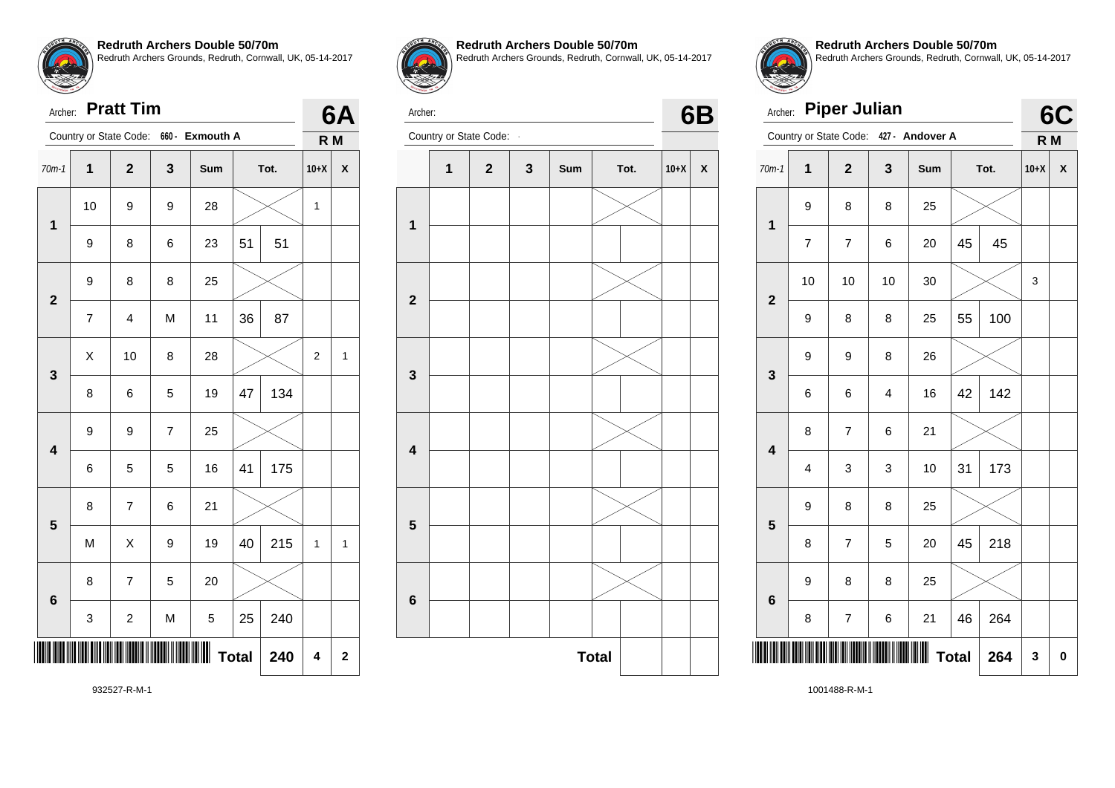

Archer: **Pratt Tim**

|                         | Country or State Code:<br>660 - Exmouth A |                         |              |     |    |             |              | R M          |
|-------------------------|-------------------------------------------|-------------------------|--------------|-----|----|-------------|--------------|--------------|
| $70m-1$                 | $\overline{\mathbf{1}}$                   | $\overline{\mathbf{2}}$ | 3            | Sum |    | Tot.        | $10+X$       | X            |
| 1                       | 10                                        | 9                       | 9            | 28  |    |             | 1            |              |
|                         | 9                                         | 8                       | 6            | 23  | 51 | 51          |              |              |
| $\mathbf{2}$            | 9                                         | 8                       | 8            | 25  |    |             |              |              |
|                         | $\overline{\mathcal{I}}$                  | $\overline{\mathbf{4}}$ | M            | 11  | 36 | 87          |              |              |
| 3                       | Χ                                         | 10                      | 8            | 28  |    |             | 2            | $\mathbf{1}$ |
|                         | 8                                         | 6                       | 5            | 19  | 47 | 134         |              |              |
| $\overline{\mathbf{4}}$ | 9                                         | 9                       | 7            | 25  |    |             |              |              |
|                         | 6                                         | 5                       | 5            | 16  | 41 | 175         |              |              |
| 5                       | 8                                         | $\overline{\mathbf{7}}$ | 6            | 21  |    |             |              |              |
|                         | M                                         | X                       | 9            | 19  | 40 | 215         | $\mathbf{1}$ | $\mathbf{1}$ |
| 6                       | 8                                         | $\overline{7}$          | 5            | 20  |    |             |              |              |
|                         | 3                                         | $\overline{\mathbf{c}}$ | M            | 5   | 25 | 240         |              |              |
|                         |                                           |                         | <b>Total</b> | 240 | 4  | $\mathbf 2$ |              |              |



**Redruth Archers Double 50/70m** Redruth Archers Grounds, Redruth, Cornwall, UK, 05-14-2017



**6A**

Archer: Country or State Code: **- 6B** 



**Redruth Archers Double 50/70m** Redruth Archers Grounds, Redruth, Cornwall, UK, 05-14-2017

|                | <b>Piper Julian</b><br>Archer: |                        |    |                 |      |     |                |                           |  |
|----------------|--------------------------------|------------------------|----|-----------------|------|-----|----------------|---------------------------|--|
|                |                                | Country or State Code: |    | 427 - Andover A |      |     | R <sub>M</sub> |                           |  |
| $70m-1$        | 1                              | $\overline{2}$         | 3  | Sum             | Tot. |     | $10+X$         | $\boldsymbol{\mathsf{x}}$ |  |
| 1              | 9                              | 8                      | 8  | 25              |      |     |                |                           |  |
|                | $\overline{7}$                 | $\overline{7}$         | 6  | 20              | 45   | 45  |                |                           |  |
| $\overline{2}$ | 10                             | 10                     | 10 | 30              |      |     | 3              |                           |  |
|                | 9                              | 8                      | 8  | 25              | 55   | 100 |                |                           |  |
| 3              | 9                              | 9                      | 8  | 26              |      |     |                |                           |  |
|                | 6                              | 6                      | 4  | 16              | 42   | 142 |                |                           |  |
| 4              | 8                              | $\overline{7}$         | 6  | 21              |      |     |                |                           |  |
|                | $\overline{\mathbf{4}}$        | 3                      | 3  | 10              | 31   | 173 |                |                           |  |
| 5              | 9                              | 8                      | 8  | 25              |      |     |                |                           |  |
|                | 8                              | $\overline{7}$         | 5  | 20              | 45   | 218 |                |                           |  |
| $6\phantom{a}$ | 9                              | 8                      | 8  | 25              |      |     |                |                           |  |
|                | 8                              | 7                      | 6  | 21              | 46   | 264 |                |                           |  |
|                | <b>Total</b><br>264            |                        |    |                 |      |     |                |                           |  |

932527-R-M-1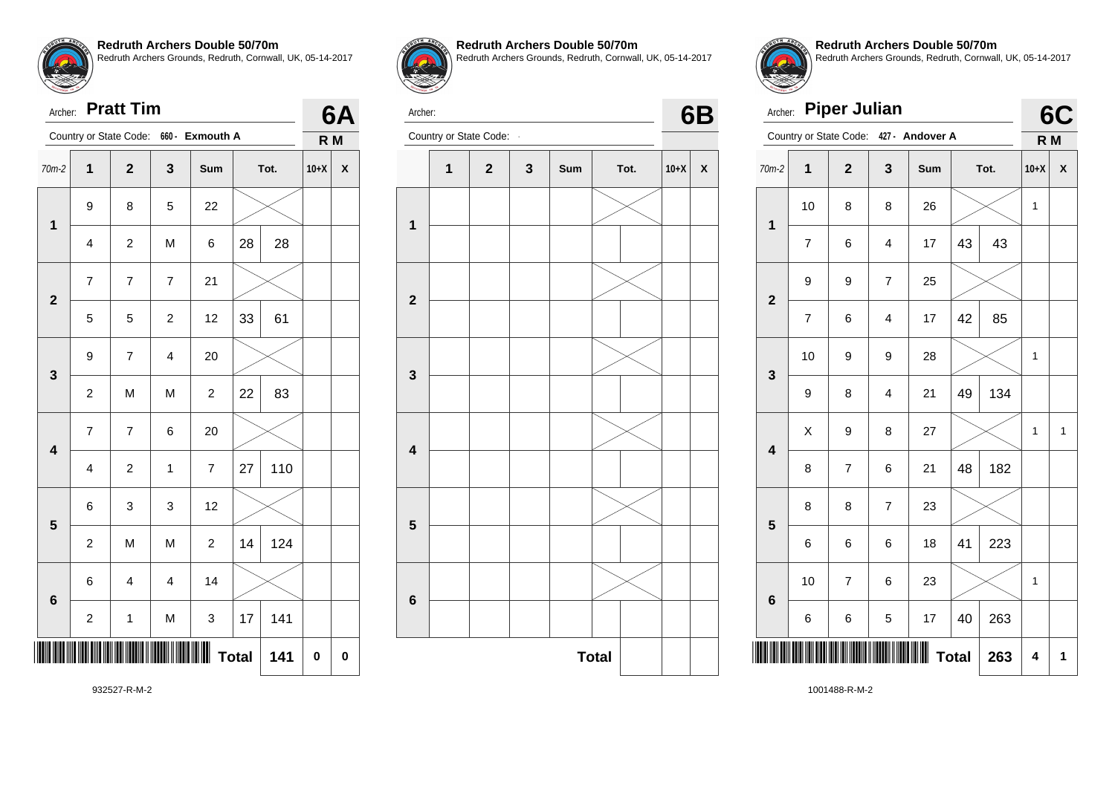

Archer: **Pratt Tim**

| Archer:                 |                         | <b>Pratt Tim</b>       |                |                 |              |      |        | 6А |
|-------------------------|-------------------------|------------------------|----------------|-----------------|--------------|------|--------|----|
|                         |                         | Country or State Code: |                | 660 - Exmouth A |              |      | R M    |    |
| $70m-2$                 | 1                       | $\mathbf 2$            | 3              | Sum             |              | Tot. | $10+X$ | X  |
| $\mathbf 1$             | 9                       | 8                      | 5              | 22              |              |      |        |    |
|                         | $\overline{\mathbf{4}}$ | $\overline{c}$         | M              | 6               | 28           | 28   |        |    |
| $\overline{\mathbf{2}}$ | $\overline{7}$          | 7                      | $\overline{7}$ | 21              |              |      |        |    |
|                         | 5                       | 5                      | $\overline{c}$ | 12              | 33           | 61   |        |    |
| 3                       | 9                       | 7                      | 4              | 20              |              |      |        |    |
|                         | $\overline{c}$          | M                      | M              | $\overline{c}$  | 22           | 83   |        |    |
| $\overline{\mathbf{4}}$ | $\overline{7}$          | $\overline{7}$         | 6              | 20              |              |      |        |    |
|                         | $\overline{4}$          | $\overline{c}$         | $\mathbf{1}$   | $\overline{7}$  | 27           | 110  |        |    |
| 5                       | 6                       | 3                      | 3              | 12              |              |      |        |    |
|                         | $\overline{\mathbf{c}}$ | M                      | M              | $\overline{c}$  | 14           | 124  |        |    |
| 6                       | 6                       | $\overline{4}$         | $\overline{4}$ | 14              |              |      |        |    |
|                         | $\boldsymbol{2}$        | $\mathbf 1$            | M              | 3               | 17           | 141  |        |    |
|                         |                         |                        |                |                 | <b>Total</b> | 141  | 0      | 0  |



**Redruth Archers Double 50/70m** Redruth Archers Grounds, Redruth, Cornwall, UK, 05-14-2017

Archer:



**Redruth Archers Double 50/70m** Redruth Archers Grounds, Redruth, Cornwall, UK, 05-14-2017

|                         | <b>Piper Julian</b><br>Archer: |                        |                |                 |              |      |                |                           |  |
|-------------------------|--------------------------------|------------------------|----------------|-----------------|--------------|------|----------------|---------------------------|--|
|                         |                                | Country or State Code: |                | 427 - Andover A |              |      | R <sub>M</sub> | 6C                        |  |
| $70m-2$                 | 1                              | $\overline{2}$         | 3              | Sum             |              | Tot. | $10+X$         | $\boldsymbol{\mathsf{x}}$ |  |
| 1                       | 10                             | 8                      | 8              | 26              |              |      | 1              |                           |  |
|                         | $\overline{7}$                 | 6                      | 4              | 17              | 43           | 43   |                |                           |  |
|                         | 9                              | 9                      | $\overline{7}$ | 25              |              |      |                |                           |  |
| $\overline{2}$          | 7                              | 6                      | 4              | 17              | 42           | 85   |                |                           |  |
| 3                       | 10                             | 9                      | 9              | 28              |              |      | 1              |                           |  |
|                         | 9                              | 8                      | 4              | 21              | 49           | 134  |                |                           |  |
| $\overline{\mathbf{4}}$ | X                              | 9                      | 8              | 27              |              |      | 1              | 1                         |  |
|                         | 8                              | $\overline{7}$         | 6              | 21              | 48           | 182  |                |                           |  |
| 5                       | 8                              | 8                      | $\overline{7}$ | 23              |              |      |                |                           |  |
|                         | 6                              | 6                      | 6              | 18              | 41           | 223  |                |                           |  |
| 6                       | 10                             | $\overline{7}$         | 6              | 23              |              |      | 1              |                           |  |
|                         | 6                              | 6                      | 5              | 17              | 40           | 263  |                |                           |  |
|                         |                                |                        |                |                 | <b>Total</b> | 263  | 4              | 1                         |  |

932527-R-M-2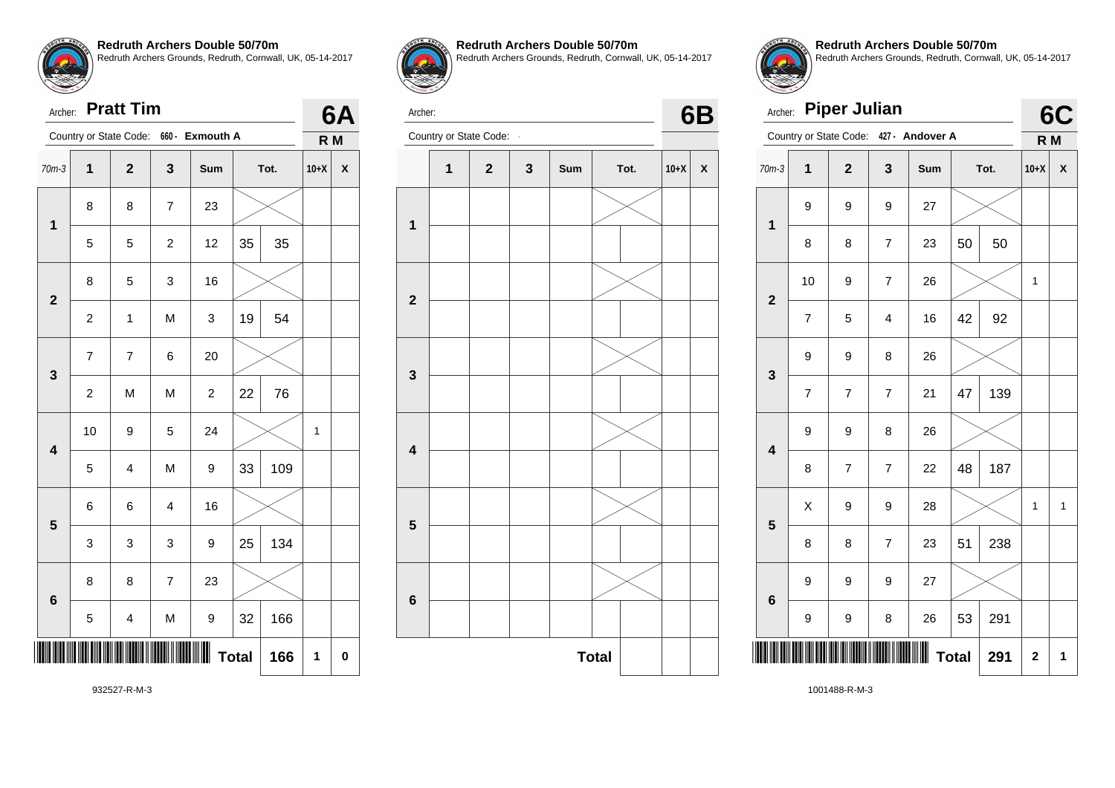

Archer: **Pratt Tim**

| Archer:                 |                | <b>Pratt Tim</b>         |                         |                                        |              |      |        | 6Α |
|-------------------------|----------------|--------------------------|-------------------------|----------------------------------------|--------------|------|--------|----|
|                         |                |                          |                         | Country or State Code: 660 - Exmouth A |              |      | R M    |    |
| $70m-3$                 | 1              | $\mathbf{2}$             | 3                       | Sum                                    |              | Tot. | $10+X$ | X  |
| 1                       | 8              | 8                        | $\overline{7}$          | 23                                     |              |      |        |    |
|                         | 5              | 5                        | $\overline{\mathbf{c}}$ | 12                                     | 35           | 35   |        |    |
| $\overline{2}$          | 8              | 5                        | 3                       | 16                                     |              |      |        |    |
|                         | $\overline{c}$ | 1                        | M                       | 3                                      | 19           | 54   |        |    |
| 3                       | $\overline{7}$ | $\overline{\mathcal{I}}$ | 6                       | 20                                     |              |      |        |    |
|                         | $\overline{c}$ | M                        | M                       | $\overline{c}$                         | 22           | 76   |        |    |
| $\overline{\mathbf{4}}$ | 10             | 9                        | 5                       | 24                                     |              |      | 1      |    |
|                         | 5              | $\overline{\mathbf{4}}$  | M                       | 9                                      | 33           | 109  |        |    |
| 5                       | 6              | 6                        | 4                       | 16                                     |              |      |        |    |
|                         | 3              | 3                        | 3                       | 9                                      | 25           | 134  |        |    |
| 6                       | 8              | 8                        | $\overline{7}$          | 23                                     |              |      |        |    |
|                         | 5              | 4                        | M                       | 9                                      | 32           | 166  |        |    |
|                         |                |                          |                         |                                        | <b>Total</b> | 166  | 1      | 0  |



**Redruth Archers Double 50/70m** Redruth Archers Grounds, Redruth, Cornwall, UK, 05-14-2017



Archer: Country or State Code: **- 6B** 





**Redruth Archers Double 50/70m** Redruth Archers Grounds, Redruth, Cornwall, UK, 05-14-2017

|                         | <b>Piper Julian</b><br>Archer: |                |                |                 |              |      |                         |    |  |
|-------------------------|--------------------------------|----------------|----------------|-----------------|--------------|------|-------------------------|----|--|
|                         | Country or State Code:         |                |                | 427 - Andover A |              |      | R <sub>M</sub>          | 6C |  |
| $70m-3$                 | 1                              | $\overline{2}$ | $\mathbf{3}$   | Sum             |              | Tot. | $10+X$                  | X  |  |
| $\overline{\mathbf{1}}$ | 9                              | 9              | 9              | 27              |              |      |                         |    |  |
|                         | 8                              | 8              | 7              | 23              | 50           | 50   |                         |    |  |
| $\overline{2}$          | 10                             | 9              | $\overline{7}$ | 26              |              |      | 1                       |    |  |
|                         | $\overline{7}$                 | 5              | 4              | 16              | 42           | 92   |                         |    |  |
| 3                       | 9                              | 9              | 8              | 26              |              |      |                         |    |  |
|                         | $\overline{7}$                 | $\overline{7}$ | $\overline{7}$ | 21              | 47           | 139  |                         |    |  |
| $\overline{\mathbf{4}}$ | 9                              | 9              | 8              | 26              |              |      |                         |    |  |
|                         | 8                              | $\overline{7}$ | $\overline{7}$ | 22              | 48           | 187  |                         |    |  |
| 5                       | X                              | 9              | 9              | 28              |              |      | 1                       | 1  |  |
|                         | 8                              | 8              | $\overline{7}$ | 23              | 51           | 238  |                         |    |  |
| $6\phantom{1}$          | 9                              | 9              | 9              | 27              |              |      |                         |    |  |
|                         | 9                              | 9              | 8              | 26              | 53           | 291  |                         |    |  |
|                         |                                |                |                |                 | <b>Total</b> | 291  | $\overline{\mathbf{c}}$ | 1  |  |

932527-R-M-3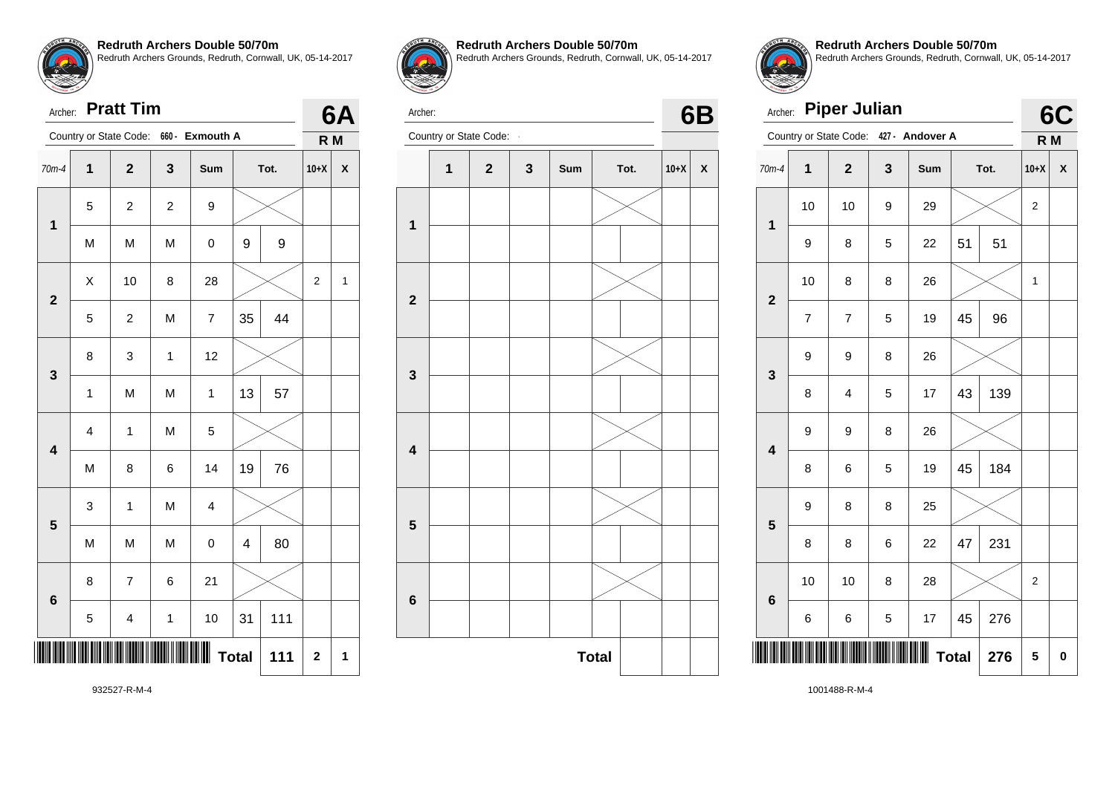

Archer: **Pratt Tim**

|                         | <b>Pratt Tim</b><br>Archer: |                         |                |                         |    |      |                |              |  |
|-------------------------|-----------------------------|-------------------------|----------------|-------------------------|----|------|----------------|--------------|--|
|                         |                             | Country or State Code:  |                | 660 - Exmouth A         |    |      | R M            | 6A           |  |
| $70m-4$                 | 1                           | $\overline{\mathbf{2}}$ | 3              | Sum                     |    | Tot. | $10+X$         | X            |  |
| $\mathbf 1$             | 5                           | $\overline{c}$          | $\overline{c}$ | 9                       |    |      |                |              |  |
|                         | M                           | M                       | M              | $\mathsf 0$             | 9  | 9    |                |              |  |
| $\overline{\mathbf{2}}$ | X                           | 10                      | 8              | 28                      |    |      | $\overline{2}$ | $\mathbf{1}$ |  |
|                         | 5                           | $\overline{\mathbf{c}}$ | M              | $\overline{\mathbf{7}}$ | 35 | 44   |                |              |  |
| 3                       | 8                           | 3                       | 1              | 12                      |    |      |                |              |  |
|                         | $\mathbf{1}$                | M                       | M              | $\mathbf{1}$            | 13 | 57   |                |              |  |
| $\overline{\mathbf{4}}$ | 4                           | 1                       | M              | 5                       |    |      |                |              |  |
|                         | M                           | 8                       | 6              | 14                      | 19 | 76   |                |              |  |
| 5                       | 3                           | 1                       | M              | 4                       |    |      |                |              |  |
|                         | M                           | M                       | M              | $\mathsf 0$             | 4  | 80   |                |              |  |
| $6\phantom{1}$          | 8                           | $\overline{7}$          | 6              | 21                      |    |      |                |              |  |
|                         | 5                           | $\overline{\mathbf{4}}$ | 1              | 10                      | 31 | 111  |                |              |  |
|                         | <b>Total</b><br>111         |                         |                |                         |    |      |                |              |  |



**Redruth Archers Double 50/70m** Redruth Archers Grounds, Redruth, Cornwall, UK, 05-14-2017



Archer:



**Redruth Archers Double 50/70m** Redruth Archers Grounds, Redruth, Cornwall, UK, 05-14-2017

|                         | <b>Piper Julian</b><br>Archer: |                |   |                                        |              |      |                |             |  |  |
|-------------------------|--------------------------------|----------------|---|----------------------------------------|--------------|------|----------------|-------------|--|--|
|                         |                                |                |   | Country or State Code: 427 - Andover A |              |      | R <sub>M</sub> | 6C          |  |  |
| $70m-4$                 | 1                              | $\overline{2}$ | 3 | Sum                                    |              | Tot. | $10+X$         | X           |  |  |
| $\overline{\mathbf{1}}$ | 10                             | 10             | 9 | 29                                     |              |      | 2              |             |  |  |
|                         | 9                              | 8              | 5 | 22                                     | 51           | 51   |                |             |  |  |
| $\overline{2}$          | 10                             | 8              | 8 | 26                                     |              |      | $\mathbf{1}$   |             |  |  |
|                         | 7                              | 7              | 5 | 19                                     | 45           | 96   |                |             |  |  |
| 3                       | 9                              | 9              | 8 | 26                                     |              |      |                |             |  |  |
|                         | 8                              | 4              | 5 | 17                                     | 43           | 139  |                |             |  |  |
| $\overline{\mathbf{4}}$ | 9                              | 9              | 8 | 26                                     |              |      |                |             |  |  |
|                         | 8                              | 6              | 5 | 19                                     | 45           | 184  |                |             |  |  |
| 5                       | 9                              | 8              | 8 | 25                                     |              |      |                |             |  |  |
|                         | 8                              | 8              | 6 | 22                                     | 47           | 231  |                |             |  |  |
| 6                       | 10                             | 10             | 8 | 28                                     |              |      | 2              |             |  |  |
|                         | 6                              | 6              | 5 | 17                                     | 45           | 276  |                |             |  |  |
|                         |                                |                |   |                                        | <b>Total</b> | 276  | 5              | $\mathbf 0$ |  |  |

932527-R-M-4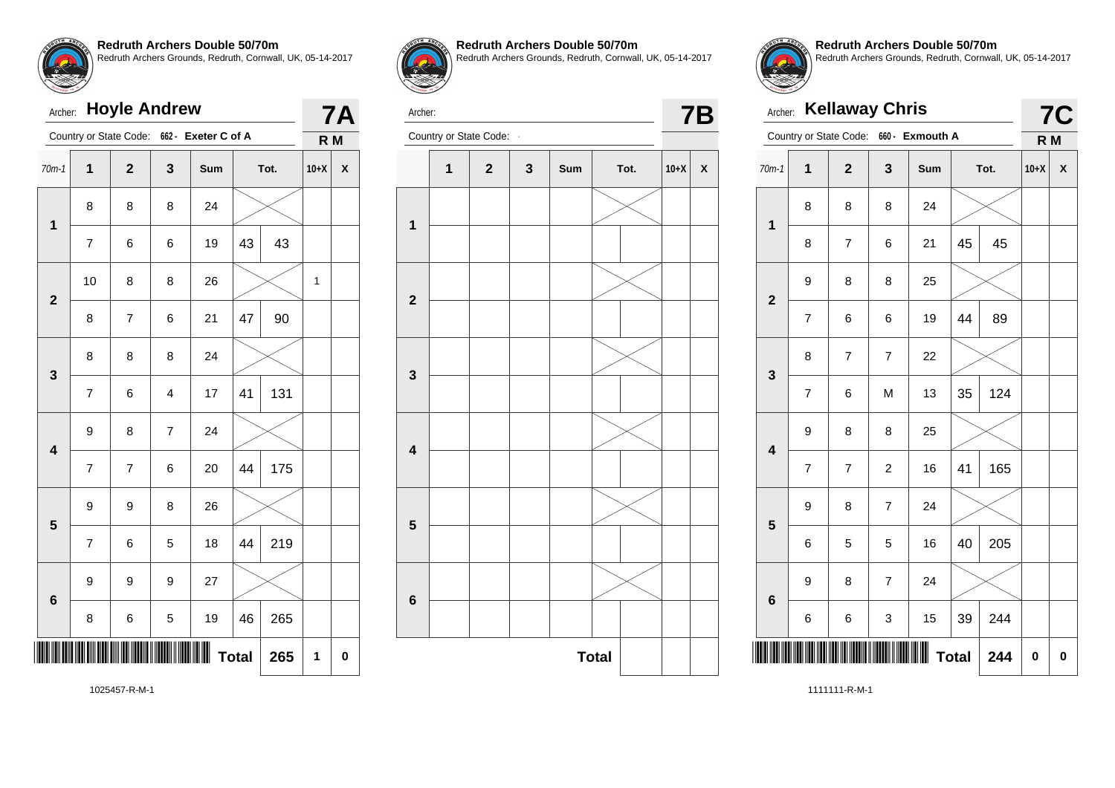# Archer: **Hoyle Andrew** Country or State Code: **662 - Exeter C of A 7A R M** 70m-1 **1 2 3 Sum Tot. 10+X X 1** 8 8 8 24 7 | 6 | 6 | 19 |43 | 43 **2** 10 | 8 | 8 | 26 |  $\times$  | 1 8 | 7 | 6 | 21 |47 | 90 **3** 8 8 8 24 7 6 4 17 41 131 **4**  $9 \mid 8 \mid 7 \mid 24$  $7 \mid 7 \mid 6 \mid 20 \mid 44 \mid 175$ **5**  $9 \mid 9 \mid 8 \mid 26$  $7 \mid 6 \mid 5 \mid 18 \mid 44 \mid 219$ **6** 9 9 9 27 8 6 5 19 46 265 \*1025457-R-M-1\* **Total 265 1 0**



Archer:

**Redruth Archers Double 50/70m** Redruth Archers Grounds, Redruth, Cornwall, UK, 05-14-2017



**Redruth Archers Double 50/70m** Redruth Archers Grounds, Redruth, Cornwall, UK, 05-14-2017

| Archer:                 |                          | <b>Kellaway Chris</b>  |                |                 |              |      |                | <b>7C</b> |
|-------------------------|--------------------------|------------------------|----------------|-----------------|--------------|------|----------------|-----------|
|                         |                          | Country or State Code: |                | 660 - Exmouth A |              |      | R <sub>M</sub> |           |
| $70m-1$                 | 1                        | $\overline{2}$         | 3              | <b>Sum</b>      |              | Tot. | $10+X$         | X         |
| $\overline{\mathbf{1}}$ | 8                        | 8                      | 8              | 24              |              |      |                |           |
|                         | 8                        | 7                      | 6              | 21              | 45           | 45   |                |           |
| $\overline{2}$          | 9                        | 8                      | 8              | 25              |              |      |                |           |
|                         | $\overline{\mathcal{I}}$ | 6                      | 6              | 19              | 44           | 89   |                |           |
| $\mathbf{3}$            | 8                        | $\overline{7}$         | $\overline{7}$ | 22              |              |      |                |           |
|                         | $\overline{7}$           | 6                      | M              | 13              | 35           | 124  |                |           |
| $\overline{\mathbf{4}}$ | 9                        | 8                      | 8              | 25              |              |      |                |           |
|                         | $\overline{7}$           | $\overline{7}$         | $\overline{c}$ | 16              | 41           | 165  |                |           |
| 5                       | 9                        | 8                      | $\overline{7}$ | 24              |              |      |                |           |
|                         | 6                        | 5                      | 5              | 16              | 40           | 205  |                |           |
| 6                       | 9                        | 8                      | 7              | 24              |              |      |                |           |
|                         | 6                        | 6                      | 3              | 15              | 39           | 244  |                |           |
|                         |                          |                        |                |                 | <b>Total</b> | 244  | 0              | 0         |

1025457-R-M-1

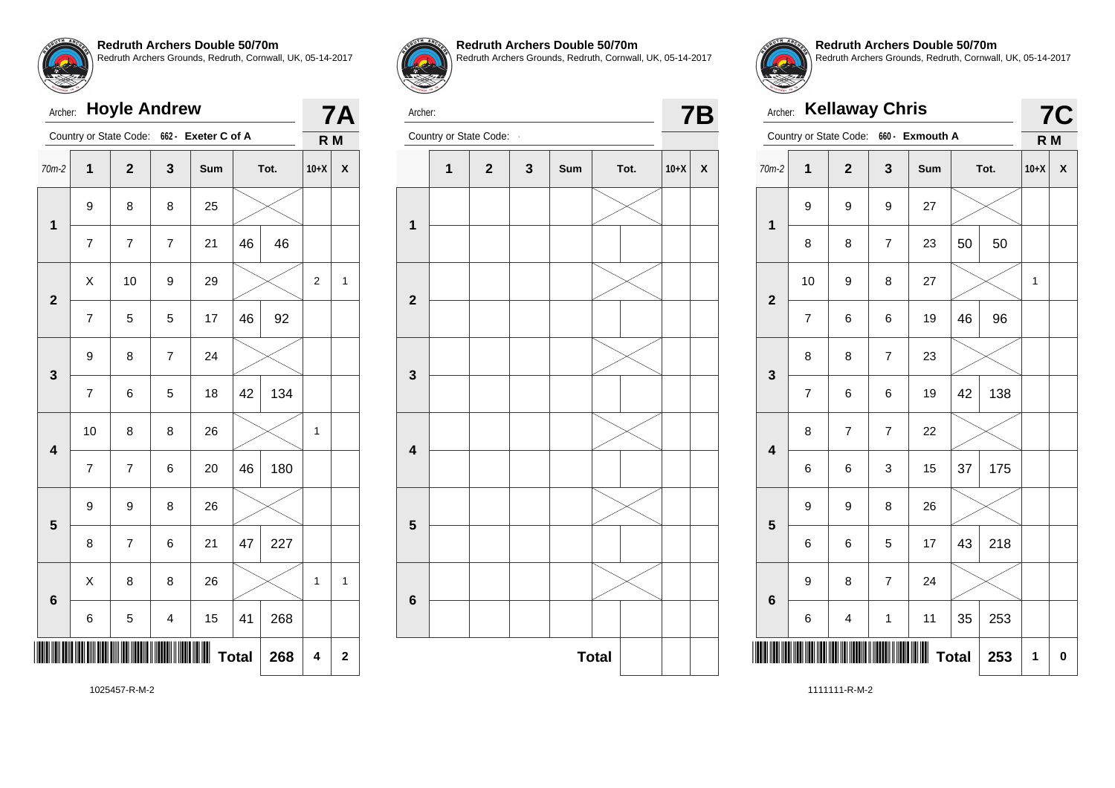# Archer: **Hoyle Andrew** Country or State Code: **662 - Exeter C of A 7A R M** 70m-2 **1 2 3 Sum Tot. 10+X X 1** 9 8 8 25 7 7 7 21 46 46 **2**  $\textsf{X}$  | 10 | 9 | 29 |  $\textsf{X}$  | 2 | 1 7 | 5 | 5 | 17 | 46 | 92 **3** 9 | 8 | 7 | 24  $7 \mid 6 \mid 5 \mid 18 \mid 42 \mid 134$ **4** 10 | 8 | 8 | 26 |  $\times$  | 1 7 7 6 20 46 180 **5**  $9 \mid 9 \mid 8 \mid 26$  $8$  | 7 | 6 | 21 | 47 | 227 **6**  $\textsf{X} \hspace{.2cm} \vert \hspace{.2cm} 8 \hspace{.2cm} \vert \hspace{.2cm} 8 \hspace{.2cm} \vert \hspace{.2cm} 26 \hspace{.2cm} \vert \hspace{.2cm} \text{\textbf{\textbackslash}} \hspace{.2cm} \text{\textcolor{black}{\times}} \hspace{.2cm} \vert \hspace{.2cm} 1 \hspace{.2cm} \vert \hspace{.2cm} 1$  $6$  5 4 15 41 268 \*1025457-R-M-2\* **Total 268 4 2**



#### **Redruth Archers Double 50/70m**

Redruth Archers Grounds, Redruth, Cornwall, UK, 05-14-2017



Archer: Country or State Code: **7B** 



**Redruth Archers Double 50/70m** Redruth Archers Grounds, Redruth, Cornwall, UK, 05-14-2017

| Archer:                 |                        |                         | <b>Kellaway Chris</b>    |                 |              |      | <b>7C</b>      |   |
|-------------------------|------------------------|-------------------------|--------------------------|-----------------|--------------|------|----------------|---|
|                         | Country or State Code: |                         |                          | 660 - Exmouth A |              |      | R <sub>M</sub> |   |
| $70m-2$                 | $\overline{1}$         | $\overline{2}$          | 3                        | Sum             |              | Tot. | $10+X$         | X |
| 1                       | 9                      | 9                       | 9                        | 27              |              |      |                |   |
|                         | 8                      | 8                       | $\overline{\mathcal{I}}$ | 23              | 50           | 50   |                |   |
| $\overline{2}$          | 10                     | 9                       | 8                        | 27              |              |      | 1              |   |
|                         | $\overline{7}$         | 6                       | 6                        | 19              | 46           | 96   |                |   |
| 3                       | 8                      | 8                       | $\overline{7}$           | 23              |              |      |                |   |
|                         | $\overline{7}$         | 6                       | 6                        | 19              | 42           | 138  |                |   |
| $\overline{\mathbf{4}}$ | 8                      | $\overline{\mathbf{7}}$ | $\overline{\mathbf{7}}$  | 22              |              |      |                |   |
|                         | 6                      | 6                       | 3                        | 15              | 37           | 175  |                |   |
| 5                       | 9                      | 9                       | 8                        | 26              |              |      |                |   |
|                         | 6                      | 6                       | 5                        | 17              | 43           | 218  |                |   |
| 6                       | 9                      | 8                       | $\overline{7}$           | 24              |              |      |                |   |
|                         | 6                      | 4                       | 1                        | 11              | 35           | 253  |                |   |
|                         |                        |                         |                          |                 | <b>Total</b> | 253  | 1              | 0 |

1025457-R-M-2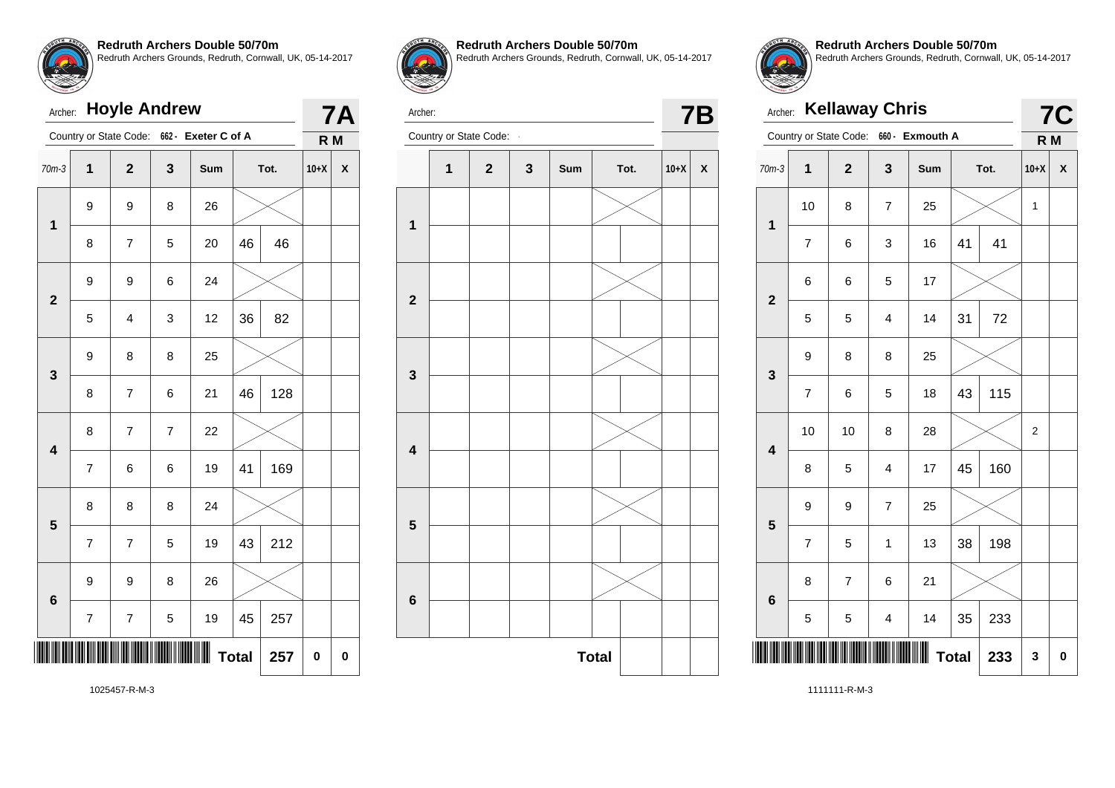# Archer: **Hoyle Andrew** Country or State Code: **662 - Exeter C of A 7A R M** 70m-3 **1 2 3 Sum Tot. 10+X X 1** 9 9 8 26 8 | 7 | 5 | 20 |46 | 46 **2** 9 9 6 24 5 4 3 12 36 82 **3** 9 8 8 25 8 7 6 21 46 128 **4** 8 7 7 22 7 6 6 19 41 169 **5** 8 8 8 24  $7 \mid 7 \mid 5 \mid 19 \mid 43 \mid 212$ **6** 9 9 8 26  $7 \mid 7 \mid 5 \mid 19 \mid 45 \mid 257$ <u>11025</u>  $Total | 257 | 0 | 0$



#### **Redruth Archers Double 50/70m**

Redruth Archers Grounds, Redruth, Cornwall, UK, 05-14-2017



Archer: Country or State Code: **7B** 





**Redruth Archers Double 50/70m** Redruth Archers Grounds, Redruth, Cornwall, UK, 05-14-2017

| Archer:                 |                          | <b>Kellaway Chris</b>   |                         |                                        |              |      |        | <b>7C</b> |
|-------------------------|--------------------------|-------------------------|-------------------------|----------------------------------------|--------------|------|--------|-----------|
|                         |                          |                         |                         | Country or State Code: 660 - Exmouth A |              |      | R M    |           |
| $70m-3$                 | $\mathbf 1$              | $\overline{\mathbf{2}}$ | 3                       | Sum                                    |              | Tot. | $10+X$ | X         |
| $\mathbf 1$             | 10                       | 8                       | $\overline{7}$          | 25                                     |              |      | 1      |           |
|                         | 7                        | 6                       | 3                       | 16                                     | 41           | 41   |        |           |
| $\mathbf{2}$            | 6                        | 6                       | 5                       | 17                                     |              |      |        |           |
|                         | 5                        | 5                       | $\overline{\mathbf{4}}$ | 14                                     | 31           | 72   |        |           |
| 3                       | 9                        | 8                       | 8                       | 25                                     |              |      |        |           |
|                         | $\overline{\mathcal{I}}$ | 6                       | 5                       | 18                                     | 43           | 115  |        |           |
| $\overline{\mathbf{4}}$ | 10                       | 10                      | 8                       | 28                                     |              |      | 2      |           |
|                         | 8                        | 5                       | 4                       | 17                                     | 45           | 160  |        |           |
| 5                       | 9                        | 9                       | $\overline{7}$          | 25                                     |              |      |        |           |
|                         | $\overline{7}$           | 5                       | $\mathbf{1}$            | 13                                     | 38           | 198  |        |           |
| $6\phantom{1}6$         | 8                        | $\overline{7}$          | 6                       | 21                                     |              |      |        |           |
|                         | 5                        | 5                       | $\overline{\mathbf{4}}$ | 14                                     | 35           | 233  |        |           |
|                         |                          |                         |                         |                                        | <b>Total</b> | 233  | 3      | 0         |

1025457-R-M-3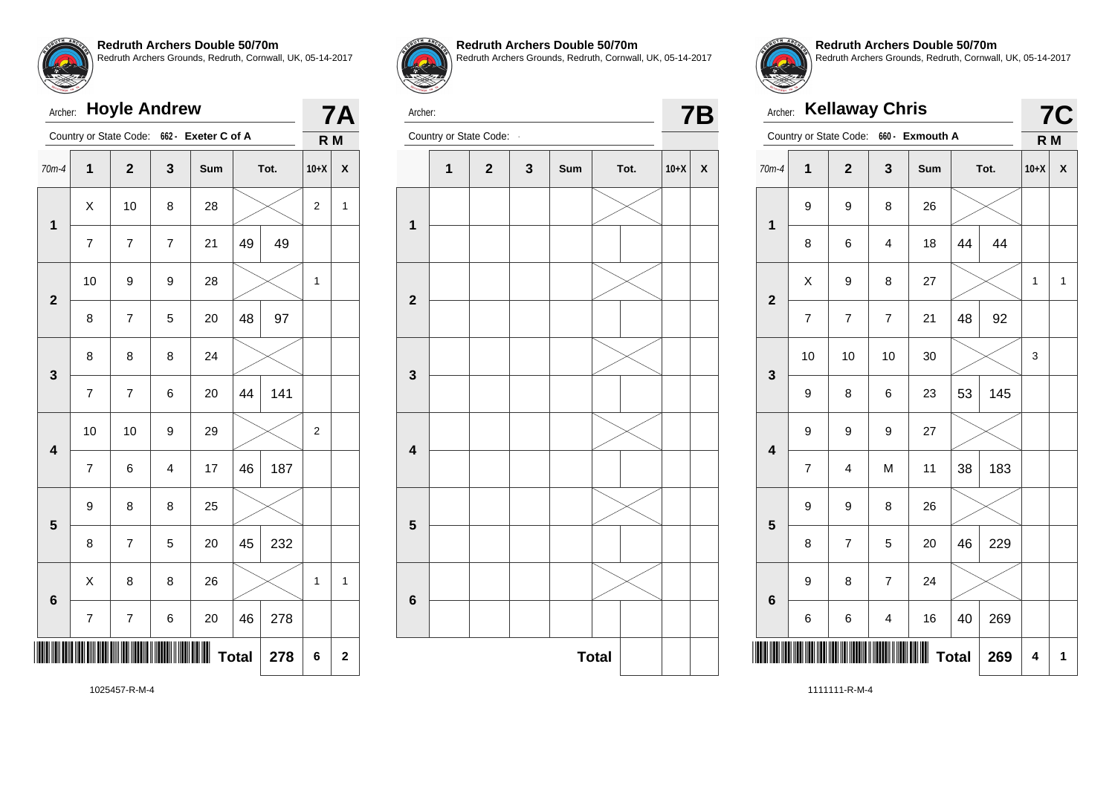# Archer: **Hoyle Andrew** Country or State Code: **662 - Exeter C of A 7A R M** 70m-4 **1 2 3 Sum Tot. 10+X X 1**  $\textsf{X}$  | 10 | 8 | 28 |  $\textsf{X}$  | 2 | 1 7 7 7 21 49 49 **2** 10 | 9 | 9 | 28 |  $\times$  | 1 8 | 7 | 5 | 20 |48 | 97 **3** 8 8 8 24  $7 \mid 7 \mid 6 \mid 20 \mid 44 \mid 141$ **4** 10 | 10 | 9 | 29 |  $\times$  | 2 7 6 4 17 46 187 **5** 9 8 8 25  $8$  | 7 | 5 | 20 | 45 | 232 **6**  $\textsf{X} \hspace{.2cm} \vert \hspace{.2cm} 8 \hspace{.2cm} \vert \hspace{.2cm} 8 \hspace{.2cm} \vert \hspace{.2cm} 26 \hspace{.2cm} \vert \hspace{.2cm} \text{\textbf{\textbackslash}} \hspace{.2cm} \text{\textcolor{black}{\times}} \hspace{.2cm} \vert \hspace{.2cm} 1 \hspace{.2cm} \vert \hspace{.2cm} 1$  $7 \mid 7 \mid 6 \mid 20 \mid 46 \mid 278$ \*1025457-R-M-4\* **Total 278 6 2**



#### **Redruth Archers Double 50/70m**

Redruth Archers Grounds, Redruth, Cornwall, UK, 05-14-2017



Archer: Country or State Code: **7B** 





**Redruth Archers Double 50/70m** Redruth Archers Grounds, Redruth, Cornwall, UK, 05-14-2017

| Archer:                 |                | <b>Kellaway Chris</b>  |                |                 |              |      |                | <b>7C</b> |
|-------------------------|----------------|------------------------|----------------|-----------------|--------------|------|----------------|-----------|
|                         |                | Country or State Code: |                | 660 - Exmouth A |              |      | R <sub>M</sub> |           |
| $70m-4$                 | $\overline{1}$ | $\overline{2}$         | 3              | Sum             |              | Tot. | $10+X$         | X         |
| $\mathbf 1$             | 9              | 9                      | 8              | 26              |              |      |                |           |
|                         | 8              | 6                      | 4              | 18              | 44           | 44   |                |           |
| $\overline{2}$          | X              | 9                      | 8              | 27              |              |      | 1              | 1         |
|                         | 7              | $\overline{7}$         | $\overline{7}$ | 21              | 48           | 92   |                |           |
| 3                       | 10             | 10                     | 10             | 30              |              |      |                |           |
|                         | 9              | 8                      | 6              | 23              | 53           | 145  |                |           |
| $\overline{\mathbf{4}}$ | 9              | 9                      | 9              | 27              |              |      |                |           |
|                         | $\overline{7}$ | 4                      | M              | 11              | 38           | 183  |                |           |
| 5                       | 9              | 9                      | 8              | 26              |              |      |                |           |
|                         | 8              | $\overline{7}$         | 5              | 20              | 46           | 229  |                |           |
| $6\phantom{1}6$         | 9              | 8                      | $\overline{7}$ | 24              |              |      |                |           |
|                         | 6              | 6                      | 4              | 16              | 40           | 269  |                |           |
|                         |                |                        |                |                 | <b>Total</b> | 269  | 4              | 1         |

1025457-R-M-4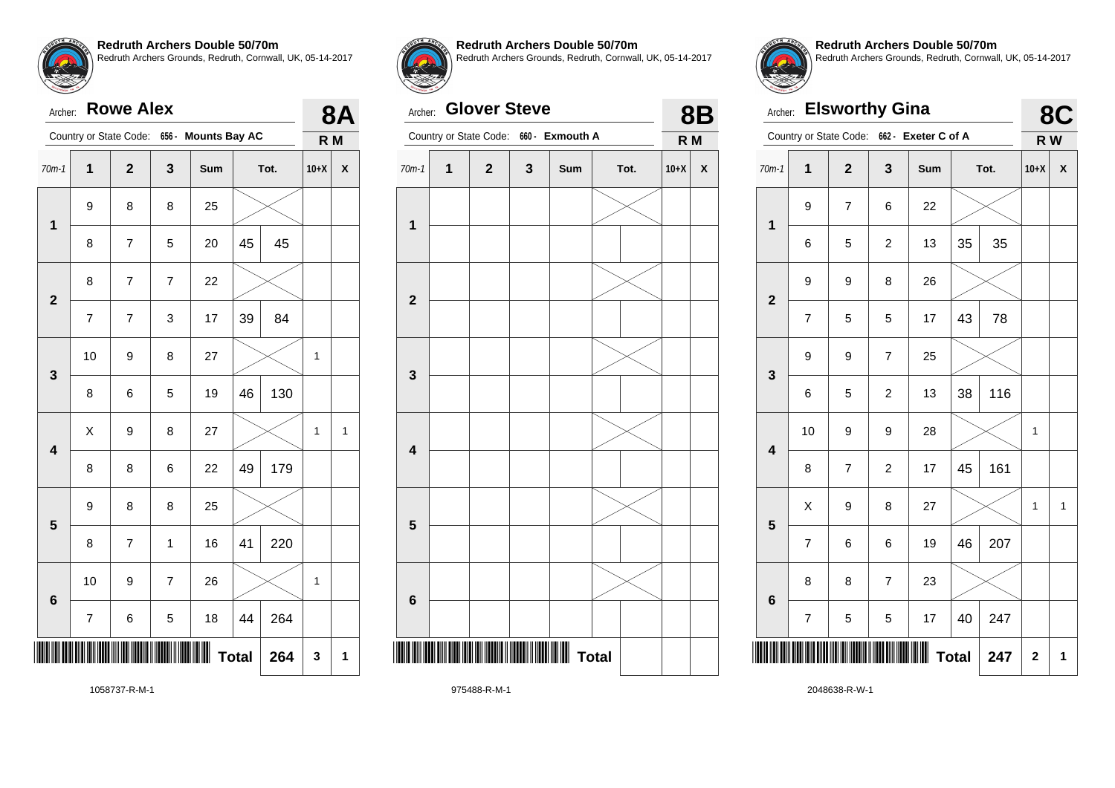**4**

**5**

**6**

Archer: **Rowe Alex**

**Redruth Archers Double 50/70m** Redruth Archers Grounds, Redruth, Cornwall, UK, 05-14-2017

| $70m-1$          | 1  | $\mathbf{2}$             | $\mathbf{3}$             | Sum |    | Tot. | $10+X$ | X |
|------------------|----|--------------------------|--------------------------|-----|----|------|--------|---|
| 1                | 9  | 8                        | 8                        | 25  |    |      |        |   |
|                  | 8  | $\overline{\mathbf{7}}$  | 5                        | 20  | 45 | 45   |        |   |
|                  | 8  | 7                        | $\overline{\mathcal{I}}$ | 22  |    |      |        |   |
| $\boldsymbol{2}$ | 7  | $\overline{\mathcal{I}}$ | $\mathbf 3$              | 17  | 39 | 84   |        |   |
|                  | 10 | 9                        | 8                        | 27  |    |      | 1      |   |
| $\mathbf{3}$     | 8  | 6                        | $\mathbf 5$              | 19  | 46 | 130  |        |   |

Country or State Code: **656 - Mounts Bay AC**



**8A**

**R M**

**Total 264 3 1**

 $\textsf{X} \hspace{.2cm} \vert \hspace{.1cm} 9 \hspace{.2cm} \vert \hspace{.1cm} 8 \hspace{.2cm} \vert \hspace{.1cm} 27 \hspace{.2cm} \vert \hspace{.1cm} \text{\textbf{\textbackslash}} \hspace{.1cm} \hspace{.1cm} \text{\textbackslash} \hspace{.1cm} 1 \hspace{.1cm} \vert \hspace{.1cm} 1$ 

8 8 6 22 49 179

 $8$  | 7 | 1 | 16 | 41 | 220

 $7 \mid 6 \mid 5 \mid 18 \mid 44 \mid 264$ 

10 | 9 | 7 | 26 |  $\times$  | 1

9 8 8 25

**Redruth Archers Double 50/70m**

Redruth Archers Grounds, Redruth, Cornwall, UK, 05-14-2017

#### Archer: **Glover Steve**

| Archer:                 |   | <b>Glover Steve</b> |              |                                        |      |        | <b>8B</b>                 |
|-------------------------|---|---------------------|--------------|----------------------------------------|------|--------|---------------------------|
|                         |   |                     |              | Country or State Code: 660 - Exmouth A |      | R M    |                           |
| $70m-1$                 | 1 | $\mathbf{2}$        | $\mathbf{3}$ | Sum                                    | Tot. | $10+X$ | $\boldsymbol{\mathsf{x}}$ |
| 1                       |   |                     |              |                                        |      |        |                           |
| $\mathbf{2}$            |   |                     |              |                                        |      |        |                           |
| 3                       |   |                     |              |                                        |      |        |                           |
| $\overline{\mathbf{4}}$ |   |                     |              |                                        |      |        |                           |
| 5                       |   |                     |              |                                        |      |        |                           |
| $6\phantom{1}$          |   |                     |              |                                        |      |        |                           |
| $\parallel$             |   |                     |              | M Total                                |      |        |                           |
|                         |   |                     |              |                                        |      |        |                           |



**Redruth Archers Double 50/70m** Redruth Archers Grounds, Redruth, Cornwall, UK, 05-14-2017

| Archer:                 |                          | <b>Elsworthy Gina</b> |                          |                                            |    |      | 8C     |   |
|-------------------------|--------------------------|-----------------------|--------------------------|--------------------------------------------|----|------|--------|---|
|                         |                          |                       |                          | Country or State Code: 662 - Exeter C of A |    |      | R W    |   |
| $70m-1$                 | 1                        | $\overline{2}$        | 3                        | <b>Sum</b>                                 |    | Tot. | $10+X$ | χ |
| $\overline{\mathbf{1}}$ | 9                        | $\overline{7}$        | 6                        | 22                                         |    |      |        |   |
|                         | 6                        | 5                     | $\overline{c}$           | 13                                         | 35 | 35   |        |   |
| $\overline{2}$          | 9                        | 9                     | 8                        | 26                                         |    |      |        |   |
|                         | $\overline{7}$           | 5                     | 5                        | 17                                         | 43 | 78   |        |   |
| 3                       | 9                        | 9                     | 7<br>25                  |                                            |    |      |        |   |
|                         | 6                        | 5                     | $\overline{c}$           | 13                                         | 38 | 116  |        |   |
| $\overline{\mathbf{4}}$ | 10                       | 9                     | 9                        | 28                                         |    |      | 1      |   |
|                         | 8                        | $\overline{7}$        | $\overline{c}$           | 17                                         | 45 | 161  |        |   |
| 5                       | X                        | 9                     | 8                        | 27                                         |    |      | 1      | 1 |
|                         | $\overline{7}$           | 6                     | 6                        | 19                                         | 46 | 207  |        |   |
| 6                       | 8                        | 8                     | $\overline{\mathcal{I}}$ | 23                                         |    |      |        |   |
|                         | $\overline{\mathcal{I}}$ | 5                     | 5                        | 17                                         | 40 | 247  |        |   |
|                         | <b>Total</b><br>247      |                       |                          |                                            |    |      |        |   |

1058737-R-M-1

\*1058737-R-M-1\*

975488-R-M-1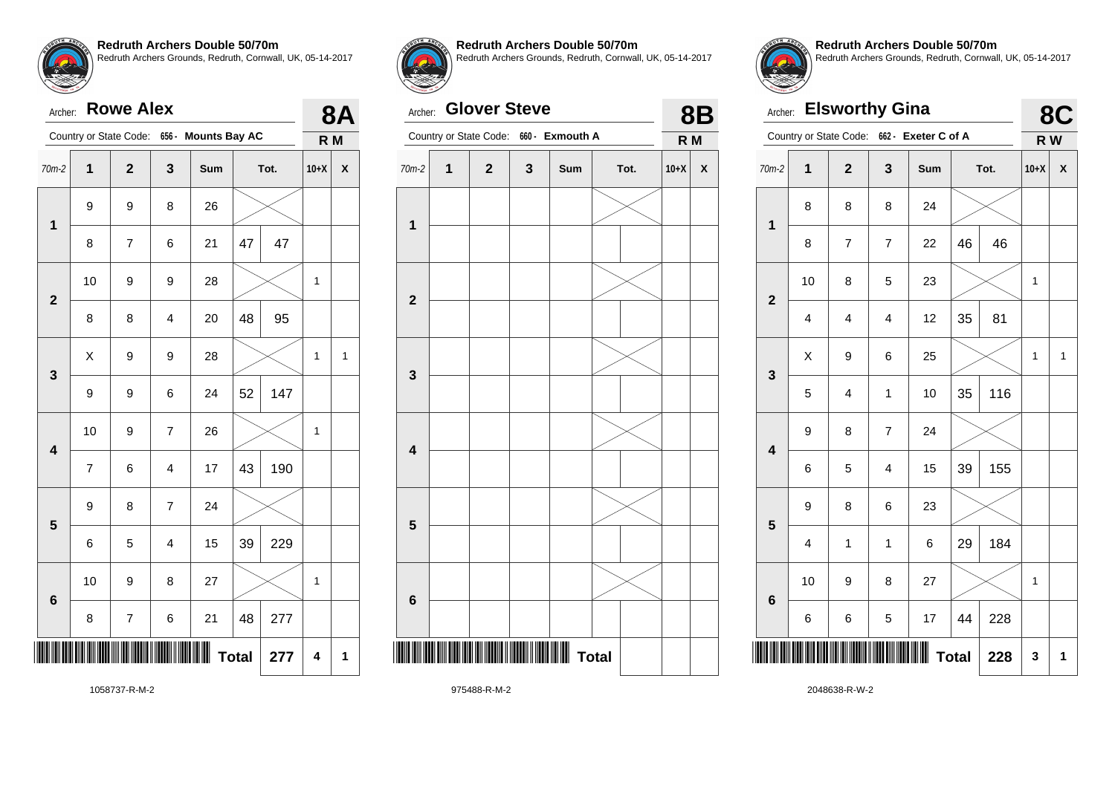|         | Archer: Rowe Alex |   |                                            |   |
|---------|-------------------|---|--------------------------------------------|---|
|         |                   |   | Country or State Code: 656 - Mounts Bay AC |   |
| $70m-2$ | 2                 | 3 | <b>Sum</b>                                 | г |

| $70m-2$                 | $\mathbf 1$              | $\mathbf 2$    | 3                       | Sum |              | Tot. | $10+X$       | $\boldsymbol{\mathsf{x}}$ |
|-------------------------|--------------------------|----------------|-------------------------|-----|--------------|------|--------------|---------------------------|
| $\mathbf 1$             | 9                        | 9              | 8                       | 26  |              |      |              |                           |
|                         | 8                        | 7              | 6                       | 21  | 47           | 47   |              |                           |
| $\mathbf{2}$            | 10                       | 9              | 9                       | 28  |              |      | $\mathbf{1}$ |                           |
|                         | 8                        | 8              | $\overline{\mathbf{4}}$ | 20  | 48           | 95   |              |                           |
| 3                       | $\pmb{\mathsf{X}}$       | 9              | 9                       | 28  |              |      | 1            | 1                         |
|                         | 9                        | 9              | 6                       | 24  | 52           | 147  |              |                           |
| $\overline{\mathbf{4}}$ | 10                       | 9              | $\boldsymbol{7}$        | 26  |              |      | $\mathbf{1}$ |                           |
|                         | $\overline{\mathcal{I}}$ | 6              | $\overline{\mathbf{4}}$ | 17  | 43           | 190  |              |                           |
| 5                       | 9                        | 8              | $\overline{\mathbf{7}}$ | 24  |              |      |              |                           |
|                         | 6                        | 5              | $\overline{\mathbf{4}}$ | 15  | 39           | 229  |              |                           |
| 6                       | $10$                     | 9              | 8                       | 27  |              |      | 1            |                           |
|                         | 8                        | $\overline{7}$ | 6                       | 21  | 48           | 277  |              |                           |
|                         |                          |                |                         |     | <b>Total</b> | 277  | 4            | 1                         |



**8A R M**

**Redruth Archers Double 50/70m**

Redruth Archers Grounds, Redruth, Cornwall, UK, 05-14-2017

#### Archer: **Glover Steve**

| Archer:                 |   | <b>Glover Steve</b>    |         |                  |      |        | <b>8B</b>                 |
|-------------------------|---|------------------------|---------|------------------|------|--------|---------------------------|
|                         |   | Country or State Code: | $660 -$ | <b>Exmouth A</b> |      | R M    |                           |
| $70m-2$                 | 1 | $\mathbf{2}$           | 3       | Sum              | Tot. | $10+X$ | $\boldsymbol{\mathsf{x}}$ |
| 1                       |   |                        |         |                  |      |        |                           |
|                         |   |                        |         |                  |      |        |                           |
| $\overline{\mathbf{2}}$ |   |                        |         |                  |      |        |                           |
| 3                       |   |                        |         |                  |      |        |                           |
| $\overline{\mathbf{4}}$ |   |                        |         |                  |      |        |                           |
| 5                       |   |                        |         |                  |      |        |                           |
|                         |   |                        |         |                  |      |        |                           |
| $6\phantom{1}6$         |   |                        |         |                  |      |        |                           |
| ║                       |   |                        |         | <b>W</b> Total   |      |        |                           |



**Redruth Archers Double 50/70m** Redruth Archers Grounds, Redruth, Cornwall, UK, 05-14-2017

| Archer:                 |                         | <b>Elsworthy Gina</b> |                |                                            |              |      |              | 8C |
|-------------------------|-------------------------|-----------------------|----------------|--------------------------------------------|--------------|------|--------------|----|
|                         |                         |                       |                | Country or State Code: 662 - Exeter C of A |              |      | R W          |    |
| $70m-2$                 | 1                       | $\overline{2}$        | 3              | Sum                                        |              | Tot. | $10+X$       | X  |
| $\overline{\mathbf{1}}$ | 8                       | 8                     | 8              | 24                                         |              |      |              |    |
|                         | 8                       | $\overline{7}$        | $\overline{7}$ | 22                                         | 46           | 46   |              |    |
| $\overline{2}$          | 10                      | 8                     | 5              | 23                                         |              |      | 1            |    |
|                         | 4                       | 4                     | 4              | 12                                         | 35           | 81   |              |    |
| 3                       | X                       | 9                     | 6              | 25                                         |              |      | 1            | 1  |
|                         | 5                       | 4                     | 1              | 10                                         | 35           | 116  |              |    |
| $\overline{\mathbf{4}}$ | 9                       | 8                     | 7              | 24                                         |              |      |              |    |
|                         | 6                       | 5                     | 4              | 15                                         | 39           | 155  |              |    |
| 5                       | 9                       | 8                     | 6              | 23                                         |              |      |              |    |
|                         | $\overline{\mathbf{4}}$ | 1                     | 1              | 6                                          | 29           | 184  |              |    |
| $6\phantom{a}$          | 10                      | 9                     | 8              | 27                                         |              |      | $\mathbf{1}$ |    |
|                         | 6                       | 6                     | 5              | 17                                         | 44           | 228  |              |    |
|                         |                         |                       |                |                                            | <b>Total</b> | 228  | 3            | 1  |

1058737-R-M-2

975488-R-M-2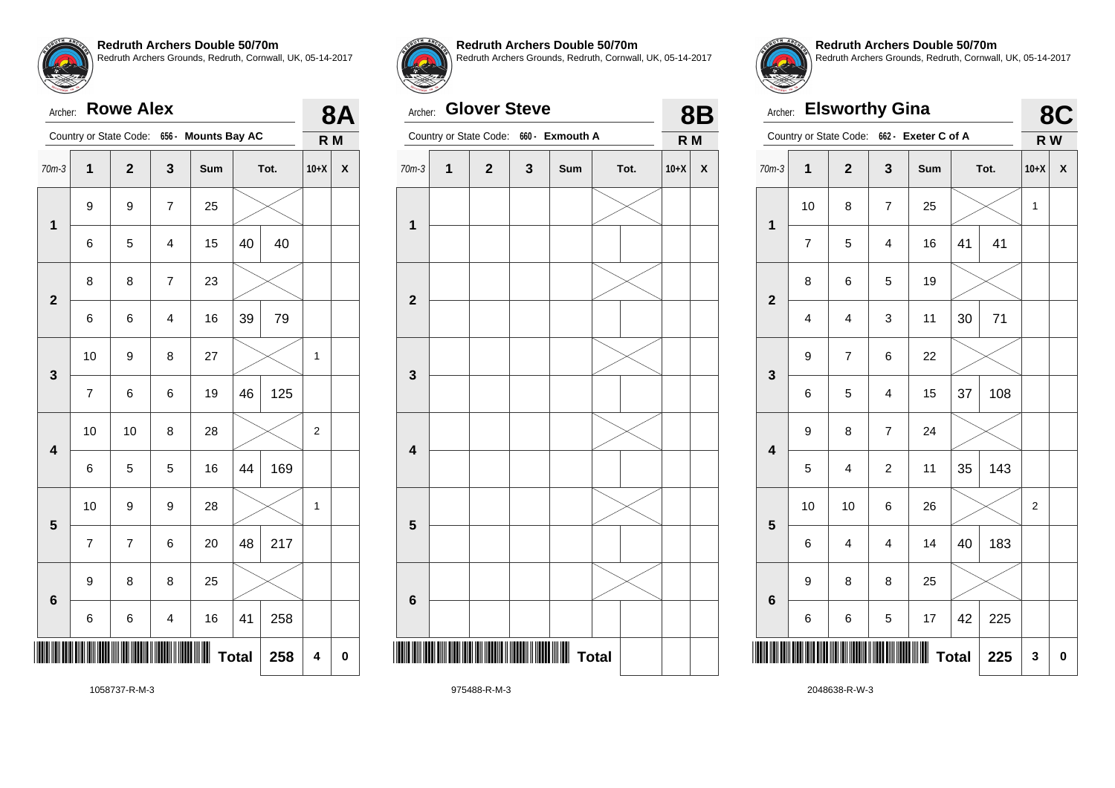**5**

**6**

Archer: **Rowe Alex**

**Redruth Archers Double 50/70m** Redruth Archers Grounds, Redruth, Cornwall, UK, 05-14-2017

| $70m-3$                 | $\mathbf{1}$            | $\mathbf 2$ | $\mathbf 3$             | Sum |    | Tot. | $10+X$      | $\boldsymbol{\mathsf{x}}$ |
|-------------------------|-------------------------|-------------|-------------------------|-----|----|------|-------------|---------------------------|
| $\mathbf 1$             | 9                       | 9           | $\boldsymbol{7}$        | 25  |    |      |             |                           |
|                         | 6                       | 5           | 4                       | 15  | 40 | 40   |             |                           |
| $\boldsymbol{2}$        | 8                       | 8           | $\boldsymbol{7}$        | 23  |    |      |             |                           |
|                         | 6                       | 6           | $\overline{\mathbf{4}}$ | 16  | 39 | 79   |             |                           |
| $\mathbf{3}$            | $10$                    | 9           | 8                       | 27  |    |      | 1           |                           |
|                         | $\overline{\mathbf{7}}$ | 6           | 6                       | 19  | 46 | 125  |             |                           |
| $\overline{\mathbf{4}}$ | 10                      | $10$        | 8                       | 28  |    |      | $\mathbf 2$ |                           |
|                         | 6                       | $\mathbf 5$ | $\mathbf 5$             | 16  | 44 | 169  |             |                           |
|                         |                         |             |                         |     |    |      |             |                           |

10 | 9 | 9 | 28 |  $\times$  | 1

 $7 \mid 7 \mid 6 \mid 20 \mid 48 \mid 217$ 

 $6 \mid 6 \mid 4 \mid 16 \mid 41 \mid 258$ 

 $Total | 258 | 4 | 0$ 

9 8 8 25

Country or State Code: **656 - Mounts Bay AC**



**8A**

**R M**

**Redruth Archers Double 50/70m**

Redruth Archers Grounds, Redruth, Cornwall, UK, 05-14-2017

#### Archer: **Glover Steve**





**8B**

**Redruth Archers Double 50/70m** Redruth Archers Grounds, Redruth, Cornwall, UK, 05-14-2017

| Archer:                 |                | <b>Elsworthy Gina</b>   |                         |                                            |              |      |        | 8C |
|-------------------------|----------------|-------------------------|-------------------------|--------------------------------------------|--------------|------|--------|----|
|                         |                |                         |                         | Country or State Code: 662 - Exeter C of A |              |      | R W    |    |
| $70m-3$                 | 1              | $\overline{2}$          | 3                       | Sum                                        |              | Tot. | $10+X$ | χ  |
| $\overline{\mathbf{1}}$ | 10             | 8                       | $\overline{\mathbf{7}}$ | 25                                         |              |      | 1      |    |
|                         | $\overline{7}$ | 5                       | $\overline{\mathbf{4}}$ | 16                                         | 41           | 41   |        |    |
| $\overline{\mathbf{2}}$ | 8              | 6                       | 5                       | 19                                         |              |      |        |    |
|                         | 4              | 4                       | 3                       | 11                                         | 30           | 71   |        |    |
| 3                       | 9              | $\overline{7}$          | 6                       | 22                                         |              |      |        |    |
|                         | 6              | 5                       | $\overline{4}$          | 15                                         | 37           | 108  |        |    |
| $\overline{\mathbf{4}}$ | 9              | 8                       | $\overline{\mathbf{7}}$ | 24                                         |              |      |        |    |
|                         | 5              | $\overline{\mathbf{4}}$ | $\overline{c}$          | 11                                         | 35           | 143  |        |    |
| 5                       | 10             | 10                      | 6                       | 26                                         |              |      | 2      |    |
|                         | 6              | 4                       | $\overline{\mathbf{4}}$ | 14                                         | 40           | 183  |        |    |
| $6\phantom{a}$          | 9              | 8                       | 8                       | 25                                         |              |      |        |    |
|                         | 6              | 6                       | 5                       | 17                                         | 42           | 225  |        |    |
|                         |                |                         |                         |                                            | <b>Total</b> | 225  | 3      | 0  |

1058737-R-M-3

\*1058737-R-M-3\*

975488-R-M-3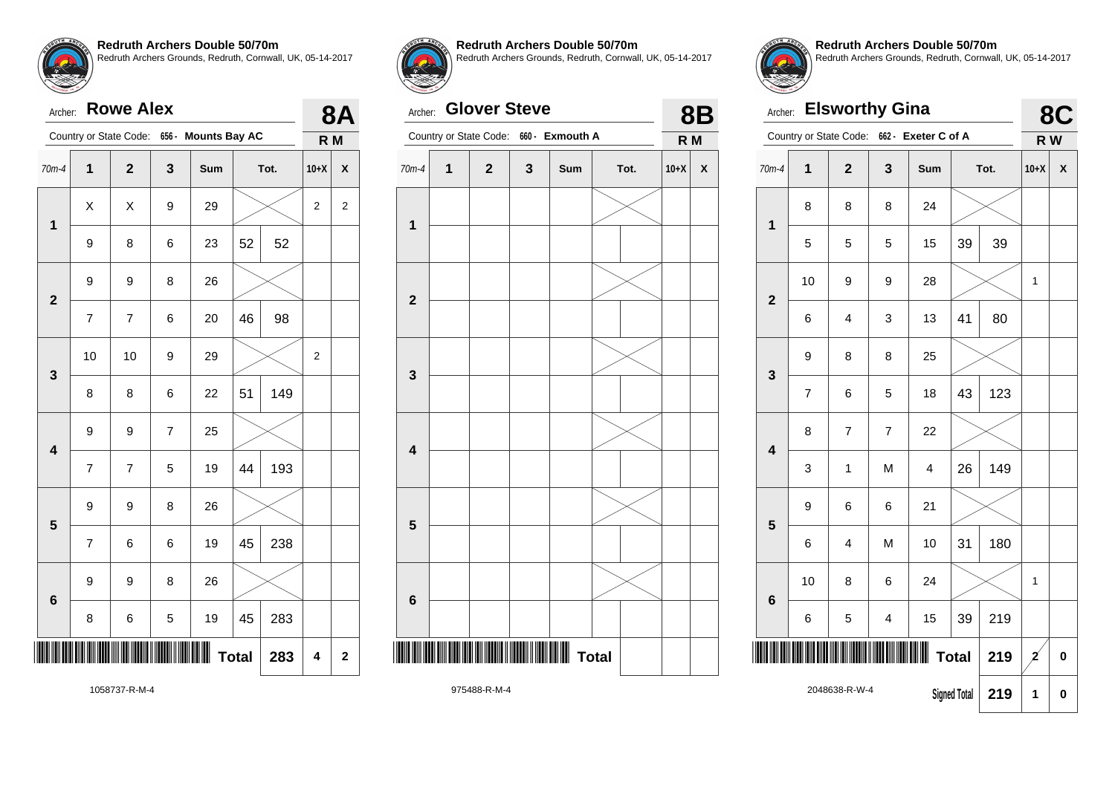Archer: **Rowe Alex**

**Redruth Archers Double 50/70m** Redruth Archers Grounds, Redruth, Cornwall, UK, 05-14-2017

|                         |                         |                         |             | Country or State Code: 656 - Mounts Bay AC |    |      |                         | R M                     |
|-------------------------|-------------------------|-------------------------|-------------|--------------------------------------------|----|------|-------------------------|-------------------------|
| 70m-4                   | 1                       | $\overline{\mathbf{2}}$ | $\mathbf 3$ | Sum                                        |    | Tot. | $10+X$                  | X                       |
|                         | X                       | Χ                       | 9           | 29                                         |    |      | $\overline{\mathbf{c}}$ | $\overline{\mathbf{c}}$ |
| 1                       | 9                       | 8                       | 6           | 23                                         | 52 | 52   |                         |                         |
| $\mathbf{2}$            | 9                       | 9                       | 8           | 26                                         |    |      |                         |                         |
|                         | 7                       | $\overline{\mathbf{7}}$ | 6           | 20                                         | 46 | 98   |                         |                         |
| $\mathbf{3}$            | 10                      | 10                      | 9           | 29                                         |    |      | $\overline{\mathbf{c}}$ |                         |
|                         | 8                       | 8                       | 6           | 22                                         | 51 | 149  |                         |                         |
| 4                       | 9                       | 9                       | 7           | 25                                         |    |      |                         |                         |
|                         | 7                       | $\overline{\mathbf{7}}$ | 5           | 19                                         | 44 | 193  |                         |                         |
| $\overline{\mathbf{5}}$ | 9                       | 9                       | 8           | 26                                         |    |      |                         |                         |
|                         | $\overline{\mathbf{7}}$ | 6                       | 6           | 19                                         | 45 | 238  |                         |                         |



**8A R M**

**Redruth Archers Double 50/70m**

Redruth Archers Grounds, Redruth, Cornwall, UK, 05-14-2017

#### Archer: **Glover Steve**

| Archer:                 |   | <b>Glover Steve</b> |   |                                        |              |        | <b>8B</b> |
|-------------------------|---|---------------------|---|----------------------------------------|--------------|--------|-----------|
|                         |   |                     |   | Country or State Code: 660 - Exmouth A |              | R M    |           |
| $70m-4$                 | 1 | $\mathbf 2$         | 3 | Sum                                    | Tot.         | $10+X$ | X         |
| 1                       |   |                     |   |                                        |              |        |           |
| $\mathbf{2}$            |   |                     |   |                                        |              |        |           |
| 3                       |   |                     |   |                                        |              |        |           |
| $\overline{\mathbf{4}}$ |   |                     |   |                                        |              |        |           |
| 5                       |   |                     |   |                                        |              |        |           |
| 6                       |   |                     |   |                                        |              |        |           |
| II                      |   |                     |   |                                        | <b>Total</b> |        |           |
|                         |   | 075499 D M 4        |   |                                        |              |        |           |



**Redruth Archers Double 50/70m** Redruth Archers Grounds, Redruth, Cornwall, UK, 05-14-2017

| Archer:                 |                        |                | <b>Elsworthy Gina</b>   |                         |                     |      |              | 8C |  |
|-------------------------|------------------------|----------------|-------------------------|-------------------------|---------------------|------|--------------|----|--|
|                         | Country or State Code: |                |                         | 662 - Exeter C of A     |                     |      | R W          |    |  |
| $70m-4$                 | $\mathbf 1$            | $\overline{2}$ | 3                       | Sum                     |                     | Tot. | $10+X$       | X  |  |
| 1                       | 8                      | 8              | 8                       | 24                      |                     |      |              |    |  |
|                         | 5                      | 5              | 5                       | 15                      | 39                  | 39   |              |    |  |
| $\overline{2}$          | 10                     | 9              | 9                       | 28                      |                     |      | 1            |    |  |
|                         | 6                      | 4              | 3                       | 13                      | 41                  | 80   |              |    |  |
| 3                       | 9                      | 8              | 8                       | 25                      |                     |      |              |    |  |
|                         | $\overline{7}$         | 6              | 5                       | 18                      | 43                  | 123  |              |    |  |
| $\overline{\mathbf{4}}$ | 8                      | 7              | $\overline{7}$          | 22                      |                     |      |              |    |  |
|                         | 3                      | $\mathbf{1}$   | M                       | $\overline{\mathbf{4}}$ | 26                  | 149  |              |    |  |
| 5                       | 9                      | 6              | 6                       | 21                      |                     |      |              |    |  |
|                         | 6                      | 4              | M                       | 10                      | 31                  | 180  |              |    |  |
| $6\phantom{1}$          | 10                     | 8              | 6                       | 24                      |                     |      | 1            |    |  |
|                         | 6                      | 5              | $\overline{\mathbf{4}}$ | 15                      | 39                  | 219  |              |    |  |
|                         |                        |                |                         |                         | <b>Total</b>        | 219  | $\mathbf{z}$ | 0  |  |
|                         |                        | 2048638-R-W-4  |                         |                         | <b>Signed Total</b> | 219  | 1            | 0  |  |

1058737-R-M-4

9 9 8 26

8 6 5 19 45 283

\*1058737-R-M-4\*

 $Total | 283 | 4 | 2$ 

**6**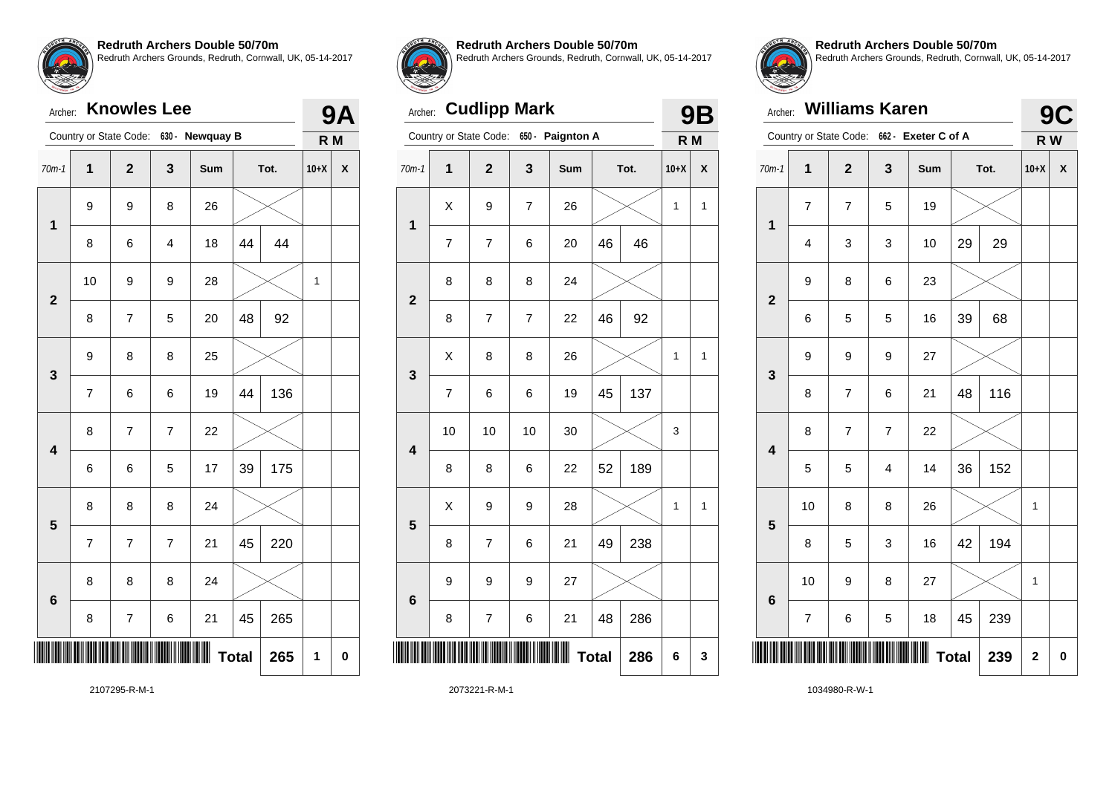## Archer: **Knowles Lee**

|                         |                          | Country or State Code:  | $630 -$        | <b>Newquay B</b> |              |      | R M    |   |
|-------------------------|--------------------------|-------------------------|----------------|------------------|--------------|------|--------|---|
| $70m-1$                 | $\overline{\mathbf{1}}$  | $\mathbf{2}$            | $\mathbf{3}$   | Sum              |              | Tot. | $10+X$ | X |
| 1                       | 9                        | 9                       | 8              | 26               |              |      |        |   |
|                         | 8                        | 6                       | 4              | 18               | 44           | 44   |        |   |
| $\overline{2}$          | 10                       | 9                       | 9              | 28               |              |      | 1      |   |
|                         | 8                        | 7                       | 5              | 20               | 48           | 92   |        |   |
| 3                       | 9                        | 8                       | 8              | 25               |              |      |        |   |
|                         | $\overline{\mathcal{I}}$ | 6                       | 6              | 19               | 44           | 136  |        |   |
| $\overline{\mathbf{4}}$ | 8                        | 7                       | $\overline{7}$ | 22               |              |      |        |   |
|                         | 6                        | 6                       | 5              | 17               | 39           | 175  |        |   |
| 5                       | 8                        | 8                       | 8              | 24               |              |      |        |   |
|                         | $\overline{7}$           | $\overline{\mathbf{7}}$ | $\overline{7}$ | 21               | 45           | 220  |        |   |
|                         | 8                        | 8                       | 8              | 24               |              |      |        |   |
| 6                       | 8                        | 7                       | 6              | 21               | 45           | 265  |        |   |
|                         |                          |                         |                |                  | <b>Total</b> | 265  | 1      | 0 |



**9A**

**Redruth Archers Double 50/70m**

Redruth Archers Grounds, Redruth, Cornwall, UK, 05-14-2017

### Archer: **Cudlipp Mark**

|                         |                | Country or State Code: | $650 -$        | <b>Paignton A</b> |              |      | R M    |   |
|-------------------------|----------------|------------------------|----------------|-------------------|--------------|------|--------|---|
| $70m-1$                 | $\overline{1}$ | $\overline{2}$         | 3              | Sum               |              | Tot. | $10+X$ | X |
| $\mathbf 1$             | Χ              | 9                      | $\overline{7}$ | 26                |              |      | 1      | 1 |
|                         | $\overline{7}$ | 7                      | 6              | 20                | 46           | 46   |        |   |
| $\overline{2}$          | 8              | 8                      | 8              | 24                |              |      |        |   |
|                         | 8              | 7                      | 7              | 22                | 46           | 92   |        |   |
| 3                       | Χ              | 8                      | 8              | 26                |              |      | 1      | 1 |
|                         | 7              | 6                      | 6              | 19                | 45           | 137  |        |   |
| $\overline{\mathbf{4}}$ | 10             | 10                     | 10             | 30                |              |      | 3      |   |
|                         | 8              | 8                      | 6              | 22                | 52           | 189  |        |   |
| 5                       | X              | 9                      | 9              | 28                |              |      | 1      | 1 |
|                         | 8              | 7                      | 6              | 21                | 49           | 238  |        |   |
| $6\phantom{a}$          | 9              | 9                      | 9              | 27                |              |      |        |   |
|                         | 8              | 7                      | 6              | 21                | 48           | 286  |        |   |
|                         |                |                        |                | Ш                 | <b>Total</b> | 286  | 6      | 3 |
|                         |                |                        |                |                   |              |      |        |   |



**9B**

**Redruth Archers Double 50/70m** Redruth Archers Grounds, Redruth, Cornwall, UK, 05-14-2017

| Archer:                 |                         | <b>Williams Karen</b>  |                |                     |              |      |                         | 9C        |
|-------------------------|-------------------------|------------------------|----------------|---------------------|--------------|------|-------------------------|-----------|
|                         |                         | Country or State Code: |                | 662 - Exeter C of A |              |      | R W                     |           |
| $70m-1$                 | $\mathbf 1$             | $\overline{2}$         | 3              | Sum                 |              | Tot. | $10+X$                  | X         |
| 1                       | 7                       | 7                      | 5              | 19                  |              |      |                         |           |
|                         | $\overline{\mathbf{4}}$ | 3                      | 3              | 10                  | 29           | 29   |                         |           |
| $\overline{2}$          | 9                       | 8                      | 6              | 23                  |              |      |                         |           |
|                         | 6                       | 5                      | 5              | 16                  | 39           | 68   |                         |           |
| 3                       | 9                       | 9                      | 9              | 27                  |              |      |                         |           |
|                         | 8                       | $\overline{7}$         | 6              | 21                  | 48           | 116  |                         |           |
| $\overline{\mathbf{4}}$ | 8                       | $\overline{7}$         | $\overline{7}$ | 22                  |              |      |                         |           |
|                         | 5                       | 5                      | 4              | 14                  | 36           | 152  |                         |           |
| 5                       | 10                      | 8                      | 8              | 26                  |              |      | 1                       |           |
|                         | 8                       | 5                      | 3              | 16                  | 42           | 194  |                         |           |
| $6\phantom{1}6$         | 10                      | 9                      | 8              | 27                  |              |      | 1                       |           |
|                         | 7                       | 6                      | 5              | 18                  | 45           | 239  |                         |           |
|                         |                         |                        |                |                     | <b>Total</b> | 239  | $\overline{\mathbf{2}}$ | $\pmb{0}$ |

2107295-R-M-1

2073221-R-M-1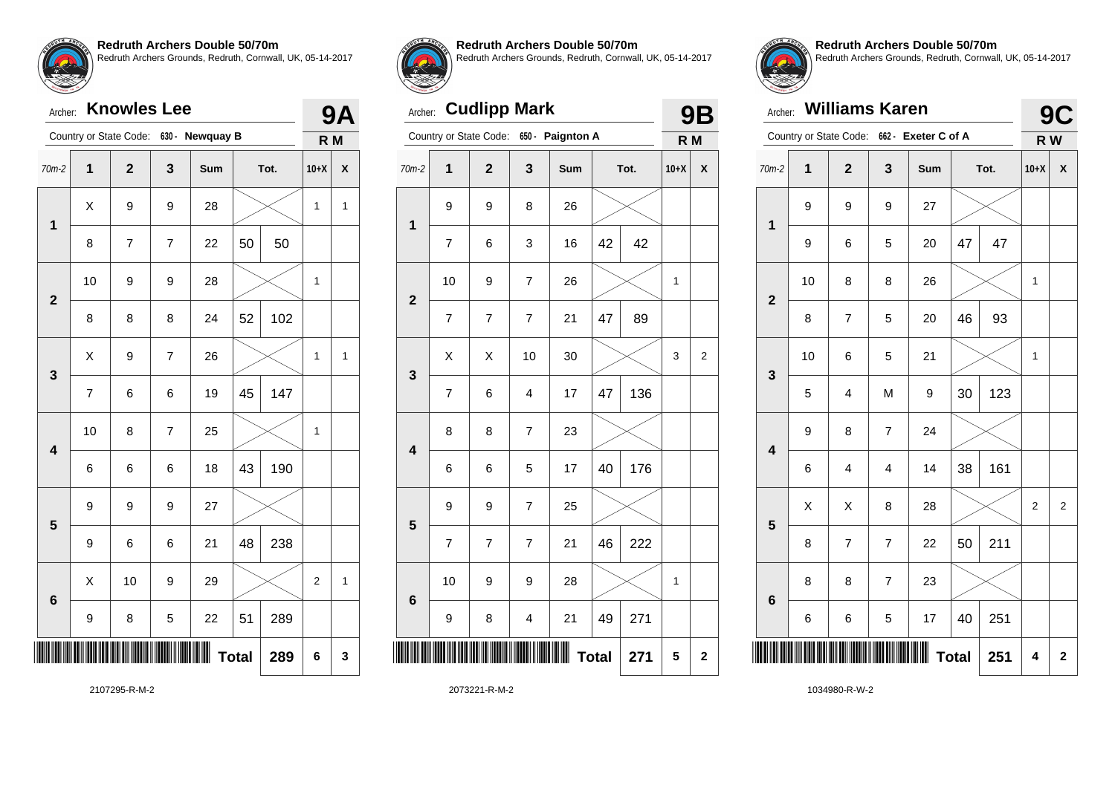## Archer: **Knowles Lee**

|                         |                | Country or State Code: |                          | 630 - Newquay B |              |      | R M          |              |
|-------------------------|----------------|------------------------|--------------------------|-----------------|--------------|------|--------------|--------------|
| $70m-2$                 | $\mathbf{1}$   | $\mathbf{2}$           | 3                        | Sum             |              | Tot. | $10+X$       | X            |
| $\overline{\mathbf{1}}$ | X              | 9                      | 9                        | 28              |              |      | $\mathbf{1}$ | $\mathbf{1}$ |
|                         | 8              | 7                      | $\overline{7}$           | 22              | 50           | 50   |              |              |
| $\overline{2}$          | 10             | 9                      | 9                        | 28              |              |      | 1            |              |
|                         | 8              | 8                      | 8                        | 24              | 52           | 102  |              |              |
| 3                       | X              | 9                      | $\overline{\mathcal{I}}$ | 26              |              |      | 1            | $\mathbf{1}$ |
|                         | $\overline{7}$ | 6                      | 6                        | 19              | 45           | 147  |              |              |
| $\overline{\mathbf{4}}$ | 10             | 8                      | $\overline{7}$           | 25              |              |      | $\mathbf{1}$ |              |
|                         | 6              | 6                      | 6                        | 18              | 43           | 190  |              |              |
| 5                       | 9              | 9                      | 9                        | 27              |              |      |              |              |
|                         | 9              | 6                      | 6                        | 21              | 48           | 238  |              |              |
| 6                       | X              | 10                     | 9                        | 29              |              |      | 2            | $\mathbf{1}$ |
|                         | 9              | 8                      | 5                        | 22              | 51           | 289  |              |              |
|                         |                |                        |                          |                 | <b>Total</b> | 289  | 6            | 3            |



**9A**

**Redruth Archers Double 50/70m**

Redruth Archers Grounds, Redruth, Cornwall, UK, 05-14-2017

### Archer: **Cudlipp Mark**

|                         |                          | Country or State Code: | $650 -$                 | <b>Paignton A</b> |              |      | R <sub>M</sub> |                         |
|-------------------------|--------------------------|------------------------|-------------------------|-------------------|--------------|------|----------------|-------------------------|
| $70m-2$                 | 1                        | $\overline{2}$         | 3                       | Sum               |              | Tot. | $10+X$         | χ                       |
| 1                       | 9                        | 9                      | 8                       | 26                |              |      |                |                         |
|                         | $\overline{\mathcal{I}}$ | 6                      | 3                       | 16                | 42           | 42   |                |                         |
| $\overline{\mathbf{2}}$ | 10                       | 9                      | $\overline{7}$          | 26                |              |      | $\mathbf 1$    |                         |
|                         | $\overline{7}$           | 7                      | $\overline{7}$          | 21                | 47           | 89   |                |                         |
| 3                       | X                        | X                      | 10                      | 30                |              |      | 3              | $\overline{\mathbf{c}}$ |
|                         | $\overline{7}$           | 6                      | $\overline{\mathbf{4}}$ | 17                | 47           | 136  |                |                         |
| $\overline{\mathbf{4}}$ | 8                        | 8                      | $\overline{7}$          | 23                |              |      |                |                         |
|                         | 6                        | 6                      | 5                       | 17                | 40           | 176  |                |                         |
| 5                       | 9                        | 9                      | $\overline{7}$          | 25                |              |      |                |                         |
|                         | 7                        | 7                      | $\overline{7}$          | 21                | 46           | 222  |                |                         |
| $6\phantom{1}6$         | 10                       | 9                      | 9                       | 28                |              |      | $\mathbf 1$    |                         |
|                         | 9                        | 8                      | 4                       | 21                | 49           | 271  |                |                         |
| ║                       |                          |                        |                         | Ш                 | <b>Total</b> | 271  | 5              | $\mathbf 2$             |
|                         |                          |                        |                         |                   |              |      |                |                         |



**9B**

**Redruth Archers Double 50/70m** Redruth Archers Grounds, Redruth, Cornwall, UK, 05-14-2017

| Archer:                 |             | <b>Williams Karen</b>  |                |                     |              |      | <b>9C</b> |                |
|-------------------------|-------------|------------------------|----------------|---------------------|--------------|------|-----------|----------------|
|                         |             | Country or State Code: |                | 662 - Exeter C of A |              |      | R W       |                |
| $70m-2$                 | $\mathbf 1$ | $\overline{2}$         | 3              | Sum                 |              | Tot. | $10+X$    | X              |
| 1                       | 9           | 9                      | 9              | 27                  |              |      |           |                |
|                         | 9           | 6                      | 5              | 20                  | 47           | 47   |           |                |
| $\overline{2}$          | 10          | 8                      | 8              | 26                  |              |      | 1         |                |
|                         | 8           | 7                      | 5              | 20                  | 46           | 93   |           |                |
| 3                       | 10          | 6                      | 5              | 21                  |              |      | 1         |                |
|                         | 5           | $\overline{4}$         | M              | 9                   | 30           | 123  |           |                |
| $\overline{\mathbf{4}}$ | 9           | 8                      | $\overline{7}$ | 24                  |              |      |           |                |
|                         | 6           | 4                      | 4              | 14                  | 38           | 161  |           |                |
| 5                       | X           | Χ                      | 8              | 28                  |              |      | 2         | $\overline{2}$ |
|                         | 8           | $\overline{7}$         | $\overline{7}$ | 22                  | 50           | 211  |           |                |
| $6\phantom{1}6$         | 8           | 8                      | $\overline{7}$ | 23                  |              |      |           |                |
|                         | 6           | 6                      | 5              | 17                  | 40           | 251  |           |                |
|                         |             |                        |                |                     | <b>Total</b> | 251  | 4         | $\mathbf 2$    |

2107295-R-M-2

2073221-R-M-2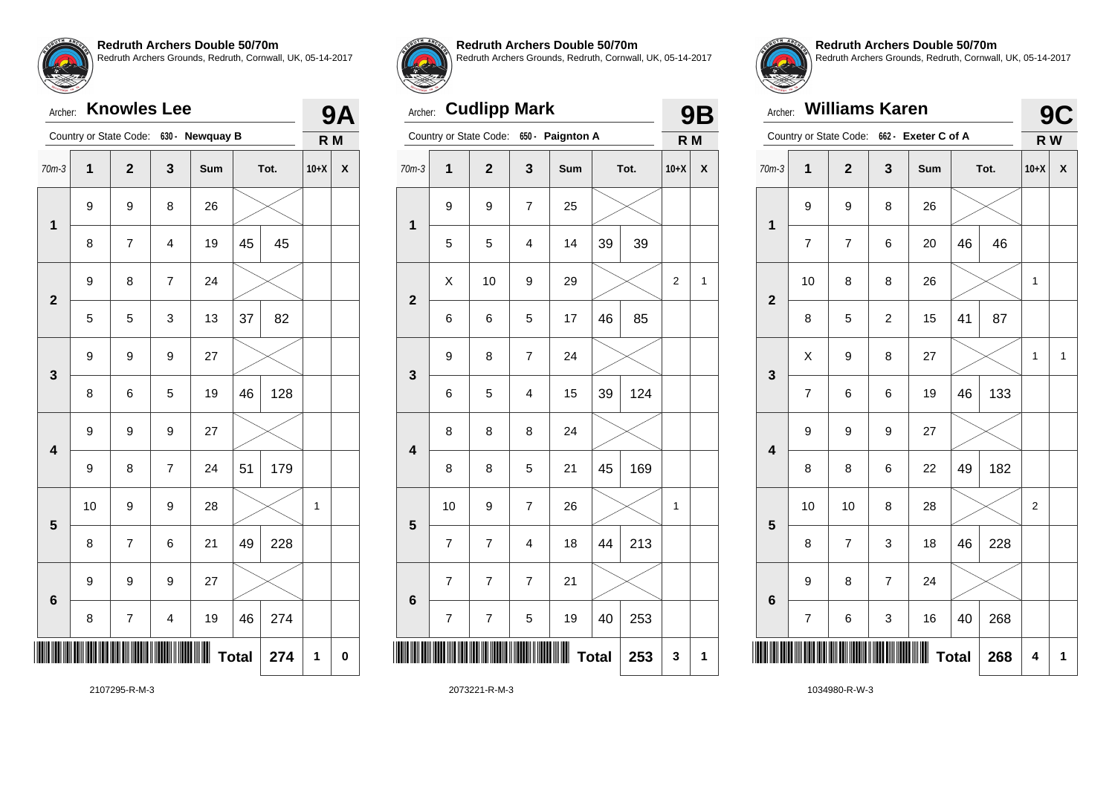## Archer: **Knowles Lee**

|                         |    | Country or State Code:   |                         | 630 - Newquay B |              |      | R M    |             |
|-------------------------|----|--------------------------|-------------------------|-----------------|--------------|------|--------|-------------|
| $70m-3$                 | 1  | $\mathbf{2}$             | 3                       | Sum             |              | Tot. | $10+X$ | X           |
| $\overline{\mathbf{1}}$ | 9  | 9                        | 8                       | 26              |              |      |        |             |
|                         | 8  | 7                        | 4                       | 19              | 45           | 45   |        |             |
| $\overline{\mathbf{2}}$ | 9  | 8                        | $\overline{\mathbf{7}}$ | 24              |              |      |        |             |
|                         | 5  | 5                        | 3                       | 13              | 37           | 82   |        |             |
| 3                       | 9  | 9                        | 9                       | 27              |              |      |        |             |
|                         | 8  | 6                        | 5                       | 19              | 46           | 128  |        |             |
| $\overline{\mathbf{4}}$ | 9  | 9                        | 9                       | 27              |              |      |        |             |
|                         | 9  | 8                        | $\overline{\mathbf{7}}$ | 24              | 51           | 179  |        |             |
| 5                       | 10 | 9                        | 9                       | 28              |              |      | 1      |             |
|                         | 8  | $\overline{\mathcal{I}}$ | 6                       | 21              | 49           | 228  |        |             |
| 6                       | 9  | 9                        | 9                       | 27              |              |      |        |             |
|                         | 8  | $\overline{7}$           | $\overline{\mathbf{4}}$ | 19              | 46           | 274  |        |             |
|                         |    |                          |                         |                 | <b>Total</b> | 274  | 1      | $\mathbf 0$ |



**9A**

#### **Redruth Archers Double 50/70m**

Redruth Archers Grounds, Redruth, Cornwall, UK, 05-14-2017

### Archer: **Cudlipp Mark**

|                 |                         | Country or State Code: | $650 -$        | <b>Paignton A</b> |              |      | R M         |   |
|-----------------|-------------------------|------------------------|----------------|-------------------|--------------|------|-------------|---|
| $70m-3$         | $\overline{\mathbf{1}}$ | $\overline{2}$         | 3              | Sum               |              | Tot. | $10+X$      | X |
| $\mathbf 1$     | 9                       | 9                      | $\overline{7}$ | 25                |              |      |             |   |
|                 | 5                       | 5                      | $\overline{4}$ | 14                | 39           | 39   |             |   |
| $\overline{2}$  | Χ                       | 10                     | 9              | 29                |              |      | $\mathbf 2$ | 1 |
|                 | 6                       | 6                      | 5              | 17                | 46           | 85   |             |   |
| 3               | 9                       | 8                      | $\overline{7}$ | 24                |              |      |             |   |
|                 | 6                       | 5                      | 4              | 15                | 39           | 124  |             |   |
| 4               | 8                       | 8                      | 8              | 24                |              |      |             |   |
|                 | 8                       | 8                      | 5              | 21                | 45           | 169  |             |   |
| 5               | 10                      | 9                      | 7              | 26                |              |      | 1           |   |
|                 | $\overline{7}$          | $\overline{7}$         | 4              | 18                | 44           | 213  |             |   |
| $6\phantom{1}6$ | $\overline{7}$          | $\overline{7}$         | $\overline{7}$ | 21                |              |      |             |   |
|                 | $\overline{7}$          | 7                      | 5              | 19                | 40           | 253  |             |   |
|                 |                         |                        |                | Ш                 | <b>Total</b> | 253  | 3           | 1 |
|                 |                         |                        |                |                   |              |      |             |   |



**9B**

**Redruth Archers Double 50/70m** Redruth Archers Grounds, Redruth, Cornwall, UK, 05-14-2017

| TAYEMON YM<br>Archer: |                         | <b>Williams Karen</b>   |                |                     |              |      |        | <b>9C</b>    |
|-----------------------|-------------------------|-------------------------|----------------|---------------------|--------------|------|--------|--------------|
|                       |                         | Country or State Code:  |                | 662 - Exeter C of A |              |      | R W    |              |
| $70m-3$               | $\mathbf 1$             | $\overline{\mathbf{2}}$ | 3              | Sum                 |              | Tot. | $10+X$ | X            |
| 1                     | 9                       | 9                       | 8              | 26                  |              |      |        |              |
|                       | 7                       | 7                       | 6              | 20                  | 46           | 46   |        |              |
| $\overline{2}$        | 10                      | 8                       | 8              | 26                  |              |      | 1      |              |
|                       | 8                       | 5                       | $\overline{c}$ | 15                  | 41           | 87   |        |              |
| 3                     | X                       | 9                       | 8              | 27                  |              |      | 1      | $\mathbf{1}$ |
|                       | 7                       | 6                       | 6              | 19                  | 46           | 133  |        |              |
| 4                     | 9                       | 9                       | 9              | 27                  |              |      |        |              |
|                       | 8                       | 8                       | 6              | 22                  | 49           | 182  |        |              |
| 5                     | 10                      | 10                      | 8              | 28                  |              |      | 2      |              |
|                       | 8                       | $\overline{7}$          | 3              | 18                  | 46           | 228  |        |              |
| $6\phantom{1}6$       | 9                       | 8                       | $\overline{7}$ | 24                  |              |      |        |              |
|                       | $\overline{\mathbf{7}}$ | 6                       | 3              | 16                  | 40           | 268  |        |              |
|                       |                         |                         |                |                     | <b>Total</b> | 268  | 4      | 1            |

2107295-R-M-3

2073221-R-M-3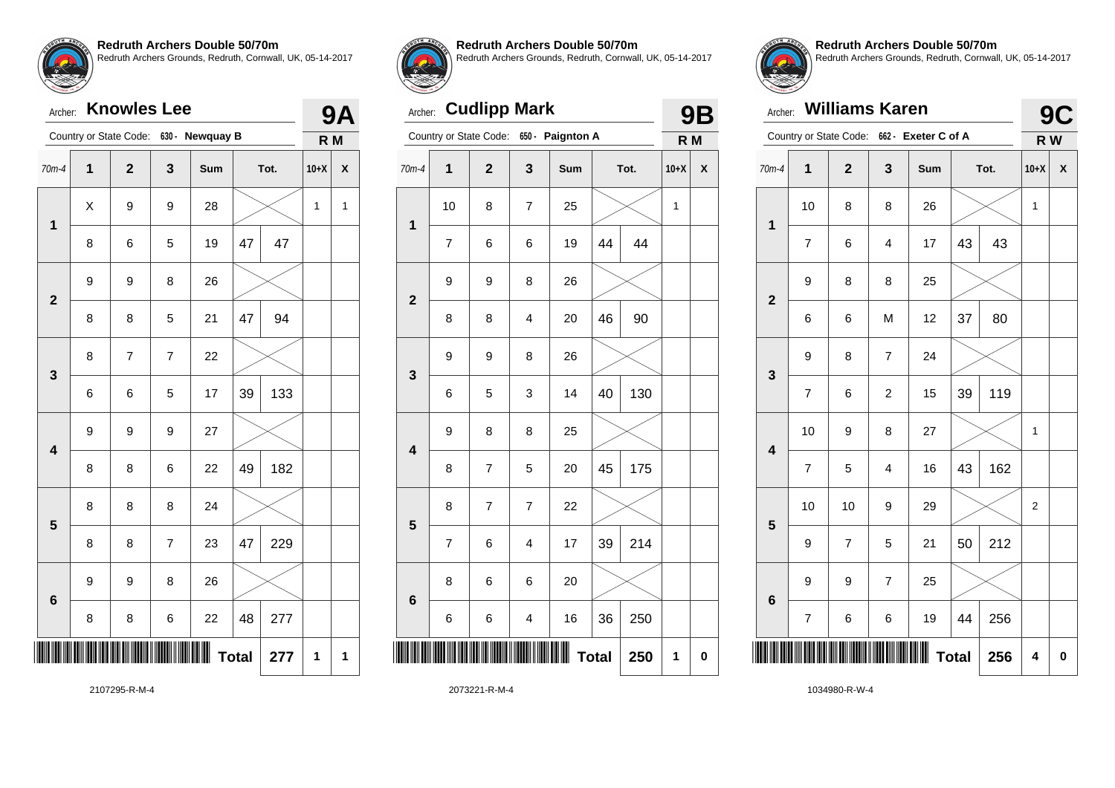## Archer: **Knowles Lee**

| 630 - Newquay B<br>Country or State Code: |   |                |                | R M |    |      |        |              |
|-------------------------------------------|---|----------------|----------------|-----|----|------|--------|--------------|
| 70m-4                                     | 1 | $\mathbf{2}$   | 3              | Sum |    | Tot. | $10+X$ | X            |
| $\overline{\mathbf{1}}$                   | Χ | 9              | 9              | 28  |    |      | 1      | $\mathbf{1}$ |
|                                           | 8 | 6              | 5              | 19  | 47 | 47   |        |              |
| $\overline{\mathbf{2}}$                   | 9 | 9              | 8              | 26  |    |      |        |              |
|                                           | 8 | 8              | 5              | 21  | 47 | 94   |        |              |
| 3                                         | 8 | $\overline{7}$ | $\overline{7}$ | 22  |    |      |        |              |
|                                           | 6 | 6              | 5              | 17  | 39 | 133  |        |              |
| $\overline{\mathbf{4}}$                   | 9 | 9              | 9              | 27  |    |      |        |              |
|                                           | 8 | 8              | 6              | 22  | 49 | 182  |        |              |
| 5                                         | 8 | 8              | 8              | 24  |    |      |        |              |
|                                           | 8 | 8              | $\overline{7}$ | 23  | 47 | 229  |        |              |
| 6                                         | 9 | 9              | 8              | 26  |    |      |        |              |
|                                           | 8 | 8              | 6              | 22  | 48 | 277  |        |              |
| ║                                         |   | <b>Total</b>   | 277            | 1   | 1  |      |        |              |



**9A**

**Redruth Archers Double 50/70m**

Redruth Archers Grounds, Redruth, Cornwall, UK, 05-14-2017

# Archer: **Cudlipp Mark**

|                         |                          | Country or State Code: | $650 -$                  | <b>Paignton A</b> |              |      | R M         |   |
|-------------------------|--------------------------|------------------------|--------------------------|-------------------|--------------|------|-------------|---|
| 70m-4                   | $\overline{1}$           | $\overline{2}$         | 3                        | Sum               |              | Tot. | $10+X$      | χ |
| 1                       | 10                       | 8                      | $\overline{7}$           | 25                |              |      | $\mathbf 1$ |   |
|                         | $\overline{\mathcal{I}}$ | 6                      | 6                        | 19                | 44           | 44   |             |   |
| $\overline{2}$          | 9                        | 9                      | 8                        | 26                |              |      |             |   |
|                         | 8                        | 8                      | $\overline{\mathbf{4}}$  | 20                | 46           | 90   |             |   |
| 3                       | 9                        | 9                      | 8                        | 26                |              |      |             |   |
|                         | 6                        | 5                      | 3                        | 14                | 40           | 130  |             |   |
| $\overline{\mathbf{4}}$ | 9                        | 8                      | 8                        | 25                |              |      |             |   |
|                         | 8                        | 7                      | 5                        | 20                | 45           | 175  |             |   |
| 5                       | 8                        | $\overline{7}$         | $\overline{\mathcal{I}}$ | 22                |              |      |             |   |
|                         | $\overline{7}$           | 6                      | 4                        | 17                | 39           | 214  |             |   |
| $6\phantom{a}$          | 8                        | 6                      | 6                        | 20                |              |      |             |   |
|                         | 6                        | 6                      | $\overline{\mathbf{4}}$  | 16                | 36           | 250  |             |   |
| ║                       |                          |                        |                          | Ш                 | <b>Total</b> | 250  | 1           | 0 |
|                         |                          |                        |                          |                   |              |      |             |   |



**9B**

**Redruth Archers Double 50/70m** Redruth Archers Grounds, Redruth, Cornwall, UK, 05-14-2017

| Archer:                 |                |                        | 9C                      |                     |    |      |        |   |
|-------------------------|----------------|------------------------|-------------------------|---------------------|----|------|--------|---|
|                         |                | Country or State Code: |                         | 662 - Exeter C of A |    |      | R W    |   |
| $70m-4$                 | $\mathbf 1$    | $\overline{2}$         | 3                       | Sum                 |    | Tot. | $10+X$ | X |
| $\mathbf 1$             | 10             | 8                      | 8                       | 26                  |    |      | 1      |   |
|                         | 7              | 6                      | 4                       | 17                  | 43 | 43   |        |   |
| $\overline{2}$          | 9              | 8                      | 8                       | 25                  |    |      |        |   |
|                         | 6              | 6                      | M                       | 12                  | 37 | 80   |        |   |
| 3                       | 9              | 8                      | $\overline{\mathbf{7}}$ | 24                  |    |      |        |   |
|                         | $\overline{7}$ | 6                      | $\overline{2}$          | 15                  | 39 | 119  |        |   |
| $\overline{\mathbf{4}}$ | 10             | 9                      | 8                       | 27                  |    |      | 1      |   |
|                         | $\overline{7}$ | 5                      | $\overline{\mathbf{4}}$ | 16                  | 43 | 162  |        |   |
| 5                       | 10             | 10                     | 9                       | 29                  |    |      | 2      |   |
|                         | 9              | $\overline{7}$         | 5                       | 21                  | 50 | 212  |        |   |
|                         | 9              | 9                      | $\overline{7}$          | 25                  |    |      |        |   |
| $6\phantom{1}6$         | 7              | 6                      | 6                       | 19                  | 44 | 256  |        |   |
|                         | 4              | $\bf{0}$               |                         |                     |    |      |        |   |

2107295-R-M-4

2073221-R-M-4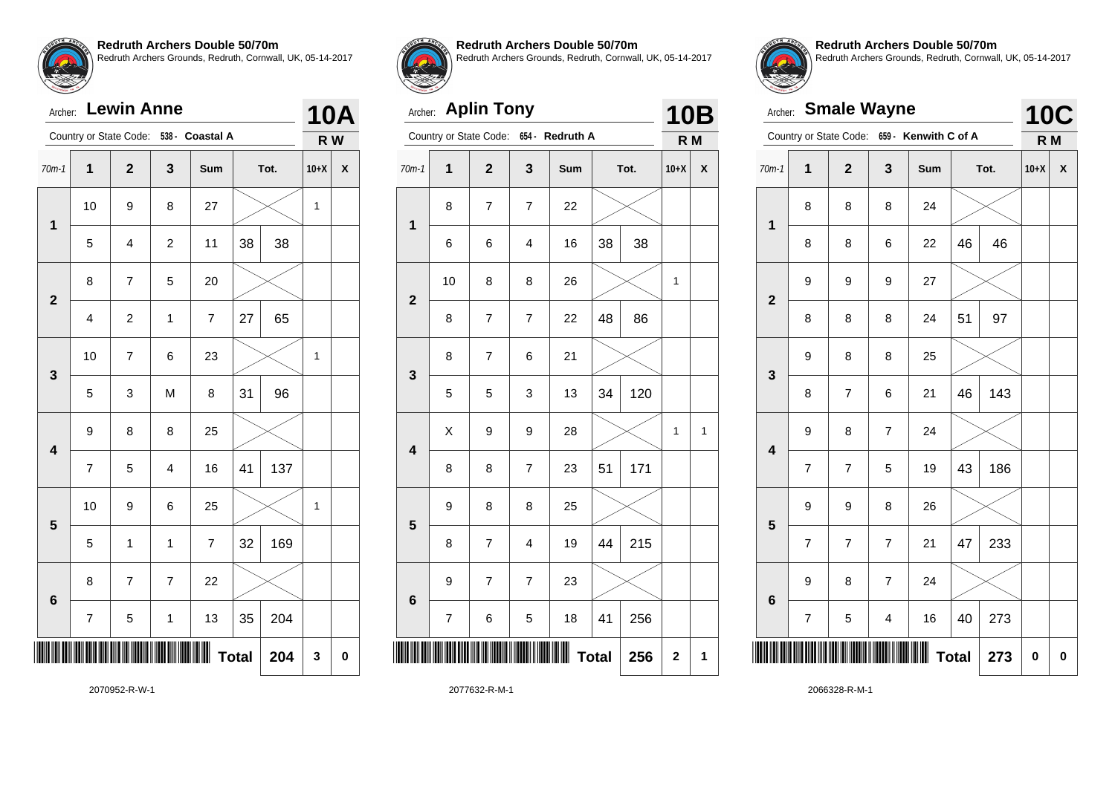| Archer: Lewin Anne |  |
|--------------------|--|

| <b>Lewin Anne</b><br>Archer: |                         |                         |                |                         |              |      |        | 10A |
|------------------------------|-------------------------|-------------------------|----------------|-------------------------|--------------|------|--------|-----|
|                              |                         | Country or State Code:  |                | 538 - Coastal A         |              |      | R W    |     |
| $70m-1$                      | $\mathbf 1$             | $\overline{\mathbf{2}}$ | 3              | Sum                     |              | Tot. | $10+X$ | X   |
| $\mathbf 1$                  | 10                      | 9                       | 8              | 27                      |              |      | 1      |     |
|                              | 5                       | 4                       | $\overline{c}$ | 11                      | 38           | 38   |        |     |
| $\overline{\mathbf{2}}$      | 8                       | 7                       | 5              | 20                      |              |      |        |     |
|                              | $\overline{\mathbf{4}}$ | $\overline{c}$          | $\mathbf{1}$   | $\overline{\mathbf{7}}$ | 27           | 65   |        |     |
| 3                            | 10                      | 7                       | 6              | 23                      |              |      | 1      |     |
|                              | 5                       | 3                       | M              | 8                       | 31           | 96   |        |     |
| $\overline{\mathbf{4}}$      | 9                       | 8                       | 8              | 25                      |              |      |        |     |
|                              | $\overline{7}$          | 5                       | 4              | 16                      | 41           | 137  |        |     |
| 5                            | 10                      | 9                       | 6              | 25                      |              |      | 1      |     |
|                              | 5                       | 1                       | 1              | $\overline{7}$          | 32           | 169  |        |     |
| $6\phantom{1}6$              | 8                       | $\overline{7}$          | $\overline{7}$ | 22                      |              |      |        |     |
|                              | $\overline{\mathbf{7}}$ | 5                       | $\mathbf{1}$   | 13                      | 35           | 204  |        |     |
|                              |                         |                         |                |                         | <b>Total</b> | 204  | 3      | 0   |



**Redruth Archers Double 50/70m**

Redruth Archers Grounds, Redruth, Cornwall, UK, 05-14-2017

# Archer: **Aplin Tony**

|                         | Country or State Code:<br>$654 -$<br><b>Redruth A</b> |                          | R M                      |     |              |      |             |   |
|-------------------------|-------------------------------------------------------|--------------------------|--------------------------|-----|--------------|------|-------------|---|
| $70m-1$                 | $\overline{\mathbf{1}}$                               | $\mathbf{2}$             | 3                        | Sum |              | Tot. | $10+X$      | X |
| 1                       | 8                                                     | $\overline{7}$           | $\overline{\mathcal{I}}$ | 22  |              |      |             |   |
|                         | 6                                                     | 6                        | 4                        | 16  | 38           | 38   |             |   |
| $\overline{\mathbf{2}}$ | 10                                                    | 8                        | 8                        | 26  |              |      | $\mathbf 1$ |   |
|                         | 8                                                     | $\overline{\mathcal{I}}$ | $\overline{\mathbf{7}}$  | 22  | 48           | 86   |             |   |
| 3                       | 8                                                     | $\overline{\mathcal{I}}$ | 6                        | 21  |              |      |             |   |
|                         | 5                                                     | 5                        | 3                        | 13  | 34           | 120  |             |   |
| 4                       | X                                                     | 9                        | 9                        | 28  |              |      | 1           | 1 |
|                         | 8                                                     | 8                        | $\overline{7}$           | 23  | 51           | 171  |             |   |
| 5                       | 9                                                     | 8                        | 8                        | 25  |              |      |             |   |
|                         | 8                                                     | $\overline{7}$           | $\overline{4}$           | 19  | 44           | 215  |             |   |
| $6\phantom{a}$          | 9                                                     | 7                        | $\overline{7}$           | 23  |              |      |             |   |
|                         | 7                                                     | 6                        | 5                        | 18  | 41           | 256  |             |   |
|                         |                                                       |                          |                          | Ш   | <b>Total</b> | 256  | $\mathbf 2$ | 1 |
|                         |                                                       |                          |                          |     |              |      |             |   |



**10B**

**Redruth Archers Double 50/70m** Redruth Archers Grounds, Redruth, Cornwall, UK, 05-14-2017

|                         | <b>Smale Wayne</b><br>Archer: |                         |                |                                             |    |      |                              |   |  |
|-------------------------|-------------------------------|-------------------------|----------------|---------------------------------------------|----|------|------------------------------|---|--|
|                         |                               |                         |                | Country or State Code: 659 - Kenwith C of A |    |      | <b>10C</b><br>R <sub>M</sub> |   |  |
| $70m-1$                 | 1                             | $\overline{\mathbf{2}}$ | 3              | Sum                                         |    | Tot. | $10+X$                       | X |  |
| $\overline{\mathbf{1}}$ | 8                             | 8                       | 8              | 24                                          |    |      |                              |   |  |
|                         | 8                             | 8                       | 6              | 22                                          | 46 | 46   |                              |   |  |
| $\overline{\mathbf{2}}$ | 9                             | 9                       | 9              | 27                                          |    |      |                              |   |  |
|                         | 8                             | 8                       | 8              | 24                                          | 51 | 97   |                              |   |  |
| 3                       | 9                             | 8                       | 8              | 25                                          |    |      |                              |   |  |
|                         | 8                             | $\overline{7}$          | 6              | 21                                          | 46 | 143  |                              |   |  |
| $\overline{\mathbf{4}}$ | 9                             | 8                       | 7              | 24                                          |    |      |                              |   |  |
|                         | $\overline{\mathcal{I}}$      | $\overline{7}$          | 5              | 19                                          | 43 | 186  |                              |   |  |
| 5                       | 9                             | 9                       | 8              | 26                                          |    |      |                              |   |  |
|                         | $\overline{7}$                | $\overline{7}$          | $\overline{7}$ | 21                                          | 47 | 233  |                              |   |  |
| $6\phantom{a}$          | 9                             | 8                       | $\overline{7}$ | 24                                          |    |      |                              |   |  |
|                         | 7                             | 5                       | 4              | 16                                          | 40 | 273  |                              |   |  |
|                         |                               | <b>Total</b>            | 273            | 0                                           | 0  |      |                              |   |  |

2070952-R-W-1

2077632-R-M-1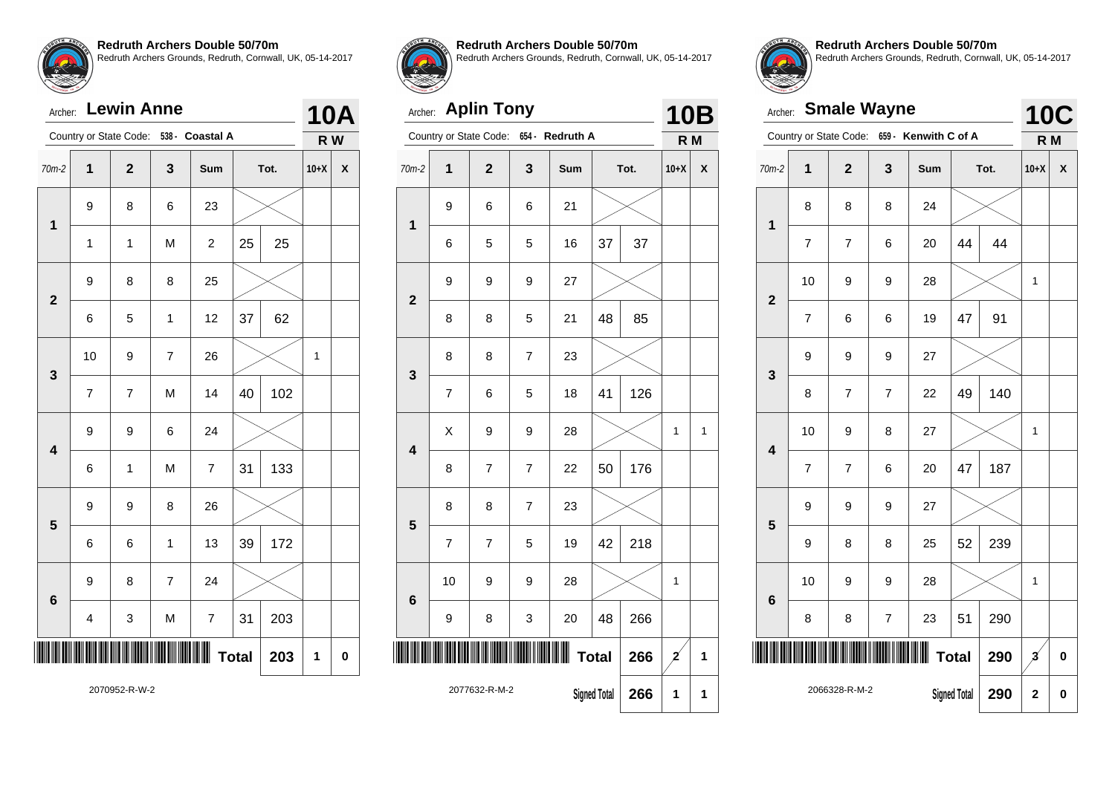**Redruth Archers Double 50/70m** Redruth Archers Grounds, Redruth, Cornwall, UK, 05-14-2017

| $\left(\frac{1}{2}\right)$ |  |  |  |
|----------------------------|--|--|--|
|                            |  |  |  |
|                            |  |  |  |
|                            |  |  |  |

| <b>Lewin Anne</b><br>Archer: |                |                        |                |                 |    |      |        | 10A |
|------------------------------|----------------|------------------------|----------------|-----------------|----|------|--------|-----|
|                              |                | Country or State Code: |                | 538 - Coastal A |    |      | R W    |     |
| 70m-2                        | $\overline{1}$ | $\overline{2}$         | 3              | Sum             |    | Tot. | $10+X$ | X   |
| $\mathbf 1$                  | 9              | 8                      | 6              | 23              |    |      |        |     |
|                              | $\mathbf 1$    | $\mathbf{1}$           | M              | $\overline{c}$  | 25 | 25   |        |     |
|                              | 9              | 8                      | 8              | 25              |    |      |        |     |
| $\mathbf 2$                  | 6              | 5                      | $\mathbf{1}$   | 12              | 37 | 62   |        |     |
| 3                            | 10             | 9                      | 7              | 26              |    |      | 1      |     |
|                              | 7              | $\overline{7}$         | M              | 14              | 40 | 102  |        |     |
| $\overline{\mathbf{4}}$      | 9              | 9                      | 6              | 24              |    |      |        |     |
|                              | 6              | 1                      | M              | $\overline{7}$  | 31 | 133  |        |     |
| 5                            | 9              | 9                      | 8              | 26              |    |      |        |     |
|                              | 6              | 6                      | $\mathbf{1}$   | 13              | 39 | 172  |        |     |
|                              | 9              | 8                      | $\overline{7}$ | 24              |    |      |        |     |
| 6                            | 4              | 3                      | Μ              | 7               | 31 | 203  |        |     |
| <b>Total</b><br>203          |                |                        |                |                 |    |      |        | 0   |
| 2070952-R-W-2                |                |                        |                |                 |    |      |        |     |



**Redruth Archers Double 50/70m**

Redruth Archers Grounds, Redruth, Cornwall, UK, 05-14-2017

# Archer: **Aplin Tony**

| <b>Aplin Tony</b><br>Archer: |                |                        |                |                 |                     |      |                | 10B |
|------------------------------|----------------|------------------------|----------------|-----------------|---------------------|------|----------------|-----|
|                              |                | Country or State Code: |                | 654 - Redruth A |                     |      | R <sub>M</sub> |     |
| $70m-2$                      | $\overline{1}$ | $\overline{2}$         | $\mathbf{3}$   | Sum             |                     | Tot. | $10+X$         | X   |
| 1                            | 9              | 6                      | 6              | 21              |                     |      |                |     |
|                              | 6              | 5                      | 5              | 16              | 37                  | 37   |                |     |
| $\overline{2}$               | 9              | 9                      | 9              | 27              |                     |      |                |     |
|                              | 8              | 8                      | 5              | 21              | 48                  | 85   |                |     |
| 3                            | 8              | 8                      | $\overline{7}$ | 23              |                     |      |                |     |
|                              | $\overline{7}$ | 6                      | 5              | 18              | 41                  | 126  |                |     |
| 4                            | X              | 9                      | 9              | 28              |                     |      | 1              | 1   |
|                              | 8              | $\overline{7}$         | 7              | 22              | 50                  | 176  |                |     |
| 5                            | 8              | 8                      | $\overline{7}$ | 23              |                     |      |                |     |
|                              | $\overline{7}$ | $\overline{7}$         | 5              | 19              | 42                  | 218  |                |     |
| 6                            | 10             | 9                      | 9              | 28              |                     |      | $\mathbf 1$    |     |
|                              | 9              | 8                      | 3              | 20              | 48                  | 266  |                |     |
|                              |                |                        |                |                 | <b>Total</b>        | 266  | 2              | 1   |
|                              |                | 2077632-R-M-2          |                |                 | <b>Signed Total</b> | 266  | 1              | 1   |



**Redruth Archers Double 50/70m** Redruth Archers Grounds, Redruth, Cornwall, UK, 05-14-2017

| Archer:                 |                                      | <b>10C</b>             |                          |                      |    |      |                          |             |
|-------------------------|--------------------------------------|------------------------|--------------------------|----------------------|----|------|--------------------------|-------------|
|                         |                                      | Country or State Code: |                          | 659 - Kenwith C of A |    |      | R <sub>M</sub>           |             |
| $70m-2$                 | 1                                    | $\overline{2}$         | 3                        | Sum                  |    | Tot. | $10+X$                   | X           |
| 1                       | 8                                    | 8                      | 8                        | 24                   |    |      |                          |             |
|                         | 7                                    | $\overline{7}$         | 6                        | 20                   | 44 | 44   |                          |             |
| $\overline{2}$          | 10                                   | 9                      | 9                        | 28                   |    |      | 1                        |             |
|                         | 7                                    | 6                      | 6                        | 19                   | 47 | 91   |                          |             |
| 3                       | 9                                    | 9                      | 9                        | 27                   |    |      |                          |             |
|                         | 8                                    | $\overline{7}$         | $\overline{7}$           | 22                   | 49 | 140  |                          |             |
| $\overline{\mathbf{4}}$ | 10                                   | 9                      | 8                        | 27                   |    |      | 1                        |             |
|                         | 7                                    | $\overline{7}$         | 6                        | 20                   | 47 | 187  |                          |             |
| 5                       | 9                                    | 9                      | 9                        | 27                   |    |      |                          |             |
|                         | 9                                    | 8                      | 8                        | 25                   | 52 | 239  |                          |             |
| $6\phantom{1}6$         | 10                                   | 9                      | 9                        | 28                   |    |      | 1                        |             |
|                         | 8                                    | 8                      | $\overline{\mathcal{I}}$ | 23                   | 51 | 290  |                          |             |
|                         | <b>Total</b>                         |                        |                          |                      |    |      | $\overline{\mathcal{Z}}$ | $\mathbf 0$ |
|                         | 2066328-R-M-2<br><b>Signed Total</b> |                        |                          |                      |    | 290  | $\overline{2}$           | 0           |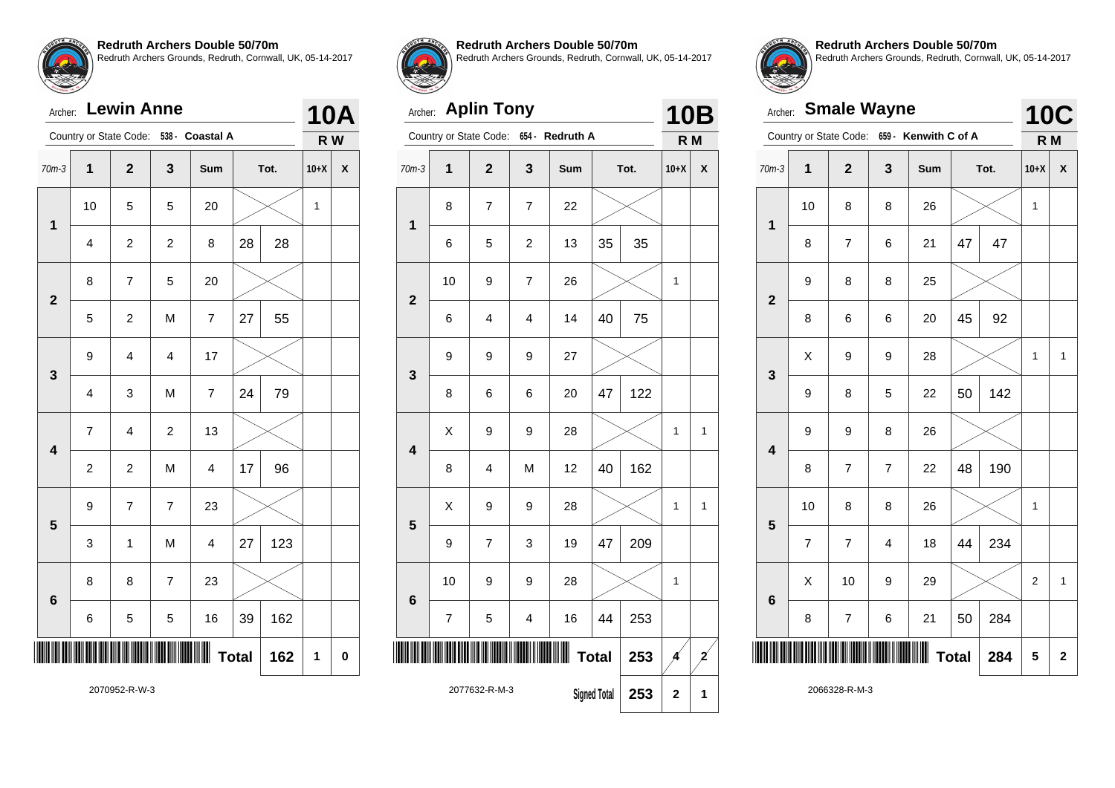| Archer: Lewin Anne |  |
|--------------------|--|
|                    |  |

| Archer:                 |                | <b>Lewin Anne</b>       |                |                 |              |      | 10Α    |                           |
|-------------------------|----------------|-------------------------|----------------|-----------------|--------------|------|--------|---------------------------|
|                         |                | Country or State Code:  |                | 538 - Coastal A |              |      | R W    |                           |
| $70m-3$                 | $\overline{1}$ | $\overline{2}$          | 3              | Sum             |              | Tot. | $10+X$ | $\boldsymbol{\mathsf{x}}$ |
| $\mathbf 1$             | 10             | 5                       | 5              | 20              |              |      | 1      |                           |
|                         | 4              | $\overline{c}$          | $\overline{c}$ | 8               | 28           | 28   |        |                           |
| $\overline{\mathbf{2}}$ | 8              | $\overline{7}$          | 5              | 20              |              |      |        |                           |
|                         | 5              | $\overline{c}$          | M              | $\overline{7}$  | 27           | 55   |        |                           |
| 3                       | 9              | $\overline{\mathbf{4}}$ | $\overline{4}$ | 17              |              |      |        |                           |
|                         | 4              | 3                       | M              | $\overline{7}$  | 24           | 79   |        |                           |
| 4                       | $\overline{7}$ | 4                       | $\overline{c}$ | 13              |              |      |        |                           |
|                         | $\overline{c}$ | $\overline{c}$          | M              | 4               | 17           | 96   |        |                           |
| 5                       | 9              | $\overline{7}$          | $\overline{7}$ | 23              |              |      |        |                           |
|                         | 3              | 1                       | M              | $\overline{4}$  | 27           | 123  |        |                           |
| 6                       | 8              | 8                       | $\overline{7}$ | 23              |              |      |        |                           |
|                         | 6              | 5                       | 5              | 16              | 39           | 162  |        |                           |
|                         |                |                         |                |                 | <b>Total</b> | 162  | 1      | 0                         |
|                         |                |                         |                |                 |              |      |        |                           |



#### **Redruth Archers Double 50/70m**

Redruth Archers Grounds, Redruth, Cornwall, UK, 05-14-2017

#### Archer: **Aplin Tony**





**Redruth Archers Double 50/70m** Redruth Archers Grounds, Redruth, Cornwall, UK, 05-14-2017

|                         | <b>Smale Wayne</b><br>Archer: |                         |                         |                                             |    |      |        |   |  |
|-------------------------|-------------------------------|-------------------------|-------------------------|---------------------------------------------|----|------|--------|---|--|
|                         |                               |                         |                         | Country or State Code: 659 - Kenwith C of A |    |      | R M    |   |  |
| $70m-3$                 | $\mathbf 1$                   | $\overline{\mathbf{2}}$ | 3                       | Sum                                         |    | Tot. | $10+X$ | X |  |
| $\mathbf 1$             | 10                            | 8                       | 8                       | 26                                          |    |      | 1      |   |  |
|                         | 8                             | $\overline{7}$          | 6                       | 21                                          | 47 | 47   |        |   |  |
| $\overline{\mathbf{2}}$ | 9                             | 8                       | 8                       | 25                                          |    |      |        |   |  |
|                         | 8                             | 6                       | 6                       | 20                                          | 45 | 92   |        |   |  |
| 3                       | X                             | 9                       | 9                       | 28                                          |    |      | 1      | 1 |  |
|                         | 9                             | 8                       | 5                       | 22                                          | 50 | 142  |        |   |  |
| $\overline{\mathbf{4}}$ | 9                             | 9                       | 8                       | 26                                          |    |      |        |   |  |
|                         | 8                             | $\overline{\mathbf{7}}$ | $\overline{7}$          | 22                                          | 48 | 190  |        |   |  |
| 5                       | 10                            | 8                       | 8                       | 26                                          |    |      | 1      |   |  |
|                         | $\overline{7}$                | $\overline{7}$          | $\overline{\mathbf{4}}$ | 18                                          | 44 | 234  |        |   |  |
| 6                       | X                             | 10                      | 9                       | 29                                          |    |      | 2      | 1 |  |
|                         | 8                             | $\boldsymbol{7}$        | 6                       | 21                                          | 50 | 284  |        |   |  |
|                         | <b>Total</b><br>284           |                         |                         |                                             |    |      |        | 2 |  |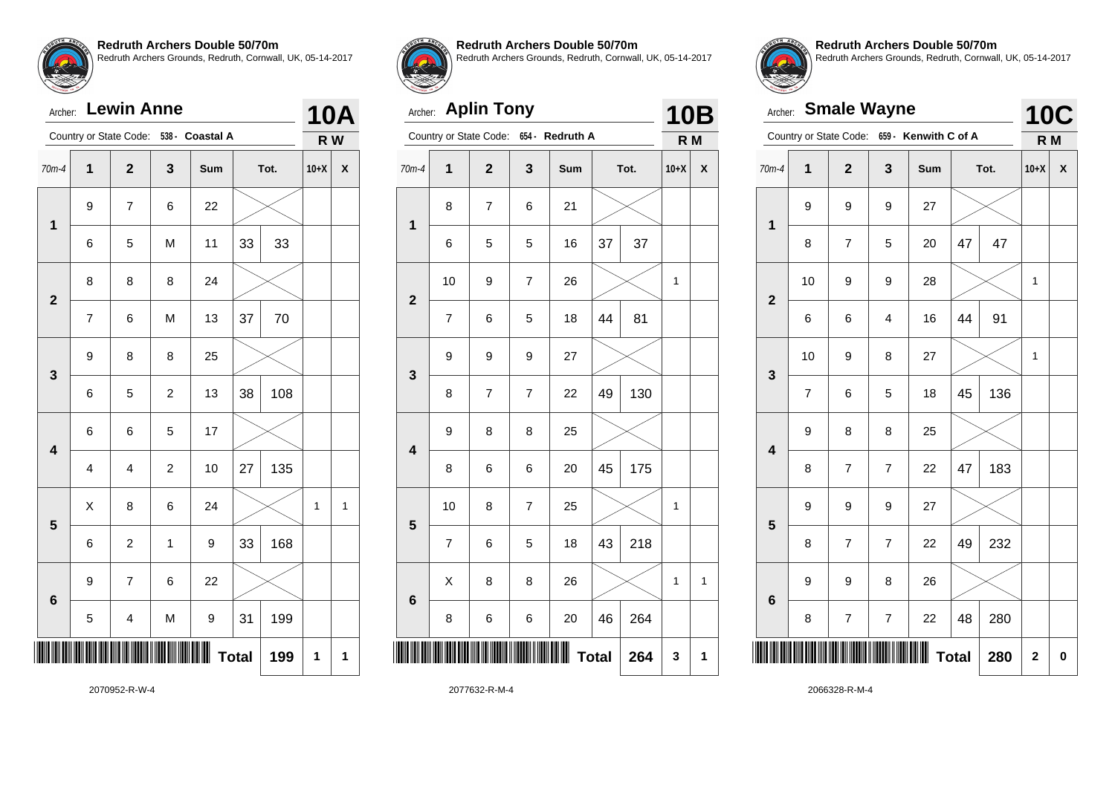# Archer: **Lewin Anne**

|                         |                         | Country or State Code:  | $538 -$          | <b>Coastal A</b> |              |      | R W    |              |
|-------------------------|-------------------------|-------------------------|------------------|------------------|--------------|------|--------|--------------|
| $70m-4$                 | $\mathbf 1$             | $\overline{\mathbf{2}}$ | 3                | Sum              |              | Tot. | $10+X$ | X            |
| $\mathbf 1$             | 9                       | 7                       | 6                | 22               |              |      |        |              |
|                         | 6                       | 5                       | M                | 11               | 33           | 33   |        |              |
| $\overline{\mathbf{2}}$ | 8                       | 8                       | 8                | 24               |              |      |        |              |
|                         | $\overline{7}$          | 6                       | M                | 13               | 37           | 70   |        |              |
| 3                       | 9                       | 8                       | 8                | 25               |              |      |        |              |
|                         | 6                       | 5                       | $\overline{c}$   | 13               | 38           | 108  |        |              |
| $\overline{\mathbf{4}}$ | 6                       | 6                       | 5                | 17               |              |      |        |              |
|                         | $\overline{\mathbf{4}}$ | $\overline{\mathbf{4}}$ | $\boldsymbol{2}$ | 10               | 27           | 135  |        |              |
| 5                       | X                       | 8                       | 6                | 24               |              |      | 1      | $\mathbf 1$  |
|                         | 6                       | $\overline{c}$          | $\mathbf{1}$     | 9                | 33           | 168  |        |              |
| $6\phantom{1}$          | 9                       | $\overline{7}$          | 6                | 22               |              |      |        |              |
|                         | 5                       | 4                       | M                | 9                | 31           | 199  |        |              |
|                         |                         |                         |                  |                  | <b>Total</b> | 199  | 1      | $\mathbf{1}$ |



**10A**

**Redruth Archers Double 50/70m**

Redruth Archers Grounds, Redruth, Cornwall, UK, 05-14-2017

# Archer: **Aplin Tony**

|                         |                         | Country or State Code: | $654 -$                  | <b>Redruth A</b> |              |      | R M         |                    |
|-------------------------|-------------------------|------------------------|--------------------------|------------------|--------------|------|-------------|--------------------|
| $70m-4$                 | $\overline{\mathbf{1}}$ | $\mathbf{2}$           | 3                        | Sum              |              | Tot. | $10+X$      | $\pmb{\mathsf{X}}$ |
| 1                       | 8                       | $\overline{7}$         | 6                        | 21               |              |      |             |                    |
|                         | 6                       | 5                      | 5                        | 16               | 37           | 37   |             |                    |
| $\mathbf{2}$            | 10                      | 9                      | $\overline{\mathcal{I}}$ | 26               |              |      | $\mathbf 1$ |                    |
|                         | $\overline{\mathbf{7}}$ | 6                      | 5                        | 18               | 44           | 81   |             |                    |
| 3                       | 9                       | 9                      | 9                        | 27               |              |      |             |                    |
|                         | 8                       | $\overline{7}$         | $\overline{7}$           | 22               | 49           | 130  |             |                    |
| $\overline{\mathbf{4}}$ | 9                       | 8                      | 8                        | 25               |              |      |             |                    |
|                         | 8                       | 6                      | 6                        | 20               | 45           | 175  |             |                    |
| 5                       | 10                      | 8                      | $\overline{7}$           | 25               |              |      | $\mathbf 1$ |                    |
|                         | $\overline{\mathbf{7}}$ | 6                      | 5                        | 18               | 43           | 218  |             |                    |
| $6\phantom{1}$          | X                       | 8                      | 8                        | 26               |              |      | 1           | $\mathbf{1}$       |
|                         | 8                       | 6                      | 6                        | 20               | 46           | 264  |             |                    |
|                         |                         |                        |                          |                  | <b>Total</b> | 264  | 3           | 1                  |
|                         |                         |                        |                          |                  |              |      |             |                    |

**10B**

**Redruth Archers Double 50/70m** Redruth Archers Grounds, Redruth, Cornwall, UK, 05-14-2017

|                         | <b>Smale Wayne</b><br>Archer: |                         |                |                                             |              |      |                   |   |  |  |
|-------------------------|-------------------------------|-------------------------|----------------|---------------------------------------------|--------------|------|-------------------|---|--|--|
|                         |                               |                         |                | Country or State Code: 659 - Kenwith C of A |              |      | <b>10C</b><br>R M |   |  |  |
| $70m-4$                 | $\mathbf 1$                   | $\overline{\mathbf{2}}$ | 3              | Sum                                         |              | Tot. | $10+X$            | X |  |  |
| $\mathbf{1}$            | 9                             | 9                       | 9              | 27                                          |              |      |                   |   |  |  |
|                         | 8                             | 7                       | 5              | 20                                          | 47           | 47   |                   |   |  |  |
| $\overline{\mathbf{2}}$ | 10                            | 9                       | 9              | 28                                          |              |      | 1                 |   |  |  |
|                         | 6                             | 6                       | 4              | 16                                          | 44           | 91   |                   |   |  |  |
| 3                       | 10                            | 9                       | 8              | 27                                          |              |      | 1                 |   |  |  |
|                         | $\overline{7}$                | 6                       | 5              | 18                                          | 45           | 136  |                   |   |  |  |
| $\overline{\mathbf{4}}$ | 9                             | 8                       | 8              | 25                                          |              |      |                   |   |  |  |
|                         | 8                             | $\overline{7}$          | $\overline{7}$ | 22                                          | 47           | 183  |                   |   |  |  |
| 5                       | 9                             | 9                       | 9              | 27                                          |              |      |                   |   |  |  |
|                         | 8                             | $\overline{7}$          | $\overline{7}$ | 22                                          | 49           | 232  |                   |   |  |  |
| 6                       | 9                             | 9                       | 8              | 26                                          |              |      |                   |   |  |  |
|                         | 8                             | 7                       | 7              | 22                                          | 48           | 280  |                   |   |  |  |
|                         |                               |                         |                |                                             | <b>Total</b> | 280  | $\mathbf{2}$      | 0 |  |  |

2070952-R-W-4

2077632-R-M-4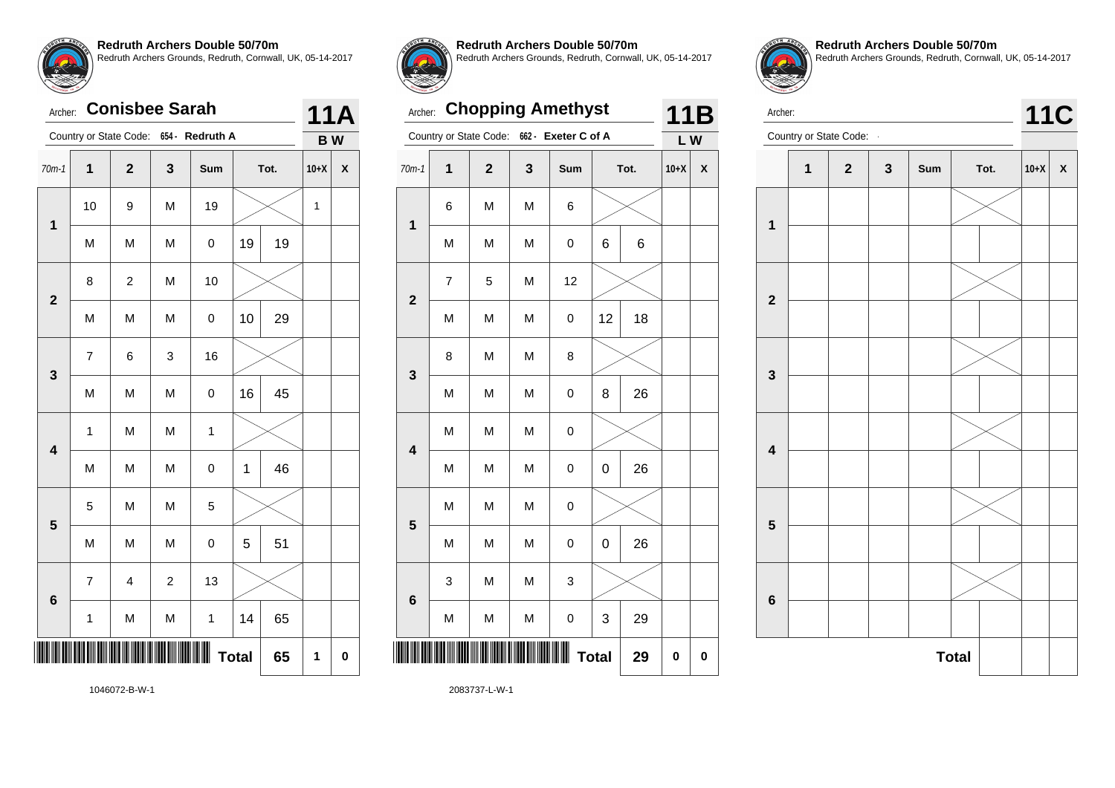# Archer: **Conisbee Sarah**

|                         |                          | Country or State Code: 654 - |                  | <b>Redruth A</b> |    |      | <b>BW</b> |   |
|-------------------------|--------------------------|------------------------------|------------------|------------------|----|------|-----------|---|
| $70m-1$                 | $\mathbf 1$              | $\overline{\mathbf{2}}$      | 3                | Sum              |    | Tot. | $10+X$    | X |
|                         | 10                       | 9                            | M                | 19               |    |      | 1         |   |
| 1                       | M                        | M                            | M                | 0                | 19 | 19   |           |   |
|                         | 8                        | 2                            | M                | 10               |    |      |           |   |
| $\mathbf 2$             | M                        | M                            | M                | 0                | 10 | 29   |           |   |
| 3                       | $\overline{\mathcal{I}}$ | 6                            | 3                | 16               |    |      |           |   |
|                         | M                        | M                            | M                | $\pmb{0}$        | 16 | 45   |           |   |
| $\overline{\mathbf{4}}$ | $\mathbf{1}$             | M                            | M                | $\mathbf{1}$     |    |      |           |   |
|                         | M                        | M                            | M                | $\mathbf 0$      | 1  | 46   |           |   |
| 5                       | 5                        | M                            | M                | 5                |    |      |           |   |
|                         | M                        | M                            | M                | 0                | 5  | 51   |           |   |
|                         | $\overline{\mathbf{7}}$  | $\overline{\mathbf{4}}$      | $\boldsymbol{2}$ | 13               |    |      |           |   |
| 6                       | 1                        | M                            | M                | $\mathbf{1}$     | 14 | 65   |           |   |
|                         |                          | 65                           | 1                | 0                |    |      |           |   |



**11A**

**Redruth Archers Double 50/70m**

Redruth Archers Grounds, Redruth, Cornwall, UK, 05-14-2017

## Archer: **Chopping Amethyst**

|                         | Country or State Code:<br>662 -<br>Exeter C of A |              |           | L W         |    |      |        |                    |
|-------------------------|--------------------------------------------------|--------------|-----------|-------------|----|------|--------|--------------------|
| $70m-1$                 | 1                                                | $\mathbf{2}$ | 3         | Sum         |    | Tot. | $10+X$ | $\pmb{\mathsf{X}}$ |
| 1                       | 6                                                | M            | M         | 6           |    |      |        |                    |
|                         | M                                                | M            | M         | 0           | 6  | 6    |        |                    |
| $\overline{\mathbf{2}}$ | $\overline{7}$                                   | 5            | M         | 12          |    |      |        |                    |
|                         | M                                                | M            | M         | 0           | 12 | 18   |        |                    |
|                         | 8                                                | M            | M         | 8           |    |      |        |                    |
| 3                       | M                                                | M            | M         | 0           | 8  | 26   |        |                    |
| $\overline{\mathbf{4}}$ | M                                                | M            | M         | 0           |    |      |        |                    |
|                         | M                                                | M            | M         | 0           | 0  | 26   |        |                    |
| 5                       | M                                                | M            | M         | 0           |    |      |        |                    |
|                         | M                                                | M            | M         | $\mathbf 0$ | 0  | 26   |        |                    |
| $\bf 6$                 | 3                                                | M            | M         | 3           |    |      |        |                    |
|                         | M                                                | M            | ${\sf M}$ | 0           | 3  | 29   |        |                    |
| <b>Total</b><br>29      |                                                  |              |           |             |    |      |        | 0                  |



**11B**

**Redruth Archers Double 50/70m** Redruth Archers Grounds, Redruth, Cornwall, UK, 05-14-2017



1046072-B-W-1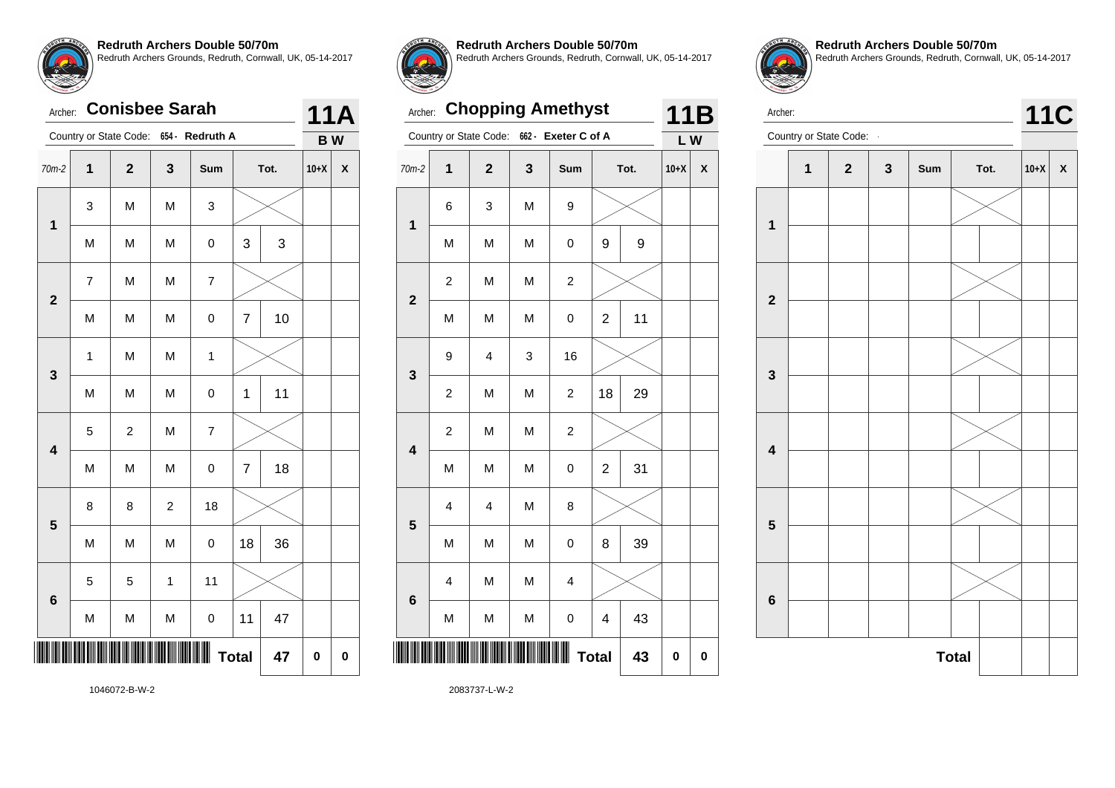# Archer: **Conisbee Sarah**

|                         |                | Country or State Code:  |                | 654 - Redruth A |                |      | <b>BW</b> |   |
|-------------------------|----------------|-------------------------|----------------|-----------------|----------------|------|-----------|---|
| $70m-2$                 | 1              | $\overline{\mathbf{2}}$ | 3              | Sum             |                | Tot. | $10+X$    | X |
| $\mathbf{1}$            | 3              | M                       | M              | 3               |                |      |           |   |
|                         | M              | M                       | M              | $\pmb{0}$       | 3              | 3    |           |   |
| $\overline{\mathbf{2}}$ | $\overline{7}$ | M                       | M              | $\overline{7}$  |                |      |           |   |
|                         | M              | M                       | M              | $\mathbf 0$     | $\overline{7}$ | 10   |           |   |
| 3                       | $\mathbf{1}$   | M                       | M              | $\mathbf{1}$    |                |      |           |   |
|                         | M              | M                       | M              | $\mathbf 0$     | 1              | 11   |           |   |
| $\overline{\mathbf{4}}$ | 5              | $\overline{c}$          | M              | $\overline{7}$  |                |      |           |   |
|                         | M              | M                       | M              | $\mathbf 0$     | $\overline{7}$ | 18   |           |   |
| 5                       | 8              | 8                       | $\overline{c}$ | 18              |                |      |           |   |
|                         | M              | M                       | M              | $\pmb{0}$       | 18             | 36   |           |   |
| 6                       | 5              | 5                       | $\mathbf{1}$   | 11              |                |      |           |   |
|                         | M              | M                       | M              | $\mathbf 0$     | 11             | 47   |           |   |
| W<br><b>Total</b><br>47 |                |                         |                |                 |                |      |           | 0 |



**11A**

#### **Redruth Archers Double 50/70m**

Redruth Archers Grounds, Redruth, Cornwall, UK, 05-14-2017

# Archer: **Chopping Amethyst**

|                         |                         | Country or State Code: | 662 -        | Exeter C of A           |                |      | LW     |   |
|-------------------------|-------------------------|------------------------|--------------|-------------------------|----------------|------|--------|---|
| $70m-2$                 | 1                       | $\mathbf{2}$           | $\mathbf{3}$ | Sum                     |                | Tot. | $10+X$ | X |
| $\mathbf 1$             | 6                       | 3                      | M            | 9                       |                |      |        |   |
|                         | M                       | M                      | M            | 0                       | 9              | 9    |        |   |
| $\overline{\mathbf{c}}$ | $\boldsymbol{2}$        | M                      | M            | $\overline{\mathbf{c}}$ |                |      |        |   |
|                         | M                       | M                      | M            | 0                       | $\overline{c}$ | 11   |        |   |
| 3                       | 9                       | 4                      | 3            | 16                      |                |      |        |   |
|                         | $\overline{\mathbf{c}}$ | M                      | M            | $\overline{\mathbf{c}}$ | 18             | 29   |        |   |
| $\overline{\mathbf{4}}$ | $\boldsymbol{2}$        | M                      | M            | $\boldsymbol{2}$        |                |      |        |   |
|                         | M                       | M                      | M            | 0                       | $\overline{c}$ | 31   |        |   |
| 5                       | $\overline{\mathbf{4}}$ | 4                      | M            | 8                       |                |      |        |   |
|                         | M                       | M                      | M            | 0                       | 8              | 39   |        |   |
| $6\phantom{a}$          | $\overline{\mathbf{4}}$ | M                      | M            | 4                       |                |      |        |   |
|                         | M                       | M                      | M            | 0                       | 4              | 43   |        |   |
| <b>Total</b><br>43      |                         |                        |              |                         |                |      |        | 0 |



**11B**

**Redruth Archers Double 50/70m** Redruth Archers Grounds, Redruth, Cornwall, UK, 05-14-2017



1046072-B-W-2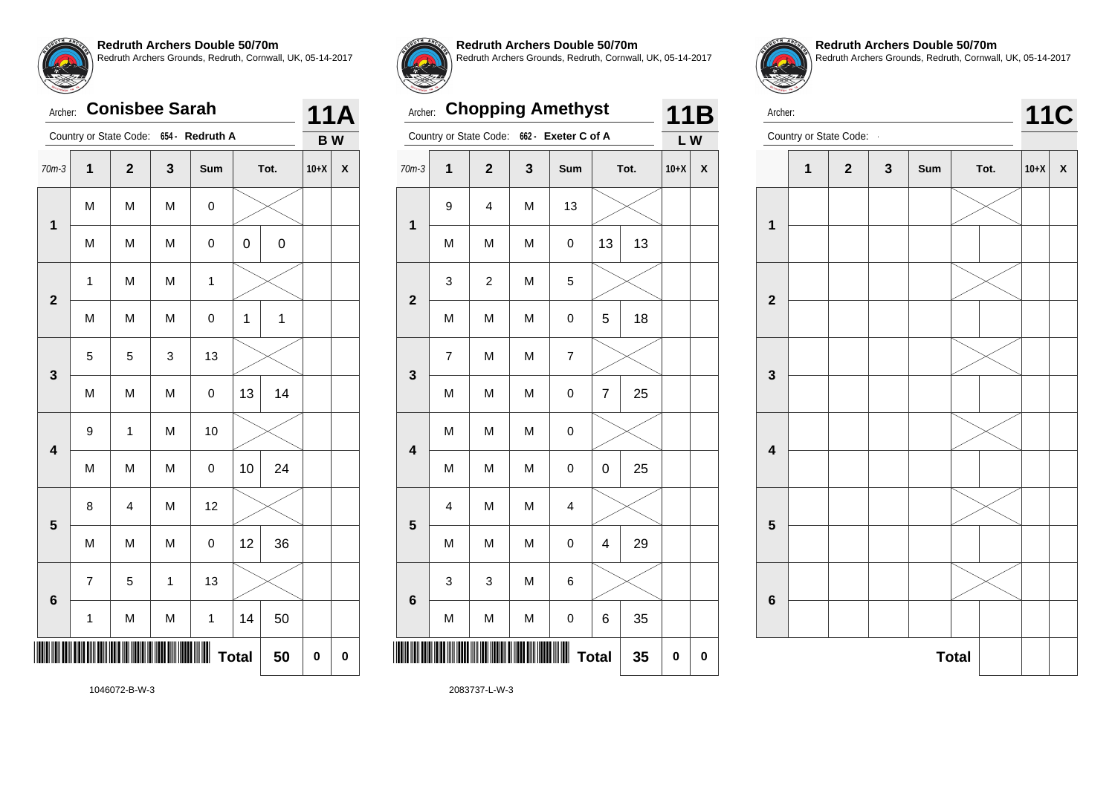## Archer: **Conisbee Sarah**

| Country or State Code:<br>$654 -$<br><b>Redruth A</b> |                         |                         |              |              | <b>BW</b> |              |        |   |
|-------------------------------------------------------|-------------------------|-------------------------|--------------|--------------|-----------|--------------|--------|---|
| $70m-3$                                               | 1                       | $\overline{\mathbf{2}}$ | $\mathbf{3}$ | Sum          |           | Tot.         | $10+X$ | X |
| $\mathbf 1$                                           | M                       | M                       | M            | 0            |           |              |        |   |
|                                                       | M                       | M                       | M            | 0            | 0         | $\mathbf 0$  |        |   |
| $\overline{\mathbf{2}}$                               | $\mathbf 1$             | M                       | M            | $\mathbf{1}$ |           |              |        |   |
|                                                       | M                       | M                       | M            | 0            | 1         | $\mathbf{1}$ |        |   |
|                                                       | 5                       | 5                       | 3            | 13           |           |              |        |   |
| 3                                                     | M                       | M                       | M            | $\mathbf 0$  | 13        | 14           |        |   |
| $\overline{\mathbf{4}}$                               | 9                       | 1                       | M            | 10           |           |              |        |   |
|                                                       | M                       | M                       | M            | $\pmb{0}$    | 10        | 24           |        |   |
| 5                                                     | 8                       | $\overline{\mathbf{4}}$ | M            | 12           |           |              |        |   |
|                                                       | M                       | M                       | M            | 0            | 12        | 36           |        |   |
| $6\phantom{1}$                                        | $\overline{7}$          | 5                       | $\mathbf{1}$ | 13           |           |              |        |   |
|                                                       | 1                       | M                       | M            | $\mathbf{1}$ | 14        | 50           |        |   |
|                                                       | Ш<br><b>Total</b><br>50 |                         |              |              |           |              |        | 0 |



**11A**

**Redruth Archers Double 50/70m**

Redruth Archers Grounds, Redruth, Cornwall, UK, 05-14-2017

## Archer: **Chopping Amethyst**

|                         |                | Country or State Code:  | 662 -     | Exeter C of A           |              |      | LW     |                    |
|-------------------------|----------------|-------------------------|-----------|-------------------------|--------------|------|--------|--------------------|
| $70m-3$                 | $\mathbf{1}$   | $\mathbf{2}$            | 3         | Sum                     |              | Tot. | $10+X$ | $\pmb{\mathsf{X}}$ |
|                         | 9              | 4                       | M         | 13                      |              |      |        |                    |
| $\mathbf 1$             | M              | M                       | M         | 0                       | 13           | 13   |        |                    |
| $\overline{\mathbf{2}}$ | 3              | $\overline{\mathbf{c}}$ | M         | 5                       |              |      |        |                    |
|                         | M              | M                       | M         | 0                       | 5            | 18   |        |                    |
|                         | $\overline{7}$ | M                       | M         | $\overline{7}$          |              |      |        |                    |
| 3                       | M              | M                       | M         | 0                       | 7            | 25   |        |                    |
| $\overline{\mathbf{4}}$ | M              | M                       | M         | 0                       |              |      |        |                    |
|                         | M              | M                       | M         | 0                       | 0            | 25   |        |                    |
| 5                       | 4              | M                       | M         | $\overline{\mathbf{4}}$ |              |      |        |                    |
|                         | M              | M                       | M         | $\mathbf 0$             | 4            | 29   |        |                    |
| 6                       | 3              | 3                       | M         | 6                       |              |      |        |                    |
|                         | M              | M                       | ${\sf M}$ | 0                       | 6            | 35   |        |                    |
|                         |                |                         |           |                         | <b>Total</b> | 35   | 0      | 0                  |
|                         |                |                         |           |                         |              |      |        |                    |



**11B**

**Redruth Archers Double 50/70m** Redruth Archers Grounds, Redruth, Cornwall, UK, 05-14-2017



1046072-B-W-3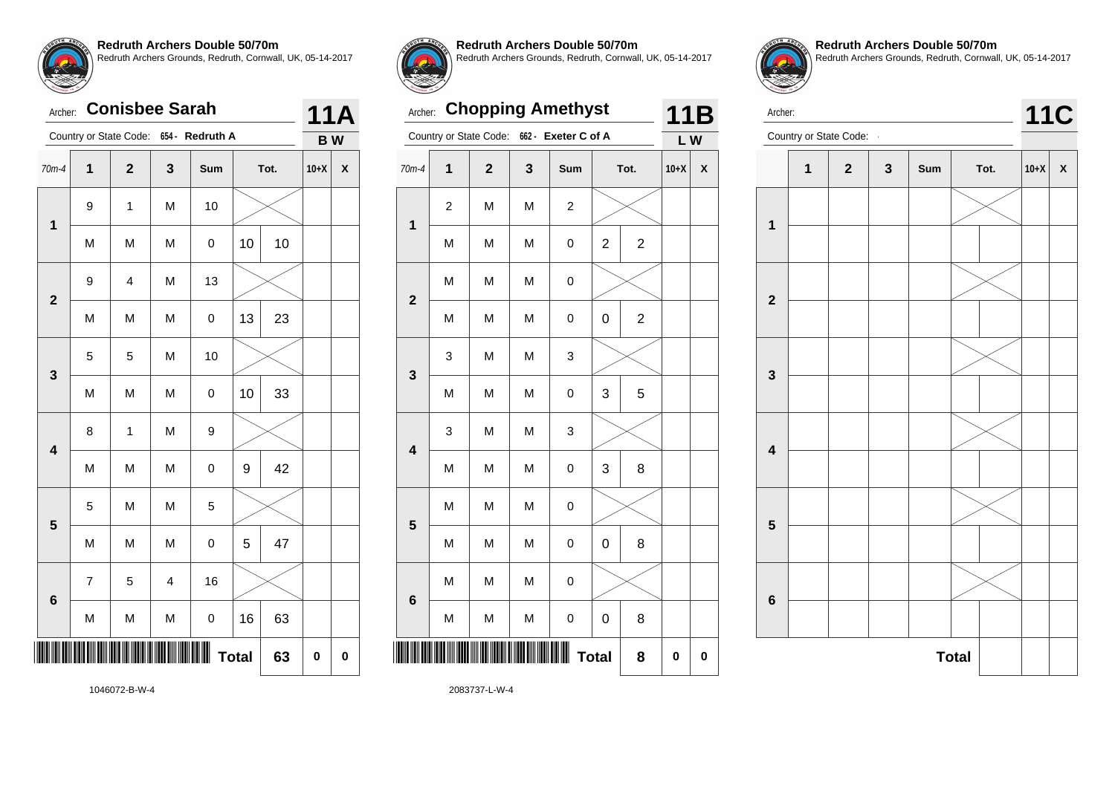# Archer: **Conisbee Sarah**

|                         |                          | Country or State Code:  |                | 654 - Redruth A |    |      | <b>BW</b> |   |
|-------------------------|--------------------------|-------------------------|----------------|-----------------|----|------|-----------|---|
| $70m-4$                 | $\mathbf 1$              | $\overline{\mathbf{2}}$ | 3              | Sum             |    | Tot. | $10+X$    | X |
| $\mathbf 1$             | 9                        | 1                       | M              | 10              |    |      |           |   |
|                         | M                        | M                       | M              | $\pmb{0}$       | 10 | 10   |           |   |
| $\overline{\mathbf{2}}$ | 9                        | $\overline{\mathbf{4}}$ | M              | 13              |    |      |           |   |
|                         | M                        | M                       | M              | $\mathbf 0$     | 13 | 23   |           |   |
| 3                       | 5                        | 5                       | M              | 10              |    |      |           |   |
|                         | M                        | M                       | M              | $\mathbf 0$     | 10 | 33   |           |   |
| $\overline{\mathbf{4}}$ | 8                        | 1                       | M              | 9               |    |      |           |   |
|                         | M                        | M                       | M              | $\pmb{0}$       | 9  | 42   |           |   |
| 5                       | 5                        | M                       | M              | 5               |    |      |           |   |
|                         | M                        | M                       | M              | $\mathsf 0$     | 5  | 47   |           |   |
|                         | $\overline{\mathcal{I}}$ | 5                       | $\overline{4}$ | 16              |    |      |           |   |
| 6                       | M                        | M                       | M              | $\mathbf 0$     | 16 | 63   |           |   |
| ║║║                     | <b>Total</b><br>63       |                         |                |                 |    |      |           | 0 |



**1**

**2**

**3**

**4**

**5**

**6**

**11A**

**Redruth Archers Double 50/70m** Redruth Archers Grounds, Redruth, Cornwall, UK, 05-14-2017

70m-4 **1 2 3 Sum Tot. 10+X X**

M | M | M | 0 | 2 | 2

M | M | M | 0 | 0 | 2

M | M | M | 0 | 3 | 5

M | M | M | 0 | 3 | 8

M | M | M | 0 | 0 | 8

M | M | M | 0 | 0 | 8

**Total 8 0 0**

Archer: **Chopping Amethyst** Country or State Code: **662 - Exeter C of A**

 $2$  M M  $2$ 

M | M | M | O

3 | M | M | 3

3 | M | M | 3

 $M \mid M \mid M$  0

 $M$  M  $M$  0

**11B L W**

**Redruth Archers Double 50/70m** Redruth Archers Grounds, Redruth, Cornwall, UK, 05-14-2017



1046072-B-W-4

2083737-L-W-4

\*2083737-L-W-4-L-W-4-L-W-4-L-W-4-L-W-4-L-W-4-L-W-4-L-W-4-L-W-4-L-W-4-L-W-4-L-W-4-L-W-4-L-W-4-L-W-4-L-W-4-L-W-4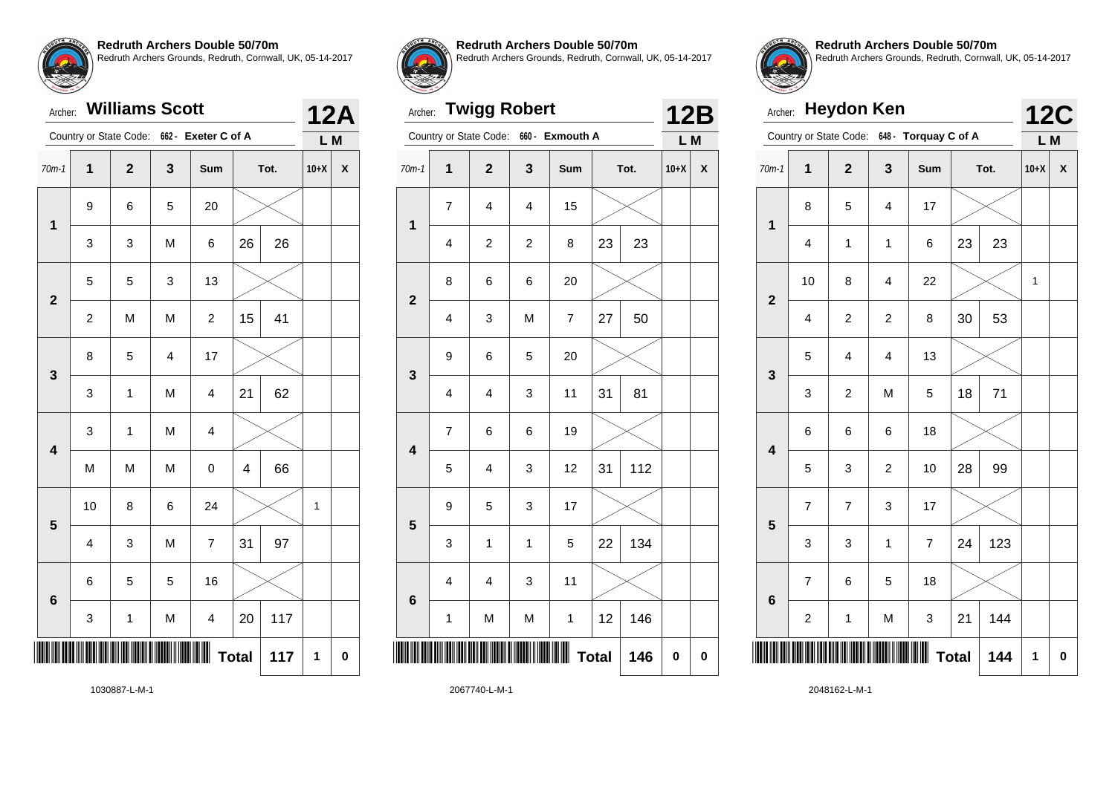## Archer: **Williams Scott**

|                         |                         | Country or State Code: |                | 662 - Exeter C of A      |                         |      | L M    |   |
|-------------------------|-------------------------|------------------------|----------------|--------------------------|-------------------------|------|--------|---|
| $70m-1$                 | $\mathbf{1}$            | $\mathbf{2}$           | 3              | Sum                      |                         | Tot. | $10+X$ | X |
| $\mathbf{1}$            | 9                       | 6                      | 5              | 20                       |                         |      |        |   |
|                         | 3                       | 3                      | M              | 6                        | 26                      | 26   |        |   |
| $\overline{\mathbf{2}}$ | 5                       | 5                      | 3              | 13                       |                         |      |        |   |
|                         | $\boldsymbol{2}$        | M                      | M              | $\overline{\mathbf{c}}$  | 15                      | 41   |        |   |
| 3                       | 8                       | 5                      | $\overline{4}$ | 17                       |                         |      |        |   |
|                         | 3                       | $\mathbf{1}$           | M              | $\overline{\mathbf{4}}$  | 21                      | 62   |        |   |
| $\overline{\mathbf{4}}$ | 3                       | 1                      | M              | $\overline{\mathbf{4}}$  |                         |      |        |   |
|                         | M                       | M                      | M              | $\mathbf 0$              | $\overline{\mathbf{4}}$ | 66   |        |   |
| 5                       | 10                      | 8                      | 6              | 24                       |                         |      | 1      |   |
|                         | $\overline{\mathbf{4}}$ | 3                      | M              | $\overline{\mathcal{I}}$ | 31                      | 97   |        |   |
| 6                       | 6                       | 5                      | 5              | 16                       |                         |      |        |   |
|                         | 3                       | $\mathbf{1}$           | M              | $\overline{\mathbf{4}}$  | 20                      | 117  |        |   |
|                         |                         |                        |                |                          | <b>Total</b>            | 117  | 1      | 0 |



**12A**

**Redruth Archers Double 50/70m**

Redruth Archers Grounds, Redruth, Cornwall, UK, 05-14-2017

# Archer: **Twigg Robert**

|                         |                         | Country or State Code:  | $660 -$                 | <b>Exmouth A</b>         |              |      | L M       |           |
|-------------------------|-------------------------|-------------------------|-------------------------|--------------------------|--------------|------|-----------|-----------|
| $70m-1$                 | $\overline{\mathbf{1}}$ | $\mathbf{2}$            | 3                       | Sum                      |              | Tot. | $10+X$    | X         |
| $\mathbf 1$             | $\overline{7}$          | $\overline{\mathbf{4}}$ | 4                       | 15                       |              |      |           |           |
|                         | 4                       | $\overline{\mathbf{c}}$ | $\overline{\mathbf{c}}$ | 8                        | 23           | 23   |           |           |
| $\overline{\mathbf{2}}$ | 8                       | 6                       | 6                       | 20                       |              |      |           |           |
|                         | 4                       | 3                       | M                       | $\overline{\mathcal{I}}$ | 27           | 50   |           |           |
| 3                       | 9                       | 6                       | 5                       | 20                       |              |      |           |           |
|                         | 4                       | 4                       | 3                       | 11                       | 31           | 81   |           |           |
| $\overline{\mathbf{4}}$ | $\overline{\mathbf{7}}$ | 6                       | 6                       | 19                       |              |      |           |           |
|                         | 5                       | $\overline{\mathbf{4}}$ | 3                       | 12                       | 31           | 112  |           |           |
| 5                       | 9                       | 5                       | 3                       | 17                       |              |      |           |           |
|                         | 3                       | 1                       | $\mathbf 1$             | 5                        | 22           | 134  |           |           |
| $6\phantom{a}$          | 4                       | $\overline{\mathbf{4}}$ | 3                       | 11                       |              |      |           |           |
|                         | 1                       | M                       | M                       | 1                        | 12           | 146  |           |           |
|                         |                         |                         |                         | Ш                        | <b>Total</b> | 146  | $\pmb{0}$ | $\pmb{0}$ |
|                         |                         |                         |                         |                          |              |      |           |           |



**12B**

**Redruth Archers Double 50/70m** Redruth Archers Grounds, Redruth, Cornwall, UK, 05-14-2017

|                         | <b>Heydon Ken</b><br>Archer: |                         |                         |                      |              |      |                   |              |  |
|-------------------------|------------------------------|-------------------------|-------------------------|----------------------|--------------|------|-------------------|--------------|--|
|                         |                              | Country or State Code:  |                         | 648 - Torquay C of A |              |      | <b>12C</b><br>L M |              |  |
| $70m-1$                 | $\overline{1}$               | $\overline{\mathbf{2}}$ | 3                       | Sum                  |              | Tot. | $10+X$            | $\mathsf{x}$ |  |
| $\mathbf{1}$            | 8                            | 5                       | 4                       | 17                   |              |      |                   |              |  |
|                         | 4                            | $\mathbf 1$             | $\mathbf{1}$            | 6                    | 23           | 23   |                   |              |  |
| $\overline{\mathbf{2}}$ | 10                           | 8                       | 4                       | 22                   |              |      | 1                 |              |  |
|                         | 4                            | $\overline{c}$          | $\overline{c}$          | 8                    | 30           | 53   |                   |              |  |
| 3                       | 5                            | $\overline{4}$          | $\overline{\mathbf{4}}$ | 13                   |              |      |                   |              |  |
|                         | 3                            | $\overline{c}$          | M                       | 5                    | 18           | 71   |                   |              |  |
| $\overline{\mathbf{4}}$ | 6                            | 6                       | 6                       | 18                   |              |      |                   |              |  |
|                         | 5                            | 3                       | $\overline{c}$          | 10                   | 28           | 99   |                   |              |  |
| 5                       | $\overline{7}$               | $\overline{7}$          | 3                       | 17                   |              |      |                   |              |  |
|                         | 3                            | 3                       | $\overline{1}$          | $\overline{7}$       | 24           | 123  |                   |              |  |
| $6\phantom{1}6$         | 7                            | 6                       | 5                       | 18                   |              |      |                   |              |  |
|                         | $\overline{\mathbf{c}}$      | 1                       | M                       | 3                    | 21           | 144  |                   |              |  |
|                         |                              |                         |                         |                      | <b>Total</b> | 144  | 1                 | $\mathbf 0$  |  |

1030887-L-M-1

2067740-L-M-1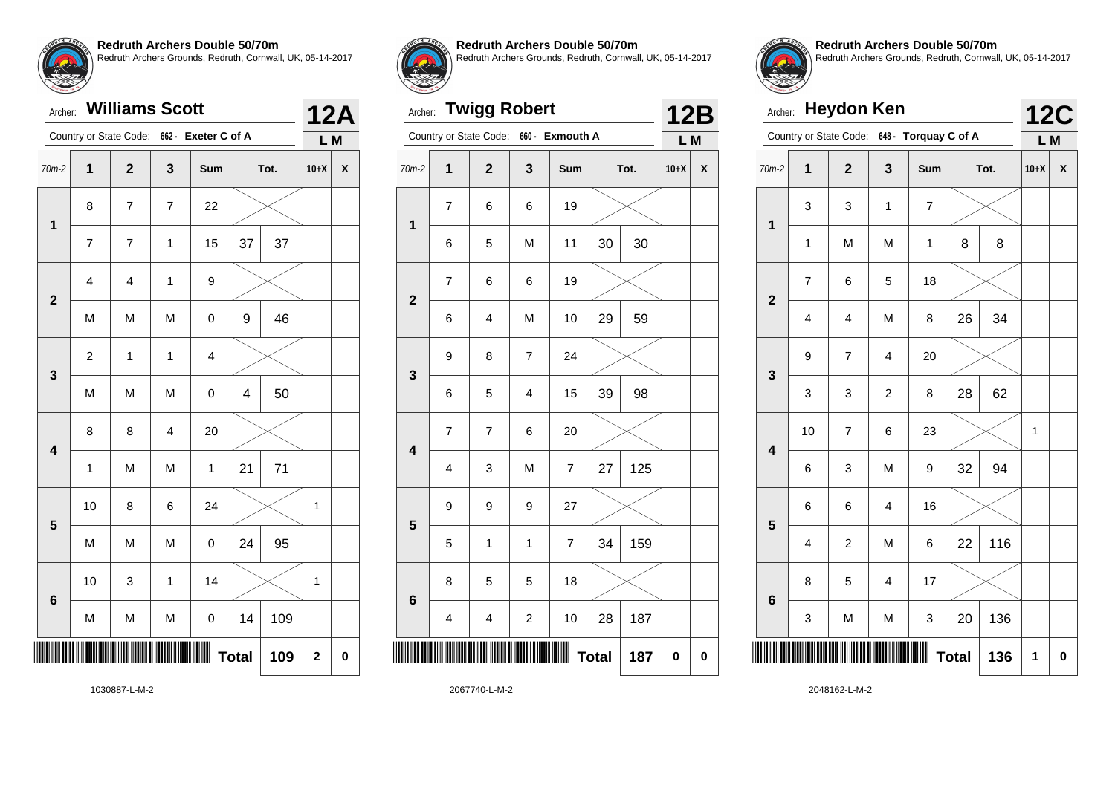### Archer: **Williams Scott**

|                         |                | Country or State Code:   |                         | 662 - Exeter C of A     |                         |      | L M                     |             |
|-------------------------|----------------|--------------------------|-------------------------|-------------------------|-------------------------|------|-------------------------|-------------|
| 70m-2                   | $\mathbf 1$    | $\mathbf 2$              | 3                       | Sum                     |                         | Tot. | $10+X$                  | X           |
| $\overline{\mathbf{1}}$ | 8              | $\overline{7}$           | $\overline{\mathbf{7}}$ | 22                      |                         |      |                         |             |
|                         | $\overline{7}$ | $\overline{\mathcal{I}}$ | $\mathbf 1$             | 15                      | 37                      | 37   |                         |             |
| $\overline{\mathbf{2}}$ | 4              | 4                        | $\mathbf{1}$            | 9                       |                         |      |                         |             |
|                         | M              | M                        | M                       | $\mathbf 0$             | 9                       | 46   |                         |             |
| 3                       | $\overline{c}$ | $\mathbf 1$              | $\mathbf{1}$            | $\overline{\mathbf{4}}$ |                         |      |                         |             |
|                         | M              | M                        | M                       | $\mathbf 0$             | $\overline{\mathbf{4}}$ | 50   |                         |             |
| $\overline{\mathbf{4}}$ | 8              | 8                        | $\overline{\mathbf{4}}$ | 20                      |                         |      |                         |             |
|                         | $\mathbf 1$    | M                        | M                       | 1                       | 21                      | 71   |                         |             |
| 5                       | 10             | 8                        | 6                       | 24                      |                         |      | 1                       |             |
|                         | M              | M                        | M                       | $\pmb{0}$               | 24                      | 95   |                         |             |
|                         | 10             | 3                        | $\mathbf 1$             | 14                      |                         |      | 1                       |             |
| $6\phantom{1}$          | M              | M                        | M                       | $\pmb{0}$               | 14                      | 109  |                         |             |
| ║║                      |                |                          |                         |                         | <b>Total</b>            | 109  | $\overline{\mathbf{2}}$ | $\mathbf 0$ |



**12A**

#### **Redruth Archers Double 50/70m**

Redruth Archers Grounds, Redruth, Cornwall, UK, 05-14-2017

#### Archer: **Twigg Robert**

|                         | Country or State Code:  |                         |                          | <b>Exmouth A</b>         |              |      |        | L M<br>X |  |  |  |
|-------------------------|-------------------------|-------------------------|--------------------------|--------------------------|--------------|------|--------|----------|--|--|--|
| $70m-2$                 | 1                       | $\mathbf{2}$            | 3                        | Sum                      |              | Tot. | $10+X$ |          |  |  |  |
| 1                       | $\overline{\mathbf{7}}$ | 6                       | 6                        | 19                       |              |      |        |          |  |  |  |
|                         | 6                       | 5                       | M                        | 11                       | 30           | 30   |        |          |  |  |  |
| $\overline{2}$          | $\overline{\mathbf{7}}$ | 6                       | 6                        | 19                       |              |      |        |          |  |  |  |
|                         | 6                       | 4                       | M                        | 10                       | 29           | 59   |        |          |  |  |  |
| 3                       | 9                       | 8                       | $\overline{\mathcal{I}}$ | 24                       |              |      |        |          |  |  |  |
|                         | 6                       | 5                       | 4                        | 15                       | 39           | 98   |        |          |  |  |  |
| $\overline{\mathbf{4}}$ | $\overline{7}$          | $\overline{7}$          | 6                        | 20                       |              |      |        |          |  |  |  |
|                         | 4                       | 3                       | M                        | $\overline{\mathcal{I}}$ | 27           | 125  |        |          |  |  |  |
| 5                       | 9                       | 9                       | 9                        | 27                       |              |      |        |          |  |  |  |
|                         | 5                       | $\mathbf 1$             | $\mathbf 1$              | $\overline{7}$           | 34           | 159  |        |          |  |  |  |
| $6\phantom{1}6$         | 8                       | 5                       | 5                        | 18                       |              |      |        |          |  |  |  |
|                         | 4                       | $\overline{\mathbf{4}}$ | $\overline{\mathbf{c}}$  | 10                       | 28           | 187  |        |          |  |  |  |
|                         |                         |                         |                          | Ш                        | <b>Total</b> | 187  | 0      | $\bf{0}$ |  |  |  |
|                         |                         |                         |                          |                          |              |      |        |          |  |  |  |



**12B**

**Redruth Archers Double 50/70m** Redruth Archers Grounds, Redruth, Cornwall, UK, 05-14-2017

|                         | <b>Heydon Ken</b><br>Archer: |                        |                         |                      |              |      |                   |          |  |
|-------------------------|------------------------------|------------------------|-------------------------|----------------------|--------------|------|-------------------|----------|--|
|                         |                              | Country or State Code: |                         | 648 - Torquay C of A |              |      | <b>12C</b><br>L M |          |  |
| $70m-2$                 | $\mathbf 1$                  | $\overline{2}$         | 3                       | Sum                  |              | Tot. | $10+X$            | X        |  |
| 1                       | 3                            | 3                      | $\mathbf{1}$            | $\overline{7}$       |              |      |                   |          |  |
|                         | $\mathbf{1}$                 | M                      | M                       | 1                    | 8            | 8    |                   |          |  |
| $\overline{\mathbf{2}}$ | $\overline{\mathcal{I}}$     | 6                      | 5                       | 18                   |              |      |                   |          |  |
|                         | 4                            | 4                      | M                       | 8                    | 26           | 34   |                   |          |  |
| 3                       | 9                            | $\overline{7}$         | $\overline{\mathbf{4}}$ | 20                   |              |      |                   |          |  |
|                         | 3                            | 3                      | $\overline{c}$          | 8                    | 28           | 62   |                   |          |  |
| $\overline{\mathbf{4}}$ | 10                           | $\overline{7}$         | 6                       | 23                   |              |      | 1                 |          |  |
|                         | 6                            | 3                      | M                       | 9                    | 32           | 94   |                   |          |  |
| 5                       | 6                            | 6                      | 4                       | 16                   |              |      |                   |          |  |
|                         | 4                            | $\boldsymbol{2}$       | M                       | 6                    | 22           | 116  |                   |          |  |
| $6\phantom{1}6$         | 8                            | 5                      | $\overline{\mathbf{4}}$ | 17                   |              |      |                   |          |  |
|                         | 3                            | M                      | M                       | 3                    | 20           | 136  |                   |          |  |
|                         |                              |                        |                         |                      | <b>Total</b> | 136  | 1                 | $\bf{0}$ |  |

1030887-L-M-2

2067740-L-M-2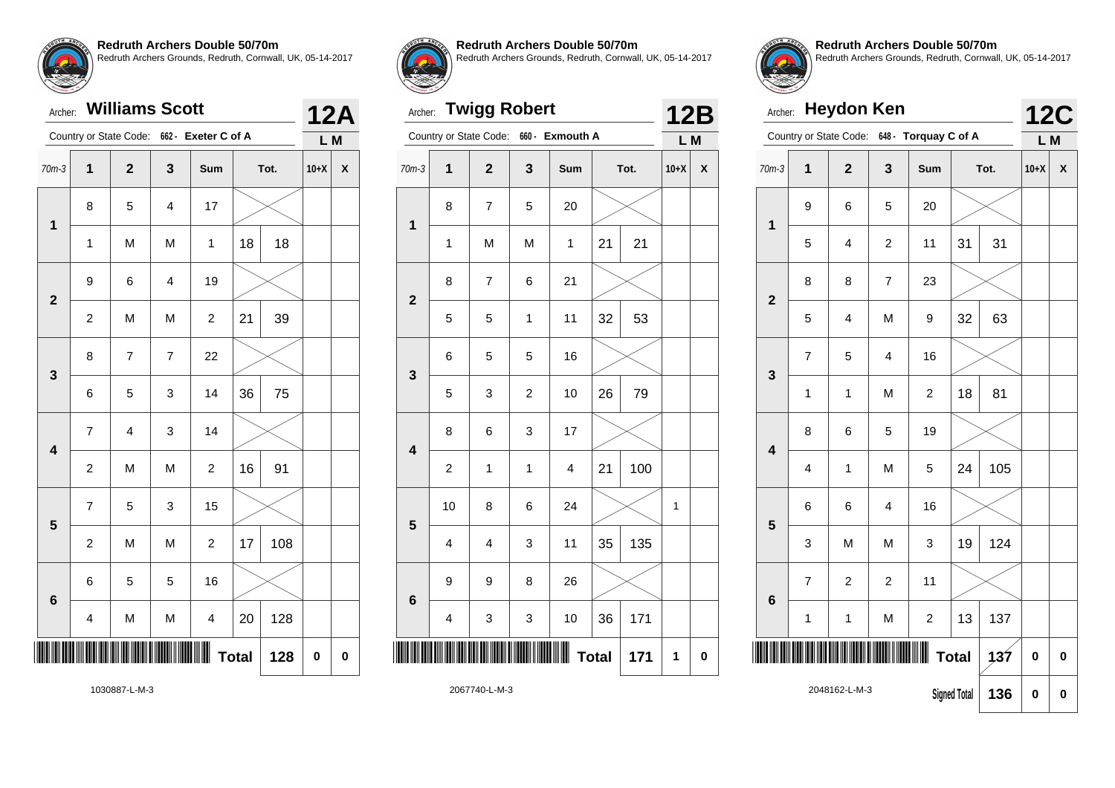#### Archer: **Williams Scott**

|                         |                         | Country or State Code:  |                         | 662 - Exeter C of A     |          |      | L M    |   |
|-------------------------|-------------------------|-------------------------|-------------------------|-------------------------|----------|------|--------|---|
| $70m-3$                 | $\overline{\mathbf{1}}$ | $\mathbf{2}$            | $\mathbf{3}$            | Sum                     |          | Tot. | $10+X$ | X |
| $\mathbf 1$             | 8                       | 5                       | $\overline{\mathbf{4}}$ | 17                      |          |      |        |   |
|                         | 1                       | M                       | M                       | 1                       | 18       | 18   |        |   |
| $\overline{\mathbf{2}}$ | 9                       | 6                       | $\overline{\mathbf{4}}$ | 19                      |          |      |        |   |
|                         | $\boldsymbol{2}$        | M                       | M                       | $\overline{\mathbf{c}}$ | 21       | 39   |        |   |
| 3                       | 8                       | $\overline{7}$          | $\overline{7}$          | 22                      |          |      |        |   |
|                         | 6                       | 5                       | 3                       | 14                      | 36       | 75   |        |   |
| $\overline{\mathbf{4}}$ | $\overline{7}$          | $\overline{\mathbf{4}}$ | 3                       | 14                      |          |      |        |   |
|                         | $\boldsymbol{2}$        | M                       | M                       | $\boldsymbol{2}$        | 16       | 91   |        |   |
| 5                       | $\overline{7}$          | 5                       | 3                       | 15                      |          |      |        |   |
|                         | $\boldsymbol{2}$        | M                       | M                       | $\boldsymbol{2}$        | 17       | 108  |        |   |
| 6                       | 6                       | 5                       | 5                       | 16                      |          |      |        |   |
|                         | $\overline{\mathbf{4}}$ | M                       | M                       | $\overline{\mathbf{4}}$ | 20       | 128  |        |   |
| ║║                      |                         |                         | <b>Total</b>            | 128                     | $\bf{0}$ | 0    |        |   |



**12A**

**Redruth Archers Double 50/70m**

Redruth Archers Grounds, Redruth, Cornwall, UK, 05-14-2017

# Archer: **Twigg Robert**

|                         |                         | Country or State Code:  | $660 -$        | <b>Exmouth A</b>        |              |      | L M          |                    |  |
|-------------------------|-------------------------|-------------------------|----------------|-------------------------|--------------|------|--------------|--------------------|--|
| $70m-3$                 | $\overline{\mathbf{1}}$ | $\overline{\mathbf{2}}$ | 3              | Sum                     |              | Tot. | $10+X$       | $\pmb{\mathsf{X}}$ |  |
| 1                       | 8                       | 7                       | 5              | 20                      |              |      |              |                    |  |
|                         | $\mathbf 1$             | M                       | M              | $\mathbf{1}$            | 21           | 21   |              |                    |  |
| $\overline{\mathbf{2}}$ | 8                       | $\overline{7}$          | 6              | 21                      |              |      |              |                    |  |
|                         | 5                       | 5                       | $\mathbf{1}$   | 11                      | 32           | 53   |              |                    |  |
| 3                       | 6                       | 5                       | 5              | 16                      |              |      |              |                    |  |
|                         | 5                       | 3                       | $\overline{c}$ | 10                      | 26           | 79   |              |                    |  |
| $\overline{\mathbf{4}}$ | 8                       | 6                       | 3              | 17                      |              |      |              |                    |  |
|                         | $\overline{\mathbf{c}}$ | 1                       | 1              | $\overline{\mathbf{4}}$ | 21           | 100  |              |                    |  |
| 5                       | 10                      | 8                       | 6              | 24                      |              |      | $\mathbf{1}$ |                    |  |
|                         | 4                       | 4                       | 3              | 11                      | 35           | 135  |              |                    |  |
| 6                       | 9                       | 9                       | 8              | 26                      |              |      |              |                    |  |
|                         | 4                       | 3                       | 3              | 10                      | 36           | 171  |              |                    |  |
|                         |                         |                         |                | Ш                       | <b>Total</b> | 171  | 1            | $\pmb{0}$          |  |
| $0027740 \text{ k}10$   |                         |                         |                |                         |              |      |              |                    |  |



**12B**

**Redruth Archers Double 50/70m** Redruth Archers Grounds, Redruth, Cornwall, UK, 05-14-2017

|                         | <b>Heydon Ken</b><br>Archer:                            |                        |                |                         |                     |      |                   |          |  |
|-------------------------|---------------------------------------------------------|------------------------|----------------|-------------------------|---------------------|------|-------------------|----------|--|
|                         |                                                         | Country or State Code: |                | 648 - Torquay C of A    |                     |      | <b>12C</b><br>L M |          |  |
| $70m-3$                 | 1                                                       | $\overline{2}$         | 3              | Sum                     |                     | Tot. | $10+X$            | X        |  |
| 1                       | 9                                                       | 6                      | 5              | 20                      |                     |      |                   |          |  |
|                         | 5                                                       | $\overline{4}$         | $\overline{c}$ | 11                      | 31                  | 31   |                   |          |  |
| $\overline{2}$          | 8                                                       | 8                      | $\overline{7}$ | 23                      |                     |      |                   |          |  |
|                         | 5                                                       | 4                      | M              | 9                       | 32                  | 63   |                   |          |  |
| 3                       | $\overline{7}$                                          | 5                      | $\overline{4}$ | 16                      |                     |      |                   |          |  |
|                         | $\mathbf{1}$                                            | 1                      | M              | $\overline{\mathbf{c}}$ | 18                  | 81   |                   |          |  |
| $\overline{\mathbf{4}}$ | 8                                                       | 6                      | 5              | 19                      |                     |      |                   |          |  |
|                         | 4                                                       | 1                      | M              | 5                       | 24                  | 105  |                   |          |  |
| 5                       | 6                                                       | 6                      | $\overline{4}$ | 16                      |                     |      |                   |          |  |
|                         | 3                                                       | M                      | M              | 3                       | 19                  | 124  |                   |          |  |
|                         | $\overline{7}$                                          | $\overline{2}$         | $\overline{2}$ | 11                      |                     |      |                   |          |  |
|                         | $6\phantom{a}$<br>13<br>M<br>$\boldsymbol{2}$<br>1<br>1 |                        |                |                         |                     | 137  |                   |          |  |
|                         |                                                         | 137                    | 0              | $\bf{0}$                |                     |      |                   |          |  |
|                         |                                                         | 2048162-L-M-3          |                |                         | <b>Signed Total</b> | 136  | $\bf{0}$          | $\bf{0}$ |  |

1030887-L-M-3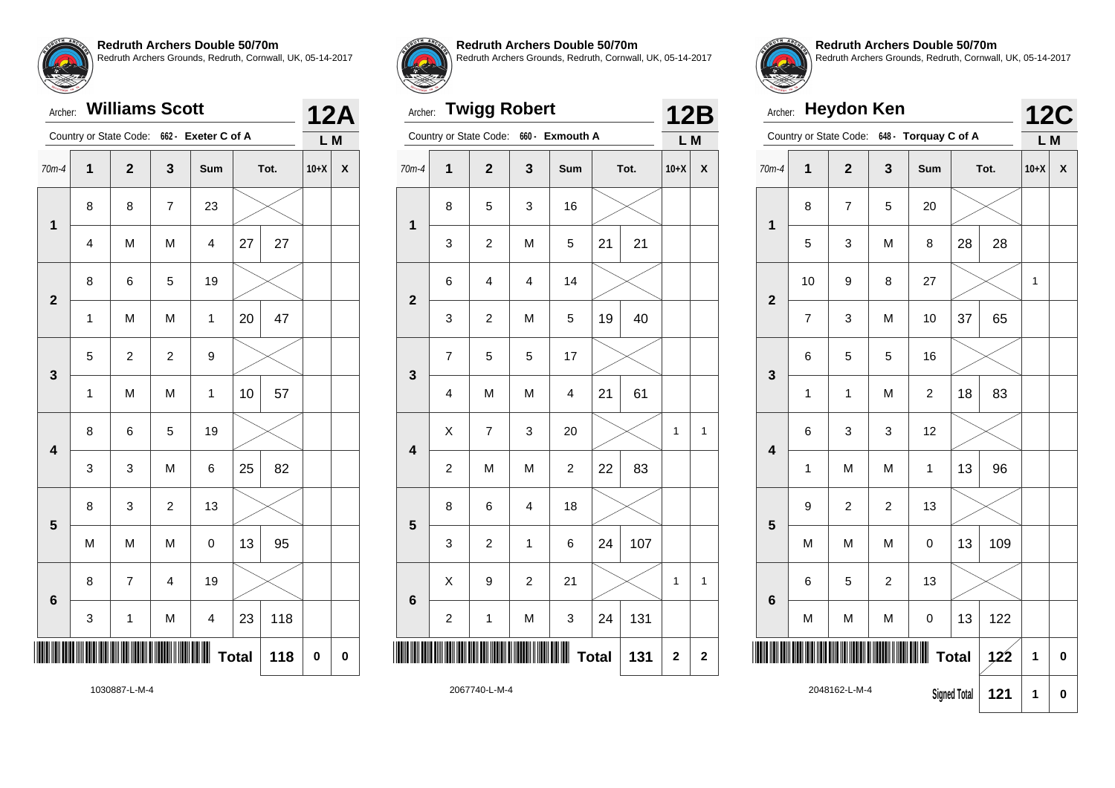#### Archer: **Williams Scott**

|                         |             | Country or State Code:  |                         | 662 - Exeter C of A     |              |      | L M      |   |
|-------------------------|-------------|-------------------------|-------------------------|-------------------------|--------------|------|----------|---|
| $70m-4$                 | $\mathbf 1$ | $\mathbf 2$             | $\mathbf{3}$            | Sum                     |              | Tot. | $10+X$   | X |
|                         | 8           | 8                       | $\overline{\mathbf{7}}$ | 23                      |              |      |          |   |
| $\mathbf 1$             | 4           | M                       | M                       | 4                       | 27           | 27   |          |   |
| $\overline{\mathbf{2}}$ | 8           | 6                       | 5                       | 19                      |              |      |          |   |
|                         | 1           | M                       | M                       | 1                       | 20           | 47   |          |   |
| 3                       | 5           | $\boldsymbol{2}$        | $\overline{c}$          | 9                       |              |      |          |   |
|                         | $\mathbf 1$ | M                       | M                       | 1                       | 10           | 57   |          |   |
| $\overline{\mathbf{4}}$ | 8           | 6                       | 5                       | 19                      |              |      |          |   |
|                         | 3           | 3                       | M                       | 6                       | 25           | 82   |          |   |
| 5                       | 8           | 3                       | $\overline{c}$          | 13                      |              |      |          |   |
|                         | M           | M                       | M                       | $\mathbf 0$             | 13           | 95   |          |   |
|                         | 8           | $\overline{\mathbf{7}}$ | 4                       | 19                      |              |      |          |   |
| 6                       | 3           | $\mathbf{1}$            | M                       | $\overline{\mathbf{4}}$ | 23           | 118  |          |   |
|                         |             |                         |                         |                         | <b>Total</b> | 118  | $\bf{0}$ | 0 |



**12A**

**Redruth Archers Double 50/70m**

Redruth Archers Grounds, Redruth, Cornwall, UK, 05-14-2017

# Archer: **Twigg Robert**

|                         |                         | Country or State Code:  | $660 -$                 | <b>Exmouth A</b>        |              |      | L M          |                    |
|-------------------------|-------------------------|-------------------------|-------------------------|-------------------------|--------------|------|--------------|--------------------|
| $70m-4$                 | $\overline{\mathbf{1}}$ | $\overline{\mathbf{2}}$ | 3                       | Sum                     |              | Tot. | $10+X$       | $\pmb{\mathsf{X}}$ |
| 1                       | 8                       | 5                       | 3                       | 16                      |              |      |              |                    |
|                         | 3                       | 2                       | M                       | 5                       | 21           | 21   |              |                    |
| $\overline{\mathbf{2}}$ | 6                       | $\overline{\mathbf{4}}$ | $\overline{\mathbf{4}}$ | 14                      |              |      |              |                    |
|                         | 3                       | 2                       | M                       | 5                       | 19           | 40   |              |                    |
| 3                       | $\overline{7}$          | 5                       | 5                       | 17                      |              |      |              |                    |
|                         | 4                       | M                       | M                       | $\overline{\mathbf{4}}$ | 21           | 61   |              |                    |
| $\overline{\mathbf{4}}$ | X                       | 7                       | 3                       | 20                      |              |      | $\mathbf{1}$ | 1                  |
|                         | $\overline{\mathbf{c}}$ | M                       | M                       | $\overline{\mathbf{c}}$ | 22           | 83   |              |                    |
| 5                       | 8                       | 6                       | $\overline{\mathbf{4}}$ | 18                      |              |      |              |                    |
|                         | 3                       | 2                       | $\mathbf 1$             | 6                       | 24           | 107  |              |                    |
| 6                       | X                       | 9                       | $\boldsymbol{2}$        | 21                      |              |      | 1            | $\mathbf{1}$       |
|                         | $\overline{\mathbf{c}}$ | 1                       | M                       | 3                       | 24           | 131  |              |                    |
|                         |                         |                         |                         | Ш                       | <b>Total</b> | 131  | $\mathbf 2$  | $\bf 2$            |
|                         |                         |                         |                         |                         |              |      |              |                    |



**12B**

**Redruth Archers Double 50/70m** Redruth Archers Grounds, Redruth, Cornwall, UK, 05-14-2017

|                         | <b>Heydon Ken</b><br>Archer:          |                        |                |                      |                     |      |                   |          |  |  |
|-------------------------|---------------------------------------|------------------------|----------------|----------------------|---------------------|------|-------------------|----------|--|--|
|                         |                                       | Country or State Code: |                | 648 - Torquay C of A |                     |      | <b>12C</b><br>L M |          |  |  |
| $70m-4$                 | 1                                     | $\overline{2}$         | 3              | Sum                  |                     | Tot. | $10+X$            | X        |  |  |
| 1                       | 8                                     | $\overline{7}$         | 5              | 20                   |                     |      |                   |          |  |  |
|                         | 5                                     | 3                      | M              | 8                    | 28                  | 28   |                   |          |  |  |
| $\overline{2}$          | 10                                    | 9                      | 8              | 27                   |                     |      | 1                 |          |  |  |
|                         | $\overline{7}$                        | 3                      | M              | 10                   | 37                  | 65   |                   |          |  |  |
| 3                       | 6                                     | 5                      | 5              | 16                   |                     |      |                   |          |  |  |
|                         | $\mathbf{1}$                          | $\mathbf{1}$           | M              | $\overline{c}$       | 18                  | 83   |                   |          |  |  |
| $\overline{\mathbf{4}}$ | 6                                     | 3                      | 3              | 12                   |                     |      |                   |          |  |  |
|                         | $\mathbf 1$                           | M                      | M              | 1                    | 13                  | 96   |                   |          |  |  |
| 5                       | 9                                     | $\overline{c}$         | $\overline{c}$ | 13                   |                     |      |                   |          |  |  |
|                         | M                                     | M                      | M              | $\mathbf 0$          | 13                  | 109  |                   |          |  |  |
|                         | 6                                     | 5                      | $\overline{c}$ | 13                   |                     |      |                   |          |  |  |
|                         | 6<br>13<br>M<br>M<br>M<br>$\mathbf 0$ |                        |                |                      |                     |      |                   |          |  |  |
|                         |                                       | <b>Total</b>           | 122            | 1                    | 0                   |      |                   |          |  |  |
|                         |                                       | 2048162-L-M-4          |                |                      | <b>Signed Total</b> | 121  | 1                 | $\bf{0}$ |  |  |

1030887-L-M-4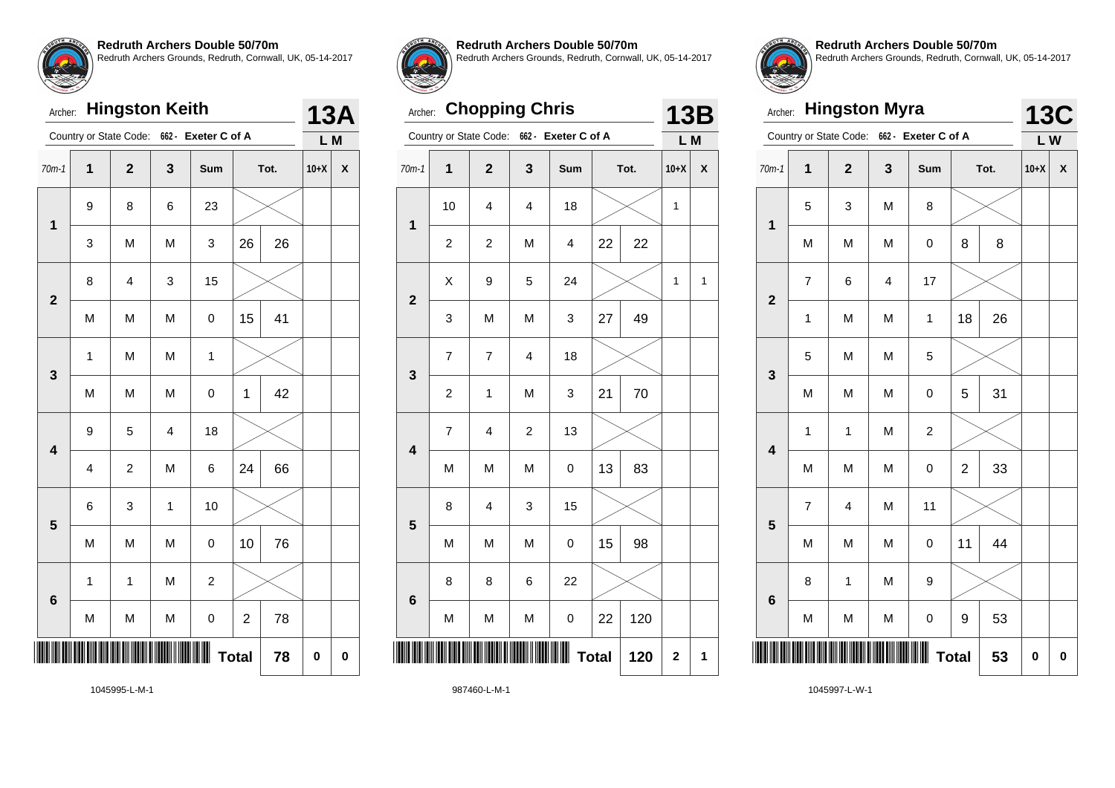

#### Archer: **Hingston Keith**

|                         |                | Country or State Code:  |             | 662 - Exeter C of A |                |      | L M      |   |
|-------------------------|----------------|-------------------------|-------------|---------------------|----------------|------|----------|---|
| $70m-1$                 | $\mathbf 1$    | $\mathbf 2$             | 3           | Sum                 |                | Tot. | $10+X$   | X |
| $\overline{\mathbf{1}}$ | 9              | 8                       | 6           | 23                  |                |      |          |   |
|                         | 3              | M                       | M           | 3                   | 26             | 26   |          |   |
| $\overline{\mathbf{2}}$ | 8              | $\overline{\mathbf{4}}$ | 3           | 15                  |                |      |          |   |
|                         | M              | M                       | M           | 0                   | 15             | 41   |          |   |
| 3                       | 1              | M                       | M           | 1                   |                |      |          |   |
|                         | M              | M                       | M           | $\mathbf 0$         | 1              | 42   |          |   |
| $\overline{\mathbf{4}}$ | 9              | 5                       | 4           | 18                  |                |      |          |   |
|                         | $\overline{4}$ | $\overline{c}$          | M           | 6                   | 24             | 66   |          |   |
| 5                       | 6              | 3                       | $\mathbf 1$ | 10                  |                |      |          |   |
|                         | M              | M                       | M           | $\mathbf 0$         | 10             | 76   |          |   |
| 6                       | $\mathbf{1}$   | $\mathbf{1}$            | M           | $\overline{c}$      |                |      |          |   |
|                         | M              | M                       | M           | $\mathbf 0$         | $\overline{c}$ | 78   |          |   |
|                         |                |                         |             |                     | <b>Total</b>   | 78   | $\bf{0}$ | 0 |



**13A**

**Redruth Archers Double 50/70m**

Redruth Archers Grounds, Redruth, Cornwall, UK, 05-14-2017

# Archer: **Chopping Chris**

|                         | Country or State Code:  |                         | 662 -                   | Exeter C of A           |              |     | L M         |                    |
|-------------------------|-------------------------|-------------------------|-------------------------|-------------------------|--------------|-----|-------------|--------------------|
| $70m-1$                 | $\overline{\mathbf{1}}$ | $\mathbf{2}$            | 3                       | Sum                     | Tot.         |     | $10+X$      | $\pmb{\mathsf{X}}$ |
|                         | 10                      | 4                       | $\overline{\mathbf{4}}$ | 18                      |              |     | 1           |                    |
| 1                       | $\overline{c}$          | $\overline{\mathbf{c}}$ | M                       | $\overline{\mathbf{4}}$ | 22           | 22  |             |                    |
| $\overline{\mathbf{2}}$ | X                       | 9                       | 5                       | 24                      |              |     | 1           | 1                  |
|                         | 3                       | M                       | M                       | 3                       | 27           | 49  |             |                    |
| 3                       | 7                       | $\overline{7}$          | $\overline{\mathbf{4}}$ | 18                      |              |     |             |                    |
|                         | $\overline{\mathbf{c}}$ | $\mathbf 1$             | M                       | 3                       | 21           | 70  |             |                    |
| $\overline{\mathbf{4}}$ | 7                       | 4                       | $\boldsymbol{2}$        | 13                      |              |     |             |                    |
|                         | M                       | M                       | M                       | 0                       | 13           | 83  |             |                    |
| 5                       | 8                       | $\overline{\mathbf{4}}$ | 3                       | 15                      |              |     |             |                    |
|                         | M                       | M                       | M                       | 0                       | 15           | 98  |             |                    |
| $6\phantom{1}6$         | 8                       | 8                       | 6                       | 22                      |              |     |             |                    |
|                         | M                       | M                       | M                       | 0                       | 22           | 120 |             |                    |
| ║║                      |                         |                         |                         |                         | <b>Total</b> | 120 | $\mathbf 2$ | 1                  |
|                         |                         |                         |                         |                         |              |     |             |                    |



**13B**

**Redruth Archers Double 50/70m** Redruth Archers Grounds, Redruth, Cornwall, UK, 05-14-2017

| Archer:                 |                | <b>Hingston Myra</b>   |   |                     |                |      | <b>13C</b> |   |
|-------------------------|----------------|------------------------|---|---------------------|----------------|------|------------|---|
|                         |                | Country or State Code: |   | 662 - Exeter C of A |                |      | LW         |   |
| $70m-1$                 | $\overline{1}$ | $\overline{2}$         | 3 | Sum                 |                | Tot. | $10+X$     | X |
| $\overline{\mathbf{1}}$ | 5              | 3                      | M | 8                   |                |      |            |   |
|                         | M              | M                      | M | 0                   | 8              | 8    |            |   |
| $\overline{2}$          | $\overline{7}$ | 6                      | 4 | 17                  |                |      |            |   |
|                         | $\mathbf{1}$   | M                      | M | $\mathbf{1}$        | 18             | 26   |            |   |
| 3                       | 5              | 5<br>M<br>M            |   |                     |                |      |            |   |
|                         | M              | M                      | M | $\mathbf 0$         | 5              | 31   |            |   |
| $\overline{\mathbf{4}}$ | $\mathbf 1$    | 1                      | M | $\boldsymbol{2}$    |                |      |            |   |
|                         | M              | M                      | M | $\pmb{0}$           | $\overline{c}$ | 33   |            |   |
| 5                       | $\overline{7}$ | 4                      | M | 11                  |                |      |            |   |
|                         | M              | M                      | M | $\mathsf 0$         | 11             | 44   |            |   |
| $6\phantom{a}$          | 8              | 1                      | M | 9                   |                |      |            |   |
|                         | M              | M                      | M | $\mathbf 0$         | 9              | 53   |            |   |
|                         |                |                        |   |                     | <b>Total</b>   | 53   | 0          | 0 |

1045995-L-M-1

987460-L-M-1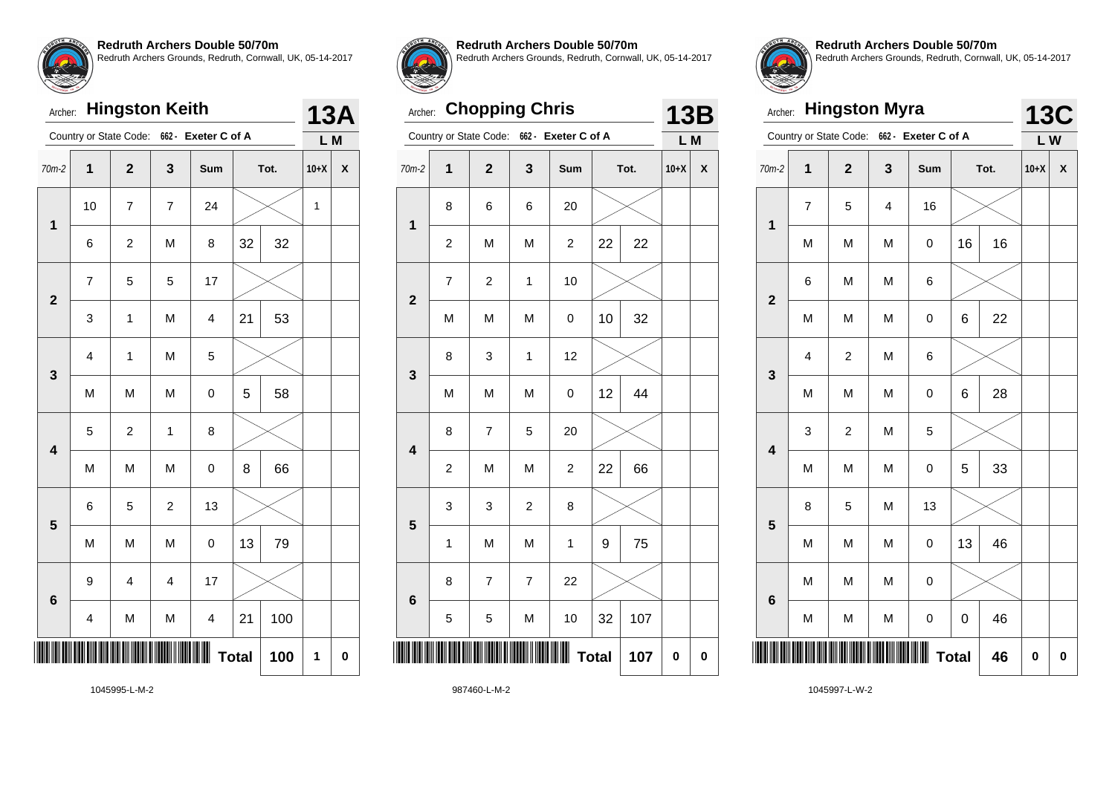

# Archer: **Hingston Keith**

|                         |                          | Country or State Code: |                         | 662 - Exeter C of A     |    |      | L M          |   |
|-------------------------|--------------------------|------------------------|-------------------------|-------------------------|----|------|--------------|---|
| $70m-2$                 | $\overline{\mathbf{1}}$  | $\mathbf{2}$           | 3                       | Sum                     |    | Tot. | $10+X$       | X |
| $\mathbf 1$             | 10                       | $\overline{7}$         | $\overline{7}$          | 24                      |    |      | $\mathbf{1}$ |   |
|                         | 6                        | $\overline{c}$         | M                       | 8                       | 32 | 32   |              |   |
| $\overline{\mathbf{2}}$ | $\overline{\mathcal{I}}$ | 5                      | 5                       | 17                      |    |      |              |   |
|                         | 3                        | 1                      | M                       | $\overline{\mathbf{4}}$ | 21 | 53   |              |   |
| 3                       | 4                        | 1                      | M                       | 5                       |    |      |              |   |
|                         | M                        | M                      | M                       | 0                       | 5  | 58   |              |   |
| $\overline{\mathbf{4}}$ | 5                        | $\boldsymbol{2}$       | $\mathbf{1}$            | 8                       |    |      |              |   |
|                         | M                        | M                      | M                       | $\pmb{0}$               | 8  | 66   |              |   |
| 5                       | 6                        | 5                      | $\overline{c}$          | 13                      |    |      |              |   |
|                         | M                        | M                      | M                       | $\mathbf 0$             | 13 | 79   |              |   |
| $6\phantom{1}6$         | 9                        | 4                      | $\overline{\mathbf{4}}$ | 17                      |    |      |              |   |
|                         | 4                        | M                      | M                       | $\overline{\mathbf{4}}$ | 21 | 100  |              |   |
|                         |                          |                        | <b>Total</b>            | 100                     | 1  | 0    |              |   |



**13A**

**Redruth Archers Double 50/70m**

Redruth Archers Grounds, Redruth, Cornwall, UK, 05-14-2017

### Archer: **Chopping Chris**

|                         |                         | Country or State Code:  | 662 -          | Exeter C of A           |                     | L M    |             |
|-------------------------|-------------------------|-------------------------|----------------|-------------------------|---------------------|--------|-------------|
| $70m-2$                 | $\overline{\mathbf{1}}$ | $\overline{\mathbf{c}}$ | 3              | Sum                     | Tot.                | $10+X$ | X           |
| 1                       | 8                       | 6                       | 6              | 20                      |                     |        |             |
|                         | $\overline{c}$          | M                       | M              | $\overline{c}$          | 22<br>22            |        |             |
| $\mathbf{2}$            | 7                       | $\overline{\mathbf{c}}$ | $\mathbf{1}$   | 10                      |                     |        |             |
|                         | M                       | M                       | M              | 0                       | 32<br>10            |        |             |
| 3                       | 8                       | 3                       | $\mathbf 1$    | 12                      |                     |        |             |
|                         | M                       | M                       | M              | 0                       | 44<br>12            |        |             |
| $\overline{\mathbf{4}}$ | 8                       | 7                       | 5              | 20                      |                     |        |             |
|                         | $\overline{c}$          | M                       | M              | $\overline{\mathbf{c}}$ | 66<br>22            |        |             |
| 5                       | 3                       | 3                       | $\overline{c}$ | 8                       |                     |        |             |
|                         | $\mathbf 1$             | M                       | M              | $\mathbf 1$             | 75<br>9             |        |             |
| $6\phantom{1}6$         | 8                       | $\overline{7}$          | $\overline{7}$ | 22                      |                     |        |             |
|                         | 5                       | 5                       | M              | 10                      | 32<br>107           |        |             |
| Ш                       |                         |                         |                |                         | <b>Total</b><br>107 | 0      | $\mathbf 0$ |
|                         |                         |                         |                |                         |                     |        |             |



**13B**

**Redruth Archers Double 50/70m** Redruth Archers Grounds, Redruth, Cornwall, UK, 05-14-2017

| Archer:                 |                         | <b>Hingston Myra</b>    |   |                     |    |      | <b>13C</b> |   |
|-------------------------|-------------------------|-------------------------|---|---------------------|----|------|------------|---|
|                         |                         | Country or State Code:  |   | 662 - Exeter C of A |    |      | L W        |   |
| $70m-2$                 | $\mathbf 1$             | $\overline{2}$          | 3 | Sum                 |    | Tot. | $10+X$     | X |
| $\overline{\mathbf{1}}$ | $\overline{7}$          | 5                       | 4 | 16                  |    |      |            |   |
|                         | M                       | M                       | M | 0                   | 16 | 16   |            |   |
| $\overline{\mathbf{2}}$ | 6                       | M                       | M | 6                   |    |      |            |   |
|                         | M                       | M                       | M | 0                   | 6  | 22   |            |   |
| 3                       | $\overline{\mathbf{4}}$ | $\overline{\mathbf{c}}$ | M | 6                   |    |      |            |   |
|                         | M                       | M                       | M | $\mathbf 0$         | 6  | 28   |            |   |
| $\overline{\mathbf{4}}$ | 3                       | $\overline{\mathbf{c}}$ | M | 5                   |    |      |            |   |
|                         | M                       | M                       | M | $\pmb{0}$           | 5  | 33   |            |   |
| 5                       | 8                       | 5                       | M | 13                  |    |      |            |   |
|                         | M                       | M                       | M | $\pmb{0}$           | 13 | 46   |            |   |
| $6\phantom{a}$          | M                       | M                       | M | $\mathbf 0$         |    |      |            |   |
|                         | M                       | M                       | M | $\mathbf 0$         | 0  | 46   |            |   |
|                         | 0                       | 0                       |   |                     |    |      |            |   |

1045995-L-M-2

987460-L-M-2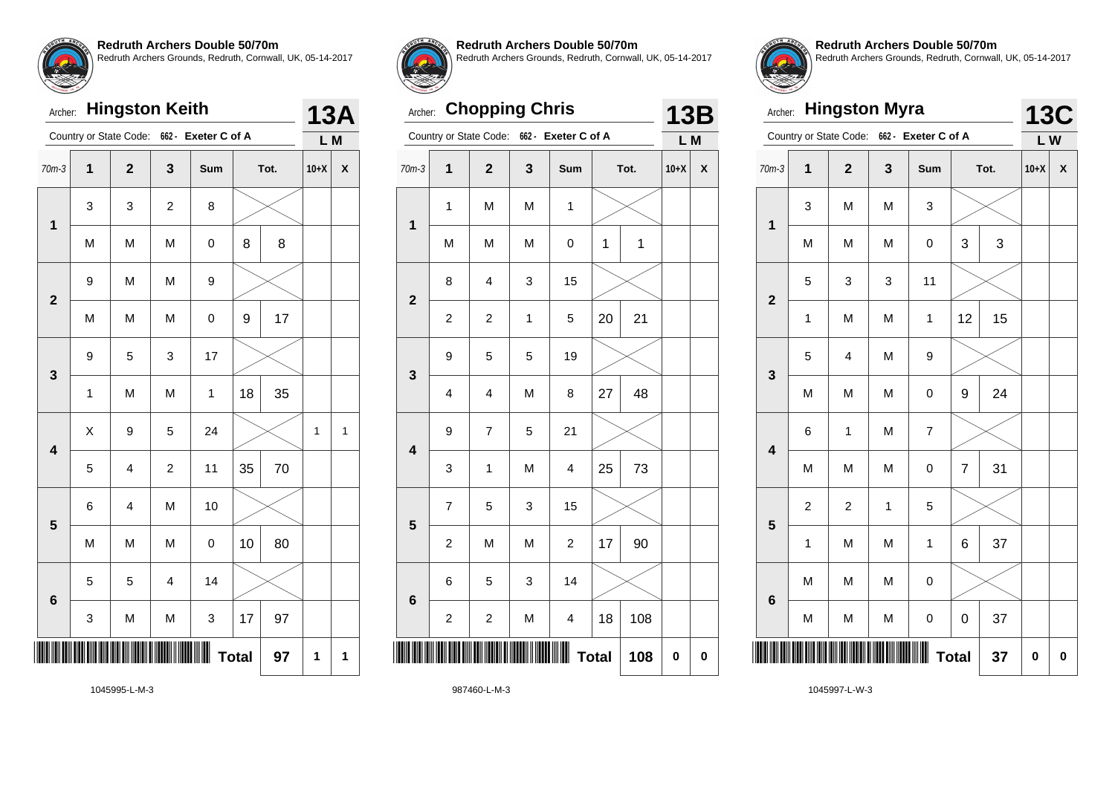

#### Archer: **Hingston Keith**

| $\overline{\mathbf{1}}$<br>3<br>$70m-3$<br>$10+X$<br>X<br>$\mathbf{2}$<br>Sum<br>Tot.<br>3<br>3<br>$\boldsymbol{2}$<br>8<br>$\mathbf 1$<br>8<br>M<br>M<br>M<br>8<br>0<br>M<br>M<br>9<br>9<br>$\overline{\mathbf{2}}$<br>17<br>M<br>M<br>M<br>$\pmb{0}$<br>9<br>3<br>17<br>9<br>5<br>3<br>35<br>M<br>18<br>$\mathbf{1}$<br>M<br>$\mathbf 1$<br>X<br>9<br>24<br>5<br>1<br>1<br>$\overline{\mathbf{4}}$<br>35<br>70<br>5<br>$\overline{\mathbf{4}}$<br>$\overline{c}$<br>11<br>M<br>10<br>6<br>4<br>5<br>M<br>10<br>80<br>M<br>M<br>$\mathsf 0$<br>14<br>5<br>5<br>$\overline{4}$<br>$6\phantom{1}6$<br>17<br>97<br>M<br>3<br>3<br>M<br><b>Total</b><br>97<br>$\mathbf{1}$<br>1 |  | Country or State Code: | 662 - Exeter C of A |  | L M |  |
|------------------------------------------------------------------------------------------------------------------------------------------------------------------------------------------------------------------------------------------------------------------------------------------------------------------------------------------------------------------------------------------------------------------------------------------------------------------------------------------------------------------------------------------------------------------------------------------------------------------------------------------------------------------------------|--|------------------------|---------------------|--|-----|--|
|                                                                                                                                                                                                                                                                                                                                                                                                                                                                                                                                                                                                                                                                              |  |                        |                     |  |     |  |
|                                                                                                                                                                                                                                                                                                                                                                                                                                                                                                                                                                                                                                                                              |  |                        |                     |  |     |  |
|                                                                                                                                                                                                                                                                                                                                                                                                                                                                                                                                                                                                                                                                              |  |                        |                     |  |     |  |
|                                                                                                                                                                                                                                                                                                                                                                                                                                                                                                                                                                                                                                                                              |  |                        |                     |  |     |  |
|                                                                                                                                                                                                                                                                                                                                                                                                                                                                                                                                                                                                                                                                              |  |                        |                     |  |     |  |
|                                                                                                                                                                                                                                                                                                                                                                                                                                                                                                                                                                                                                                                                              |  |                        |                     |  |     |  |
|                                                                                                                                                                                                                                                                                                                                                                                                                                                                                                                                                                                                                                                                              |  |                        |                     |  |     |  |
|                                                                                                                                                                                                                                                                                                                                                                                                                                                                                                                                                                                                                                                                              |  |                        |                     |  |     |  |
|                                                                                                                                                                                                                                                                                                                                                                                                                                                                                                                                                                                                                                                                              |  |                        |                     |  |     |  |
|                                                                                                                                                                                                                                                                                                                                                                                                                                                                                                                                                                                                                                                                              |  |                        |                     |  |     |  |
|                                                                                                                                                                                                                                                                                                                                                                                                                                                                                                                                                                                                                                                                              |  |                        |                     |  |     |  |
|                                                                                                                                                                                                                                                                                                                                                                                                                                                                                                                                                                                                                                                                              |  |                        |                     |  |     |  |
|                                                                                                                                                                                                                                                                                                                                                                                                                                                                                                                                                                                                                                                                              |  |                        |                     |  |     |  |
|                                                                                                                                                                                                                                                                                                                                                                                                                                                                                                                                                                                                                                                                              |  |                        |                     |  |     |  |



**13A**

**Redruth Archers Double 50/70m**

Redruth Archers Grounds, Redruth, Cornwall, UK, 05-14-2017

# Archer: **Chopping Chris**

|                         |                         | Country or State Code:  | $662 -$     | Exeter C of A           |                     | L M    |           |
|-------------------------|-------------------------|-------------------------|-------------|-------------------------|---------------------|--------|-----------|
| $70m-3$                 | 1                       | $\mathbf{2}$            | 3           | Sum                     | Tot.                | $10+X$ | X         |
|                         | $\mathbf{1}$            | M                       | M           | $\mathbf 1$             |                     |        |           |
| 1                       | M                       | M                       | M           | 0                       | $\mathbf{1}$<br>1   |        |           |
| $\mathbf{2}$            | 8                       | 4                       | 3           | 15                      |                     |        |           |
|                         | $\overline{\mathbf{c}}$ | $\overline{\mathbf{c}}$ | $\mathbf 1$ | 5                       | 21<br>20            |        |           |
| 3                       | 9                       | 5                       | 5           | 19                      |                     |        |           |
|                         | 4                       | 4                       | M           | 8                       | 48<br>27            |        |           |
| $\overline{\mathbf{4}}$ | 9                       | $\overline{7}$          | 5           | 21                      |                     |        |           |
|                         | 3                       | $\mathbf 1$             | M           | 4                       | 73<br>25            |        |           |
| 5                       | $\overline{7}$          | 5                       | 3           | 15                      |                     |        |           |
|                         | $\overline{c}$          | M                       | M           | $\overline{\mathbf{c}}$ | 90<br>17            |        |           |
| $6\phantom{1}6$         | 6                       | 5                       | 3           | 14                      |                     |        |           |
|                         | $\overline{c}$          | $\overline{\mathbf{c}}$ | M           | 4                       | 18<br>108           |        |           |
| ║║                      |                         |                         |             | Ш                       | <b>Total</b><br>108 | 0      | $\pmb{0}$ |
|                         |                         |                         |             |                         |                     |        |           |



**13B**

**Redruth Archers Double 50/70m** Redruth Archers Grounds, Redruth, Cornwall, UK, 05-14-2017

| Archer:                 |              |                         | <b>Hingston Myra</b> |                     |              |      | <b>13C</b> |   |
|-------------------------|--------------|-------------------------|----------------------|---------------------|--------------|------|------------|---|
|                         |              | Country or State Code:  |                      | 662 - Exeter C of A |              |      | $L$ W      |   |
| $70m-3$                 | $\mathbf{1}$ | $\overline{\mathbf{2}}$ | 3                    | Sum                 |              | Tot. | $10+X$     | X |
| $\mathbf 1$             | 3            | M                       | M                    | 3                   |              |      |            |   |
|                         | M            | M                       | M                    | 0                   | 3            | 3    |            |   |
| $\overline{\mathbf{2}}$ | 5            | 3                       | 3                    | 11                  |              |      |            |   |
|                         | $\mathbf{1}$ | M                       | M                    | $\mathbf{1}$        | 12           | 15   |            |   |
| 3                       | 5            | $\overline{\mathbf{4}}$ | M                    | 9                   |              |      |            |   |
|                         | M            | M                       | M                    | 0                   | 9            | 24   |            |   |
| $\overline{\mathbf{4}}$ | 6            | $\mathbf 1$             | M                    | 7                   |              |      |            |   |
|                         | M            | M                       | M                    | 0                   | 7            | 31   |            |   |
| 5                       | 2            | $\overline{c}$          | 1                    | 5                   |              |      |            |   |
|                         | $\mathbf{1}$ | M                       | M                    | $\mathbf{1}$        | 6            | 37   |            |   |
| $6\phantom{1}6$         | M            | M                       | M                    | 0                   |              |      |            |   |
|                         | M            | M                       | M                    | 0                   | 0            | 37   |            |   |
|                         |              |                         |                      |                     | <b>Total</b> | 37   | 0          | 0 |

1045995-L-M-3

987460-L-M-3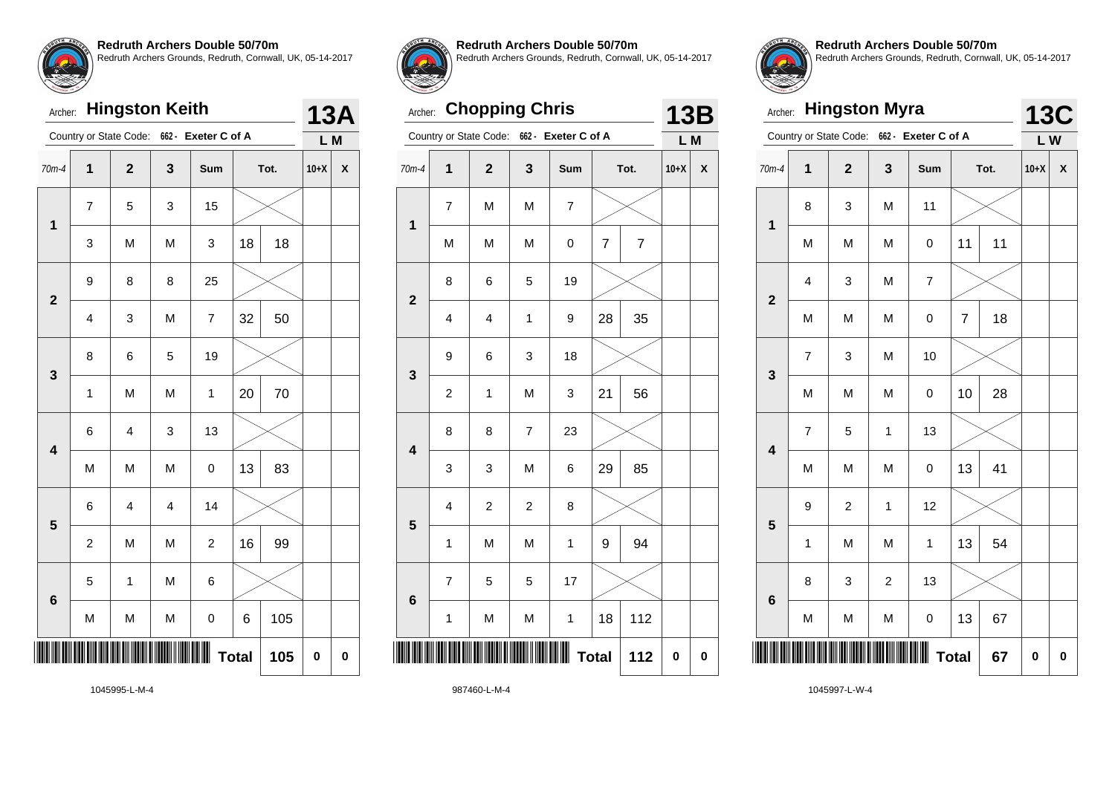

#### Archer: **Hingston Keith**

|                         |                          | Country or State Code: |                         | 662 - Exeter C of A |              |      | L M      |             |
|-------------------------|--------------------------|------------------------|-------------------------|---------------------|--------------|------|----------|-------------|
| $70m-4$                 | $\mathbf{1}$             | $\mathbf 2$            | 3                       | Sum                 |              | Tot. | $10+X$   | X           |
| $\mathbf{1}$            | $\overline{\mathcal{I}}$ | 5                      | 3                       | 15                  |              |      |          |             |
|                         | 3                        | M                      | M                       | 3                   | 18           | 18   |          |             |
| $\overline{\mathbf{2}}$ | 9                        | 8                      | 8                       | 25                  |              |      |          |             |
|                         | $\overline{4}$           | 3                      | M                       | $\overline{7}$      | 32           | 50   |          |             |
| 3                       | 8                        | 6                      | 5                       | 19                  |              |      |          |             |
|                         | $\mathbf 1$              | M                      | M                       | $\mathbf{1}$        | 20           | 70   |          |             |
| $\overline{\mathbf{4}}$ | 6                        | 4                      | 3                       | 13                  |              |      |          |             |
|                         | M                        | M                      | M                       | 0                   | 13           | 83   |          |             |
| 5                       | 6                        | 4                      | $\overline{\mathbf{4}}$ | 14                  |              |      |          |             |
|                         | $\overline{c}$           | M                      | M                       | $\overline{c}$      | 16           | 99   |          |             |
| $6\phantom{1}6$         | 5                        | $\mathbf 1$            | M                       | 6                   |              |      |          |             |
|                         | M                        | M                      | M                       | 0                   | 6            | 105  |          |             |
|                         |                          |                        |                         |                     | <b>Total</b> | 105  | $\bf{0}$ | $\mathbf 0$ |



**13A**

**Redruth Archers Double 50/70m**

Redruth Archers Grounds, Redruth, Cornwall, UK, 05-14-2017

# Archer: **Chopping Chris**

|                         |                         | Country or State Code:  | 662 -                    | Exeter C of A |                |                | L M    |                    |
|-------------------------|-------------------------|-------------------------|--------------------------|---------------|----------------|----------------|--------|--------------------|
| $70m-4$                 | $\overline{\mathbf{1}}$ | $\overline{\mathbf{2}}$ | 3                        | Sum           |                | Tot.           | $10+X$ | $\pmb{\mathsf{X}}$ |
|                         | 7                       | M                       | M                        | 7             |                |                |        |                    |
| 1                       | M                       | M                       | M                        | 0             | $\overline{7}$ | $\overline{7}$ |        |                    |
| $\overline{\mathbf{2}}$ | 8                       | 6                       | 5                        | 19            |                |                |        |                    |
|                         | 4                       | 4                       | $\mathbf{1}$             | 9             | 28             | 35             |        |                    |
| 3                       | 9                       | 6                       | 3                        | 18            |                |                |        |                    |
|                         | $\overline{\mathbf{c}}$ | $\mathbf 1$             | M                        | 3             | 21             | 56             |        |                    |
| $\overline{\mathbf{4}}$ | 8                       | 8                       | $\overline{\mathcal{I}}$ | 23            |                |                |        |                    |
|                         | 3                       | 3                       | M                        | 6             | 29             | 85             |        |                    |
| 5                       | 4                       | $\overline{\mathbf{c}}$ | $\overline{\mathbf{c}}$  | 8             |                |                |        |                    |
|                         | $\mathbf{1}$            | M                       | M                        | $\mathbf 1$   | 9              | 94             |        |                    |
| $6\phantom{1}6$         | $\overline{7}$          | 5                       | 5                        | 17            |                |                |        |                    |
|                         | 1                       | M                       | M                        | $\mathbf 1$   | 18             | 112            |        |                    |
| ║                       |                         |                         |                          |               | <b>Total</b>   | 112            | 0      | $\pmb{0}$          |
|                         |                         |                         |                          |               |                |                |        |                    |



**13B**

**Redruth Archers Double 50/70m** Redruth Archers Grounds, Redruth, Cornwall, UK, 05-14-2017

| Archer:                 |              | <b>Hingston Myra</b>    |                |                     |                |      | <b>13C</b> |          |
|-------------------------|--------------|-------------------------|----------------|---------------------|----------------|------|------------|----------|
|                         |              | Country or State Code:  |                | 662 - Exeter C of A |                |      | LW         |          |
| $70m-4$                 | $\mathbf 1$  | $\overline{\mathbf{2}}$ | 3              | Sum                 |                | Tot. | $10+X$     | X        |
| 1                       | 8            | 3                       | M              | 11                  |                |      |            |          |
|                         | M            | M                       | M              | 0                   | 11             | 11   |            |          |
| $\overline{\mathbf{2}}$ | 4            | 3                       | M              | 7                   |                |      |            |          |
|                         | M            | M                       | M              | 0                   | $\overline{7}$ | 18   |            |          |
| 3                       | 7            | 3                       | M              | 10                  |                |      |            |          |
|                         | M            | M                       | M              | 0                   | 10             | 28   |            |          |
| $\overline{\mathbf{4}}$ | 7            | 5                       | $\mathbf{1}$   | 13                  |                |      |            |          |
|                         | M            | M                       | M              | $\pmb{0}$           | 13             | 41   |            |          |
| 5                       | 9            | $\overline{c}$          | 1              | 12                  |                |      |            |          |
|                         | $\mathbf{1}$ | M                       | M              | $\mathbf 1$         | 13             | 54   |            |          |
| $6\phantom{1}6$         | 8            | 3                       | $\overline{c}$ | 13                  |                |      |            |          |
|                         | M            | M                       | M              | 0                   | 13             | 67   |            |          |
|                         |              |                         |                |                     | <b>Total</b>   | 67   | $\bf{0}$   | $\bf{0}$ |

1045995-L-M-4

987460-L-M-4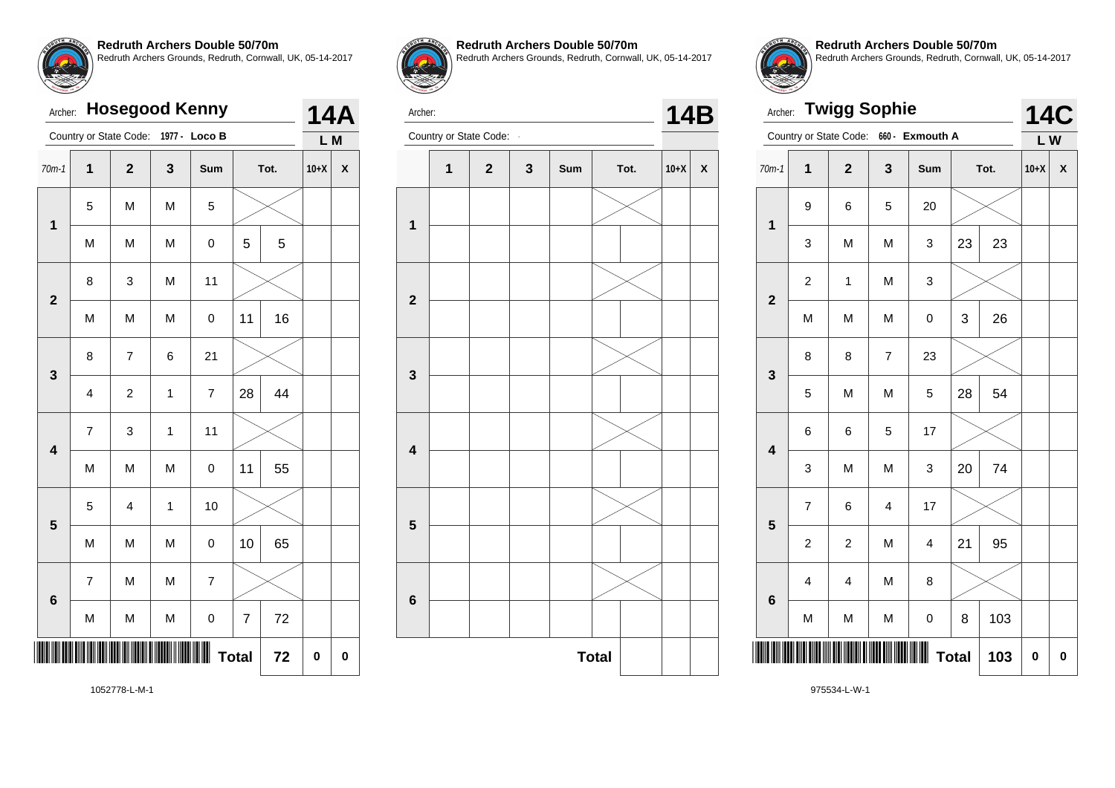| Archer:                 |                        |                |   | <b>Hosegood Kenny</b> |    |      |        | <b>14A</b> |  |
|-------------------------|------------------------|----------------|---|-----------------------|----|------|--------|------------|--|
|                         | Country or State Code: |                |   | 1977 - Loco B         |    |      | L M    |            |  |
| $70m-1$                 | 1                      | $\overline{2}$ | 3 | Sum                   |    | Tot. | $10+X$ | X          |  |
| 1                       | 5                      | M              | M | 5                     |    |      |        |            |  |
|                         | M                      | M              | M | 0                     | 5  | 5    |        |            |  |
| $\overline{2}$          | 8                      | 3              | M | 11                    |    |      |        |            |  |
|                         | M                      | M              | M | $\mathbf 0$           | 11 | 16   |        |            |  |
| 3                       | 8                      | $\overline{7}$ | 6 | 21                    |    |      |        |            |  |
|                         | 4                      | $\overline{c}$ | 1 | 7                     | 28 | 44   |        |            |  |
| $\overline{\mathbf{4}}$ | 7                      | 3              | 1 | 11                    |    |      |        |            |  |
|                         | M                      | M              | M | $\mathsf 0$           | 11 | 55   |        |            |  |
| 5                       | 5                      | $\overline{4}$ | 1 | 10                    |    |      |        |            |  |
|                         | M                      | M              | M | 0                     | 10 | 65   |        |            |  |
| 6                       | 7                      | M              | M | $\overline{7}$        |    |      |        |            |  |
|                         | M                      | M              | M | 0                     | 7  | 72   |        |            |  |

**10529 10529 10529 10529 10529 10529 10529 10529 10529 10529 10529 10529 10539 10539 10539 10539 10539 10539 10539 10539 10539 10539 10539 10539 10539 10539 10539 10539 10539 10539 10539 10539 10539 10539 10539 10539 10539** 



**Redruth Archers Double 50/70m**

Redruth Archers Grounds, Redruth, Cornwall, UK, 05-14-2017



Archer: Country or State Code: **14B** 





**Redruth Archers Double 50/70m** Redruth Archers Grounds, Redruth, Cornwall, UK, 05-14-2017

| Archer:                 |                        | <b>Twigg Sophie</b>     |                |                 |              |      | <b>14C</b> |   |
|-------------------------|------------------------|-------------------------|----------------|-----------------|--------------|------|------------|---|
|                         | Country or State Code: |                         |                | 660 - Exmouth A |              |      | LW         |   |
| $70m-1$                 | 1                      | $\overline{\mathbf{2}}$ | 3              | Sum             |              | Tot. | $10+X$     | X |
|                         | 9                      | 6                       | 5              | 20              |              |      |            |   |
| 1                       | 3                      | M                       | M              | 3               | 23           | 23   |            |   |
| $\overline{2}$          | $\overline{c}$         | 1                       | M              | 3               |              |      |            |   |
|                         | M                      | M                       | M              | $\mathbf 0$     | 3            | 26   |            |   |
| 3                       | 8                      | 8                       | $\overline{7}$ | 23              |              |      |            |   |
|                         | 5                      | M                       | M              | 5               | 28           | 54   |            |   |
| $\overline{\mathbf{4}}$ | 6                      | 6                       | 5              | 17              |              |      |            |   |
|                         | 3                      | M                       | M              | 3               | 20           | 74   |            |   |
| 5                       | $\overline{7}$         | 6                       | $\overline{4}$ | 17              |              |      |            |   |
|                         | $\overline{c}$         | $\overline{c}$          | M              | $\overline{4}$  | 21           | 95   |            |   |
| $6\phantom{a}$          | $\overline{4}$         | 4                       | M              | 8               |              |      |            |   |
|                         | M                      | M                       | M              | 0               | 8            | 103  |            |   |
|                         |                        |                         |                |                 | <b>Total</b> | 103  | 0          | 0 |

1052778-L-M-1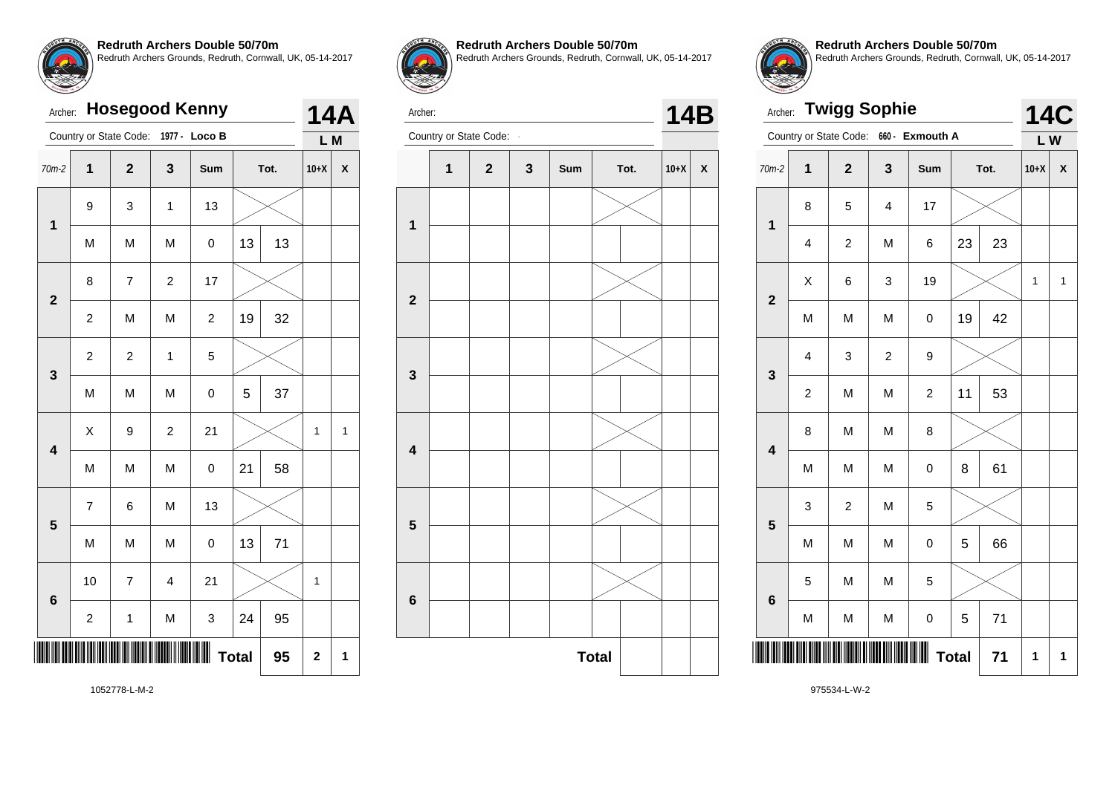| Archer:                 |                         |                          |                         | <b>Hosegood Kenny</b> |              |      |                | <b>14A</b> |  |
|-------------------------|-------------------------|--------------------------|-------------------------|-----------------------|--------------|------|----------------|------------|--|
|                         |                         | Country or State Code:   |                         | 1977 - Loco B         |              |      | L M            |            |  |
| $70m-2$                 | $\mathbf 1$             | $\overline{\mathbf{2}}$  | 3                       | Sum                   |              | Tot. | $10+X$         | X          |  |
| $\mathbf 1$             | 9                       | 3                        | 1                       | 13                    |              |      |                |            |  |
|                         | M                       | M                        | M                       | 0                     | 13           | 13   |                |            |  |
| $\overline{\mathbf{2}}$ | 8                       | $\overline{\mathcal{I}}$ | $\overline{c}$          | 17                    |              |      |                |            |  |
|                         | $\overline{c}$          | M                        | M                       | $\overline{c}$        | 19           | 32   |                |            |  |
| 3                       | $\overline{c}$          | $\overline{c}$           | $\mathbf 1$             | 5                     |              |      |                |            |  |
|                         | M                       | M                        | M                       | 0                     | 5            | 37   |                |            |  |
| $\overline{\mathbf{4}}$ | X                       | 9                        | $\overline{c}$          | 21                    |              |      | 1              | 1          |  |
|                         | M                       | M                        | M                       | 0                     | 21           | 58   |                |            |  |
| 5                       | $\overline{7}$          | 6                        | M                       | 13                    |              |      |                |            |  |
|                         | M                       | M                        | M                       | 0                     | 13           | 71   |                |            |  |
| 6                       | 10                      | $\overline{7}$           | $\overline{\mathbf{4}}$ | 21                    |              |      | $\overline{1}$ |            |  |
|                         | $\overline{\mathbf{c}}$ | 1                        | M                       | 3                     | 24           | 95   |                |            |  |
|                         |                         |                          |                         |                       | <b>Total</b> | 95   | $\mathbf 2$    | 1          |  |



**Redruth Archers Double 50/70m** Redruth Archers Grounds, Redruth, Cornwall, UK, 05-14-2017

Archer:



Archer: **Twigg Sophie** Country or State Code: **660 - Exmouth A 14C L W** 70m-2 **1 2 3 Sum Tot. 10+X X 1** 8 5 4 17 4 | 2 | M | 6 | 23 | 23 **2**  $X$   $\begin{array}{|c|c|c|c|c|}\ \hline \end{array}$  6  $\begin{array}{|c|c|c|c|c|}\ \hline \end{array}$  3  $\begin{array}{|c|c|c|c|c|}\ \hline \end{array}$  19  $\begin{array}{|c|c|c|c|}\ \hline \end{array}$  11  $\begin{array}{|c|c|c|}\ \hline \end{array}$ M | M | M | 0 |19 | 42 **3** 4 3 2 3 2 | M | M | 2 | 11 | 53 **4** 8 | M | M | 8 M | M | M | 0 | 8 | 61 **5** 3 2 M 5 M | M | M | 0 | 5 | 66 **6** 5 | M | M | 5 M | M | M | 0 | 5 | 71 \*975534-L-W-2\*  $Total | 71 | 1 | 1$ 

**Redruth Archers Double 50/70m**

Redruth Archers Grounds, Redruth, Cornwall, UK, 05-14-2017

1052778-L-M-2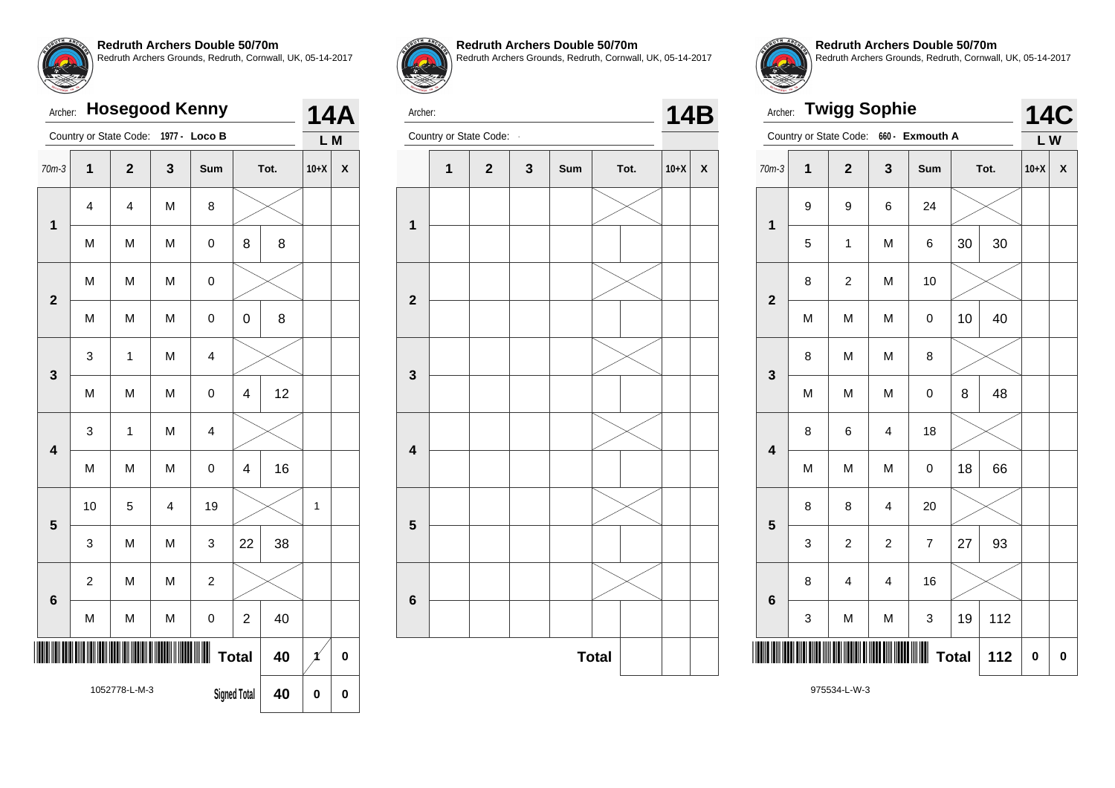| <b>Hosegood Kenny</b><br>Archer:<br>Country or State Code:<br>1977 -<br>Loco B<br>$70m-3$<br>1<br>$\overline{2}$<br>$\mathbf{3}$<br>Tot.<br>Sum<br>4<br>4<br>M<br>8<br>$\mathbf{1}$<br>M<br>M<br>M<br>8<br>$\mathsf 0$<br>8<br>M<br>M<br>M<br>$\mathsf 0$<br>$\overline{2}$<br>8<br>M<br>M<br>M<br>$\pmb{0}$<br>$\mathbf 0$<br>M<br>3<br>$\mathbf{1}$<br>$\overline{4}$<br>3<br>12<br>M<br>M<br>M<br>$\mathsf 0$<br>4<br>M<br>$\overline{\mathbf{4}}$<br>3<br>$\mathbf 1$<br>$\overline{\mathbf{4}}$<br>16<br>M<br>$\overline{\mathbf{4}}$<br>M<br>M<br>$\mathbf 0$ |                |   |                         |                |                |    |        | 14A |
|---------------------------------------------------------------------------------------------------------------------------------------------------------------------------------------------------------------------------------------------------------------------------------------------------------------------------------------------------------------------------------------------------------------------------------------------------------------------------------------------------------------------------------------------------------------------|----------------|---|-------------------------|----------------|----------------|----|--------|-----|
|                                                                                                                                                                                                                                                                                                                                                                                                                                                                                                                                                                     |                |   |                         |                |                |    | L M    |     |
|                                                                                                                                                                                                                                                                                                                                                                                                                                                                                                                                                                     |                |   |                         |                |                |    | $10+X$ | X   |
|                                                                                                                                                                                                                                                                                                                                                                                                                                                                                                                                                                     |                |   |                         |                |                |    |        |     |
|                                                                                                                                                                                                                                                                                                                                                                                                                                                                                                                                                                     |                |   |                         |                |                |    |        |     |
|                                                                                                                                                                                                                                                                                                                                                                                                                                                                                                                                                                     |                |   |                         |                |                |    |        |     |
|                                                                                                                                                                                                                                                                                                                                                                                                                                                                                                                                                                     |                |   |                         |                |                |    |        |     |
|                                                                                                                                                                                                                                                                                                                                                                                                                                                                                                                                                                     |                |   |                         |                |                |    |        |     |
|                                                                                                                                                                                                                                                                                                                                                                                                                                                                                                                                                                     |                |   |                         |                |                |    |        |     |
|                                                                                                                                                                                                                                                                                                                                                                                                                                                                                                                                                                     |                |   |                         |                |                |    |        |     |
|                                                                                                                                                                                                                                                                                                                                                                                                                                                                                                                                                                     |                |   |                         |                |                |    |        |     |
| 5                                                                                                                                                                                                                                                                                                                                                                                                                                                                                                                                                                   | 10             | 5 | $\overline{\mathbf{4}}$ | 19             |                |    | 1      |     |
|                                                                                                                                                                                                                                                                                                                                                                                                                                                                                                                                                                     | 3              | M | M                       | 3              | 22             | 38 |        |     |
| $6\phantom{1}$                                                                                                                                                                                                                                                                                                                                                                                                                                                                                                                                                      | $\overline{c}$ | M | M                       | $\overline{c}$ |                |    |        |     |
|                                                                                                                                                                                                                                                                                                                                                                                                                                                                                                                                                                     | M              | M | M                       | $\mathbf 0$    | $\overline{2}$ | 40 |        |     |
|                                                                                                                                                                                                                                                                                                                                                                                                                                                                                                                                                                     |                |   |                         |                | <b>Total</b>   | 40 |        | 0   |
|                                                                                                                                                                                                                                                                                                                                                                                                                                                                                                                                                                     |                |   |                         |                |                |    |        |     |

**Signed Total | 40 | 0 | 0** 

1052778-L-M-3



**Redruth Archers Double 50/70m** Redruth Archers Grounds, Redruth, Cornwall, UK, 05-14-2017

Archer:





**Redruth Archers Double 50/70m** Redruth Archers Grounds, Redruth, Cornwall, UK, 05-14-2017

| Archer:                 |   | <b>Twigg Sophie</b>     |                |                 |              |      | <b>14C</b> |   |
|-------------------------|---|-------------------------|----------------|-----------------|--------------|------|------------|---|
|                         |   | Country or State Code:  |                | 660 - Exmouth A |              |      | LW         |   |
| $70m-3$                 | 1 | $\overline{\mathbf{2}}$ | 3              | Sum             |              | Tot. | $10+X$     | X |
| $\mathbf 1$             | 9 | 9                       | 6              | 24              |              |      |            |   |
|                         | 5 | $\mathbf 1$             | M              | 6               | 30           | 30   |            |   |
| $\overline{2}$          | 8 | $\overline{c}$          | M              | 10              |              |      |            |   |
|                         | M | M                       | M              | 0               | 10           | 40   |            |   |
| 3                       | 8 | M                       | M              | 8               |              |      |            |   |
|                         | M | M                       | M              | 0               | 8            | 48   |            |   |
| $\overline{\mathbf{4}}$ | 8 | 6                       | 4              | 18              |              |      |            |   |
|                         | M | M                       | M              | 0               | 18           | 66   |            |   |
| 5                       | 8 | 8                       | 4              | 20              |              |      |            |   |
|                         | 3 | $\overline{c}$          | $\overline{c}$ | $\overline{7}$  | 27           | 93   |            |   |
| $6\phantom{1}6$         | 8 | 4                       | 4              | 16              |              |      |            |   |
|                         | 3 | M                       | M              | 3               | 19           | 112  |            |   |
|                         |   |                         |                |                 | <b>Total</b> | 112  | 0          | 0 |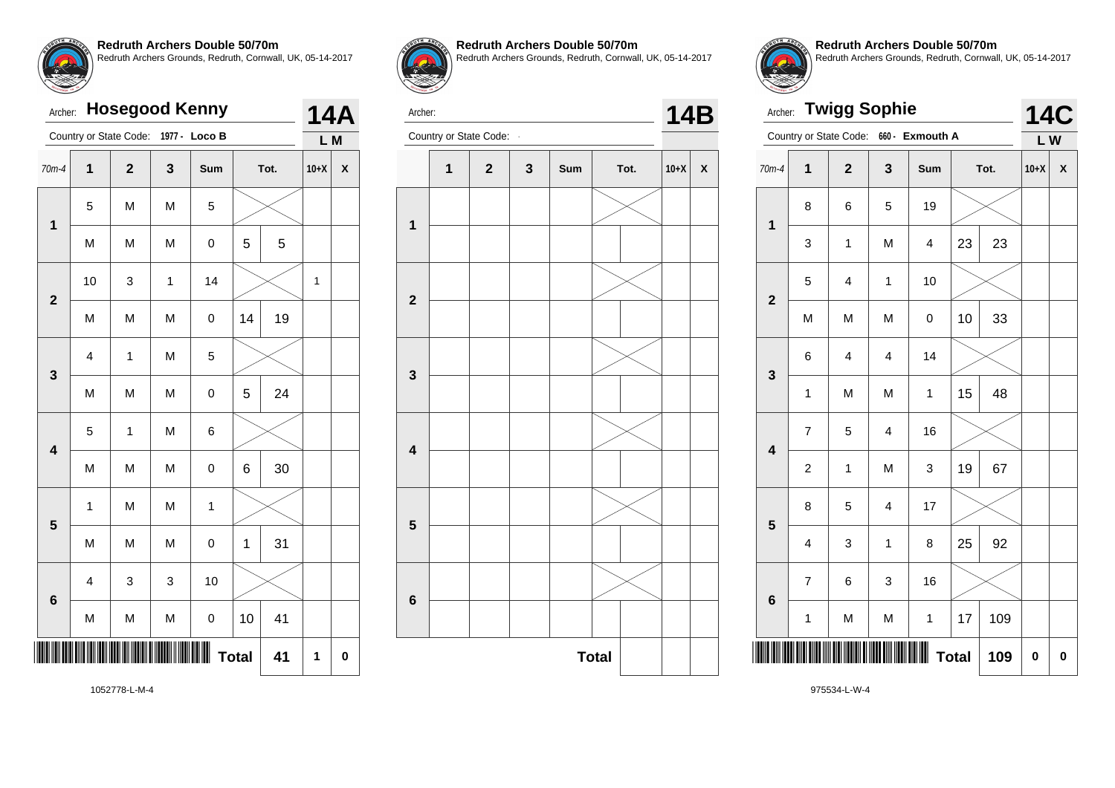| Archer:                 |                         |                        |   | <b>Hosegood Kenny</b> |    |      |        | <b>14A</b> |
|-------------------------|-------------------------|------------------------|---|-----------------------|----|------|--------|------------|
|                         |                         | Country or State Code: |   | 1977 - Loco B         |    |      | L M    |            |
| $70m-4$                 | $\overline{1}$          | $\overline{2}$         | 3 | Sum                   |    | Tot. | $10+X$ | X          |
| 1                       | 5                       | M                      | M | 5                     |    |      |        |            |
|                         | M                       | M                      | M | 0                     | 5  | 5    |        |            |
| $\mathbf 2$             | 10                      | 3                      | 1 | 14                    |    |      | 1      |            |
|                         | M                       | M                      | M | $\mathbf 0$           | 14 | 19   |        |            |
| 3                       | 4                       | 1                      | M | 5                     |    |      |        |            |
|                         | M                       | M                      | M | 0                     | 5  | 24   |        |            |
| $\overline{\mathbf{4}}$ | 5                       | 1                      | M | 6                     |    |      |        |            |
|                         | M                       | M                      | M | 0                     | 6  | 30   |        |            |
| 5                       | 1                       | M                      | M | 1                     |    |      |        |            |
|                         | M                       | M                      | M | 0                     | 1  | 31   |        |            |
| $6\phantom{a}$          | $\overline{\mathbf{4}}$ | 3                      | 3 | 10                    |    |      |        |            |
|                         | M                       | M                      | M | 0                     | 10 | 41   |        |            |

\*1052778-L-M-4\* **Total 41 1 0**



Archer:

**1**

**2**

**3**

**4**

**5**

**6**

**Redruth Archers Double 50/70m** Redruth Archers Grounds, Redruth, Cornwall, UK, 05-14-2017

Archer: Country or State Code: **14B** 

**1 2 3 Sum Tot. 10+X X**

**Total** 

**Redruth Archers Double 50/70m** Redruth Archers Grounds, Redruth, Cornwall, UK, 05-14-2017

| Archer:                 |                | <b>Twigg Sophie</b>     |                |                 |              |      |        | 14C         |
|-------------------------|----------------|-------------------------|----------------|-----------------|--------------|------|--------|-------------|
|                         |                | Country or State Code:  |                | 660 - Exmouth A |              |      | LW     |             |
| $70m-4$                 | $\mathbf 1$    | $\overline{2}$          | 3              | Sum             |              | Tot. | $10+X$ | X           |
| $\mathbf{1}$            | 8              | 6                       | 5              | 19              |              |      |        |             |
|                         | 3              | $\mathbf{1}$            | M              | $\overline{4}$  | 23           | 23   |        |             |
| $\overline{2}$          | 5              | $\overline{\mathbf{4}}$ | 1              | 10              |              |      |        |             |
|                         | M              | M                       | M              | 0               | 10           | 33   |        |             |
| 3                       | 6              | 4                       | 4              | 14              |              |      |        |             |
|                         | 1              | M                       | M              | 1               | 15           | 48   |        |             |
| $\overline{\mathbf{4}}$ | 7              | 5                       | 4              | 16              |              |      |        |             |
|                         | $\overline{c}$ | 1                       | M              | 3               | 19           | 67   |        |             |
| 5                       | 8              | 5                       | $\overline{4}$ | 17              |              |      |        |             |
|                         | 4              | 3                       | $\mathbf{1}$   | 8               | 25           | 92   |        |             |
|                         | $\overline{7}$ | 6                       | 3              | 16              |              |      |        |             |
| 6                       | 1              | M                       | M              | 1               | 17           | 109  |        |             |
|                         |                |                         |                |                 | <b>Total</b> | 109  | 0      | $\mathbf 0$ |

1052778-L-M-4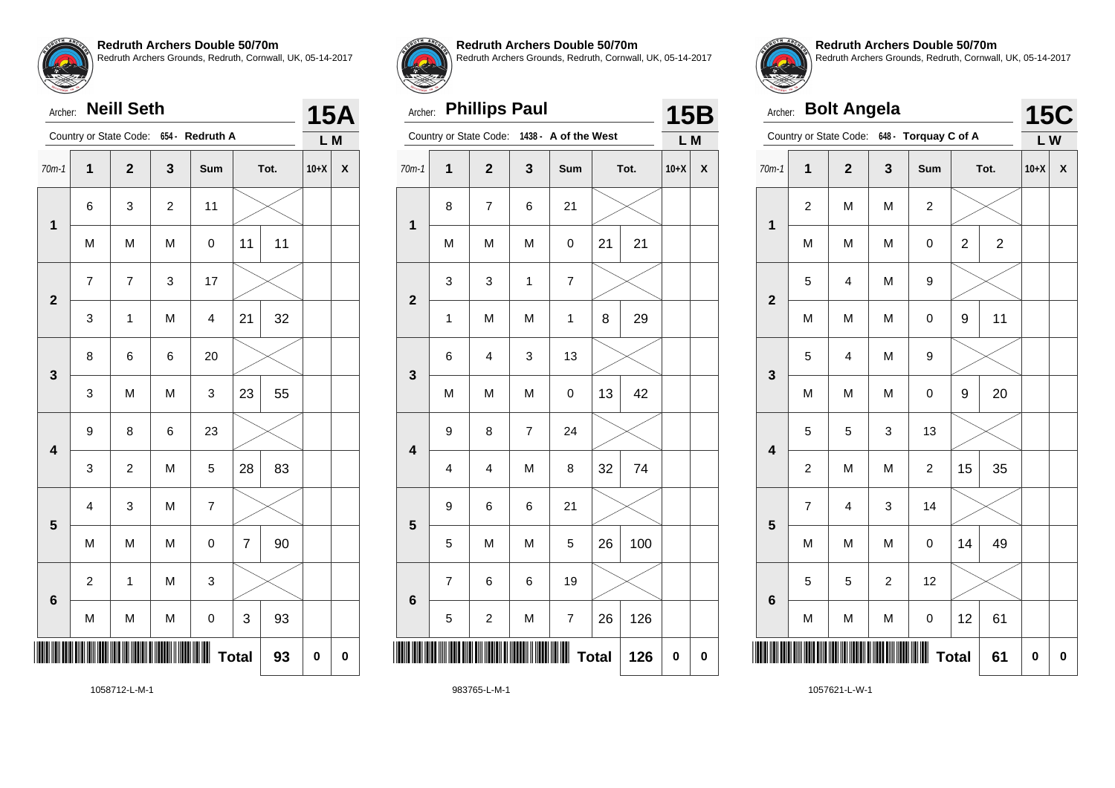| Archer: |  | <b>Neill Seth</b> |
|---------|--|-------------------|
|---------|--|-------------------|

|                         |                         | Country or State Code:  |                | 654 - Redruth A          |                |      | L M      |             |
|-------------------------|-------------------------|-------------------------|----------------|--------------------------|----------------|------|----------|-------------|
| $70m-1$                 | $\mathbf{1}$            | $\overline{\mathbf{2}}$ | 3              | Sum                      |                | Tot. | $10+X$   | X           |
| $\mathbf{1}$            | 6                       | 3                       | $\overline{c}$ | 11                       |                |      |          |             |
|                         | M                       | M                       | M              | 0                        | 11             | 11   |          |             |
| $\overline{\mathbf{2}}$ | $\overline{7}$          | $\overline{\mathbf{7}}$ | 3              | 17                       |                |      |          |             |
|                         | 3                       | 1                       | M              | 4                        | 21             | 32   |          |             |
| 3                       | 8                       | 6                       | 6              | 20                       |                |      |          |             |
|                         | 3                       | M                       | M              | 3                        | 23             | 55   |          |             |
| $\overline{\mathbf{4}}$ | 9                       | 8                       | 6              | 23                       |                |      |          |             |
|                         | 3                       | $\overline{c}$          | M              | 5                        | 28             | 83   |          |             |
| 5                       | $\overline{\mathbf{4}}$ | 3                       | M              | $\overline{\mathcal{I}}$ |                |      |          |             |
|                         | M                       | M                       | M              | $\pmb{0}$                | $\overline{7}$ | 90   |          |             |
| 6                       | $\overline{c}$          | 1                       | M              | 3                        |                |      |          |             |
|                         | M                       | M                       | M              | $\mathbf 0$              | 3              | 93   |          |             |
|                         |                         |                         |                |                          | <b>Total</b>   | 93   | $\bf{0}$ | $\mathbf 0$ |
|                         |                         |                         |                |                          |                |      |          |             |



**15A**

#### **Redruth Archers Double 50/70m**

Redruth Archers Grounds, Redruth, Cornwall, UK, 05-14-2017

### Archer: **Phillips Paul**

|                         |                         | Country or State Code:   | 1438 -         | A of the West  |              |      | L M       |           |
|-------------------------|-------------------------|--------------------------|----------------|----------------|--------------|------|-----------|-----------|
| $70m-1$                 | 1                       | $\mathbf{2}$             | 3              | Sum            |              | Tot. | $10+X$    | X         |
| 1                       | 8                       | $\overline{\mathcal{I}}$ | 6              | 21             |              |      |           |           |
|                         | M                       | M                        | M              | 0              | 21           | 21   |           |           |
| $\overline{2}$          | 3                       | 3                        | $\mathbf{1}$   | $\overline{7}$ |              |      |           |           |
|                         | 1                       | M                        | M              | 1              | 8            | 29   |           |           |
| 3                       | $\,6$                   | $\overline{\mathbf{4}}$  | 3              | 13             |              |      |           |           |
|                         | M                       | M                        | M              | 0              | 13           | 42   |           |           |
| $\overline{\mathbf{4}}$ | 9                       | 8                        | $\overline{7}$ | 24             |              |      |           |           |
|                         | $\overline{\mathbf{4}}$ | 4                        | M              | 8              | 32           | 74   |           |           |
| 5                       | 9                       | 6                        | 6              | 21             |              |      |           |           |
|                         | 5                       | M                        | M              | 5              | 26           | 100  |           |           |
| $6\phantom{1}6$         | $\overline{7}$          | 6                        | 6              | 19             |              |      |           |           |
|                         | 5                       | $\overline{\mathbf{c}}$  | M              | 7              | 26           | 126  |           |           |
|                         |                         |                          |                | Ш              | <b>Total</b> | 126  | $\pmb{0}$ | $\pmb{0}$ |



**15B**

**Redruth Archers Double 50/70m** Redruth Archers Grounds, Redruth, Cornwall, UK, 05-14-2017

| Archer:                 |                | <b>Bolt Angela</b>      |                |                      |                |                | <b>15C</b> |          |
|-------------------------|----------------|-------------------------|----------------|----------------------|----------------|----------------|------------|----------|
|                         |                | Country or State Code:  |                | 648 - Torquay C of A |                |                | LW         |          |
| $70m-1$                 | $\mathbf 1$    | $\overline{\mathbf{2}}$ | 3              | Sum                  |                | Tot.           | $10+X$     | X        |
| $\mathbf 1$             | $\overline{c}$ | M                       | M              | $\overline{c}$       |                |                |            |          |
|                         | M              | M                       | M              | 0                    | $\overline{c}$ | $\overline{c}$ |            |          |
| $\overline{2}$          | 5              | 4                       | M              | 9                    |                |                |            |          |
|                         | M              | M                       | M              | 0                    | 9              | 11             |            |          |
| 3                       | 5              | 4                       | M              | 9                    |                |                |            |          |
|                         | M              | M                       | M              | 0                    | 9              | 20             |            |          |
| $\overline{\mathbf{4}}$ | 5              | 5                       | 3              | 13                   |                |                |            |          |
|                         | $\overline{c}$ | M                       | M              | $\overline{c}$       | 15             | 35             |            |          |
| 5                       | 7              | $\overline{4}$          | 3              | 14                   |                |                |            |          |
|                         | M              | M                       | M              | 0                    | 14             | 49             |            |          |
| $6\phantom{1}6$         | 5              | 5                       | $\overline{c}$ | 12                   |                |                |            |          |
|                         | M              | M                       | M              | 0                    | 12             | 61             |            |          |
|                         |                |                         |                |                      | <b>Total</b>   | 61             | 0          | $\bf{0}$ |

1058712-L-M-1

983765-L-M-1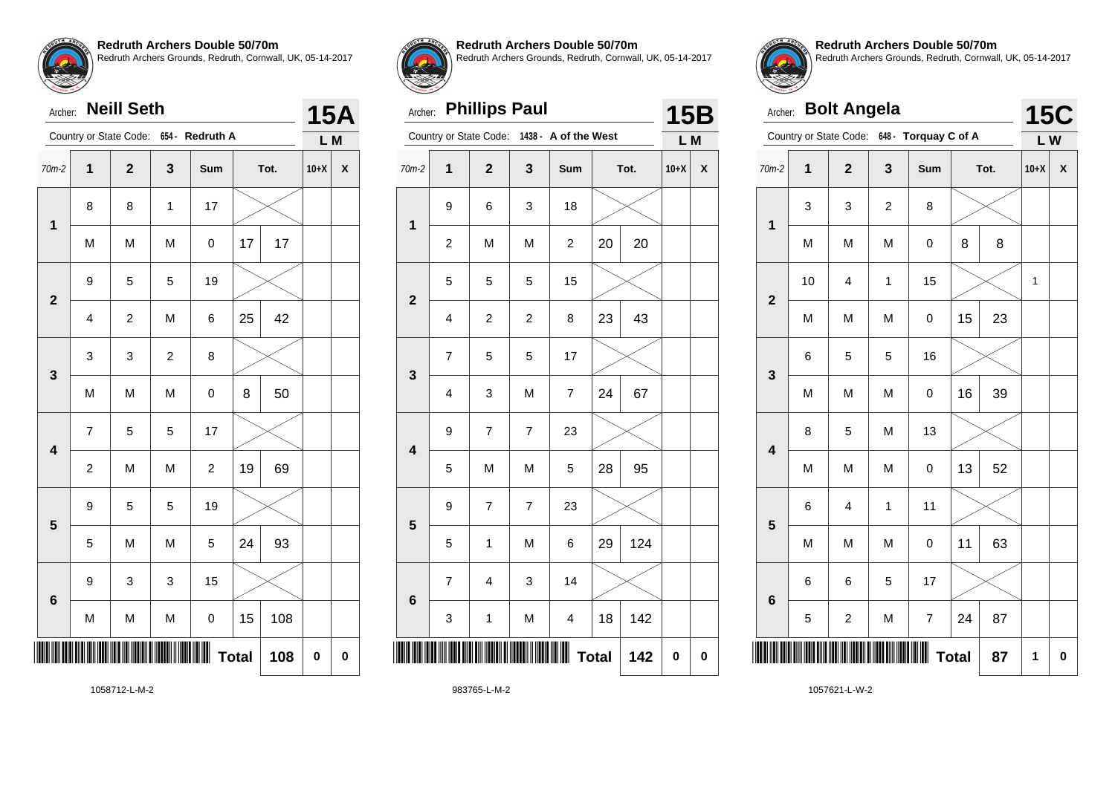|                         | Country or State Code:<br>654 -<br><b>Redruth A</b> |                         |                  |                | L M          |      |        |   |
|-------------------------|-----------------------------------------------------|-------------------------|------------------|----------------|--------------|------|--------|---|
| $70m-2$                 | $\overline{\mathbf{1}}$                             | $\overline{\mathbf{2}}$ | $\mathbf{3}$     | Sum            |              | Tot. | $10+X$ | X |
| $\mathbf{1}$            | 8                                                   | 8                       | 1                | 17             |              |      |        |   |
|                         | M                                                   | M                       | M                | 0              | 17           | 17   |        |   |
| $\overline{\mathbf{2}}$ | 9                                                   | 5                       | 5                | 19             |              |      |        |   |
|                         | $\overline{\mathbf{4}}$                             | $\boldsymbol{2}$        | M                | 6              | 25           | 42   |        |   |
| 3                       | 3                                                   | 3                       | $\boldsymbol{2}$ | 8              |              |      |        |   |
|                         | M                                                   | M                       | M                | 0              | 8            | 50   |        |   |
| $\overline{\mathbf{4}}$ | $\overline{\mathbf{7}}$                             | 5                       | 5                | 17             |              |      |        |   |
|                         | $\overline{c}$                                      | M                       | M                | $\overline{c}$ | 19           | 69   |        |   |
| 5                       | 9                                                   | 5                       | 5                | 19             |              |      |        |   |
|                         | 5                                                   | M                       | M                | 5              | 24           | 93   |        |   |
| $6\phantom{a}$          | 9                                                   | 3                       | 3                | 15             |              |      |        |   |
|                         | M                                                   | M                       | M                | $\pmb{0}$      | 15           | 108  |        |   |
|                         |                                                     |                         |                  |                | <b>Total</b> | 108  | 0      | 0 |
|                         |                                                     |                         |                  |                |              |      |        |   |



**15A**

**Redruth Archers Double 50/70m**

Redruth Archers Grounds, Redruth, Cornwall, UK, 05-14-2017

### Archer: **Phillips Paul**

| <b>Phillips Paul</b><br>Archer: |                         |                         |                |                         |              |      |          | <b>15B</b> |
|---------------------------------|-------------------------|-------------------------|----------------|-------------------------|--------------|------|----------|------------|
|                                 |                         | Country or State Code:  |                | 1438 - A of the West    |              |      | L M      |            |
| $70m-2$                         | $\overline{\mathbf{1}}$ | $\overline{\mathbf{2}}$ | 3              | Sum                     |              | Tot. | $10+X$   | X          |
| 1                               | 9                       | 6                       | 3              | 18                      |              |      |          |            |
|                                 | $\overline{c}$          | M                       | M              | $\overline{\mathbf{c}}$ | 20           | 20   |          |            |
| $\overline{2}$                  | 5                       | 5                       | 5              | 15                      |              |      |          |            |
|                                 | $\overline{\mathbf{4}}$ | $\overline{\mathbf{c}}$ | $\mathbf 2$    | 8                       | 23           | 43   |          |            |
| 3                               | $\overline{7}$          | 5                       | 5              | 17                      |              |      |          |            |
|                                 | 4                       | 3                       | M              | 7                       | 24           | 67   |          |            |
| $\overline{\mathbf{4}}$         | 9                       | $\overline{7}$          | $\overline{7}$ | 23                      |              |      |          |            |
|                                 | 5                       | M                       | M              | 5                       | 28           | 95   |          |            |
| 5                               | 9                       | $\overline{7}$          | $\overline{7}$ | 23                      |              |      |          |            |
|                                 | 5                       | 1                       | M              | 6                       | 29           | 124  |          |            |
| $6\phantom{1}6$                 | $\overline{7}$          | 4                       | 3              | 14                      |              |      |          |            |
|                                 | 3                       | $\mathbf 1$             | M              | $\overline{\mathbf{4}}$ | 18           | 142  |          |            |
|                                 |                         |                         |                |                         | <b>Total</b> | 142  | $\bf{0}$ | $\bf{0}$   |
|                                 |                         |                         |                |                         |              |      |          |            |



**Redruth Archers Double 50/70m** Redruth Archers Grounds, Redruth, Cornwall, UK, 05-14-2017

|                         | <b>Bolt Angela</b><br>Archer: |                         |                |                                             |              |      |        |             |  |
|-------------------------|-------------------------------|-------------------------|----------------|---------------------------------------------|--------------|------|--------|-------------|--|
|                         |                               |                         |                | Country or State Code: 648 - Torquay C of A |              |      | LW     | <b>15C</b>  |  |
| $70m-2$                 | 1                             | $\overline{2}$          | 3              | Sum                                         |              | Tot. | $10+X$ | X           |  |
| $\overline{\mathbf{1}}$ | 3                             | 3                       | $\overline{c}$ | 8                                           |              |      |        |             |  |
|                         | M                             | M                       | M              | $\mathsf 0$                                 | 8            | 8    |        |             |  |
| $\overline{\mathbf{2}}$ | 10                            | 4                       | $\mathbf{1}$   | 15                                          |              |      | 1      |             |  |
|                         | M                             | M                       | M              | 0                                           | 15           | 23   |        |             |  |
| 3                       | 6                             | 5                       | 5              | 16                                          |              |      |        |             |  |
|                         | M                             | M                       | M              | 0                                           | 16           | 39   |        |             |  |
| $\overline{\mathbf{4}}$ | 8                             | 5                       | M              | 13                                          |              |      |        |             |  |
|                         | M                             | M                       | M              | $\mathsf 0$                                 | 13           | 52   |        |             |  |
| 5                       | 6                             | 4                       | 1              | 11                                          |              |      |        |             |  |
|                         | M                             | M                       | M              | $\mathsf 0$                                 | 11           | 63   |        |             |  |
| 6                       | 6                             | 6                       | 5              | 17                                          |              |      |        |             |  |
|                         | 5                             | $\overline{\mathbf{c}}$ | M              | $\overline{7}$                              | 24           | 87   |        |             |  |
|                         |                               |                         |                |                                             | <b>Total</b> | 87   | 1      | $\mathbf 0$ |  |

1058712-L-M-2

983765-L-M-2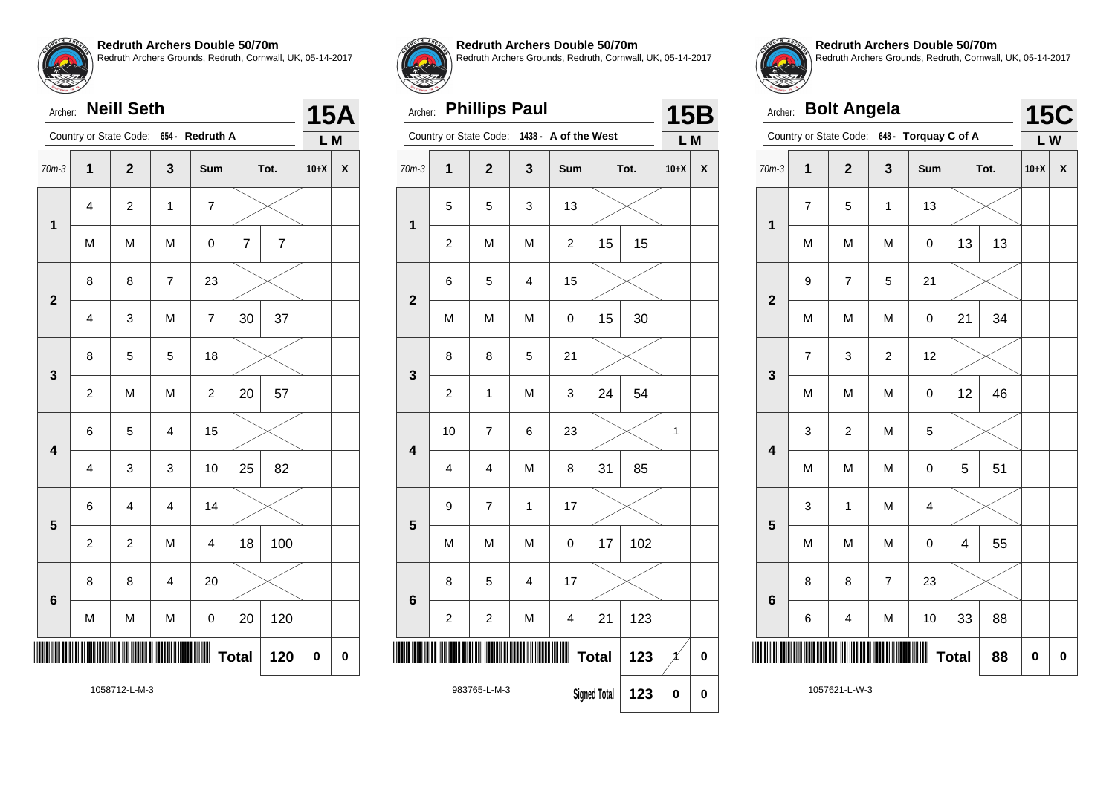# Archer: **Neill Seth**

|                         |                         | Country or State Code:  | 654 -          | <b>Redruth A</b> |                |                | L M    |   |
|-------------------------|-------------------------|-------------------------|----------------|------------------|----------------|----------------|--------|---|
| $70m-3$                 | $\overline{\mathbf{1}}$ | $\overline{\mathbf{2}}$ | 3              | Sum              |                | Tot.           | $10+X$ | X |
|                         | $\overline{\mathbf{4}}$ | $\overline{c}$          | $\mathbf{1}$   | $\overline{7}$   |                |                |        |   |
| $\mathbf 1$             | M                       | M                       | M              | $\mathsf 0$      | $\overline{7}$ | $\overline{7}$ |        |   |
| $\overline{\mathbf{2}}$ | 8                       | 8                       | $\overline{7}$ | 23               |                |                |        |   |
|                         | $\overline{\mathbf{4}}$ | 3                       | M              | $\overline{7}$   | 30             | 37             |        |   |
| $\mathbf{3}$            | 8                       | 5                       | 5              | 18               |                |                |        |   |
|                         | $\overline{c}$          | M                       | M              | $\overline{c}$   | 20             | 57             |        |   |
| $\overline{\mathbf{4}}$ | 6                       | 5                       | $\overline{4}$ | 15               |                |                |        |   |
|                         | 4                       | 3                       | 3              | 10               | 25             | 82             |        |   |
| 5                       | 6                       | $\overline{\mathbf{4}}$ | $\overline{4}$ | 14               |                |                |        |   |
|                         | $\overline{c}$          | $\overline{c}$          | M              | 4                | 18             | 100            |        |   |
| $6\phantom{1}6$         | 8                       | 8                       | $\overline{4}$ | 20               |                |                |        |   |
|                         | M                       | M                       | M              | 0                | 20             | 120            |        |   |
| ║                       |                         |                         |                | Ш                | <b>Total</b>   | 120            | 0      | 0 |
|                         |                         | 1058712-L-M-3           |                |                  |                |                |        |   |



**15A**

#### **Redruth Archers Double 50/70m**

Redruth Archers Grounds, Redruth, Cornwall, UK, 05-14-2017

### Archer: **Phillips Paul**

|                         | Country or State Code:              | 1438 -                  | A of the West           |                         | L M          |          |          |             |
|-------------------------|-------------------------------------|-------------------------|-------------------------|-------------------------|--------------|----------|----------|-------------|
| $70m-3$                 | $\overline{1}$                      | $\overline{2}$          | 3                       | Sum                     |              | Tot.     | $10+X$   | X           |
| $\mathbf{1}$            | 5                                   | 5                       | 3                       | 13                      |              |          |          |             |
|                         | $\overline{c}$                      | M                       | M                       | $\overline{c}$          | 15           | 15       |          |             |
| $\overline{2}$          | 6                                   | 5                       | $\overline{\mathbf{4}}$ | 15                      |              |          |          |             |
|                         | M                                   | M                       | M                       | 0                       | 15           | 30       |          |             |
| 3                       | 8                                   | 8                       | 5                       | 21                      |              |          |          |             |
|                         | $\overline{c}$                      | 1                       | M                       | 3                       | 24           | 54       |          |             |
| $\overline{\mathbf{4}}$ | 10                                  | 7                       | 6                       | 23                      |              |          | 1        |             |
|                         | $\overline{\mathbf{4}}$             | 4                       | M                       | 8                       | 31           | 85       |          |             |
| 5                       | 9                                   | $\overline{7}$          | $\mathbf 1$             | 17                      |              |          |          |             |
|                         | M                                   | M                       | M                       | $\overline{0}$          | 17           | 102      |          |             |
| $6\phantom{1}6$         | 8                                   | 5                       | $\overline{\mathbf{4}}$ | 17                      |              |          |          |             |
|                         | $\overline{\mathbf{c}}$             | $\overline{\mathbf{c}}$ | M                       | $\overline{\mathbf{4}}$ | 21           | 123      |          |             |
|                         |                                     |                         |                         | Ш                       | <b>Total</b> | 123      | 1        | $\mathbf 0$ |
|                         | 983765-L-M-3<br><b>Signed Total</b> |                         |                         |                         | 123          | $\bf{0}$ | $\bf{0}$ |             |



**15B**

**Redruth Archers Double 50/70m** Redruth Archers Grounds, Redruth, Cornwall, UK, 05-14-2017

| <b>Bolt Angela</b><br>Archer: |                                             |                         |                |                         |              |      |        | <b>15C</b>  |  |
|-------------------------------|---------------------------------------------|-------------------------|----------------|-------------------------|--------------|------|--------|-------------|--|
|                               | Country or State Code: 648 - Torquay C of A |                         |                |                         |              |      |        |             |  |
| $70m-3$                       | $\overline{\mathbf{1}}$                     | $\overline{\mathbf{2}}$ | 3              | Sum                     |              | Tot. | $10+X$ | X           |  |
| $\overline{\mathbf{1}}$       | $\overline{\mathbf{7}}$                     | 5                       | $\mathbf{1}$   | 13                      |              |      |        |             |  |
|                               | M                                           | M                       | M              | 0                       | 13           | 13   |        |             |  |
| $\overline{2}$                | 9                                           | 7                       | 5              | 21                      |              |      |        |             |  |
|                               | M                                           | M                       | M              | $\mathsf 0$             | 21           | 34   |        |             |  |
| 3                             | 7                                           | 3                       | 2              | 12                      |              |      |        |             |  |
|                               | M                                           | M                       | M              | $\mathsf 0$             | 12           | 46   |        |             |  |
| $\overline{\mathbf{4}}$       | 3                                           | $\overline{c}$          | M              | 5                       |              |      |        |             |  |
|                               | M                                           | M                       | M              | $\mathsf 0$             | 5            | 51   |        |             |  |
| 5                             | 3                                           | $\mathbf 1$             | M              | $\overline{\mathbf{4}}$ |              |      |        |             |  |
|                               | M                                           | M                       | M              | 0                       | 4            | 55   |        |             |  |
| 6                             | 8                                           | 8                       | $\overline{7}$ | 23                      |              |      |        |             |  |
|                               | 6                                           | 4                       | M              | 10                      | 33           | 88   |        |             |  |
|                               |                                             |                         |                |                         | <b>Total</b> | 88   | 0      | $\mathbf 0$ |  |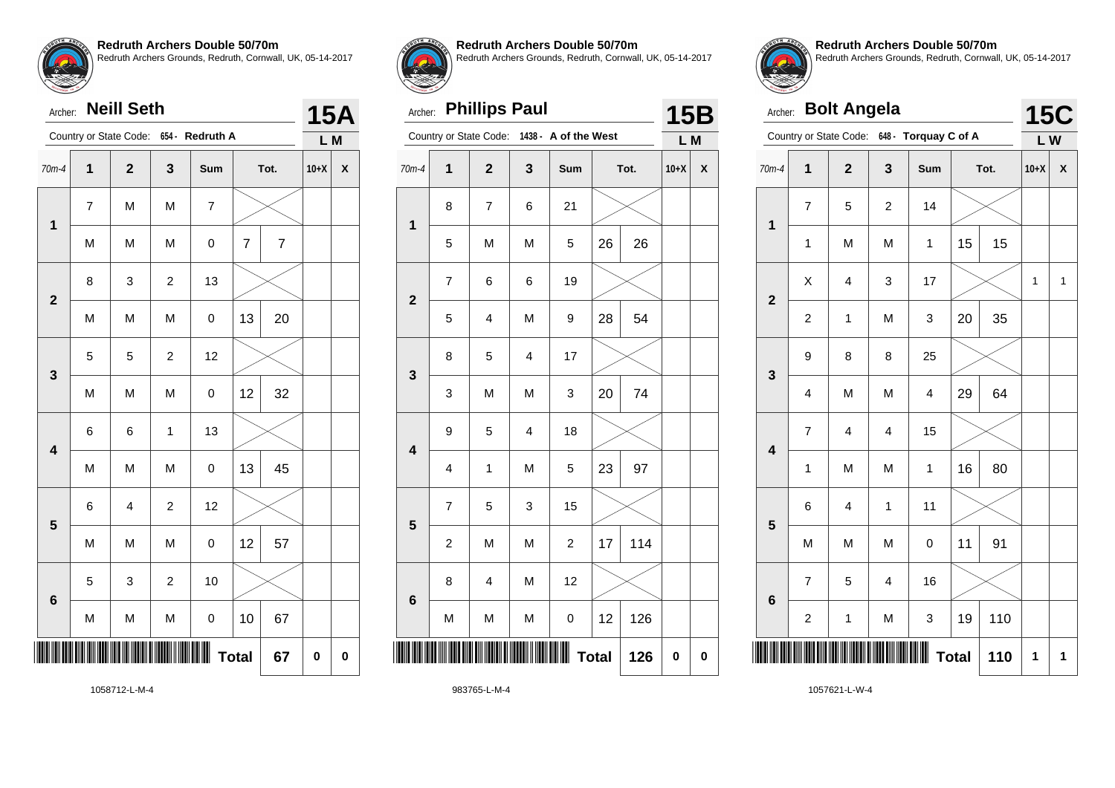| Archer: |  | <b>Neill Seth</b> |
|---------|--|-------------------|
|---------|--|-------------------|

|                         | Country or State Code:<br>654 -<br><b>Redruth A</b> |                         |                  |                          |                | L M                      |          |   |
|-------------------------|-----------------------------------------------------|-------------------------|------------------|--------------------------|----------------|--------------------------|----------|---|
| $70m-4$                 | 1                                                   | $\mathbf{2}$            | 3                | Sum                      |                | Tot.                     | $10+X$   | X |
| $\mathbf 1$             | 7                                                   | M                       | M                | $\overline{\mathcal{I}}$ |                |                          |          |   |
|                         | M                                                   | M                       | M                | $\mathsf 0$              | $\overline{7}$ | $\overline{\mathcal{I}}$ |          |   |
| $\overline{2}$          | 8                                                   | 3                       | $\boldsymbol{2}$ | 13                       |                |                          |          |   |
|                         | M                                                   | M                       | M                | $\pmb{0}$                | 13             | 20                       |          |   |
| 3                       | 5                                                   | 5                       | $\overline{c}$   | 12                       |                |                          |          |   |
|                         | M                                                   | M                       | M                | $\pmb{0}$                | 12             | 32                       |          |   |
| $\overline{\mathbf{4}}$ | 6                                                   | 6                       | 1                | 13                       |                |                          |          |   |
|                         | M                                                   | M                       | M                | $\mathsf 0$              | 13             | 45                       |          |   |
| 5                       | 6                                                   | $\overline{\mathbf{4}}$ | $\boldsymbol{2}$ | 12                       |                |                          |          |   |
|                         | M                                                   | M                       | M                | $\mathsf 0$              | 12             | 57                       |          |   |
|                         | 5                                                   | 3                       | $\boldsymbol{2}$ | 10                       |                |                          |          |   |
| 6                       | M                                                   | M                       | M                | $\mathbf 0$              | 10             | 67                       |          |   |
| ║║                      |                                                     |                         |                  | ∭                        | <b>Total</b>   | 67                       | $\bf{0}$ | 0 |



**15A**

**Redruth Archers Double 50/70m**

Redruth Archers Grounds, Redruth, Cornwall, UK, 05-14-2017

### Archer: **Phillips Paul**

|                         | Country or State Code:<br>1438 -<br>A of the West |                          |                         |                |              |      | L M    |                    |
|-------------------------|---------------------------------------------------|--------------------------|-------------------------|----------------|--------------|------|--------|--------------------|
| $70m-4$                 | $\mathbf{1}$                                      | $\mathbf{2}$             | 3                       | Sum            |              | Tot. | $10+X$ | $\pmb{\mathsf{X}}$ |
| 1                       | 8                                                 | $\overline{\mathcal{I}}$ | 6                       | 21             |              |      |        |                    |
|                         | 5                                                 | M                        | M                       | 5              | 26           | 26   |        |                    |
| $\overline{\mathbf{c}}$ | $\overline{7}$                                    | 6                        | 6                       | 19             |              |      |        |                    |
|                         | 5                                                 | 4                        | M                       | 9              | 28           | 54   |        |                    |
| 3                       | 8                                                 | 5                        | $\overline{\mathbf{4}}$ | 17             |              |      |        |                    |
|                         | 3                                                 | M                        | M                       | 3              | 20           | 74   |        |                    |
| $\overline{\mathbf{4}}$ | 9                                                 | 5                        | $\overline{\mathbf{4}}$ | 18             |              |      |        |                    |
|                         | 4                                                 | 1                        | M                       | 5              | 23           | 97   |        |                    |
| 5                       | $\overline{7}$                                    | 5                        | 3                       | 15             |              |      |        |                    |
|                         | $\overline{\mathbf{c}}$                           | M                        | M                       | $\overline{c}$ | 17           | 114  |        |                    |
| $6\phantom{1}6$         | 8                                                 | 4                        | M                       | 12             |              |      |        |                    |
|                         | M                                                 | M                        | M                       | 0              | 12           | 126  |        |                    |
|                         |                                                   |                          |                         | Ш              | <b>Total</b> | 126  | 0      | 0                  |
|                         |                                                   |                          |                         |                |              |      |        |                    |



**15B**

**Redruth Archers Double 50/70m** Redruth Archers Grounds, Redruth, Cornwall, UK, 05-14-2017

|                         | <b>Bolt Angela</b><br>Archer: |                         |                |                      |              |      |                  |              |  |
|-------------------------|-------------------------------|-------------------------|----------------|----------------------|--------------|------|------------------|--------------|--|
|                         |                               | Country or State Code:  |                | 648 - Torquay C of A |              |      | <b>15C</b><br>LW |              |  |
| $70m-4$                 | $\mathbf 1$                   | $\overline{2}$          | 3              | Sum                  |              | Tot. | $10+X$           | X            |  |
| $\mathbf 1$             | 7                             | 5                       | $\overline{2}$ | 14                   |              |      |                  |              |  |
|                         | $\mathbf 1$                   | M                       | M              | $\mathbf{1}$         | 15           | 15   |                  |              |  |
| $\overline{\mathbf{2}}$ | X                             | $\overline{\mathbf{4}}$ | 3              | 17                   |              |      | 1                | $\mathbf{1}$ |  |
|                         | $\overline{c}$                | $\mathbf 1$             | M              | 3                    | 20           | 35   |                  |              |  |
| $\mathbf{3}$            | 9                             | 8                       | 8              | 25                   |              |      |                  |              |  |
|                         | $\overline{\mathbf{4}}$       | M                       | M              | $\overline{4}$       | 29           | 64   |                  |              |  |
| $\overline{\mathbf{4}}$ | $\overline{7}$                | 4                       | 4              | 15                   |              |      |                  |              |  |
|                         | $\mathbf 1$                   | M                       | M              | $\mathbf 1$          | 16           | 80   |                  |              |  |
| 5                       | 6                             | 4                       | $\mathbf{1}$   | 11                   |              |      |                  |              |  |
|                         | M                             | M                       | M              | $\mathsf 0$          | 11           | 91   |                  |              |  |
| $6\phantom{1}6$         | $\overline{7}$                | 5                       | $\overline{4}$ | 16                   |              |      |                  |              |  |
|                         | $\overline{\mathbf{c}}$       | 1                       | M              | 3                    | 19           | 110  |                  |              |  |
|                         |                               |                         |                |                      | <b>Total</b> | 110  | 1                | 1            |  |

1058712-L-M-4

983765-L-M-4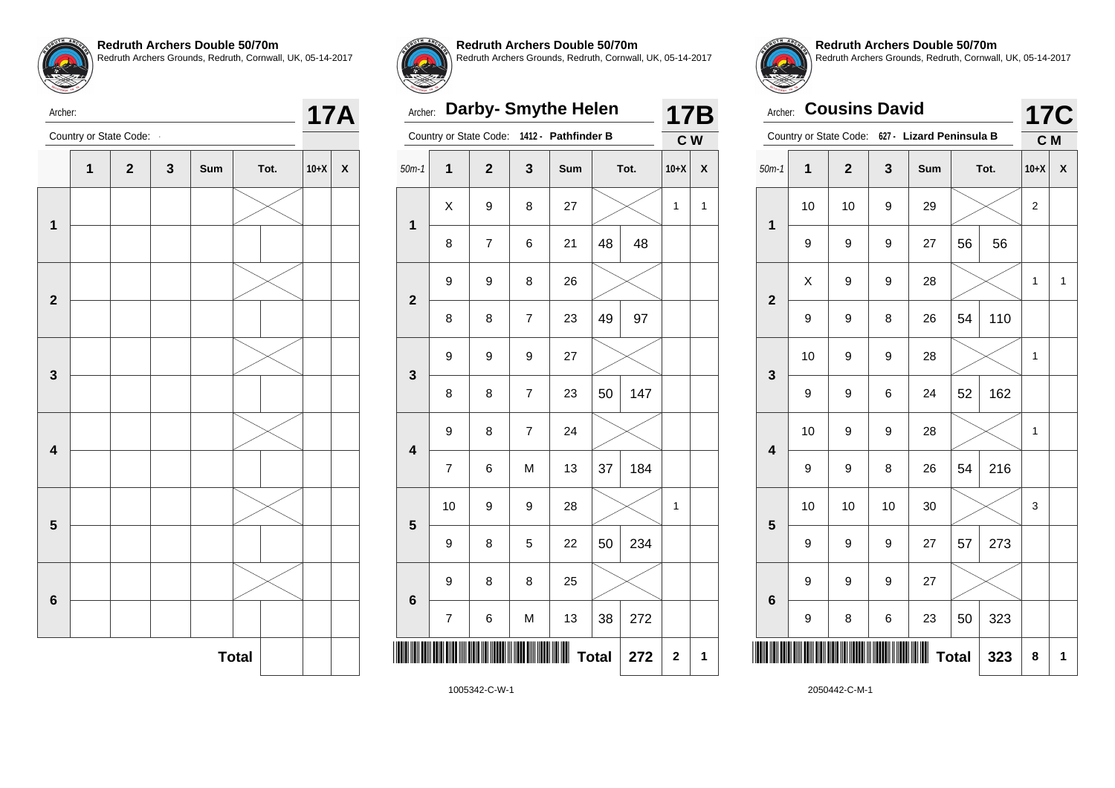

Archer:

**Redruth Archers Double 50/70m** Redruth Archers Grounds, Redruth, Cornwall, UK, 05-14-2017



**Redruth Archers Double 50/70m**

Redruth Archers Grounds, Redruth, Cornwall, UK, 05-14-2017

### Archer: **Darby- Smythe Helen**

| Archer:                 | 17B            |                        |                |                     |              |      |        |   |
|-------------------------|----------------|------------------------|----------------|---------------------|--------------|------|--------|---|
|                         |                | Country or State Code: |                | 1412 - Pathfinder B |              |      | C W    |   |
| $50m-1$                 | $\overline{1}$ | $\overline{2}$         | 3              | Sum                 |              | Tot. | $10+X$ | X |
| 1                       | X              | 9                      | 8              | 27                  |              |      | 1      | 1 |
|                         | 8              | 7                      | 6              | 21                  | 48           | 48   |        |   |
| $\overline{\mathbf{2}}$ | 9              | 9                      | 8              | 26                  |              |      |        |   |
|                         | 8              | 8                      | $\overline{7}$ | 23                  | 49           | 97   |        |   |
| 3                       | 9              | 9                      | 9              | 27                  |              |      |        |   |
|                         | 8              | 8                      | 7              | 23                  | 50           | 147  |        |   |
| $\overline{\mathbf{4}}$ | 9              | 8                      | $\overline{7}$ | 24                  |              |      |        |   |
|                         | $\overline{7}$ | 6                      | M              | 13                  | 37           | 184  |        |   |
| 5                       | 10             | 9                      | 9              | 28                  |              |      | 1      |   |
|                         | 9              | 8                      | 5              | 22                  | 50           | 234  |        |   |
| $6\phantom{1}6$         | 9              | 8                      | 8              | 25                  |              |      |        |   |
|                         | $\overline{7}$ | 6                      | M              | 13                  | 38           | 272  |        |   |
|                         |                |                        |                | Ш                   | <b>Total</b> | 272  | 2      | 1 |
|                         |                |                        |                |                     |              |      |        |   |

**Redruth Archers Double 50/70m** Redruth Archers Grounds, Redruth, Cornwall, UK, 05-14-2017

| <b>Cousins David</b><br>Archer: |                                                 |              |    |     |              |      |        | <b>17C</b> |
|---------------------------------|-------------------------------------------------|--------------|----|-----|--------------|------|--------|------------|
|                                 | Country or State Code: 627 - Lizard Peninsula B |              |    |     |              |      |        |            |
| $50m-1$                         | 1                                               | $\mathbf{2}$ | 3  | Sum |              | Tot. | $10+X$ | χ          |
| $\overline{\mathbf{1}}$         | 10                                              | 10           | 9  | 29  |              |      | 2      |            |
|                                 | 9                                               | 9            | 9  | 27  | 56           | 56   |        |            |
| $\overline{2}$                  | X                                               | 9            | 9  | 28  |              |      | 1      | 1          |
|                                 | 9                                               | 9            | 8  | 26  | 54           | 110  |        |            |
| 3                               | 10                                              | 9            | 9  | 28  |              |      | 1      |            |
|                                 | 9                                               | 9            | 6  | 24  | 52           | 162  |        |            |
| $\overline{\mathbf{4}}$         | 10                                              | 9            | 9  | 28  |              |      | 1      |            |
|                                 | 9                                               | 9            | 8  | 26  | 54           | 216  |        |            |
| 5                               | 10                                              | 10           | 10 | 30  |              |      | 3      |            |
|                                 | 9                                               | 9            | 9  | 27  | 57           | 273  |        |            |
| 6                               | 9                                               | 9            | 9  | 27  |              |      |        |            |
|                                 | 9                                               | 8            | 6  | 23  | 50           | 323  |        |            |
|                                 |                                                 |              |    |     | <b>Total</b> | 323  | 8      | 1          |



1005342-C-W-1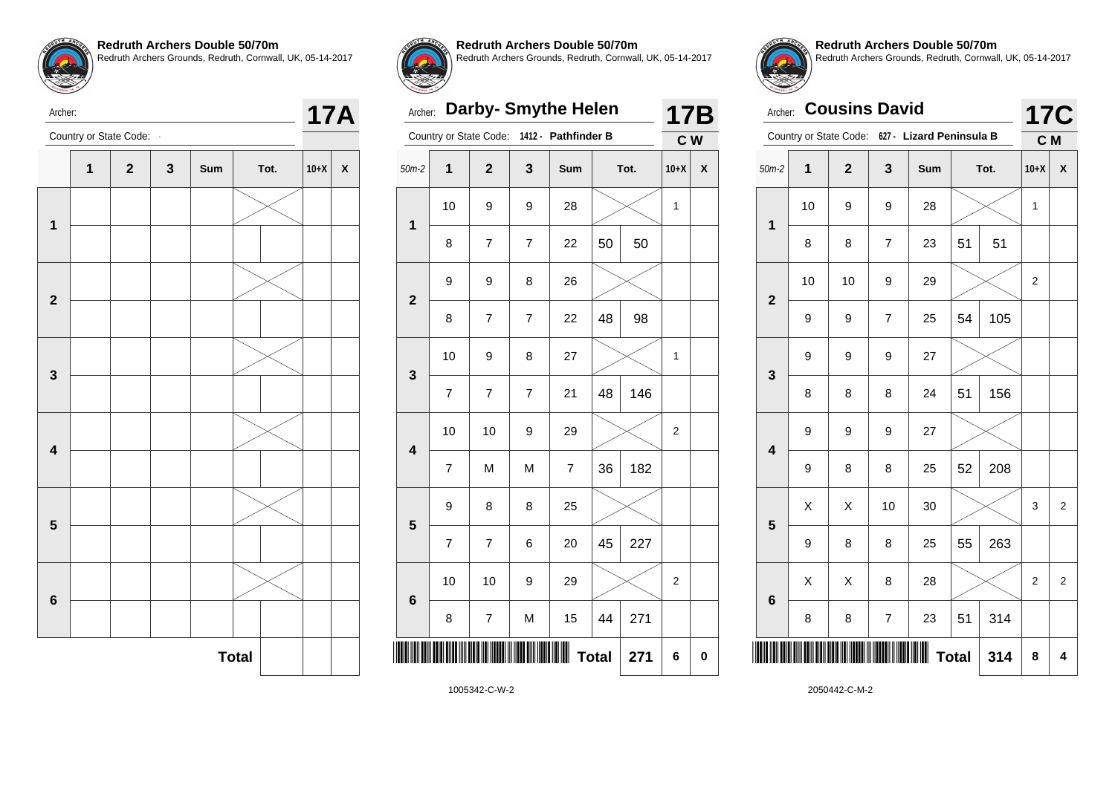



**Redruth Archers Double 50/70m**

Redruth Archers Grounds, Redruth, Cornwall, UK, 05-14-2017

### Archer: **Darby- Smythe Helen**

| Archer:                 | 17B            |                        |                |                     |              |      |        |              |
|-------------------------|----------------|------------------------|----------------|---------------------|--------------|------|--------|--------------|
|                         |                | Country or State Code: |                | 1412 - Pathfinder B |              |      | C W    |              |
| $50m-2$                 | $\overline{1}$ | $\overline{2}$         | 3              | Sum                 |              | Tot. | $10+X$ | $\mathsf{x}$ |
| 1                       | 10             | 9                      | 9              | 28                  |              |      | 1      |              |
|                         | 8              | 7                      | $\overline{7}$ | 22                  | 50           | 50   |        |              |
| $\overline{\mathbf{2}}$ | 9              | 9                      | 8              | 26                  |              |      |        |              |
|                         | 8              | $\overline{7}$         | $\overline{7}$ | 22                  | 48           | 98   |        |              |
| 3                       | 10             | 9                      | 8              | 27                  |              |      | 1      |              |
|                         | 7              | 7                      | $\overline{7}$ | 21                  | 48           | 146  |        |              |
| $\overline{\mathbf{4}}$ | 10             | 10                     | 9              | 29                  |              |      | 2      |              |
|                         | $\overline{7}$ | M                      | M              | $\overline{7}$      | 36           | 182  |        |              |
| 5                       | 9              | 8                      | 8              | 25                  |              |      |        |              |
|                         | 7              | 7                      | 6              | 20                  | 45           | 227  |        |              |
| 6                       | 10             | 10                     | 9              | 29                  |              |      | 2      |              |
|                         | 8              | 7                      | M              | 15                  | 44           | 271  |        |              |
|                         |                |                        |                | Ш                   | <b>Total</b> | 271  | 6      | $\bf{0}$     |
|                         |                |                        |                |                     |              |      |        |              |

**Redruth Archers Double 50/70m** Redruth Archers Grounds, Redruth, Cornwall, UK, 05-14-2017

| Archer:                 | <b>17C</b>                            |                |                  |                                                 |    |      |                |                |
|-------------------------|---------------------------------------|----------------|------------------|-------------------------------------------------|----|------|----------------|----------------|
|                         |                                       |                |                  | Country or State Code: 627 - Lizard Peninsula B |    |      | C M            |                |
| $50m-2$                 | 1                                     | $\overline{2}$ | 3                | Sum                                             |    | Tot. | $10+X$         | X              |
| $\overline{\mathbf{1}}$ | 10                                    | 9              | 9                | 28                                              |    |      | 1              |                |
|                         | 8                                     | 8              | $\overline{7}$   | 23                                              | 51 | 51   |                |                |
|                         | 10<br>10<br>9<br>29<br>$\overline{2}$ |                |                  |                                                 |    |      |                |                |
|                         | 9                                     | 9              | $\overline{7}$   | 25                                              | 54 | 105  |                |                |
| 3                       | 9                                     | 9              | 9                | 27                                              |    |      |                |                |
|                         | 8                                     | 8              | 8                | 24                                              | 51 | 156  |                |                |
| $\overline{\mathbf{4}}$ | 9                                     | 9              | 9                | 27                                              |    |      |                |                |
|                         | 9                                     | 8              | 8                | 25                                              | 52 | 208  |                |                |
| 5                       | Χ                                     | X              | 10               | 30                                              |    |      | 3              | $\overline{2}$ |
|                         | 9                                     | 8              | 8                | 25                                              | 55 | 263  |                |                |
| $6\phantom{a}$          | X                                     | X              | 8                | 28                                              |    |      | $\overline{2}$ | 2              |
|                         | 8                                     | 8              | $\boldsymbol{7}$ | 23                                              | 51 | 314  |                |                |
|                         | <b>Total</b><br>314                   |                |                  |                                                 |    |      |                |                |

Archer:



1005342-C-W-2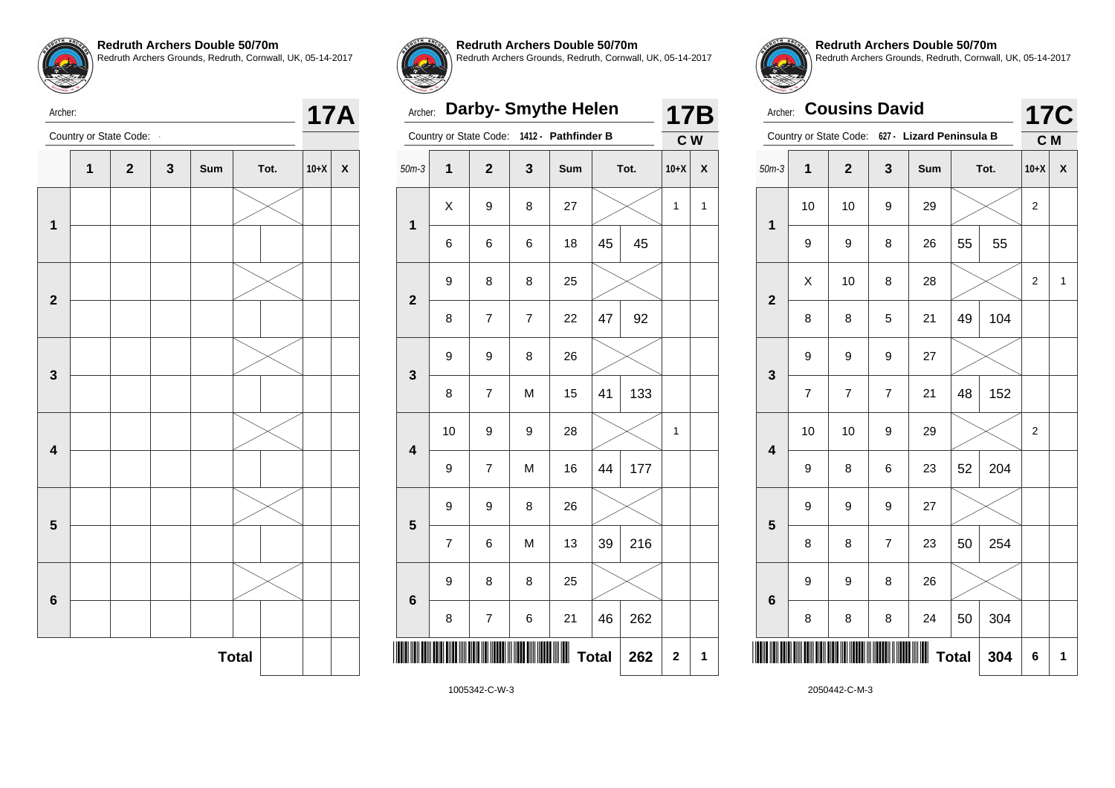



**Redruth Archers Double 50/70m** Redruth Archers Grounds, Redruth, Cornwall, UK, 05-14-2017

Archer: **Darby- Smythe Helen**

| Archer:                 | 17B            |                         |   |                     |              |      |              |   |
|-------------------------|----------------|-------------------------|---|---------------------|--------------|------|--------------|---|
|                         |                | Country or State Code:  |   | 1412 - Pathfinder B |              |      | C W          |   |
| $50m-3$                 | 1              | $\overline{\mathbf{2}}$ | 3 | Sum                 |              | Tot. | $10+X$       | X |
| $\overline{\mathbf{1}}$ | Χ              | 9                       | 8 | 27                  |              |      | 1            | 1 |
|                         | 6              | 6                       | 6 | 18                  | 45           | 45   |              |   |
| $\mathbf{2}$            | 9              | 8                       | 8 | 25                  |              |      |              |   |
|                         | 8              | 7                       | 7 | 22                  | 47           | 92   |              |   |
| 3                       | 9              | 9                       | 8 | 26                  |              |      |              |   |
|                         | 8              | $\overline{7}$          | M | 15                  | 41           | 133  |              |   |
| 4                       | 10             | 9                       | 9 | 28                  |              |      | $\mathbf{1}$ |   |
|                         | 9              | $\overline{7}$          | M | 16                  | 44           | 177  |              |   |
| 5                       | 9              | 9                       | 8 | 26                  |              |      |              |   |
|                         | $\overline{7}$ | 6                       | M | 13                  | 39           | 216  |              |   |
| 6                       | 9              | 8                       | 8 | 25                  |              |      |              |   |
|                         | 8              | 7                       | 6 | 21                  | 46           | 262  |              |   |
|                         |                |                         |   | Ш                   | <b>Total</b> | 262  | $\mathbf 2$  | 1 |
|                         |                | 1005212C112             |   |                     |              |      |              |   |



**Redruth Archers Double 50/70m** Redruth Archers Grounds, Redruth, Cornwall, UK, 05-14-2017

| Archer:                 |                     | <b>17C</b>              |                |                                                 |    |      |        |   |  |
|-------------------------|---------------------|-------------------------|----------------|-------------------------------------------------|----|------|--------|---|--|
|                         |                     |                         |                | Country or State Code: 627 - Lizard Peninsula B |    |      | C M    |   |  |
| $50m-3$                 | $\mathbf 1$         | $\overline{\mathbf{2}}$ | 3              | Sum                                             |    | Tot. | $10+X$ | X |  |
| $\mathbf 1$             | 10                  | 10                      | 9              | 29                                              |    |      | 2      |   |  |
|                         | 9                   | 9                       | 8              | 26                                              | 55 | 55   |        |   |  |
| $\overline{2}$          | X                   | 10                      | 8              | 28                                              |    |      | 2      | 1 |  |
|                         | 8                   | 8                       | 5              | 21                                              | 49 | 104  |        |   |  |
| 3                       | 9                   | 9                       | 9              | 27                                              |    |      |        |   |  |
|                         | $\overline{7}$      | $\overline{7}$          | $\overline{7}$ | 21                                              | 48 | 152  |        |   |  |
| $\overline{\mathbf{4}}$ | 10                  | 10                      | 9              | 29                                              |    |      | 2      |   |  |
|                         | 9                   | 8                       | 6              | 23                                              | 52 | 204  |        |   |  |
| 5                       | 9                   | 9                       | 9              | 27                                              |    |      |        |   |  |
|                         | 8                   | 8                       | $\overline{7}$ | 23                                              | 50 | 254  |        |   |  |
| 6                       | 9                   | 9                       | 8              | 26                                              |    |      |        |   |  |
|                         | 8                   | 8                       | 8              | 24                                              | 50 | 304  |        |   |  |
|                         | <b>Total</b><br>304 |                         |                |                                                 |    |      |        |   |  |

Archer:

Archer: **17A**<br>Country or State Code: **17A** 



1005342-C-W-3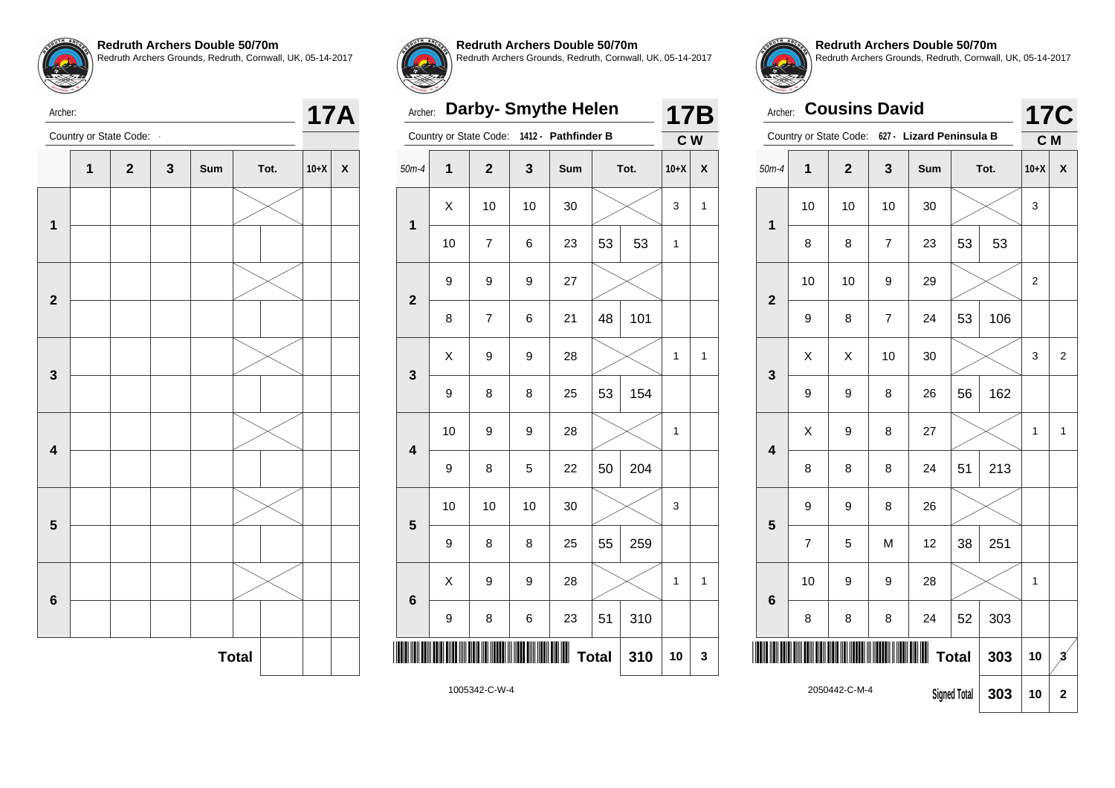

Archer:

**Redruth Archers Double 50/70m** Redruth Archers Grounds, Redruth, Cornwall, UK, 05-14-2017





**Redruth Archers Double 50/70m**

Redruth Archers Grounds, Redruth, Cornwall, UK, 05-14-2017

# Archer: **Darby- Smythe Helen**

|                         |    | Country or State Code: | $1412 -$     | <b>Pathfinder B</b> |              |      | C W          |                |
|-------------------------|----|------------------------|--------------|---------------------|--------------|------|--------------|----------------|
| $50m-4$                 | 1  | $\mathbf{2}$           | $\mathbf{3}$ | <b>Sum</b>          |              | Tot. | $10+X$       | X              |
|                         | X  | 10                     | 10           | 30                  |              |      | 3            | 1              |
| 1                       | 10 | $\overline{7}$         | 6            | 23                  | 53           | 53   | $\mathbf{1}$ |                |
| $\overline{\mathbf{2}}$ | 9  | 9                      | 9            | 27                  |              |      |              |                |
|                         | 8  | $\overline{7}$         | 6            | 21                  | 48           | 101  |              |                |
| 3                       | X  | 9                      | 9            | 28                  |              |      | 1            | $\overline{1}$ |
|                         | 9  | 8                      | 8            | 25                  | 53           | 154  |              |                |
| 4                       | 10 | 9                      | 9            | 28                  |              |      | $\mathbf 1$  |                |
|                         | 9  | 8                      | 5            | 22                  | 50           | 204  |              |                |
| 5                       | 10 | 10                     | 10           | 30                  |              |      | 3            |                |
|                         | 9  | 8                      | 8            | 25                  | 55           | 259  |              |                |
| 6                       | X  | 9                      | 9            | 28                  |              |      | $\mathbf{1}$ | $\mathbf{1}$   |
|                         | 9  | 8                      | 6            | 23                  | 51           | 310  |              |                |
| ║║                      |    |                        |              |                     | <b>Total</b> | 310  | 10           | 3              |
| 1005342-C-W-4           |    |                        |              |                     |              |      |              |                |



**17B**

**Redruth Archers Double 50/70m** Redruth Archers Grounds, Redruth, Cornwall, UK, 05-14-2017

| Archer:                 | <b>17C</b>     |                        |                |                          |              |      |                |                |
|-------------------------|----------------|------------------------|----------------|--------------------------|--------------|------|----------------|----------------|
|                         |                | Country or State Code: |                | 627 - Lizard Peninsula B |              |      | C <sub>M</sub> |                |
| $50m-4$                 | $\overline{1}$ | $\overline{2}$         | 3              | Sum                      |              | Tot. | $10+X$         | X              |
|                         | 10             | 10                     | 10             | 30                       |              |      | 3              |                |
| 1                       | 8              | 8                      | $\overline{7}$ | 23                       | 53           | 53   |                |                |
| $\overline{2}$          | 10             | 10                     | 9              | 29                       |              |      | $\overline{2}$ |                |
|                         | 9              | 8                      | $\overline{7}$ | 24                       | 53           | 106  |                |                |
| 3                       | X              | X                      | 10             | 30                       |              |      | 3              | $\overline{2}$ |
|                         | 9              | 9                      | 8              | 26                       | 56           | 162  |                |                |
| $\overline{\mathbf{4}}$ | Χ              | 9                      | 8              | 27                       |              |      | 1              | 1              |
|                         | 8              | 8                      | 8              | 24                       | 51           | 213  |                |                |
| 5                       | 9              | 9                      | 8              | 26                       |              |      |                |                |
|                         | 7              | 5                      | M              | 12                       | 38           | 251  |                |                |
| 6                       | 10<br>9<br>9   |                        |                |                          |              |      | 1              |                |
|                         | 8              | 8                      | 8              | 24                       | 52           | 303  |                |                |
|                         |                |                        |                |                          | <b>Total</b> | 303  | 10             | $\mathbf{z}$   |
|                         |                | 2050442-C-M-4          |                | <b>Signed Total</b>      | 303          | 10   | 2              |                |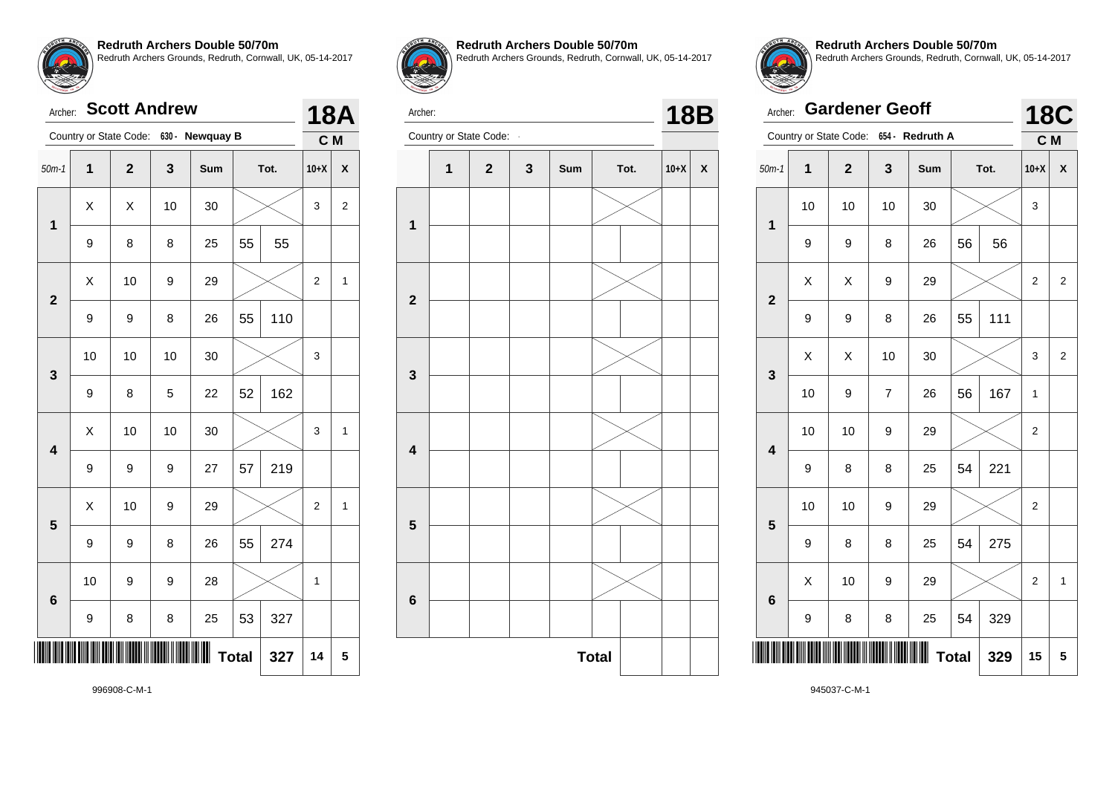|                         | <b>Scott Andrew</b><br>Archer: |                |    |                                        |    |      |                |                |  |  |  |
|-------------------------|--------------------------------|----------------|----|----------------------------------------|----|------|----------------|----------------|--|--|--|
|                         |                                |                |    | Country or State Code: 630 - Newquay B |    |      | C M            |                |  |  |  |
| $50m-1$                 | 1                              | $\overline{2}$ | 3  | Sum                                    |    | Tot. | $10+X$         | X              |  |  |  |
| $\mathbf 1$             | X                              | Χ              | 10 | 30                                     |    |      | 3              | $\overline{2}$ |  |  |  |
|                         | 9                              | 8              | 8  | 25                                     | 55 | 55   |                |                |  |  |  |
| $\overline{\mathbf{2}}$ | X<br>10<br>9<br>29             |                |    |                                        |    | 2    | 1              |                |  |  |  |
|                         | 9                              | 9              | 8  | 26                                     | 55 | 110  |                |                |  |  |  |
| $\mathbf{3}$            | 10                             | 10             | 10 | 30                                     |    |      | 3              |                |  |  |  |
|                         | 9                              | 8              | 5  | 22                                     | 52 | 162  |                |                |  |  |  |
| $\overline{\mathbf{4}}$ | X                              | 10             | 10 | 30                                     |    |      | 3              | 1              |  |  |  |
|                         | 9                              | 9              | 9  | 27                                     | 57 | 219  |                |                |  |  |  |
| 5                       | X                              | 10             | 9  | 29                                     |    |      | $\overline{2}$ | 1              |  |  |  |
|                         | 9                              | 9              | 8  | 26                                     | 55 | 274  |                |                |  |  |  |
| 6                       | 10                             | 9              | 9  | 28                                     |    |      | 1              |                |  |  |  |
|                         | 9                              | 8              | 8  | 25                                     | 53 | 327  |                |                |  |  |  |
|                         | 14                             | 5              |    |                                        |    |      |                |                |  |  |  |



**Redruth Archers Double 50/70m** Redruth Archers Grounds, Redruth, Cornwall, UK, 05-14-2017



Archer: **18B**<br>Country or State Code: **18B** 





**Redruth Archers Double 50/70m** Redruth Archers Grounds, Redruth, Cornwall, UK, 05-14-2017

|                 | <b>Gardener Geoff</b><br>Archer:  |                        |                |                 |    |      |                   |                |  |
|-----------------|-----------------------------------|------------------------|----------------|-----------------|----|------|-------------------|----------------|--|
|                 |                                   | Country or State Code: |                | 654 - Redruth A |    |      | <b>18C</b><br>C M |                |  |
| $50m-1$         | $\mathbf 1$                       | $\mathbf{2}$           | 3              | Sum             |    | Tot. | $10+X$            | X              |  |
| $\mathbf 1$     | 10                                | 10                     | 10             | 30              |    |      | 3                 |                |  |
|                 | 9                                 | 9                      | 8              | 26              | 56 | 56   |                   |                |  |
|                 | X<br>X<br>9<br>29<br>$\mathbf{2}$ |                        |                |                 |    |      | $\overline{2}$    | $\overline{2}$ |  |
|                 | 9                                 | 9                      | 8              | 26              | 55 | 111  |                   |                |  |
| 3               | X                                 | Χ                      | 10             | 30              |    |      | 3                 | $\overline{2}$ |  |
|                 | 10                                | 9                      | $\overline{7}$ | 26              | 56 | 167  | 1                 |                |  |
| 4               | 10                                | 10                     | 9              | 29              |    |      | 2                 |                |  |
|                 | 9                                 | 8                      | 8              | 25              | 54 | 221  |                   |                |  |
| 5               | 10                                | 10                     | 9              | 29              |    |      | $\overline{2}$    |                |  |
|                 | 9                                 | 8                      | 8              | 25              | 54 | 275  |                   |                |  |
| $6\phantom{1}6$ | X                                 | 10                     | 9              | 29              |    |      | $\overline{2}$    | 1              |  |
|                 | 9                                 | 8                      | 8              | 25              | 54 | 329  |                   |                |  |
|                 | <b>Total</b><br>329               |                        |                |                 |    |      |                   |                |  |

996908-C-M-1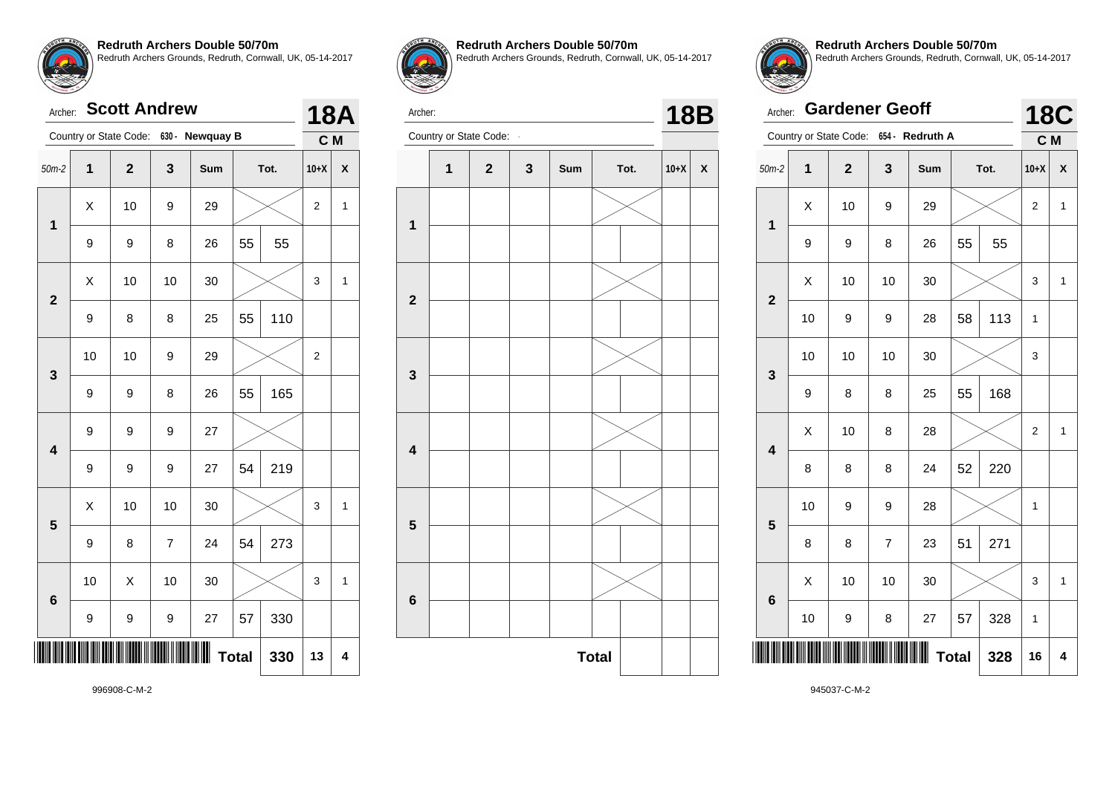| Archer:                 | <b>18A</b>     |                        |                |                 |      |     |                |                           |
|-------------------------|----------------|------------------------|----------------|-----------------|------|-----|----------------|---------------------------|
|                         |                | Country or State Code: |                | 630 - Newquay B |      |     | C M            |                           |
| $50m-2$                 | $\overline{1}$ | $\overline{2}$         | 3              | Sum             | Tot. |     | $10+X$         | $\boldsymbol{\mathsf{x}}$ |
| 1                       | X              | 10                     | 9              | 29              |      |     | $\overline{2}$ | $\mathbf{1}$              |
|                         | 9              | 9                      | 8              | 26              | 55   | 55  |                |                           |
| $\overline{2}$          | Χ              | 10                     | 10             | 30              |      |     | 3              | $\mathbf{1}$              |
|                         | 9              | 8                      | 8              | 25              | 55   | 110 |                |                           |
| 3                       | 10             | 10                     | 9              | 29              |      |     | 2              |                           |
|                         | 9              | 9                      | 8              | 26              | 55   | 165 |                |                           |
| $\overline{\mathbf{4}}$ | 9              | 9                      | 9              | 27              |      |     |                |                           |
|                         | 9              | 9                      | 9              | 27              | 54   | 219 |                |                           |
| 5                       | X              | 10                     | 10             | 30              |      |     | 3              | 1                         |
|                         | 9              | 8                      | $\overline{7}$ | 24              | 54   | 273 |                |                           |
| $6\phantom{1}6$         | 10             | X                      | 10             | 30              |      |     | 3              | 1                         |
|                         | 9              | 9                      | 9              | 27              | 57   | 330 |                |                           |
| <b>Total</b><br>330     |                |                        |                |                 |      |     |                | 4                         |



**Redruth Archers Double 50/70m**

Redruth Archers Grounds, Redruth, Cornwall, UK, 05-14-2017



Archer: **18B**<br>Country or State Code: **18B** 





**Redruth Archers Double 50/70m** Redruth Archers Grounds, Redruth, Cornwall, UK, 05-14-2017

|                         | <b>Gardener Geoff</b><br>Archer: |                         |                |                 |    |      |                   |              |  |
|-------------------------|----------------------------------|-------------------------|----------------|-----------------|----|------|-------------------|--------------|--|
|                         |                                  | Country or State Code:  |                | 654 - Redruth A |    |      | <b>18C</b><br>C M |              |  |
| $50m-2$                 | $\mathbf 1$                      | $\overline{\mathbf{2}}$ | 3              | Sum             |    | Tot. | $10+X$            | X            |  |
| 1                       | X                                | 10                      | 9              | 29              |    |      | 2                 | $\mathbf{1}$ |  |
|                         | 9                                | 9                       | 8              | 26              | 55 | 55   |                   |              |  |
| $\overline{\mathbf{2}}$ | X                                | 10                      | 10             | 30              |    |      | 3                 | 1            |  |
|                         | 10                               | 9                       | 9              | 28              | 58 | 113  | 1                 |              |  |
| 3                       | 10                               | 10                      | 10             | 30              |    |      | 3                 |              |  |
|                         | 9                                | 8                       | 8              | 25              | 55 | 168  |                   |              |  |
| $\overline{\mathbf{4}}$ | Χ                                | 10                      | 8              | 28              |    |      | 2                 | $\mathbf{1}$ |  |
|                         | 8                                | 8                       | 8              | 24              | 52 | 220  |                   |              |  |
| 5                       | 10                               | 9                       | 9              | 28              |    |      | $\mathbf{1}$      |              |  |
|                         | 8                                | 8                       | $\overline{7}$ | 23              | 51 | 271  |                   |              |  |
| 6                       | X                                | 10                      | 10             | 30              |    |      | 3                 | 1            |  |
|                         | 10                               | 9                       | 8              | 27              | 57 | 328  | 1                 |              |  |
|                         | <b>Total</b><br>328              |                         |                |                 |    |      |                   |              |  |

996908-C-M-2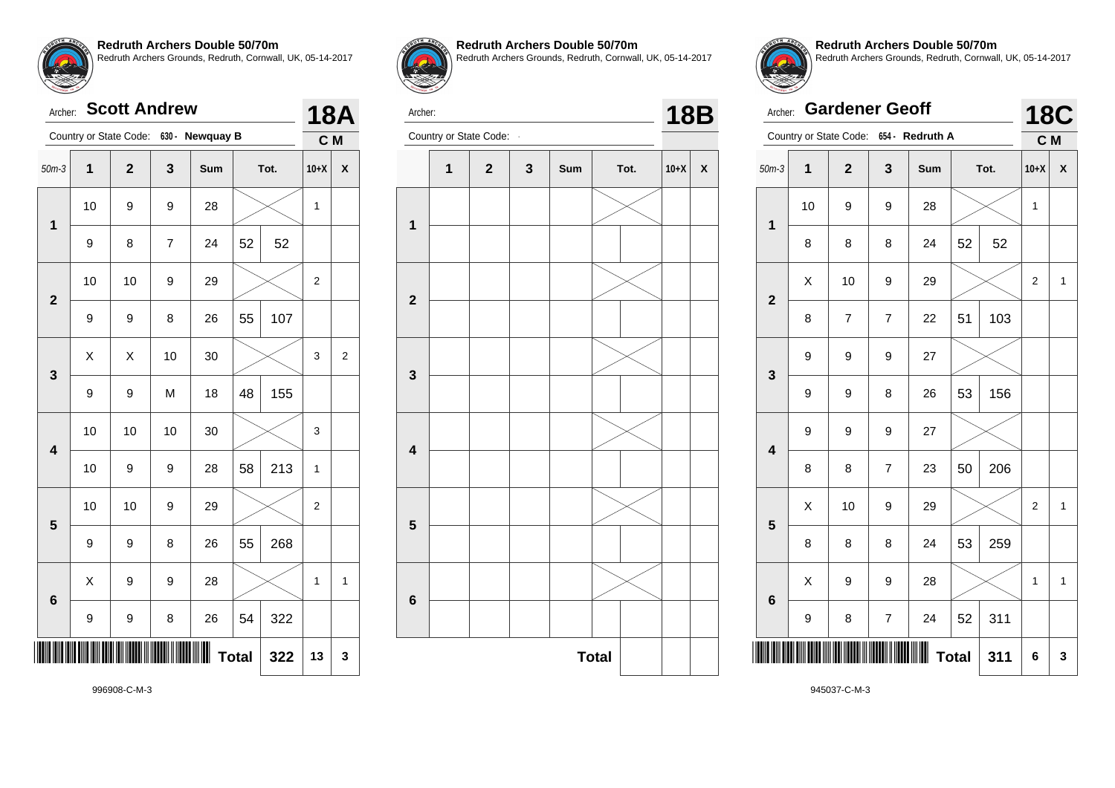|                         | <b>Scott Andrew</b><br>Archer: |                |                |                                        |    |      |              |   |  |  |  |
|-------------------------|--------------------------------|----------------|----------------|----------------------------------------|----|------|--------------|---|--|--|--|
|                         |                                |                |                | Country or State Code: 630 - Newquay B |    |      | C M          |   |  |  |  |
| $50m-3$                 | 1                              | $\overline{2}$ | 3              | Sum                                    |    | Tot. | $10+X$       | X |  |  |  |
| 1                       | 10                             | 9              | 9              | 28                                     |    |      | 1            |   |  |  |  |
|                         | 9                              | 8              | $\overline{7}$ | 24                                     | 52 | 52   |              |   |  |  |  |
| $\overline{2}$          | 10<br>10<br>9<br>29            |                |                |                                        |    |      | 2            |   |  |  |  |
|                         | 9                              | 9              | 8              | 26                                     | 55 | 107  |              |   |  |  |  |
| 3                       | Χ                              | X              | 10             | 30                                     |    |      | 3            | 2 |  |  |  |
|                         | 9                              | 9              | M              | 18                                     | 48 | 155  |              |   |  |  |  |
| $\overline{\mathbf{4}}$ | 10                             | 10             | 10             | 30                                     |    |      | 3            |   |  |  |  |
|                         | 10                             | 9              | 9              | 28                                     | 58 | 213  | $\mathbf{1}$ |   |  |  |  |
| 5                       | 10                             | 10             | 9              | 29                                     |    |      | 2            |   |  |  |  |
|                         | 9                              | 9              | 8              | 26                                     | 55 | 268  |              |   |  |  |  |
| $6\phantom{1}6$         | X                              | 9              | 9              | 28                                     |    |      | 1            | 1 |  |  |  |
|                         | 9                              | 9              | 8              | 26                                     | 54 | 322  |              |   |  |  |  |
|                         | 13                             | 3              |                |                                        |    |      |              |   |  |  |  |



**Redruth Archers Double 50/70m**

Redruth Archers Grounds, Redruth, Cornwall, UK, 05-14-2017



Archer: **18B**<br>Country or State Code: **18B** 



**Redruth Archers Double 50/70m** Redruth Archers Grounds, Redruth, Cornwall, UK, 05-14-2017

|                         | <b>Gardener Geoff</b><br>Archer: |                |                |                                        |    |      |                         |              |  |  |
|-------------------------|----------------------------------|----------------|----------------|----------------------------------------|----|------|-------------------------|--------------|--|--|
|                         |                                  |                |                | Country or State Code: 654 - Redruth A |    |      | C M                     |              |  |  |
| $50m-3$                 | 1                                | $\overline{2}$ | 3              | Sum                                    |    | Tot. | $10+X$                  | X            |  |  |
| $\mathbf 1$             | 10                               | 9              | 9              | 28                                     |    |      | 1                       |              |  |  |
|                         | 8                                | 8              | 8              | 24                                     | 52 | 52   |                         |              |  |  |
| $\overline{2}$          | X                                | 10             | 9              | 29                                     |    |      | $\overline{\mathbf{c}}$ | $\mathbf{1}$ |  |  |
|                         | 8                                | $\overline{7}$ | $\overline{7}$ | 22                                     | 51 | 103  |                         |              |  |  |
| 3                       | 9                                | 9              | 9              | 27                                     |    |      |                         |              |  |  |
|                         | 9                                | 9              | 8              | 26                                     | 53 | 156  |                         |              |  |  |
| $\overline{\mathbf{4}}$ | 9                                | 9              | 9              | 27                                     |    |      |                         |              |  |  |
|                         | 8                                | 8              | $\overline{7}$ | 23                                     | 50 | 206  |                         |              |  |  |
| 5                       | X                                | 10             | 9              | 29                                     |    |      | $\overline{2}$          | $\mathbf{1}$ |  |  |
|                         | 8                                | 8              | 8              | 24                                     | 53 | 259  |                         |              |  |  |
| $6\phantom{1}6$         | X                                | 9              | 9              | 28                                     |    |      | 1                       | $\mathbf{1}$ |  |  |
|                         | 9                                | 8              | $\overline{7}$ | 24                                     | 52 | 311  |                         |              |  |  |
|                         | <b>Total</b><br>311              |                |                |                                        |    |      |                         |              |  |  |

996908-C-M-3